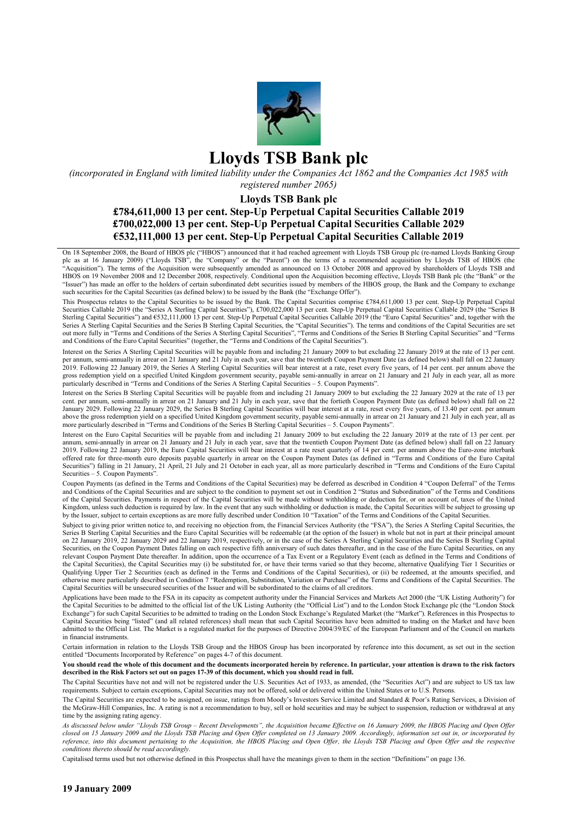

# **Lloyds TSB Bank plc**

*(incorporated in England with limited liability under the Companies Act 1862 and the Companies Act 1985 with registered number 2065)* 

#### **Lloyds TSB Bank plc**

# **£784,611,000 13 per cent. Step-Up Perpetual Capital Securities Callable 2019 £700,022,000 13 per cent. Step-Up Perpetual Capital Securities Callable 2029 €532,111,000 13 per cent. Step-Up Perpetual Capital Securities Callable 2019**

On 18 September 2008, the Board of HBOS plc ("HBOS") announced that it had reached agreement with Lloyds TSB Group plc (re-named Lloyds Banking Group plc as at 16 January 2009) ("Lloyds TSB", the "Company" or the "Parent") on the terms of a recommended acquisition by Lloyds TSB of HBOS (the "Acquisition"). The terms of the Acquisition were subsequently amended as announced on 13 October 2008 and approved by shareholders of Lloyds TSB and HBOS on 19 November 2008 and 12 December 2008, respectively. Conditional upon the Acquisition becoming effective, Lloyds TSB Bank plc (the "Bank" or the "Issuer") has made an offer to the holders of certain subordinated debt securities issued by members of the HBOS group, the Bank and the Company to exchange such securities for the Capital Securities (as defined below) to be issued by the Bank (the "Exchange Offer").

This Prospectus relates to the Capital Securities to be issued by the Bank. The Capital Securities comprise £784,611,000 13 per cent. Step-Up Perpetual Capital Securities Callable 2019 (the "Series A Sterling Capital Securities"), £700,022,000 13 per cent. Step-Up Perpetual Capital Securities Callable 2029 (the "Series B Sterling Capital Securities") and €532,111,000 13 per cent. Step-Up Perpetual Capital Securities Callable 2019 (the "Euro Capital Securities" and, together with the Series A Sterling Capital Securities and the Series B Sterling Capital Securities, the "Capital Securities"). The terms and conditions of the Capital Securities are set out more fully in "Terms and Conditions of the Series A Sterling Capital Securities", "Terms and Conditions of the Series B Sterling Capital Securities" and "Terms and Conditions of the Euro Capital Securities" (together, the "Terms and Conditions of the Capital Securities").

Interest on the Series A Sterling Capital Securities will be payable from and including 21 January 2009 to but excluding 22 January 2019 at the rate of 13 per cent. per annum, semi-annually in arrear on 21 January and 21 July in each year, save that the twentieth Coupon Payment Date (as defined below) shall fall on 22 January 2019. Following 22 January 2019, the Series A Sterling Capital Securities will bear interest at a rate, reset every five years, of 14 per cent. per annum above the gross redemption yield on a specified United Kingdom government security, payable semi-annually in arrear on 21 January and 21 July in each year, all as more particularly described in "Terms and Conditions of the Series A Sterling Capital Securities – 5. Coupon Payments".

Interest on the Series B Sterling Capital Securities will be payable from and including 21 January 2009 to but excluding the 22 January 2029 at the rate of 13 per cent. per annum, semi-annually in arrear on 21 January and 21 July in each year, save that the fortieth Coupon Payment Date (as defined below) shall fall on 22 January 2029. Following 22 January 2029, the Series B Sterling Capital Securities will bear interest at a rate, reset every five years, of 13.40 per cent. per annum above the gross redemption yield on a specified United Kingdom government security, payable semi-annually in arrear on 21 January and 21 July in each year, all as more particularly described in "Terms and Conditions of the Series B Sterling Capital Securities – 5. Coupon Payments".

Interest on the Euro Capital Securities will be payable from and including 21 January 2009 to but excluding the 22 January 2019 at the rate of 13 per cent. per annum, semi-annually in arrear on 21 January and 21 July in each year, save that the twentieth Coupon Payment Date (as defined below) shall fall on 22 January 2019. Following 22 January 2019, the Euro Capital Securities will bear interest at a rate reset quarterly of 14 per cent. per annum above the Euro-zone interbank offered rate for three-month euro deposits payable quarterly in arrear on the Coupon Payment Dates (as defined in "Terms and Conditions of the Euro Capital Securities") falling in 21 January, 21 April, 21 July and 21 October in each year, all as more particularly described in "Terms and Conditions of the Euro Capital Securities – 5. Coupon Payments".

Coupon Payments (as defined in the Terms and Conditions of the Capital Securities) may be deferred as described in Condition 4 "Coupon Deferral" of the Terms and Conditions of the Capital Securities and are subject to the condition to payment set out in Condition 2 "Status and Subordination" of the Terms and Conditions of the Capital Securities. Payments in respect of the Capital Securities will be made without withholding or deduction for, or on account of, taxes of the United Kingdom, unless such deduction is required by law. In the event that any such withholding or deduction is made, the Capital Securities will be subject to grossing up by the Issuer, subject to certain exceptions as are more fully described under Condition 10 "Taxation" of the Terms and Conditions of the Capital Securities.

Subject to giving prior written notice to, and receiving no objection from, the Financial Services Authority (the "FSA"), the Series A Sterling Capital Securities, the Series B Sterling Capital Securities and the Euro Capital Securities will be redeemable (at the option of the Issuer) in whole but not in part at their principal amount on 22 January 2019, 22 January 2029 and 22 January 2019, respectively, or in the case of the Series A Sterling Capital Securities and the Series B Sterling Capital Securities, on the Coupon Payment Dates falling on each respective fifth anniversary of such dates thereafter, and in the case of the Euro Capital Securities, on any relevant Coupon Payment Date thereafter. In addition, upon the occurrence of a Tax Event or a Regulatory Event (each as defined in the Terms and Conditions of the Capital Securities), the Capital Securities may (i) be substituted for, or have their terms varied so that they become, alternative Qualifying Tier 1 Securities or Qualifying Upper Tier 2 Securities (each as defined in the Terms and Conditions of the Capital Securities), or (ii) be redeemed, at the amounts specified, and otherwise more particularly described in Condition 7 "Redemption, Substitution, Variation or Purchase" of the Terms and Conditions of the Capital Securities. The Capital Securities will be unsecured securities of the Issuer and will be subordinated to the claims of all creditors.

Applications have been made to the FSA in its capacity as competent authority under the Financial Services and Markets Act 2000 (the "UK Listing Authority") for the Capital Securities to be admitted to the official list of the UK Listing Authority (the "Official List") and to the London Stock Exchange plc (the "London Stock Exchange") for such Capital Securities to be admitted to trading on the London Stock Exchange's Regulated Market (the "Market"). References in this Prospectus to Capital Securities being "listed" (and all related references) shall mean that such Capital Securities have been admitted to trading on the Market and have been admitted to the Official List. The Market is a regulated market for the purposes of Directive 2004/39/EC of the European Parliament and of the Council on markets in financial instruments.

Certain information in relation to the Lloyds TSB Group and the HBOS Group has been incorporated by reference into this document, as set out in the section entitled "Documents Incorporated by Reference" on pages 4-7 of this document.

**You should read the whole of this document and the documents incorporated herein by reference. In particular, your attention is drawn to the risk factors described in the Risk Factors set out on pages 17-39 of this document, which you should read in full.** 

The Capital Securities have not and will not be registered under the U.S. Securities Act of 1933, as amended, (the "Securities Act") and are subject to US tax law requirements. Subject to certain exceptions, Capital Securities may not be offered, sold or delivered within the United States or to U.S. Persons.

The Capital Securities are expected to be assigned, on issue, ratings from Moody's Investors Service Limited and Standard & Poor's Rating Services, a Division of the McGraw-Hill Companies, Inc. A rating is not a recommendation to buy, sell or hold securities and may be subject to suspension, reduction or withdrawal at any time by the assigning rating agency.

*As discussed below under "Lloyds TSB Group – Recent Developments", the Acquisition became Effective on 16 January 2009, the HBOS Placing and Open Offer closed on 15 January 2009 and the Lloyds TSB Placing and Open Offer completed on 13 January 2009. Accordingly, information set out in, or incorporated by reference, into this document pertaining to the Acquisition, the HBOS Placing and Open Offer, the Lloyds TSB Placing and Open Offer and the respective conditions thereto should be read accordingly.* 

Capitalised terms used but not otherwise defined in this Prospectus shall have the meanings given to them in the section "Definitions" on page 136.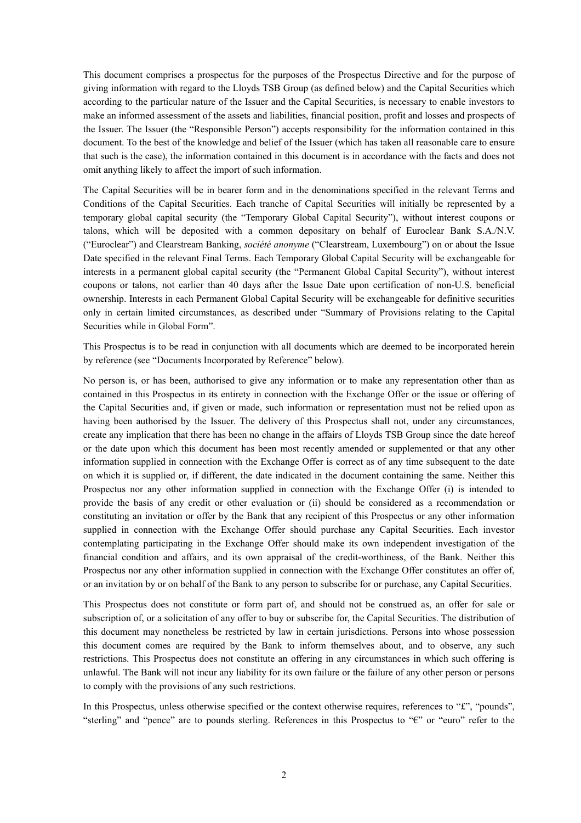This document comprises a prospectus for the purposes of the Prospectus Directive and for the purpose of giving information with regard to the Lloyds TSB Group (as defined below) and the Capital Securities which according to the particular nature of the Issuer and the Capital Securities, is necessary to enable investors to make an informed assessment of the assets and liabilities, financial position, profit and losses and prospects of the Issuer. The Issuer (the "Responsible Person") accepts responsibility for the information contained in this document. To the best of the knowledge and belief of the Issuer (which has taken all reasonable care to ensure that such is the case), the information contained in this document is in accordance with the facts and does not omit anything likely to affect the import of such information.

The Capital Securities will be in bearer form and in the denominations specified in the relevant Terms and Conditions of the Capital Securities. Each tranche of Capital Securities will initially be represented by a temporary global capital security (the "Temporary Global Capital Security"), without interest coupons or talons, which will be deposited with a common depositary on behalf of Euroclear Bank S.A./N.V. ("Euroclear") and Clearstream Banking, *société anonyme* ("Clearstream, Luxembourg") on or about the Issue Date specified in the relevant Final Terms. Each Temporary Global Capital Security will be exchangeable for interests in a permanent global capital security (the "Permanent Global Capital Security"), without interest coupons or talons, not earlier than 40 days after the Issue Date upon certification of non-U.S. beneficial ownership. Interests in each Permanent Global Capital Security will be exchangeable for definitive securities only in certain limited circumstances, as described under "Summary of Provisions relating to the Capital Securities while in Global Form".

This Prospectus is to be read in conjunction with all documents which are deemed to be incorporated herein by reference (see "Documents Incorporated by Reference" below).

No person is, or has been, authorised to give any information or to make any representation other than as contained in this Prospectus in its entirety in connection with the Exchange Offer or the issue or offering of the Capital Securities and, if given or made, such information or representation must not be relied upon as having been authorised by the Issuer. The delivery of this Prospectus shall not, under any circumstances, create any implication that there has been no change in the affairs of Lloyds TSB Group since the date hereof or the date upon which this document has been most recently amended or supplemented or that any other information supplied in connection with the Exchange Offer is correct as of any time subsequent to the date on which it is supplied or, if different, the date indicated in the document containing the same. Neither this Prospectus nor any other information supplied in connection with the Exchange Offer (i) is intended to provide the basis of any credit or other evaluation or (ii) should be considered as a recommendation or constituting an invitation or offer by the Bank that any recipient of this Prospectus or any other information supplied in connection with the Exchange Offer should purchase any Capital Securities. Each investor contemplating participating in the Exchange Offer should make its own independent investigation of the financial condition and affairs, and its own appraisal of the credit-worthiness, of the Bank. Neither this Prospectus nor any other information supplied in connection with the Exchange Offer constitutes an offer of, or an invitation by or on behalf of the Bank to any person to subscribe for or purchase, any Capital Securities.

This Prospectus does not constitute or form part of, and should not be construed as, an offer for sale or subscription of, or a solicitation of any offer to buy or subscribe for, the Capital Securities. The distribution of this document may nonetheless be restricted by law in certain jurisdictions. Persons into whose possession this document comes are required by the Bank to inform themselves about, and to observe, any such restrictions. This Prospectus does not constitute an offering in any circumstances in which such offering is unlawful. The Bank will not incur any liability for its own failure or the failure of any other person or persons to comply with the provisions of any such restrictions.

In this Prospectus, unless otherwise specified or the context otherwise requires, references to "£", "pounds", "sterling" and "pence" are to pounds sterling. References in this Prospectus to "€" or "euro" refer to the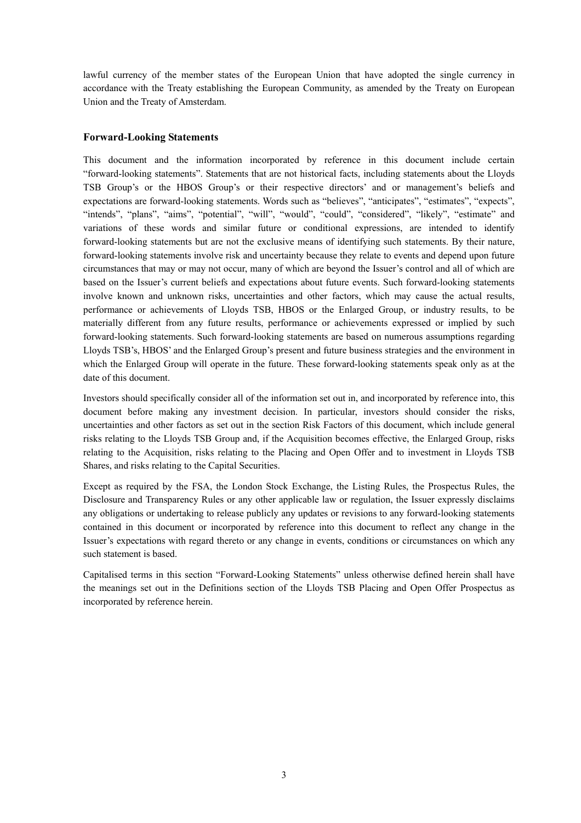lawful currency of the member states of the European Union that have adopted the single currency in accordance with the Treaty establishing the European Community, as amended by the Treaty on European Union and the Treaty of Amsterdam.

# **Forward-Looking Statements**

This document and the information incorporated by reference in this document include certain "forward-looking statements". Statements that are not historical facts, including statements about the Lloyds TSB Group's or the HBOS Group's or their respective directors' and or management's beliefs and expectations are forward-looking statements. Words such as "believes", "anticipates", "estimates", "expects", "intends", "plans", "aims", "potential", "will", "would", "could", "considered", "likely", "estimate" and variations of these words and similar future or conditional expressions, are intended to identify forward-looking statements but are not the exclusive means of identifying such statements. By their nature, forward-looking statements involve risk and uncertainty because they relate to events and depend upon future circumstances that may or may not occur, many of which are beyond the Issuer's control and all of which are based on the Issuer's current beliefs and expectations about future events. Such forward-looking statements involve known and unknown risks, uncertainties and other factors, which may cause the actual results, performance or achievements of Lloyds TSB, HBOS or the Enlarged Group, or industry results, to be materially different from any future results, performance or achievements expressed or implied by such forward-looking statements. Such forward-looking statements are based on numerous assumptions regarding Lloyds TSB's, HBOS' and the Enlarged Group's present and future business strategies and the environment in which the Enlarged Group will operate in the future. These forward-looking statements speak only as at the date of this document.

Investors should specifically consider all of the information set out in, and incorporated by reference into, this document before making any investment decision. In particular, investors should consider the risks, uncertainties and other factors as set out in the section Risk Factors of this document, which include general risks relating to the Lloyds TSB Group and, if the Acquisition becomes effective, the Enlarged Group, risks relating to the Acquisition, risks relating to the Placing and Open Offer and to investment in Lloyds TSB Shares, and risks relating to the Capital Securities.

Except as required by the FSA, the London Stock Exchange, the Listing Rules, the Prospectus Rules, the Disclosure and Transparency Rules or any other applicable law or regulation, the Issuer expressly disclaims any obligations or undertaking to release publicly any updates or revisions to any forward-looking statements contained in this document or incorporated by reference into this document to reflect any change in the Issuer's expectations with regard thereto or any change in events, conditions or circumstances on which any such statement is based.

Capitalised terms in this section "Forward-Looking Statements" unless otherwise defined herein shall have the meanings set out in the Definitions section of the Lloyds TSB Placing and Open Offer Prospectus as incorporated by reference herein.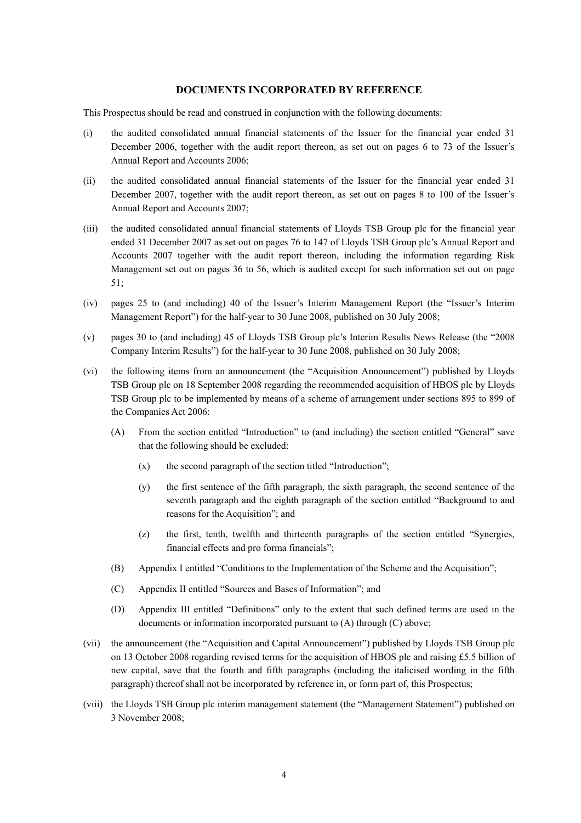#### **DOCUMENTS INCORPORATED BY REFERENCE**

This Prospectus should be read and construed in conjunction with the following documents:

- (i) the audited consolidated annual financial statements of the Issuer for the financial year ended 31 December 2006, together with the audit report thereon, as set out on pages 6 to 73 of the Issuer's Annual Report and Accounts 2006;
- (ii) the audited consolidated annual financial statements of the Issuer for the financial year ended 31 December 2007, together with the audit report thereon, as set out on pages 8 to 100 of the Issuer's Annual Report and Accounts 2007;
- (iii) the audited consolidated annual financial statements of Lloyds TSB Group plc for the financial year ended 31 December 2007 as set out on pages 76 to 147 of Lloyds TSB Group plc's Annual Report and Accounts 2007 together with the audit report thereon, including the information regarding Risk Management set out on pages 36 to 56, which is audited except for such information set out on page 51;
- (iv) pages 25 to (and including) 40 of the Issuer's Interim Management Report (the "Issuer's Interim Management Report") for the half-year to 30 June 2008, published on 30 July 2008;
- (v) pages 30 to (and including) 45 of Lloyds TSB Group plc's Interim Results News Release (the "2008 Company Interim Results") for the half-year to 30 June 2008, published on 30 July 2008;
- (vi) the following items from an announcement (the "Acquisition Announcement") published by Lloyds TSB Group plc on 18 September 2008 regarding the recommended acquisition of HBOS plc by Lloyds TSB Group plc to be implemented by means of a scheme of arrangement under sections 895 to 899 of the Companies Act 2006:
	- (A) From the section entitled "Introduction" to (and including) the section entitled "General" save that the following should be excluded:
		- $(x)$  the second paragraph of the section titled "Introduction";
		- (y) the first sentence of the fifth paragraph, the sixth paragraph, the second sentence of the seventh paragraph and the eighth paragraph of the section entitled "Background to and reasons for the Acquisition"; and
		- (z) the first, tenth, twelfth and thirteenth paragraphs of the section entitled "Synergies, financial effects and pro forma financials";
	- (B) Appendix I entitled "Conditions to the Implementation of the Scheme and the Acquisition";
	- (C) Appendix II entitled "Sources and Bases of Information"; and
	- (D) Appendix III entitled "Definitions" only to the extent that such defined terms are used in the documents or information incorporated pursuant to (A) through (C) above;
- (vii) the announcement (the "Acquisition and Capital Announcement") published by Lloyds TSB Group plc on 13 October 2008 regarding revised terms for the acquisition of HBOS plc and raising £5.5 billion of new capital, save that the fourth and fifth paragraphs (including the italicised wording in the fifth paragraph) thereof shall not be incorporated by reference in, or form part of, this Prospectus;
- (viii) the Lloyds TSB Group plc interim management statement (the "Management Statement") published on 3 November 2008;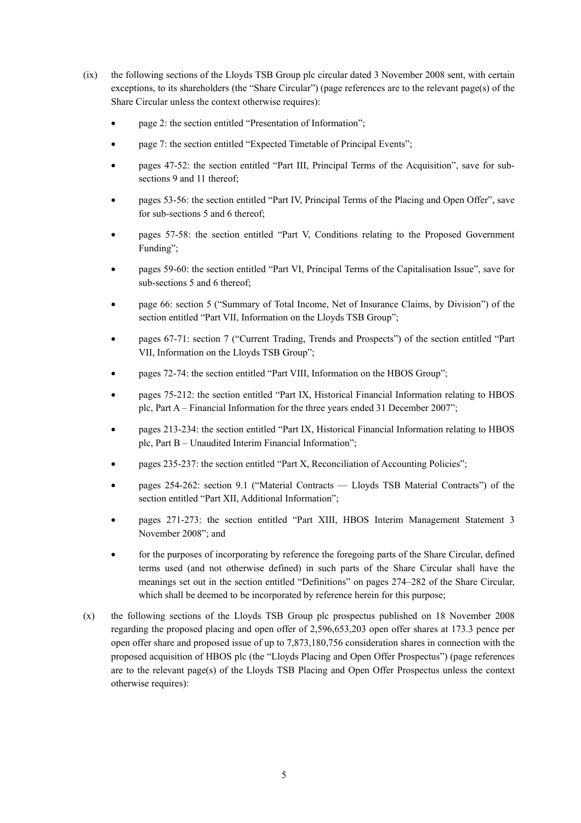- (ix) the following sections of the Lloyds TSB Group plc circular dated 3 November 2008 sent, with certain exceptions, to its shareholders (the "Share Circular") (page references are to the relevant page(s) of the Share Circular unless the context otherwise requires):
	- page 2: the section entitled "Presentation of Information";
	- page 7: the section entitled "Expected Timetable of Principal Events";
	- pages 47-52: the section entitled "Part III, Principal Terms of the Acquisition", save for subsections 9 and 11 thereof<sup>:</sup>
	- pages 53-56: the section entitled "Part IV, Principal Terms of the Placing and Open Offer", save for sub-sections 5 and 6 thereof;
	- pages 57-58: the section entitled "Part V, Conditions relating to the Proposed Government Funding";
	- pages 59-60: the section entitled "Part VI, Principal Terms of the Capitalisation Issue", save for sub-sections 5 and 6 thereof;
	- page 66: section 5 ("Summary of Total Income, Net of Insurance Claims, by Division") of the section entitled "Part VII, Information on the Lloyds TSB Group";
	- pages 67-71: section 7 ("Current Trading, Trends and Prospects") of the section entitled "Part VII, Information on the Lloyds TSB Group";
	- pages 72-74: the section entitled "Part VIII, Information on the HBOS Group";
	- pages 75-212: the section entitled "Part IX, Historical Financial Information relating to HBOS plc, Part A – Financial Information for the three years ended 31 December 2007";
	- pages 213-234: the section entitled "Part IX, Historical Financial Information relating to HBOS plc, Part B – Unaudited Interim Financial Information";
	- pages 235-237: the section entitled "Part X, Reconciliation of Accounting Policies";
	- pages 254-262: section 9.1 ("Material Contracts Lloyds TSB Material Contracts") of the section entitled "Part XII, Additional Information";
	- pages 271-273: the section entitled "Part XIII, HBOS Interim Management Statement 3 November 2008"; and
	- for the purposes of incorporating by reference the foregoing parts of the Share Circular, defined terms used (and not otherwise defined) in such parts of the Share Circular shall have the meanings set out in the section entitled "Definitions" on pages 274–282 of the Share Circular, which shall be deemed to be incorporated by reference herein for this purpose;
- (x) the following sections of the Lloyds TSB Group plc prospectus published on 18 November 2008 regarding the proposed placing and open offer of 2,596,653,203 open offer shares at 173.3 pence per open offer share and proposed issue of up to 7,873,180,756 consideration shares in connection with the proposed acquisition of HBOS plc (the "Lloyds Placing and Open Offer Prospectus") (page references are to the relevant page(s) of the Lloyds TSB Placing and Open Offer Prospectus unless the context otherwise requires):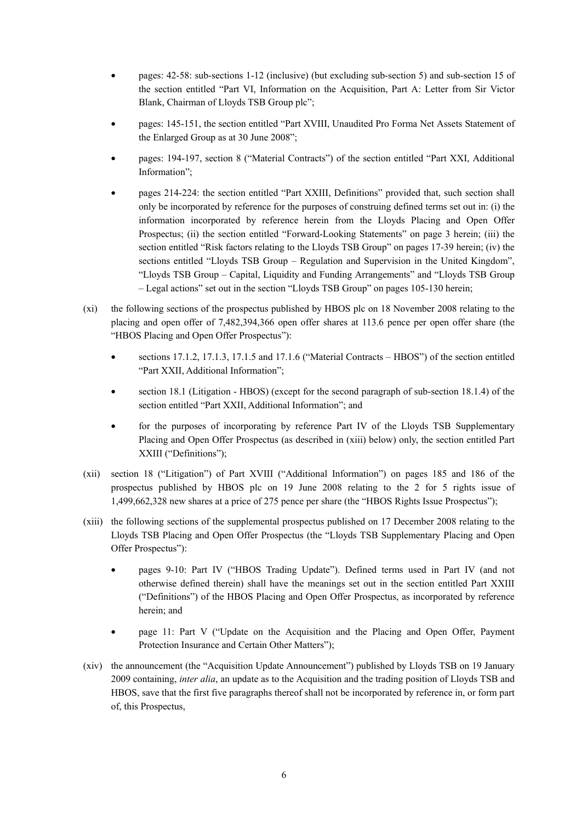- pages: 42-58: sub-sections 1-12 (inclusive) (but excluding sub-section 5) and sub-section 15 of the section entitled "Part VI, Information on the Acquisition, Part A: Letter from Sir Victor Blank, Chairman of Lloyds TSB Group plc";
- pages: 145-151, the section entitled "Part XVIII, Unaudited Pro Forma Net Assets Statement of the Enlarged Group as at 30 June 2008";
- pages: 194-197, section 8 ("Material Contracts") of the section entitled "Part XXI, Additional Information";
- pages 214-224: the section entitled "Part XXIII, Definitions" provided that, such section shall only be incorporated by reference for the purposes of construing defined terms set out in: (i) the information incorporated by reference herein from the Lloyds Placing and Open Offer Prospectus; (ii) the section entitled "Forward-Looking Statements" on page 3 herein; (iii) the section entitled "Risk factors relating to the Lloyds TSB Group" on pages 17-39 herein; (iv) the sections entitled "Lloyds TSB Group – Regulation and Supervision in the United Kingdom", "Lloyds TSB Group – Capital, Liquidity and Funding Arrangements" and "Lloyds TSB Group – Legal actions" set out in the section "Lloyds TSB Group" on pages 105-130 herein;
- (xi) the following sections of the prospectus published by HBOS plc on 18 November 2008 relating to the placing and open offer of 7,482,394,366 open offer shares at 113.6 pence per open offer share (the "HBOS Placing and Open Offer Prospectus"):
	- sections 17.1.2, 17.1.3, 17.1.5 and 17.1.6 ("Material Contracts HBOS") of the section entitled "Part XXII, Additional Information";
	- section 18.1 (Litigation HBOS) (except for the second paragraph of sub-section 18.1.4) of the section entitled "Part XXII, Additional Information"; and
	- for the purposes of incorporating by reference Part IV of the Lloyds TSB Supplementary Placing and Open Offer Prospectus (as described in (xiii) below) only, the section entitled Part XXIII ("Definitions");
- (xii) section 18 ("Litigation") of Part XVIII ("Additional Information") on pages 185 and 186 of the prospectus published by HBOS plc on 19 June 2008 relating to the 2 for 5 rights issue of 1,499,662,328 new shares at a price of 275 pence per share (the "HBOS Rights Issue Prospectus");
- (xiii) the following sections of the supplemental prospectus published on 17 December 2008 relating to the Lloyds TSB Placing and Open Offer Prospectus (the "Lloyds TSB Supplementary Placing and Open Offer Prospectus"):
	- pages 9-10: Part IV ("HBOS Trading Update"). Defined terms used in Part IV (and not otherwise defined therein) shall have the meanings set out in the section entitled Part XXIII ("Definitions") of the HBOS Placing and Open Offer Prospectus, as incorporated by reference herein; and
	- page 11: Part V ("Update on the Acquisition and the Placing and Open Offer, Payment Protection Insurance and Certain Other Matters");
- (xiv) the announcement (the "Acquisition Update Announcement") published by Lloyds TSB on 19 January 2009 containing, *inter alia*, an update as to the Acquisition and the trading position of Lloyds TSB and HBOS, save that the first five paragraphs thereof shall not be incorporated by reference in, or form part of, this Prospectus,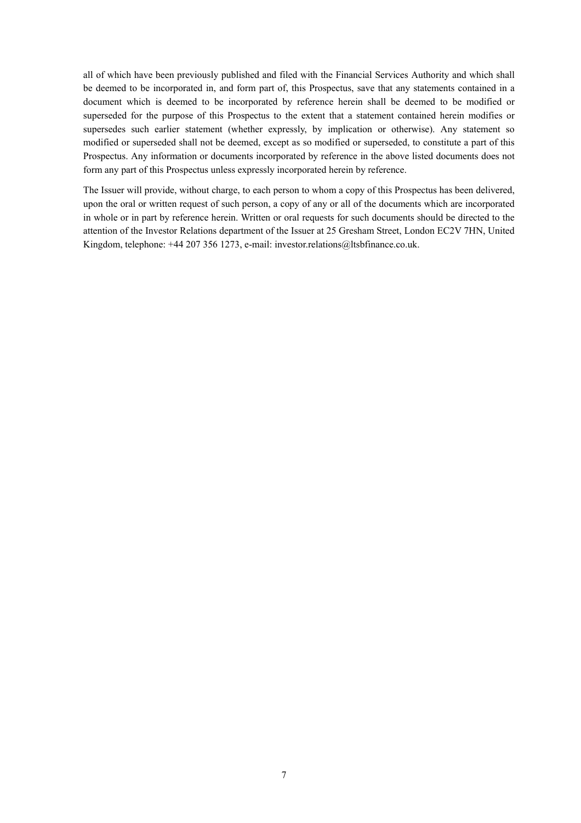all of which have been previously published and filed with the Financial Services Authority and which shall be deemed to be incorporated in, and form part of, this Prospectus, save that any statements contained in a document which is deemed to be incorporated by reference herein shall be deemed to be modified or superseded for the purpose of this Prospectus to the extent that a statement contained herein modifies or supersedes such earlier statement (whether expressly, by implication or otherwise). Any statement so modified or superseded shall not be deemed, except as so modified or superseded, to constitute a part of this Prospectus. Any information or documents incorporated by reference in the above listed documents does not form any part of this Prospectus unless expressly incorporated herein by reference.

The Issuer will provide, without charge, to each person to whom a copy of this Prospectus has been delivered, upon the oral or written request of such person, a copy of any or all of the documents which are incorporated in whole or in part by reference herein. Written or oral requests for such documents should be directed to the attention of the Investor Relations department of the Issuer at 25 Gresham Street, London EC2V 7HN, United Kingdom, telephone: +44 207 356 1273, e-mail: investor.relations@ltsbfinance.co.uk.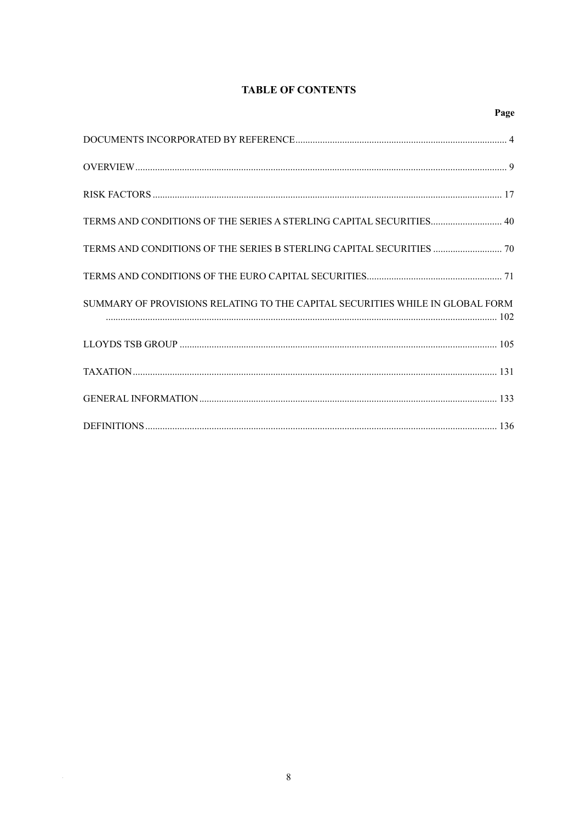# **TABLE OF CONTENTS**

| TERMS AND CONDITIONS OF THE SERIES A STERLING CAPITAL SECURITIES 40           |  |
|-------------------------------------------------------------------------------|--|
|                                                                               |  |
|                                                                               |  |
| SUMMARY OF PROVISIONS RELATING TO THE CAPITAL SECURITIES WHILE IN GLOBAL FORM |  |
|                                                                               |  |
|                                                                               |  |
|                                                                               |  |
|                                                                               |  |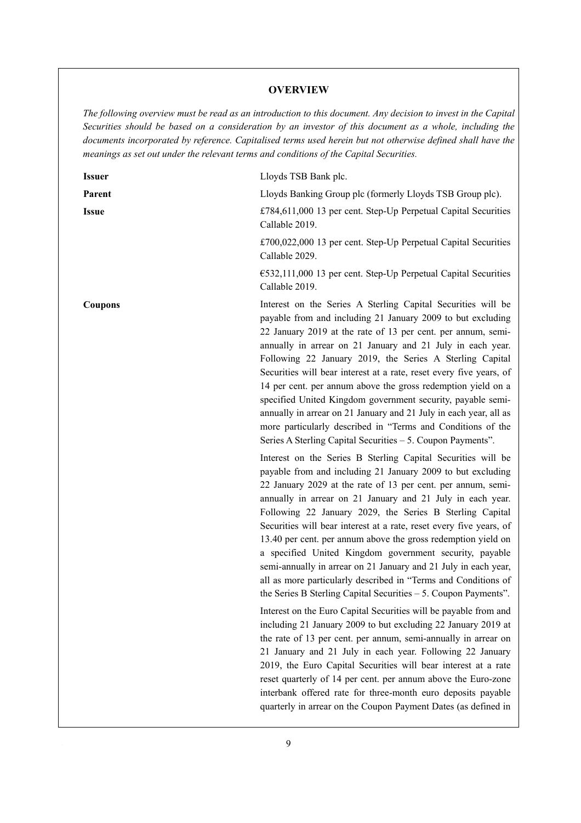## **OVERVIEW**

*The following overview must be read as an introduction to this document. Any decision to invest in the Capital Securities should be based on a consideration by an investor of this document as a whole, including the documents incorporated by reference. Capitalised terms used herein but not otherwise defined shall have the meanings as set out under the relevant terms and conditions of the Capital Securities.* 

| <b>Issuer</b>  | Lloyds TSB Bank plc.                                                                                                                                                                                                                                                                                                                                                                                                                                                                                                                                                                                                                                                                                                               |
|----------------|------------------------------------------------------------------------------------------------------------------------------------------------------------------------------------------------------------------------------------------------------------------------------------------------------------------------------------------------------------------------------------------------------------------------------------------------------------------------------------------------------------------------------------------------------------------------------------------------------------------------------------------------------------------------------------------------------------------------------------|
| Parent         | Lloyds Banking Group plc (formerly Lloyds TSB Group plc).                                                                                                                                                                                                                                                                                                                                                                                                                                                                                                                                                                                                                                                                          |
| <b>Issue</b>   | £784,611,000 13 per cent. Step-Up Perpetual Capital Securities<br>Callable 2019.                                                                                                                                                                                                                                                                                                                                                                                                                                                                                                                                                                                                                                                   |
|                | £700,022,000 13 per cent. Step-Up Perpetual Capital Securities<br>Callable 2029.                                                                                                                                                                                                                                                                                                                                                                                                                                                                                                                                                                                                                                                   |
|                | $\epsilon$ 532,111,000 13 per cent. Step-Up Perpetual Capital Securities<br>Callable 2019.                                                                                                                                                                                                                                                                                                                                                                                                                                                                                                                                                                                                                                         |
| <b>Coupons</b> | Interest on the Series A Sterling Capital Securities will be<br>payable from and including 21 January 2009 to but excluding<br>22 January 2019 at the rate of 13 per cent. per annum, semi-<br>annually in arrear on 21 January and 21 July in each year.<br>Following 22 January 2019, the Series A Sterling Capital<br>Securities will bear interest at a rate, reset every five years, of<br>14 per cent. per annum above the gross redemption yield on a<br>specified United Kingdom government security, payable semi-<br>annually in arrear on 21 January and 21 July in each year, all as<br>more particularly described in "Terms and Conditions of the<br>Series A Sterling Capital Securities - 5. Coupon Payments".     |
|                | Interest on the Series B Sterling Capital Securities will be<br>payable from and including 21 January 2009 to but excluding<br>22 January 2029 at the rate of 13 per cent. per annum, semi-<br>annually in arrear on 21 January and 21 July in each year.<br>Following 22 January 2029, the Series B Sterling Capital<br>Securities will bear interest at a rate, reset every five years, of<br>13.40 per cent. per annum above the gross redemption yield on<br>a specified United Kingdom government security, payable<br>semi-annually in arrear on 21 January and 21 July in each year,<br>all as more particularly described in "Terms and Conditions of<br>the Series B Sterling Capital Securities $-5$ . Coupon Payments". |
|                | Interest on the Euro Capital Securities will be payable from and<br>including 21 January 2009 to but excluding 22 January 2019 at<br>the rate of 13 per cent. per annum, semi-annually in arrear on<br>21 January and 21 July in each year. Following 22 January<br>2019, the Euro Capital Securities will bear interest at a rate<br>reset quarterly of 14 per cent. per annum above the Euro-zone<br>interbank offered rate for three-month euro deposits payable<br>quarterly in arrear on the Coupon Payment Dates (as defined in                                                                                                                                                                                              |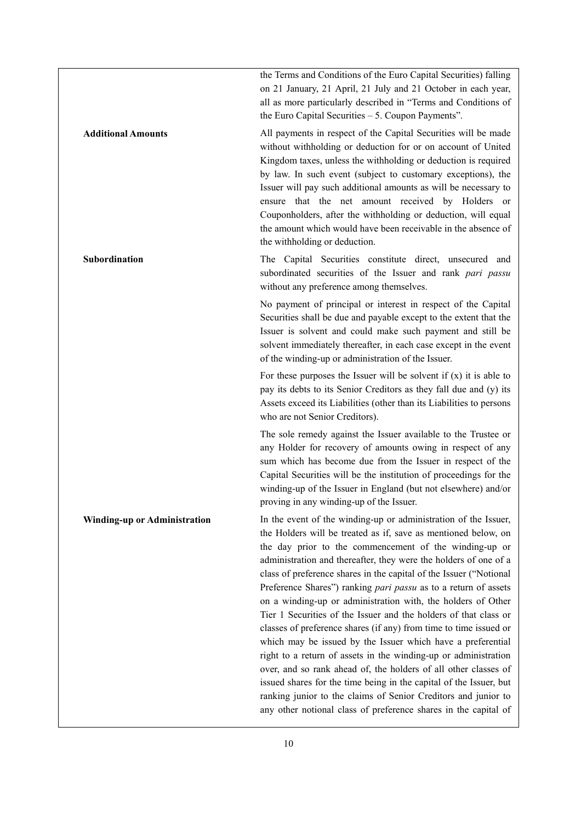the Terms and Conditions of the Euro Capital Securities) falling on 21 January, 21 April, 21 July and 21 October in each year, all as more particularly described in "Terms and Conditions of the Euro Capital Securities – 5. Coupon Payments".

**Additional Amounts** All payments in respect of the Capital Securities will be made without withholding or deduction for or on account of United Kingdom taxes, unless the withholding or deduction is required by law. In such event (subject to customary exceptions), the Issuer will pay such additional amounts as will be necessary to ensure that the net amount received by Holders or Couponholders, after the withholding or deduction, will equal the amount which would have been receivable in the absence of the withholding or deduction.

**Subordination The Capital Securities constitute direct, unsecured and** subordinated securities of the Issuer and rank *pari passu* without any preference among themselves.

> No payment of principal or interest in respect of the Capital Securities shall be due and payable except to the extent that the Issuer is solvent and could make such payment and still be solvent immediately thereafter, in each case except in the event of the winding-up or administration of the Issuer.

> For these purposes the Issuer will be solvent if  $(x)$  it is able to pay its debts to its Senior Creditors as they fall due and (y) its Assets exceed its Liabilities (other than its Liabilities to persons who are not Senior Creditors).

> The sole remedy against the Issuer available to the Trustee or any Holder for recovery of amounts owing in respect of any sum which has become due from the Issuer in respect of the Capital Securities will be the institution of proceedings for the winding-up of the Issuer in England (but not elsewhere) and/or proving in any winding-up of the Issuer.

**Winding-up or Administration** In the event of the winding-up or administration of the Issuer, the Holders will be treated as if, save as mentioned below, on the day prior to the commencement of the winding-up or administration and thereafter, they were the holders of one of a class of preference shares in the capital of the Issuer ("Notional Preference Shares") ranking *pari passu* as to a return of assets on a winding-up or administration with, the holders of Other Tier 1 Securities of the Issuer and the holders of that class or classes of preference shares (if any) from time to time issued or which may be issued by the Issuer which have a preferential right to a return of assets in the winding-up or administration over, and so rank ahead of, the holders of all other classes of issued shares for the time being in the capital of the Issuer, but ranking junior to the claims of Senior Creditors and junior to any other notional class of preference shares in the capital of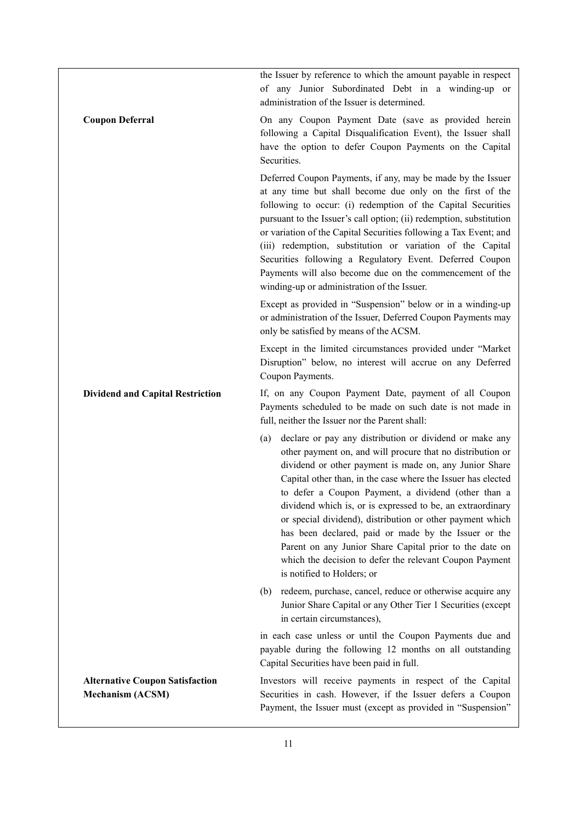|                                                                   | the Issuer by reference to which the amount payable in respect<br>of any Junior Subordinated Debt in a winding-up or<br>administration of the Issuer is determined.                                                                                                                                                                                                                                                                                                                                                                                                                                                                                  |
|-------------------------------------------------------------------|------------------------------------------------------------------------------------------------------------------------------------------------------------------------------------------------------------------------------------------------------------------------------------------------------------------------------------------------------------------------------------------------------------------------------------------------------------------------------------------------------------------------------------------------------------------------------------------------------------------------------------------------------|
| <b>Coupon Deferral</b>                                            | On any Coupon Payment Date (save as provided herein<br>following a Capital Disqualification Event), the Issuer shall<br>have the option to defer Coupon Payments on the Capital<br>Securities.                                                                                                                                                                                                                                                                                                                                                                                                                                                       |
|                                                                   | Deferred Coupon Payments, if any, may be made by the Issuer<br>at any time but shall become due only on the first of the<br>following to occur: (i) redemption of the Capital Securities<br>pursuant to the Issuer's call option; (ii) redemption, substitution<br>or variation of the Capital Securities following a Tax Event; and<br>(iii) redemption, substitution or variation of the Capital<br>Securities following a Regulatory Event. Deferred Coupon<br>Payments will also become due on the commencement of the<br>winding-up or administration of the Issuer.                                                                            |
|                                                                   | Except as provided in "Suspension" below or in a winding-up<br>or administration of the Issuer, Deferred Coupon Payments may<br>only be satisfied by means of the ACSM.                                                                                                                                                                                                                                                                                                                                                                                                                                                                              |
|                                                                   | Except in the limited circumstances provided under "Market"<br>Disruption" below, no interest will accrue on any Deferred<br>Coupon Payments.                                                                                                                                                                                                                                                                                                                                                                                                                                                                                                        |
| <b>Dividend and Capital Restriction</b>                           | If, on any Coupon Payment Date, payment of all Coupon<br>Payments scheduled to be made on such date is not made in<br>full, neither the Issuer nor the Parent shall:                                                                                                                                                                                                                                                                                                                                                                                                                                                                                 |
|                                                                   | declare or pay any distribution or dividend or make any<br>(a)<br>other payment on, and will procure that no distribution or<br>dividend or other payment is made on, any Junior Share<br>Capital other than, in the case where the Issuer has elected<br>to defer a Coupon Payment, a dividend (other than a<br>dividend which is, or is expressed to be, an extraordinary<br>or special dividend), distribution or other payment which<br>has been declared, paid or made by the Issuer or the<br>Parent on any Junior Share Capital prior to the date on<br>which the decision to defer the relevant Coupon Payment<br>is notified to Holders; or |
|                                                                   | redeem, purchase, cancel, reduce or otherwise acquire any<br>(b)<br>Junior Share Capital or any Other Tier 1 Securities (except<br>in certain circumstances),                                                                                                                                                                                                                                                                                                                                                                                                                                                                                        |
|                                                                   | in each case unless or until the Coupon Payments due and<br>payable during the following 12 months on all outstanding<br>Capital Securities have been paid in full.                                                                                                                                                                                                                                                                                                                                                                                                                                                                                  |
| <b>Alternative Coupon Satisfaction</b><br><b>Mechanism (ACSM)</b> | Investors will receive payments in respect of the Capital<br>Securities in cash. However, if the Issuer defers a Coupon<br>Payment, the Issuer must (except as provided in "Suspension"                                                                                                                                                                                                                                                                                                                                                                                                                                                              |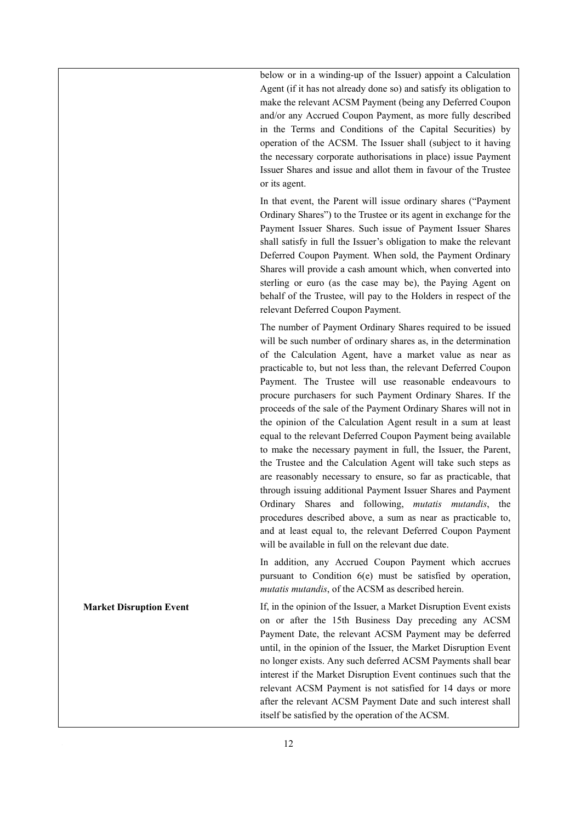below or in a winding-up of the Issuer) appoint a Calculation Agent (if it has not already done so) and satisfy its obligation to make the relevant ACSM Payment (being any Deferred Coupon and/or any Accrued Coupon Payment, as more fully described in the Terms and Conditions of the Capital Securities) by operation of the ACSM. The Issuer shall (subject to it having the necessary corporate authorisations in place) issue Payment Issuer Shares and issue and allot them in favour of the Trustee or its agent.

In that event, the Parent will issue ordinary shares ("Payment Ordinary Shares") to the Trustee or its agent in exchange for the Payment Issuer Shares. Such issue of Payment Issuer Shares shall satisfy in full the Issuer's obligation to make the relevant Deferred Coupon Payment. When sold, the Payment Ordinary Shares will provide a cash amount which, when converted into sterling or euro (as the case may be), the Paying Agent on behalf of the Trustee, will pay to the Holders in respect of the relevant Deferred Coupon Payment.

The number of Payment Ordinary Shares required to be issued will be such number of ordinary shares as, in the determination of the Calculation Agent, have a market value as near as practicable to, but not less than, the relevant Deferred Coupon Payment. The Trustee will use reasonable endeavours to procure purchasers for such Payment Ordinary Shares. If the proceeds of the sale of the Payment Ordinary Shares will not in the opinion of the Calculation Agent result in a sum at least equal to the relevant Deferred Coupon Payment being available to make the necessary payment in full, the Issuer, the Parent, the Trustee and the Calculation Agent will take such steps as are reasonably necessary to ensure, so far as practicable, that through issuing additional Payment Issuer Shares and Payment Ordinary Shares and following, *mutatis mutandis*, the procedures described above, a sum as near as practicable to, and at least equal to, the relevant Deferred Coupon Payment will be available in full on the relevant due date.

In addition, any Accrued Coupon Payment which accrues pursuant to Condition 6(e) must be satisfied by operation, *mutatis mutandis*, of the ACSM as described herein.

**Market Disruption Event If, in the opinion of the Issuer, a Market Disruption Event exists** on or after the 15th Business Day preceding any ACSM Payment Date, the relevant ACSM Payment may be deferred until, in the opinion of the Issuer, the Market Disruption Event no longer exists. Any such deferred ACSM Payments shall bear interest if the Market Disruption Event continues such that the relevant ACSM Payment is not satisfied for 14 days or more after the relevant ACSM Payment Date and such interest shall itself be satisfied by the operation of the ACSM.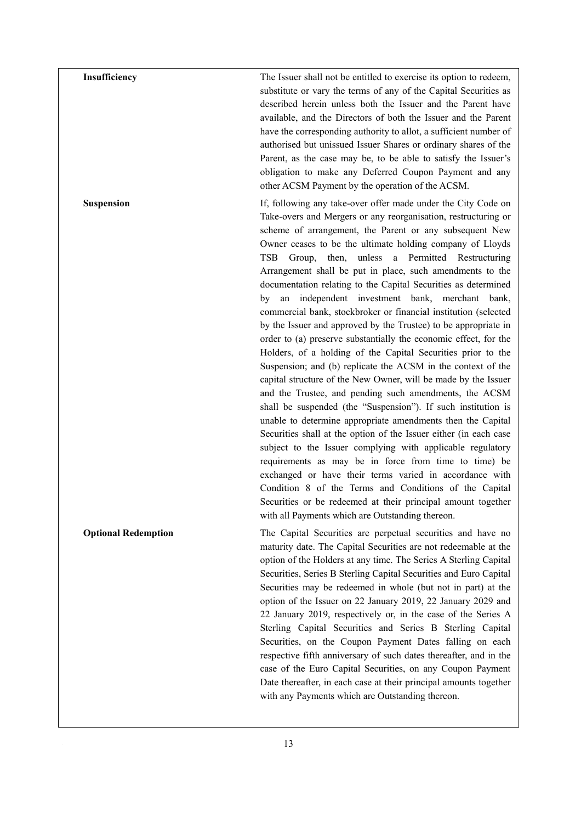**Insufficiency** The Issuer shall not be entitled to exercise its option to redeem, substitute or vary the terms of any of the Capital Securities as described herein unless both the Issuer and the Parent have available, and the Directors of both the Issuer and the Parent have the corresponding authority to allot, a sufficient number of authorised but unissued Issuer Shares or ordinary shares of the Parent, as the case may be, to be able to satisfy the Issuer's obligation to make any Deferred Coupon Payment and any other ACSM Payment by the operation of the ACSM.

**Suspension If, following any take-over offer made under the City Code on** Take-overs and Mergers or any reorganisation, restructuring or scheme of arrangement, the Parent or any subsequent New Owner ceases to be the ultimate holding company of Lloyds TSB Group, then, unless a Permitted Restructuring Arrangement shall be put in place, such amendments to the documentation relating to the Capital Securities as determined by an independent investment bank, merchant bank, commercial bank, stockbroker or financial institution (selected by the Issuer and approved by the Trustee) to be appropriate in order to (a) preserve substantially the economic effect, for the Holders, of a holding of the Capital Securities prior to the Suspension; and (b) replicate the ACSM in the context of the capital structure of the New Owner, will be made by the Issuer and the Trustee, and pending such amendments, the ACSM shall be suspended (the "Suspension"). If such institution is unable to determine appropriate amendments then the Capital Securities shall at the option of the Issuer either (in each case subject to the Issuer complying with applicable regulatory requirements as may be in force from time to time) be exchanged or have their terms varied in accordance with Condition 8 of the Terms and Conditions of the Capital Securities or be redeemed at their principal amount together with all Payments which are Outstanding thereon.

**Optional Redemption The Capital Securities are perpetual securities and have no** maturity date. The Capital Securities are not redeemable at the option of the Holders at any time. The Series A Sterling Capital Securities, Series B Sterling Capital Securities and Euro Capital Securities may be redeemed in whole (but not in part) at the option of the Issuer on 22 January 2019, 22 January 2029 and 22 January 2019, respectively or, in the case of the Series A Sterling Capital Securities and Series B Sterling Capital Securities, on the Coupon Payment Dates falling on each respective fifth anniversary of such dates thereafter, and in the case of the Euro Capital Securities, on any Coupon Payment Date thereafter, in each case at their principal amounts together with any Payments which are Outstanding thereon.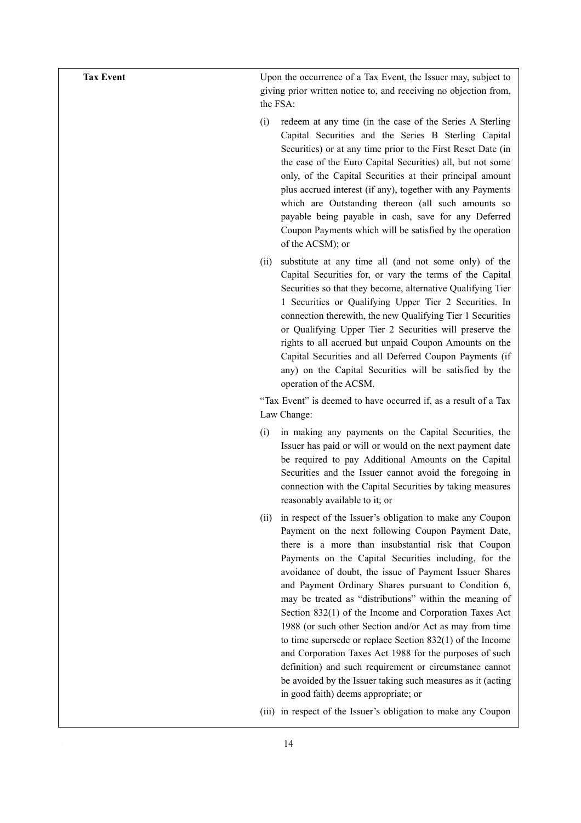**Tax Event Example 1** Upon the occurrence of a Tax Event, the Issuer may, subject to giving prior written notice to, and receiving no objection from, the FSA:

- (i) redeem at any time (in the case of the Series A Sterling Capital Securities and the Series B Sterling Capital Securities) or at any time prior to the First Reset Date (in the case of the Euro Capital Securities) all, but not some only, of the Capital Securities at their principal amount plus accrued interest (if any), together with any Payments which are Outstanding thereon (all such amounts so payable being payable in cash, save for any Deferred Coupon Payments which will be satisfied by the operation of the ACSM); or
- (ii) substitute at any time all (and not some only) of the Capital Securities for, or vary the terms of the Capital Securities so that they become, alternative Qualifying Tier 1 Securities or Qualifying Upper Tier 2 Securities. In connection therewith, the new Qualifying Tier 1 Securities or Qualifying Upper Tier 2 Securities will preserve the rights to all accrued but unpaid Coupon Amounts on the Capital Securities and all Deferred Coupon Payments (if any) on the Capital Securities will be satisfied by the operation of the ACSM.

"Tax Event" is deemed to have occurred if, as a result of a Tax Law Change:

- (i) in making any payments on the Capital Securities, the Issuer has paid or will or would on the next payment date be required to pay Additional Amounts on the Capital Securities and the Issuer cannot avoid the foregoing in connection with the Capital Securities by taking measures reasonably available to it; or
- (ii) in respect of the Issuer's obligation to make any Coupon Payment on the next following Coupon Payment Date, there is a more than insubstantial risk that Coupon Payments on the Capital Securities including, for the avoidance of doubt, the issue of Payment Issuer Shares and Payment Ordinary Shares pursuant to Condition 6, may be treated as "distributions" within the meaning of Section 832(1) of the Income and Corporation Taxes Act 1988 (or such other Section and/or Act as may from time to time supersede or replace Section 832(1) of the Income and Corporation Taxes Act 1988 for the purposes of such definition) and such requirement or circumstance cannot be avoided by the Issuer taking such measures as it (acting in good faith) deems appropriate; or
- (iii) in respect of the Issuer's obligation to make any Coupon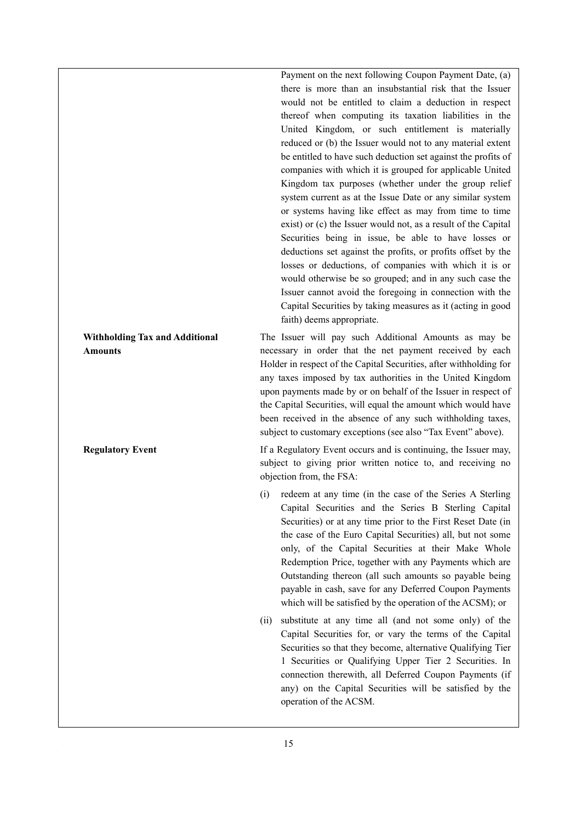Payment on the next following Coupon Payment Date, (a) there is more than an insubstantial risk that the Issuer would not be entitled to claim a deduction in respect thereof when computing its taxation liabilities in the United Kingdom, or such entitlement is materially reduced or (b) the Issuer would not to any material extent be entitled to have such deduction set against the profits of companies with which it is grouped for applicable United Kingdom tax purposes (whether under the group relief system current as at the Issue Date or any similar system or systems having like effect as may from time to time exist) or (c) the Issuer would not, as a result of the Capital Securities being in issue, be able to have losses or deductions set against the profits, or profits offset by the losses or deductions, of companies with which it is or would otherwise be so grouped; and in any such case the Issuer cannot avoid the foregoing in connection with the Capital Securities by taking measures as it (acting in good faith) deems appropriate.

**Withholding Tax and Additional Amounts** 

**Regulatory Event If a Regulatory Event occurs and is continuing, the Issuer may,** subject to giving prior written notice to, and receiving no objection from, the FSA:

The Issuer will pay such Additional Amounts as may be necessary in order that the net payment received by each Holder in respect of the Capital Securities, after withholding for any taxes imposed by tax authorities in the United Kingdom upon payments made by or on behalf of the Issuer in respect of the Capital Securities, will equal the amount which would have been received in the absence of any such withholding taxes, subject to customary exceptions (see also "Tax Event" above).

- (i) redeem at any time (in the case of the Series A Sterling Capital Securities and the Series B Sterling Capital Securities) or at any time prior to the First Reset Date (in the case of the Euro Capital Securities) all, but not some only, of the Capital Securities at their Make Whole Redemption Price, together with any Payments which are Outstanding thereon (all such amounts so payable being payable in cash, save for any Deferred Coupon Payments which will be satisfied by the operation of the ACSM); or
- (ii) substitute at any time all (and not some only) of the Capital Securities for, or vary the terms of the Capital Securities so that they become, alternative Qualifying Tier 1 Securities or Qualifying Upper Tier 2 Securities. In connection therewith, all Deferred Coupon Payments (if any) on the Capital Securities will be satisfied by the operation of the ACSM.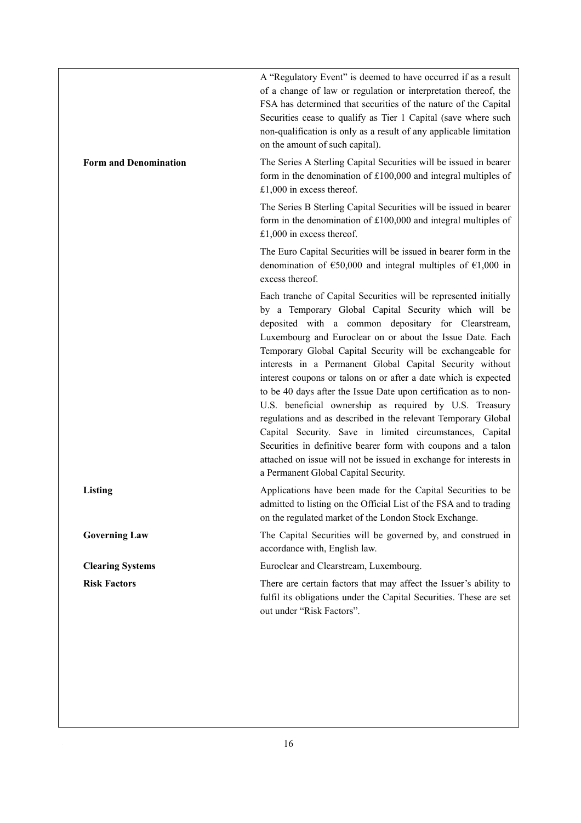|                              | A "Regulatory Event" is deemed to have occurred if as a result<br>of a change of law or regulation or interpretation thereof, the<br>FSA has determined that securities of the nature of the Capital<br>Securities cease to qualify as Tier 1 Capital (save where such<br>non-qualification is only as a result of any applicable limitation<br>on the amount of such capital).                                                                                                                                                                                                                                                                                                                                                                                                                                                                                                    |
|------------------------------|------------------------------------------------------------------------------------------------------------------------------------------------------------------------------------------------------------------------------------------------------------------------------------------------------------------------------------------------------------------------------------------------------------------------------------------------------------------------------------------------------------------------------------------------------------------------------------------------------------------------------------------------------------------------------------------------------------------------------------------------------------------------------------------------------------------------------------------------------------------------------------|
| <b>Form and Denomination</b> | The Series A Sterling Capital Securities will be issued in bearer<br>form in the denomination of $£100,000$ and integral multiples of<br>£1,000 in excess thereof.                                                                                                                                                                                                                                                                                                                                                                                                                                                                                                                                                                                                                                                                                                                 |
|                              | The Series B Sterling Capital Securities will be issued in bearer<br>form in the denomination of £100,000 and integral multiples of<br>£1,000 in excess thereof.                                                                                                                                                                                                                                                                                                                                                                                                                                                                                                                                                                                                                                                                                                                   |
|                              | The Euro Capital Securities will be issued in bearer form in the<br>denomination of $\epsilon$ 50,000 and integral multiples of $\epsilon$ 1,000 in<br>excess thereof.                                                                                                                                                                                                                                                                                                                                                                                                                                                                                                                                                                                                                                                                                                             |
|                              | Each tranche of Capital Securities will be represented initially<br>by a Temporary Global Capital Security which will be<br>deposited with a common depositary for Clearstream,<br>Luxembourg and Euroclear on or about the Issue Date. Each<br>Temporary Global Capital Security will be exchangeable for<br>interests in a Permanent Global Capital Security without<br>interest coupons or talons on or after a date which is expected<br>to be 40 days after the Issue Date upon certification as to non-<br>U.S. beneficial ownership as required by U.S. Treasury<br>regulations and as described in the relevant Temporary Global<br>Capital Security. Save in limited circumstances, Capital<br>Securities in definitive bearer form with coupons and a talon<br>attached on issue will not be issued in exchange for interests in<br>a Permanent Global Capital Security. |
| Listing                      | Applications have been made for the Capital Securities to be<br>admitted to listing on the Official List of the FSA and to trading<br>on the regulated market of the London Stock Exchange.                                                                                                                                                                                                                                                                                                                                                                                                                                                                                                                                                                                                                                                                                        |
| <b>Governing Law</b>         | The Capital Securities will be governed by, and construed in<br>accordance with, English law.                                                                                                                                                                                                                                                                                                                                                                                                                                                                                                                                                                                                                                                                                                                                                                                      |
| <b>Clearing Systems</b>      | Euroclear and Clearstream, Luxembourg.                                                                                                                                                                                                                                                                                                                                                                                                                                                                                                                                                                                                                                                                                                                                                                                                                                             |
| <b>Risk Factors</b>          | There are certain factors that may affect the Issuer's ability to<br>fulfil its obligations under the Capital Securities. These are set<br>out under "Risk Factors".                                                                                                                                                                                                                                                                                                                                                                                                                                                                                                                                                                                                                                                                                                               |
|                              |                                                                                                                                                                                                                                                                                                                                                                                                                                                                                                                                                                                                                                                                                                                                                                                                                                                                                    |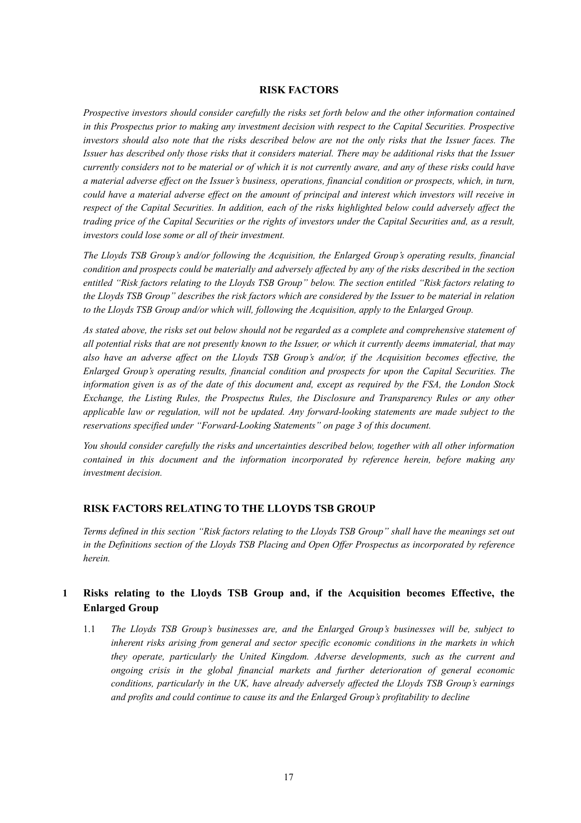# **RISK FACTORS**

*Prospective investors should consider carefully the risks set forth below and the other information contained in this Prospectus prior to making any investment decision with respect to the Capital Securities. Prospective investors should also note that the risks described below are not the only risks that the Issuer faces. The Issuer has described only those risks that it considers material. There may be additional risks that the Issuer currently considers not to be material or of which it is not currently aware, and any of these risks could have a material adverse effect on the Issuer's business, operations, financial condition or prospects, which, in turn, could have a material adverse effect on the amount of principal and interest which investors will receive in*  respect of the Capital Securities. In addition, each of the risks highlighted below could adversely affect the *trading price of the Capital Securities or the rights of investors under the Capital Securities and, as a result, investors could lose some or all of their investment.* 

*The Lloyds TSB Group's and/or following the Acquisition, the Enlarged Group's operating results, financial condition and prospects could be materially and adversely affected by any of the risks described in the section entitled "Risk factors relating to the Lloyds TSB Group" below. The section entitled "Risk factors relating to the Lloyds TSB Group" describes the risk factors which are considered by the Issuer to be material in relation to the Lloyds TSB Group and/or which will, following the Acquisition, apply to the Enlarged Group.* 

*As stated above, the risks set out below should not be regarded as a complete and comprehensive statement of all potential risks that are not presently known to the Issuer, or which it currently deems immaterial, that may also have an adverse affect on the Lloyds TSB Group's and/or, if the Acquisition becomes effective, the Enlarged Group's operating results, financial condition and prospects for upon the Capital Securities. The information given is as of the date of this document and, except as required by the FSA, the London Stock Exchange, the Listing Rules, the Prospectus Rules, the Disclosure and Transparency Rules or any other applicable law or regulation, will not be updated. Any forward-looking statements are made subject to the reservations specified under "Forward-Looking Statements" on page 3 of this document.* 

*You should consider carefully the risks and uncertainties described below, together with all other information contained in this document and the information incorporated by reference herein, before making any investment decision.* 

# **RISK FACTORS RELATING TO THE LLOYDS TSB GROUP**

*Terms defined in this section "Risk factors relating to the Lloyds TSB Group" shall have the meanings set out in the Definitions section of the Lloyds TSB Placing and Open Offer Prospectus as incorporated by reference herein.* 

# **1 Risks relating to the Lloyds TSB Group and, if the Acquisition becomes Effective, the Enlarged Group**

1.1 *The Lloyds TSB Group's businesses are, and the Enlarged Group's businesses will be, subject to inherent risks arising from general and sector specific economic conditions in the markets in which they operate, particularly the United Kingdom. Adverse developments, such as the current and ongoing crisis in the global financial markets and further deterioration of general economic conditions, particularly in the UK, have already adversely affected the Lloyds TSB Group's earnings and profits and could continue to cause its and the Enlarged Group's profitability to decline*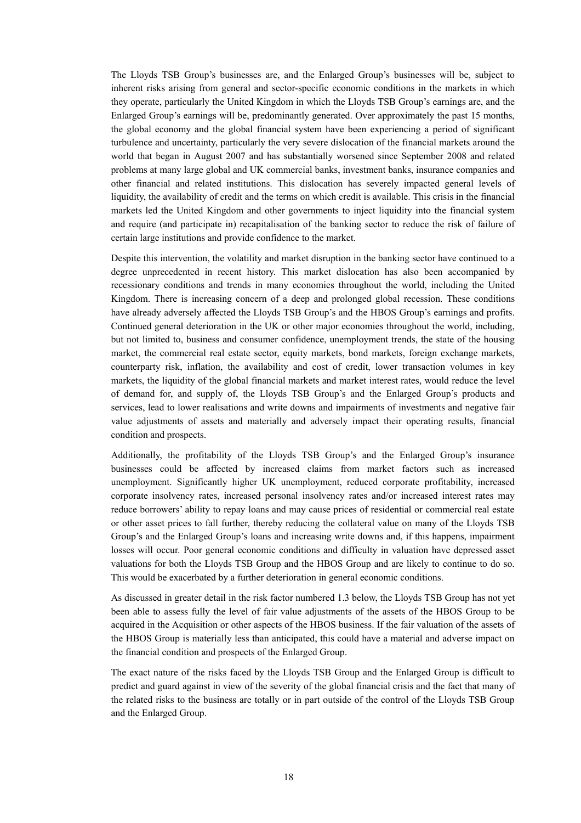The Lloyds TSB Group's businesses are, and the Enlarged Group's businesses will be, subject to inherent risks arising from general and sector-specific economic conditions in the markets in which they operate, particularly the United Kingdom in which the Lloyds TSB Group's earnings are, and the Enlarged Group's earnings will be, predominantly generated. Over approximately the past 15 months, the global economy and the global financial system have been experiencing a period of significant turbulence and uncertainty, particularly the very severe dislocation of the financial markets around the world that began in August 2007 and has substantially worsened since September 2008 and related problems at many large global and UK commercial banks, investment banks, insurance companies and other financial and related institutions. This dislocation has severely impacted general levels of liquidity, the availability of credit and the terms on which credit is available. This crisis in the financial markets led the United Kingdom and other governments to inject liquidity into the financial system and require (and participate in) recapitalisation of the banking sector to reduce the risk of failure of certain large institutions and provide confidence to the market.

Despite this intervention, the volatility and market disruption in the banking sector have continued to a degree unprecedented in recent history. This market dislocation has also been accompanied by recessionary conditions and trends in many economies throughout the world, including the United Kingdom. There is increasing concern of a deep and prolonged global recession. These conditions have already adversely affected the Lloyds TSB Group's and the HBOS Group's earnings and profits. Continued general deterioration in the UK or other major economies throughout the world, including, but not limited to, business and consumer confidence, unemployment trends, the state of the housing market, the commercial real estate sector, equity markets, bond markets, foreign exchange markets, counterparty risk, inflation, the availability and cost of credit, lower transaction volumes in key markets, the liquidity of the global financial markets and market interest rates, would reduce the level of demand for, and supply of, the Lloyds TSB Group's and the Enlarged Group's products and services, lead to lower realisations and write downs and impairments of investments and negative fair value adjustments of assets and materially and adversely impact their operating results, financial condition and prospects.

Additionally, the profitability of the Lloyds TSB Group's and the Enlarged Group's insurance businesses could be affected by increased claims from market factors such as increased unemployment. Significantly higher UK unemployment, reduced corporate profitability, increased corporate insolvency rates, increased personal insolvency rates and/or increased interest rates may reduce borrowers' ability to repay loans and may cause prices of residential or commercial real estate or other asset prices to fall further, thereby reducing the collateral value on many of the Lloyds TSB Group's and the Enlarged Group's loans and increasing write downs and, if this happens, impairment losses will occur. Poor general economic conditions and difficulty in valuation have depressed asset valuations for both the Lloyds TSB Group and the HBOS Group and are likely to continue to do so. This would be exacerbated by a further deterioration in general economic conditions.

As discussed in greater detail in the risk factor numbered 1.3 below, the Lloyds TSB Group has not yet been able to assess fully the level of fair value adjustments of the assets of the HBOS Group to be acquired in the Acquisition or other aspects of the HBOS business. If the fair valuation of the assets of the HBOS Group is materially less than anticipated, this could have a material and adverse impact on the financial condition and prospects of the Enlarged Group.

The exact nature of the risks faced by the Lloyds TSB Group and the Enlarged Group is difficult to predict and guard against in view of the severity of the global financial crisis and the fact that many of the related risks to the business are totally or in part outside of the control of the Lloyds TSB Group and the Enlarged Group.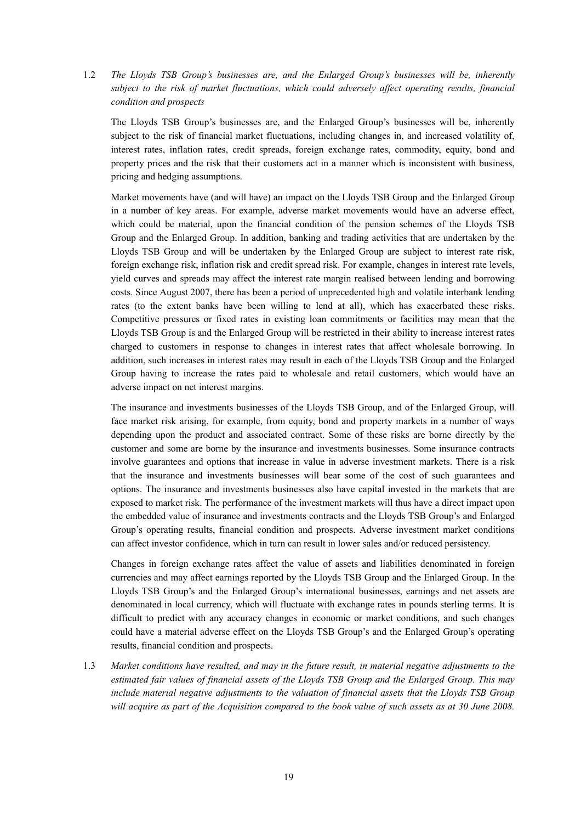1.2 *The Lloyds TSB Group's businesses are, and the Enlarged Group's businesses will be, inherently subject to the risk of market fluctuations, which could adversely affect operating results, financial condition and prospects* 

The Lloyds TSB Group's businesses are, and the Enlarged Group's businesses will be, inherently subject to the risk of financial market fluctuations, including changes in, and increased volatility of, interest rates, inflation rates, credit spreads, foreign exchange rates, commodity, equity, bond and property prices and the risk that their customers act in a manner which is inconsistent with business, pricing and hedging assumptions.

Market movements have (and will have) an impact on the Lloyds TSB Group and the Enlarged Group in a number of key areas. For example, adverse market movements would have an adverse effect, which could be material, upon the financial condition of the pension schemes of the Lloyds TSB Group and the Enlarged Group. In addition, banking and trading activities that are undertaken by the Lloyds TSB Group and will be undertaken by the Enlarged Group are subject to interest rate risk, foreign exchange risk, inflation risk and credit spread risk. For example, changes in interest rate levels, yield curves and spreads may affect the interest rate margin realised between lending and borrowing costs. Since August 2007, there has been a period of unprecedented high and volatile interbank lending rates (to the extent banks have been willing to lend at all), which has exacerbated these risks. Competitive pressures or fixed rates in existing loan commitments or facilities may mean that the Lloyds TSB Group is and the Enlarged Group will be restricted in their ability to increase interest rates charged to customers in response to changes in interest rates that affect wholesale borrowing. In addition, such increases in interest rates may result in each of the Lloyds TSB Group and the Enlarged Group having to increase the rates paid to wholesale and retail customers, which would have an adverse impact on net interest margins.

The insurance and investments businesses of the Lloyds TSB Group, and of the Enlarged Group, will face market risk arising, for example, from equity, bond and property markets in a number of ways depending upon the product and associated contract. Some of these risks are borne directly by the customer and some are borne by the insurance and investments businesses. Some insurance contracts involve guarantees and options that increase in value in adverse investment markets. There is a risk that the insurance and investments businesses will bear some of the cost of such guarantees and options. The insurance and investments businesses also have capital invested in the markets that are exposed to market risk. The performance of the investment markets will thus have a direct impact upon the embedded value of insurance and investments contracts and the Lloyds TSB Group's and Enlarged Group's operating results, financial condition and prospects. Adverse investment market conditions can affect investor confidence, which in turn can result in lower sales and/or reduced persistency.

Changes in foreign exchange rates affect the value of assets and liabilities denominated in foreign currencies and may affect earnings reported by the Lloyds TSB Group and the Enlarged Group. In the Lloyds TSB Group's and the Enlarged Group's international businesses, earnings and net assets are denominated in local currency, which will fluctuate with exchange rates in pounds sterling terms. It is difficult to predict with any accuracy changes in economic or market conditions, and such changes could have a material adverse effect on the Lloyds TSB Group's and the Enlarged Group's operating results, financial condition and prospects.

1.3 *Market conditions have resulted, and may in the future result, in material negative adjustments to the estimated fair values of financial assets of the Lloyds TSB Group and the Enlarged Group. This may include material negative adjustments to the valuation of financial assets that the Lloyds TSB Group will acquire as part of the Acquisition compared to the book value of such assets as at 30 June 2008.*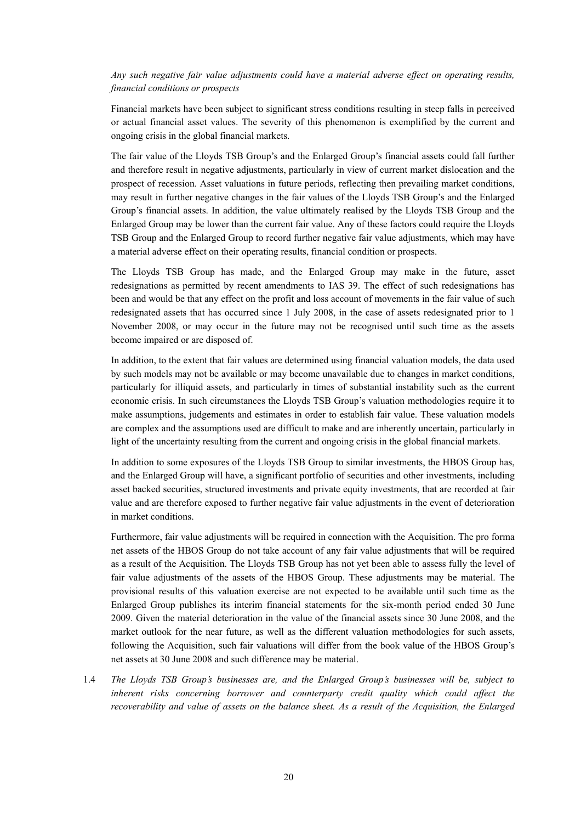# *Any such negative fair value adjustments could have a material adverse effect on operating results, financial conditions or prospects*

Financial markets have been subject to significant stress conditions resulting in steep falls in perceived or actual financial asset values. The severity of this phenomenon is exemplified by the current and ongoing crisis in the global financial markets.

The fair value of the Lloyds TSB Group's and the Enlarged Group's financial assets could fall further and therefore result in negative adjustments, particularly in view of current market dislocation and the prospect of recession. Asset valuations in future periods, reflecting then prevailing market conditions, may result in further negative changes in the fair values of the Lloyds TSB Group's and the Enlarged Group's financial assets. In addition, the value ultimately realised by the Lloyds TSB Group and the Enlarged Group may be lower than the current fair value. Any of these factors could require the Lloyds TSB Group and the Enlarged Group to record further negative fair value adjustments, which may have a material adverse effect on their operating results, financial condition or prospects.

The Lloyds TSB Group has made, and the Enlarged Group may make in the future, asset redesignations as permitted by recent amendments to IAS 39. The effect of such redesignations has been and would be that any effect on the profit and loss account of movements in the fair value of such redesignated assets that has occurred since 1 July 2008, in the case of assets redesignated prior to 1 November 2008, or may occur in the future may not be recognised until such time as the assets become impaired or are disposed of.

In addition, to the extent that fair values are determined using financial valuation models, the data used by such models may not be available or may become unavailable due to changes in market conditions, particularly for illiquid assets, and particularly in times of substantial instability such as the current economic crisis. In such circumstances the Lloyds TSB Group's valuation methodologies require it to make assumptions, judgements and estimates in order to establish fair value. These valuation models are complex and the assumptions used are difficult to make and are inherently uncertain, particularly in light of the uncertainty resulting from the current and ongoing crisis in the global financial markets.

In addition to some exposures of the Lloyds TSB Group to similar investments, the HBOS Group has, and the Enlarged Group will have, a significant portfolio of securities and other investments, including asset backed securities, structured investments and private equity investments, that are recorded at fair value and are therefore exposed to further negative fair value adjustments in the event of deterioration in market conditions.

Furthermore, fair value adjustments will be required in connection with the Acquisition. The pro forma net assets of the HBOS Group do not take account of any fair value adjustments that will be required as a result of the Acquisition. The Lloyds TSB Group has not yet been able to assess fully the level of fair value adjustments of the assets of the HBOS Group. These adjustments may be material. The provisional results of this valuation exercise are not expected to be available until such time as the Enlarged Group publishes its interim financial statements for the six-month period ended 30 June 2009. Given the material deterioration in the value of the financial assets since 30 June 2008, and the market outlook for the near future, as well as the different valuation methodologies for such assets, following the Acquisition, such fair valuations will differ from the book value of the HBOS Group's net assets at 30 June 2008 and such difference may be material.

1.4 *The Lloyds TSB Group's businesses are, and the Enlarged Group's businesses will be, subject to inherent risks concerning borrower and counterparty credit quality which could affect the recoverability and value of assets on the balance sheet. As a result of the Acquisition, the Enlarged*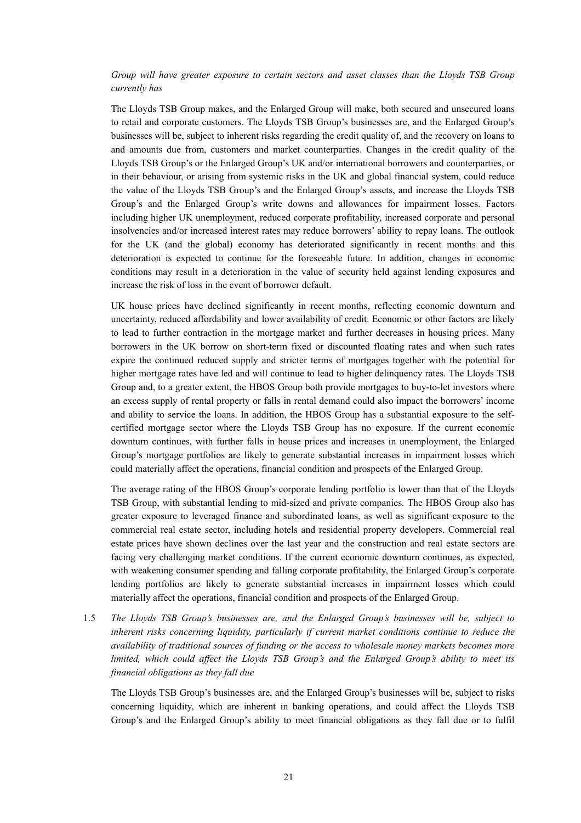# *Group will have greater exposure to certain sectors and asset classes than the Lloyds TSB Group currently has*

The Lloyds TSB Group makes, and the Enlarged Group will make, both secured and unsecured loans to retail and corporate customers. The Lloyds TSB Group's businesses are, and the Enlarged Group's businesses will be, subject to inherent risks regarding the credit quality of, and the recovery on loans to and amounts due from, customers and market counterparties. Changes in the credit quality of the Lloyds TSB Group's or the Enlarged Group's UK and/or international borrowers and counterparties, or in their behaviour, or arising from systemic risks in the UK and global financial system, could reduce the value of the Lloyds TSB Group's and the Enlarged Group's assets, and increase the Lloyds TSB Group's and the Enlarged Group's write downs and allowances for impairment losses. Factors including higher UK unemployment, reduced corporate profitability, increased corporate and personal insolvencies and/or increased interest rates may reduce borrowers' ability to repay loans. The outlook for the UK (and the global) economy has deteriorated significantly in recent months and this deterioration is expected to continue for the foreseeable future. In addition, changes in economic conditions may result in a deterioration in the value of security held against lending exposures and increase the risk of loss in the event of borrower default.

UK house prices have declined significantly in recent months, reflecting economic downturn and uncertainty, reduced affordability and lower availability of credit. Economic or other factors are likely to lead to further contraction in the mortgage market and further decreases in housing prices. Many borrowers in the UK borrow on short-term fixed or discounted floating rates and when such rates expire the continued reduced supply and stricter terms of mortgages together with the potential for higher mortgage rates have led and will continue to lead to higher delinquency rates. The Lloyds TSB Group and, to a greater extent, the HBOS Group both provide mortgages to buy-to-let investors where an excess supply of rental property or falls in rental demand could also impact the borrowers' income and ability to service the loans. In addition, the HBOS Group has a substantial exposure to the selfcertified mortgage sector where the Lloyds TSB Group has no exposure. If the current economic downturn continues, with further falls in house prices and increases in unemployment, the Enlarged Group's mortgage portfolios are likely to generate substantial increases in impairment losses which could materially affect the operations, financial condition and prospects of the Enlarged Group.

The average rating of the HBOS Group's corporate lending portfolio is lower than that of the Lloyds TSB Group, with substantial lending to mid-sized and private companies. The HBOS Group also has greater exposure to leveraged finance and subordinated loans, as well as significant exposure to the commercial real estate sector, including hotels and residential property developers. Commercial real estate prices have shown declines over the last year and the construction and real estate sectors are facing very challenging market conditions. If the current economic downturn continues, as expected, with weakening consumer spending and falling corporate profitability, the Enlarged Group's corporate lending portfolios are likely to generate substantial increases in impairment losses which could materially affect the operations, financial condition and prospects of the Enlarged Group.

1.5 *The Lloyds TSB Group's businesses are, and the Enlarged Group's businesses will be, subject to inherent risks concerning liquidity, particularly if current market conditions continue to reduce the availability of traditional sources of funding or the access to wholesale money markets becomes more limited, which could affect the Lloyds TSB Group's and the Enlarged Group's ability to meet its financial obligations as they fall due* 

The Lloyds TSB Group's businesses are, and the Enlarged Group's businesses will be, subject to risks concerning liquidity, which are inherent in banking operations, and could affect the Lloyds TSB Group's and the Enlarged Group's ability to meet financial obligations as they fall due or to fulfil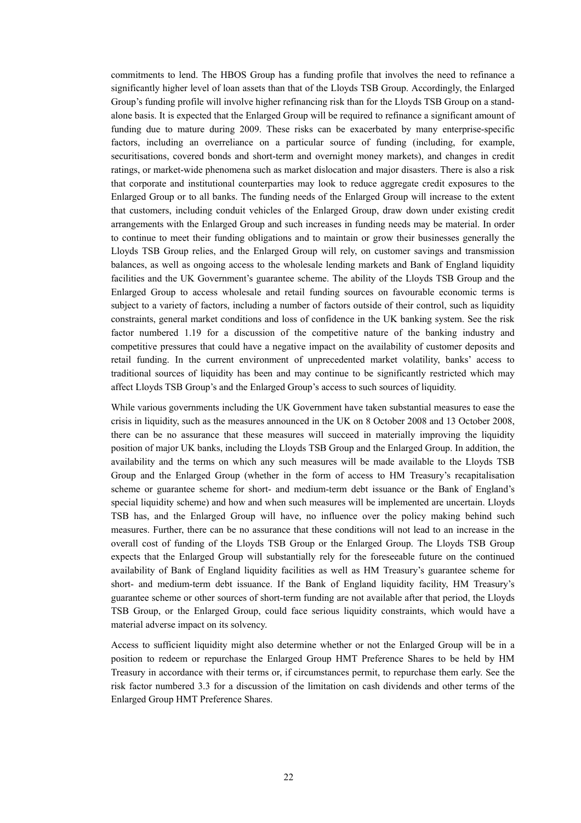commitments to lend. The HBOS Group has a funding profile that involves the need to refinance a significantly higher level of loan assets than that of the Lloyds TSB Group. Accordingly, the Enlarged Group's funding profile will involve higher refinancing risk than for the Lloyds TSB Group on a standalone basis. It is expected that the Enlarged Group will be required to refinance a significant amount of funding due to mature during 2009. These risks can be exacerbated by many enterprise-specific factors, including an overreliance on a particular source of funding (including, for example, securitisations, covered bonds and short-term and overnight money markets), and changes in credit ratings, or market-wide phenomena such as market dislocation and major disasters. There is also a risk that corporate and institutional counterparties may look to reduce aggregate credit exposures to the Enlarged Group or to all banks. The funding needs of the Enlarged Group will increase to the extent that customers, including conduit vehicles of the Enlarged Group, draw down under existing credit arrangements with the Enlarged Group and such increases in funding needs may be material. In order to continue to meet their funding obligations and to maintain or grow their businesses generally the Lloyds TSB Group relies, and the Enlarged Group will rely, on customer savings and transmission balances, as well as ongoing access to the wholesale lending markets and Bank of England liquidity facilities and the UK Government's guarantee scheme. The ability of the Lloyds TSB Group and the Enlarged Group to access wholesale and retail funding sources on favourable economic terms is subject to a variety of factors, including a number of factors outside of their control, such as liquidity constraints, general market conditions and loss of confidence in the UK banking system. See the risk factor numbered 1.19 for a discussion of the competitive nature of the banking industry and competitive pressures that could have a negative impact on the availability of customer deposits and retail funding. In the current environment of unprecedented market volatility, banks' access to traditional sources of liquidity has been and may continue to be significantly restricted which may affect Lloyds TSB Group's and the Enlarged Group's access to such sources of liquidity.

While various governments including the UK Government have taken substantial measures to ease the crisis in liquidity, such as the measures announced in the UK on 8 October 2008 and 13 October 2008, there can be no assurance that these measures will succeed in materially improving the liquidity position of major UK banks, including the Lloyds TSB Group and the Enlarged Group. In addition, the availability and the terms on which any such measures will be made available to the Lloyds TSB Group and the Enlarged Group (whether in the form of access to HM Treasury's recapitalisation scheme or guarantee scheme for short- and medium-term debt issuance or the Bank of England's special liquidity scheme) and how and when such measures will be implemented are uncertain. Lloyds TSB has, and the Enlarged Group will have, no influence over the policy making behind such measures. Further, there can be no assurance that these conditions will not lead to an increase in the overall cost of funding of the Lloyds TSB Group or the Enlarged Group. The Lloyds TSB Group expects that the Enlarged Group will substantially rely for the foreseeable future on the continued availability of Bank of England liquidity facilities as well as HM Treasury's guarantee scheme for short- and medium-term debt issuance. If the Bank of England liquidity facility, HM Treasury's guarantee scheme or other sources of short-term funding are not available after that period, the Lloyds TSB Group, or the Enlarged Group, could face serious liquidity constraints, which would have a material adverse impact on its solvency.

Access to sufficient liquidity might also determine whether or not the Enlarged Group will be in a position to redeem or repurchase the Enlarged Group HMT Preference Shares to be held by HM Treasury in accordance with their terms or, if circumstances permit, to repurchase them early. See the risk factor numbered 3.3 for a discussion of the limitation on cash dividends and other terms of the Enlarged Group HMT Preference Shares.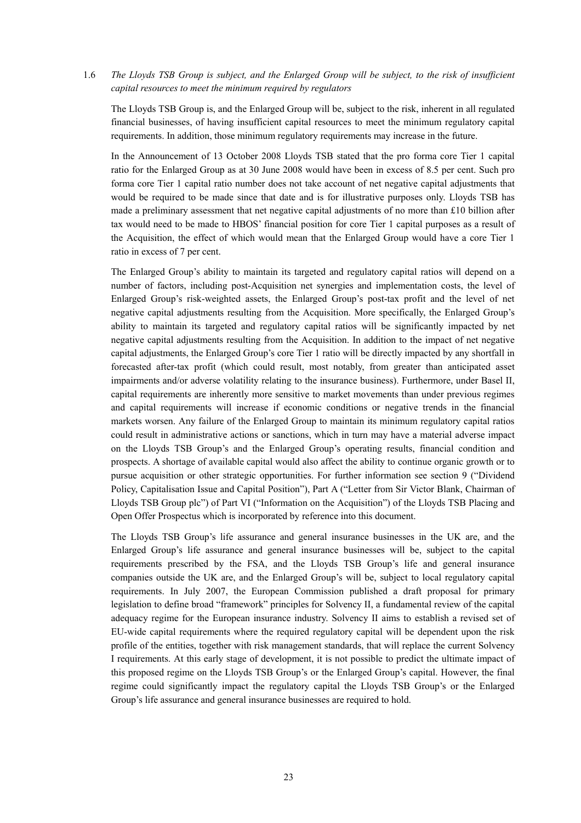# 1.6 *The Lloyds TSB Group is subject, and the Enlarged Group will be subject, to the risk of insufficient capital resources to meet the minimum required by regulators*

The Lloyds TSB Group is, and the Enlarged Group will be, subject to the risk, inherent in all regulated financial businesses, of having insufficient capital resources to meet the minimum regulatory capital requirements. In addition, those minimum regulatory requirements may increase in the future.

In the Announcement of 13 October 2008 Lloyds TSB stated that the pro forma core Tier 1 capital ratio for the Enlarged Group as at 30 June 2008 would have been in excess of 8.5 per cent. Such pro forma core Tier 1 capital ratio number does not take account of net negative capital adjustments that would be required to be made since that date and is for illustrative purposes only. Lloyds TSB has made a preliminary assessment that net negative capital adjustments of no more than £10 billion after tax would need to be made to HBOS' financial position for core Tier 1 capital purposes as a result of the Acquisition, the effect of which would mean that the Enlarged Group would have a core Tier 1 ratio in excess of 7 per cent.

The Enlarged Group's ability to maintain its targeted and regulatory capital ratios will depend on a number of factors, including post-Acquisition net synergies and implementation costs, the level of Enlarged Group's risk-weighted assets, the Enlarged Group's post-tax profit and the level of net negative capital adjustments resulting from the Acquisition. More specifically, the Enlarged Group's ability to maintain its targeted and regulatory capital ratios will be significantly impacted by net negative capital adjustments resulting from the Acquisition. In addition to the impact of net negative capital adjustments, the Enlarged Group's core Tier 1 ratio will be directly impacted by any shortfall in forecasted after-tax profit (which could result, most notably, from greater than anticipated asset impairments and/or adverse volatility relating to the insurance business). Furthermore, under Basel II, capital requirements are inherently more sensitive to market movements than under previous regimes and capital requirements will increase if economic conditions or negative trends in the financial markets worsen. Any failure of the Enlarged Group to maintain its minimum regulatory capital ratios could result in administrative actions or sanctions, which in turn may have a material adverse impact on the Lloyds TSB Group's and the Enlarged Group's operating results, financial condition and prospects. A shortage of available capital would also affect the ability to continue organic growth or to pursue acquisition or other strategic opportunities. For further information see section 9 ("Dividend Policy, Capitalisation Issue and Capital Position"), Part A ("Letter from Sir Victor Blank, Chairman of Lloyds TSB Group plc") of Part VI ("Information on the Acquisition") of the Lloyds TSB Placing and Open Offer Prospectus which is incorporated by reference into this document.

The Lloyds TSB Group's life assurance and general insurance businesses in the UK are, and the Enlarged Group's life assurance and general insurance businesses will be, subject to the capital requirements prescribed by the FSA, and the Lloyds TSB Group's life and general insurance companies outside the UK are, and the Enlarged Group's will be, subject to local regulatory capital requirements. In July 2007, the European Commission published a draft proposal for primary legislation to define broad "framework" principles for Solvency II, a fundamental review of the capital adequacy regime for the European insurance industry. Solvency II aims to establish a revised set of EU-wide capital requirements where the required regulatory capital will be dependent upon the risk profile of the entities, together with risk management standards, that will replace the current Solvency I requirements. At this early stage of development, it is not possible to predict the ultimate impact of this proposed regime on the Lloyds TSB Group's or the Enlarged Group's capital. However, the final regime could significantly impact the regulatory capital the Lloyds TSB Group's or the Enlarged Group's life assurance and general insurance businesses are required to hold.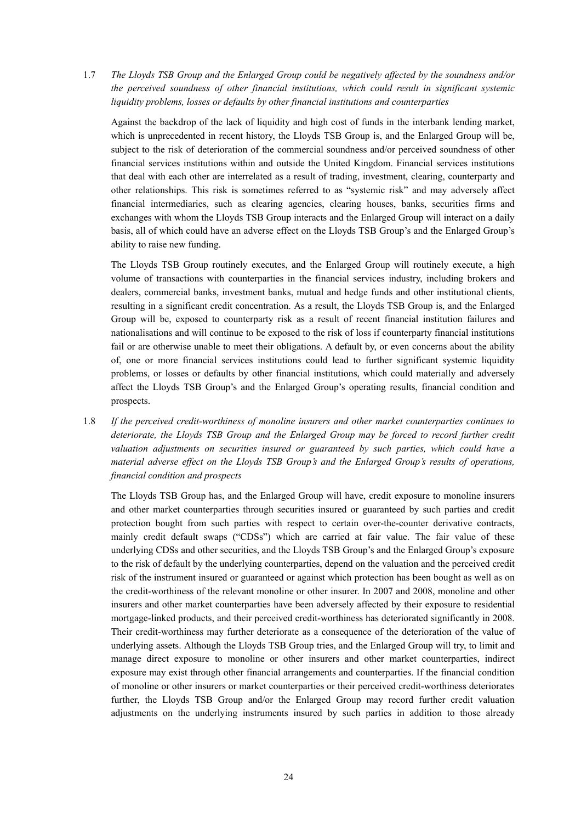1.7 *The Lloyds TSB Group and the Enlarged Group could be negatively affected by the soundness and/or the perceived soundness of other financial institutions, which could result in significant systemic liquidity problems, losses or defaults by other financial institutions and counterparties* 

Against the backdrop of the lack of liquidity and high cost of funds in the interbank lending market, which is unprecedented in recent history, the Lloyds TSB Group is, and the Enlarged Group will be, subject to the risk of deterioration of the commercial soundness and/or perceived soundness of other financial services institutions within and outside the United Kingdom. Financial services institutions that deal with each other are interrelated as a result of trading, investment, clearing, counterparty and other relationships. This risk is sometimes referred to as "systemic risk" and may adversely affect financial intermediaries, such as clearing agencies, clearing houses, banks, securities firms and exchanges with whom the Lloyds TSB Group interacts and the Enlarged Group will interact on a daily basis, all of which could have an adverse effect on the Lloyds TSB Group's and the Enlarged Group's ability to raise new funding.

The Lloyds TSB Group routinely executes, and the Enlarged Group will routinely execute, a high volume of transactions with counterparties in the financial services industry, including brokers and dealers, commercial banks, investment banks, mutual and hedge funds and other institutional clients, resulting in a significant credit concentration. As a result, the Lloyds TSB Group is, and the Enlarged Group will be, exposed to counterparty risk as a result of recent financial institution failures and nationalisations and will continue to be exposed to the risk of loss if counterparty financial institutions fail or are otherwise unable to meet their obligations. A default by, or even concerns about the ability of, one or more financial services institutions could lead to further significant systemic liquidity problems, or losses or defaults by other financial institutions, which could materially and adversely affect the Lloyds TSB Group's and the Enlarged Group's operating results, financial condition and prospects.

1.8 *If the perceived credit-worthiness of monoline insurers and other market counterparties continues to deteriorate, the Lloyds TSB Group and the Enlarged Group may be forced to record further credit valuation adjustments on securities insured or guaranteed by such parties, which could have a material adverse effect on the Lloyds TSB Group's and the Enlarged Group's results of operations, financial condition and prospects* 

The Lloyds TSB Group has, and the Enlarged Group will have, credit exposure to monoline insurers and other market counterparties through securities insured or guaranteed by such parties and credit protection bought from such parties with respect to certain over-the-counter derivative contracts, mainly credit default swaps ("CDSs") which are carried at fair value. The fair value of these underlying CDSs and other securities, and the Lloyds TSB Group's and the Enlarged Group's exposure to the risk of default by the underlying counterparties, depend on the valuation and the perceived credit risk of the instrument insured or guaranteed or against which protection has been bought as well as on the credit-worthiness of the relevant monoline or other insurer. In 2007 and 2008, monoline and other insurers and other market counterparties have been adversely affected by their exposure to residential mortgage-linked products, and their perceived credit-worthiness has deteriorated significantly in 2008. Their credit-worthiness may further deteriorate as a consequence of the deterioration of the value of underlying assets. Although the Lloyds TSB Group tries, and the Enlarged Group will try, to limit and manage direct exposure to monoline or other insurers and other market counterparties, indirect exposure may exist through other financial arrangements and counterparties. If the financial condition of monoline or other insurers or market counterparties or their perceived credit-worthiness deteriorates further, the Lloyds TSB Group and/or the Enlarged Group may record further credit valuation adjustments on the underlying instruments insured by such parties in addition to those already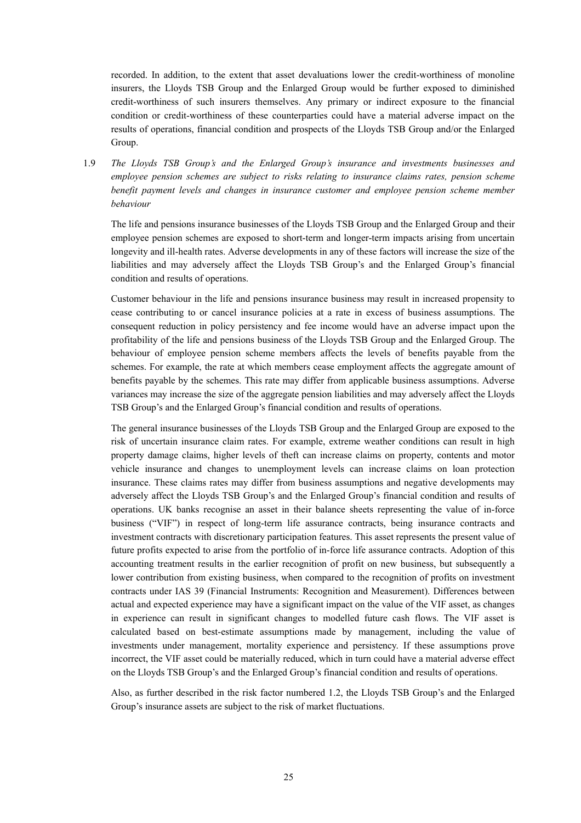recorded. In addition, to the extent that asset devaluations lower the credit-worthiness of monoline insurers, the Lloyds TSB Group and the Enlarged Group would be further exposed to diminished credit-worthiness of such insurers themselves. Any primary or indirect exposure to the financial condition or credit-worthiness of these counterparties could have a material adverse impact on the results of operations, financial condition and prospects of the Lloyds TSB Group and/or the Enlarged Group.

1.9 *The Lloyds TSB Group's and the Enlarged Group's insurance and investments businesses and employee pension schemes are subject to risks relating to insurance claims rates, pension scheme benefit payment levels and changes in insurance customer and employee pension scheme member behaviour* 

The life and pensions insurance businesses of the Lloyds TSB Group and the Enlarged Group and their employee pension schemes are exposed to short-term and longer-term impacts arising from uncertain longevity and ill-health rates. Adverse developments in any of these factors will increase the size of the liabilities and may adversely affect the Lloyds TSB Group's and the Enlarged Group's financial condition and results of operations.

Customer behaviour in the life and pensions insurance business may result in increased propensity to cease contributing to or cancel insurance policies at a rate in excess of business assumptions. The consequent reduction in policy persistency and fee income would have an adverse impact upon the profitability of the life and pensions business of the Lloyds TSB Group and the Enlarged Group. The behaviour of employee pension scheme members affects the levels of benefits payable from the schemes. For example, the rate at which members cease employment affects the aggregate amount of benefits payable by the schemes. This rate may differ from applicable business assumptions. Adverse variances may increase the size of the aggregate pension liabilities and may adversely affect the Lloyds TSB Group's and the Enlarged Group's financial condition and results of operations.

The general insurance businesses of the Lloyds TSB Group and the Enlarged Group are exposed to the risk of uncertain insurance claim rates. For example, extreme weather conditions can result in high property damage claims, higher levels of theft can increase claims on property, contents and motor vehicle insurance and changes to unemployment levels can increase claims on loan protection insurance. These claims rates may differ from business assumptions and negative developments may adversely affect the Lloyds TSB Group's and the Enlarged Group's financial condition and results of operations. UK banks recognise an asset in their balance sheets representing the value of in-force business ("VIF") in respect of long-term life assurance contracts, being insurance contracts and investment contracts with discretionary participation features. This asset represents the present value of future profits expected to arise from the portfolio of in-force life assurance contracts. Adoption of this accounting treatment results in the earlier recognition of profit on new business, but subsequently a lower contribution from existing business, when compared to the recognition of profits on investment contracts under IAS 39 (Financial Instruments: Recognition and Measurement). Differences between actual and expected experience may have a significant impact on the value of the VIF asset, as changes in experience can result in significant changes to modelled future cash flows. The VIF asset is calculated based on best-estimate assumptions made by management, including the value of investments under management, mortality experience and persistency. If these assumptions prove incorrect, the VIF asset could be materially reduced, which in turn could have a material adverse effect on the Lloyds TSB Group's and the Enlarged Group's financial condition and results of operations.

Also, as further described in the risk factor numbered 1.2, the Lloyds TSB Group's and the Enlarged Group's insurance assets are subject to the risk of market fluctuations.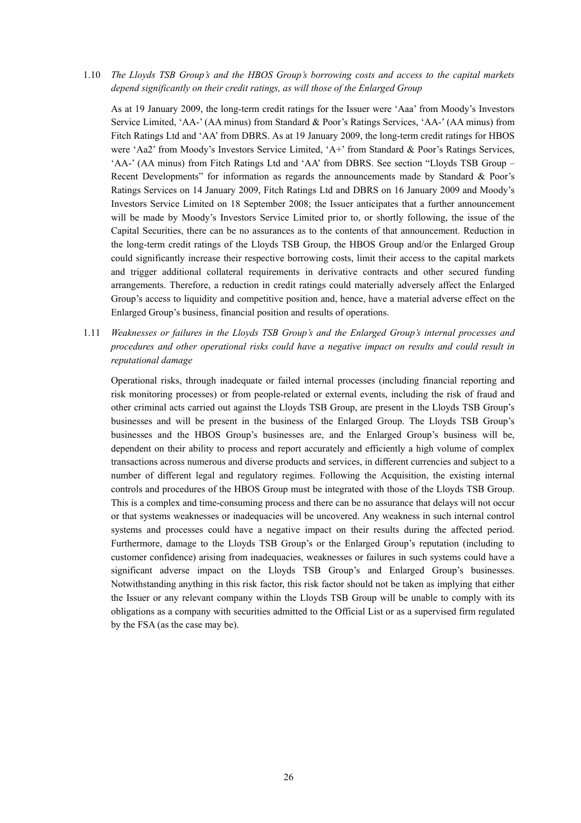1.10 *The Lloyds TSB Group's and the HBOS Group's borrowing costs and access to the capital markets depend significantly on their credit ratings, as will those of the Enlarged Group* 

As at 19 January 2009, the long-term credit ratings for the Issuer were 'Aaa' from Moody's Investors Service Limited, 'AA-' (AA minus) from Standard & Poor's Ratings Services, 'AA-' (AA minus) from Fitch Ratings Ltd and 'AA' from DBRS. As at 19 January 2009, the long-term credit ratings for HBOS were 'Aa2' from Moody's Investors Service Limited, 'A+' from Standard & Poor's Ratings Services, 'AA-' (AA minus) from Fitch Ratings Ltd and 'AA' from DBRS. See section "Lloyds TSB Group – Recent Developments" for information as regards the announcements made by Standard & Poor's Ratings Services on 14 January 2009, Fitch Ratings Ltd and DBRS on 16 January 2009 and Moody's Investors Service Limited on 18 September 2008; the Issuer anticipates that a further announcement will be made by Moody's Investors Service Limited prior to, or shortly following, the issue of the Capital Securities, there can be no assurances as to the contents of that announcement. Reduction in the long-term credit ratings of the Lloyds TSB Group, the HBOS Group and/or the Enlarged Group could significantly increase their respective borrowing costs, limit their access to the capital markets and trigger additional collateral requirements in derivative contracts and other secured funding arrangements. Therefore, a reduction in credit ratings could materially adversely affect the Enlarged Group's access to liquidity and competitive position and, hence, have a material adverse effect on the Enlarged Group's business, financial position and results of operations.

1.11 *Weaknesses or failures in the Lloyds TSB Group's and the Enlarged Group's internal processes and procedures and other operational risks could have a negative impact on results and could result in reputational damage* 

Operational risks, through inadequate or failed internal processes (including financial reporting and risk monitoring processes) or from people-related or external events, including the risk of fraud and other criminal acts carried out against the Lloyds TSB Group, are present in the Lloyds TSB Group's businesses and will be present in the business of the Enlarged Group. The Lloyds TSB Group's businesses and the HBOS Group's businesses are, and the Enlarged Group's business will be, dependent on their ability to process and report accurately and efficiently a high volume of complex transactions across numerous and diverse products and services, in different currencies and subject to a number of different legal and regulatory regimes. Following the Acquisition, the existing internal controls and procedures of the HBOS Group must be integrated with those of the Lloyds TSB Group. This is a complex and time-consuming process and there can be no assurance that delays will not occur or that systems weaknesses or inadequacies will be uncovered. Any weakness in such internal control systems and processes could have a negative impact on their results during the affected period. Furthermore, damage to the Lloyds TSB Group's or the Enlarged Group's reputation (including to customer confidence) arising from inadequacies, weaknesses or failures in such systems could have a significant adverse impact on the Lloyds TSB Group's and Enlarged Group's businesses. Notwithstanding anything in this risk factor, this risk factor should not be taken as implying that either the Issuer or any relevant company within the Lloyds TSB Group will be unable to comply with its obligations as a company with securities admitted to the Official List or as a supervised firm regulated by the FSA (as the case may be).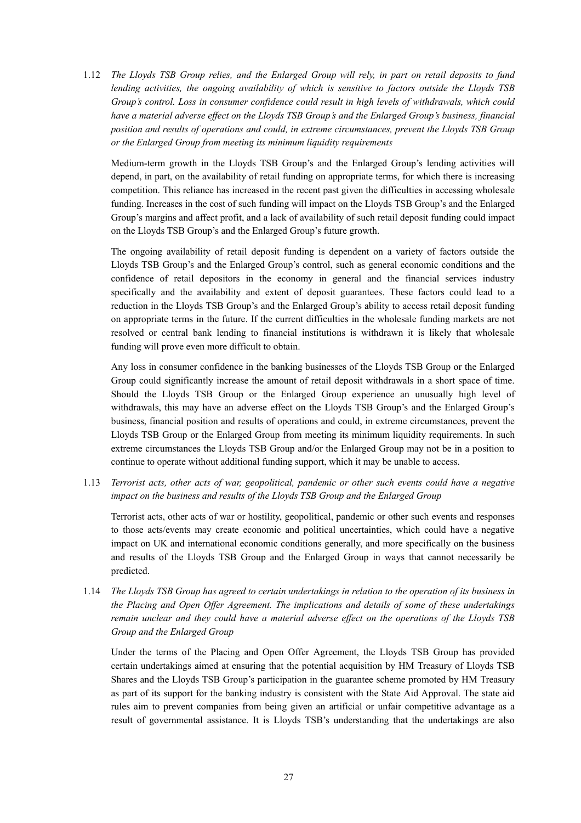1.12 *The Lloyds TSB Group relies, and the Enlarged Group will rely, in part on retail deposits to fund lending activities, the ongoing availability of which is sensitive to factors outside the Lloyds TSB Group's control. Loss in consumer confidence could result in high levels of withdrawals, which could*  have a material adverse effect on the Lloyds TSB Group's and the Enlarged Group's business, financial *position and results of operations and could, in extreme circumstances, prevent the Lloyds TSB Group or the Enlarged Group from meeting its minimum liquidity requirements* 

Medium-term growth in the Lloyds TSB Group's and the Enlarged Group's lending activities will depend, in part, on the availability of retail funding on appropriate terms, for which there is increasing competition. This reliance has increased in the recent past given the difficulties in accessing wholesale funding. Increases in the cost of such funding will impact on the Lloyds TSB Group's and the Enlarged Group's margins and affect profit, and a lack of availability of such retail deposit funding could impact on the Lloyds TSB Group's and the Enlarged Group's future growth.

The ongoing availability of retail deposit funding is dependent on a variety of factors outside the Lloyds TSB Group's and the Enlarged Group's control, such as general economic conditions and the confidence of retail depositors in the economy in general and the financial services industry specifically and the availability and extent of deposit guarantees. These factors could lead to a reduction in the Lloyds TSB Group's and the Enlarged Group's ability to access retail deposit funding on appropriate terms in the future. If the current difficulties in the wholesale funding markets are not resolved or central bank lending to financial institutions is withdrawn it is likely that wholesale funding will prove even more difficult to obtain.

Any loss in consumer confidence in the banking businesses of the Lloyds TSB Group or the Enlarged Group could significantly increase the amount of retail deposit withdrawals in a short space of time. Should the Lloyds TSB Group or the Enlarged Group experience an unusually high level of withdrawals, this may have an adverse effect on the Lloyds TSB Group's and the Enlarged Group's business, financial position and results of operations and could, in extreme circumstances, prevent the Lloyds TSB Group or the Enlarged Group from meeting its minimum liquidity requirements. In such extreme circumstances the Lloyds TSB Group and/or the Enlarged Group may not be in a position to continue to operate without additional funding support, which it may be unable to access.

1.13 *Terrorist acts, other acts of war, geopolitical, pandemic or other such events could have a negative impact on the business and results of the Lloyds TSB Group and the Enlarged Group* 

Terrorist acts, other acts of war or hostility, geopolitical, pandemic or other such events and responses to those acts/events may create economic and political uncertainties, which could have a negative impact on UK and international economic conditions generally, and more specifically on the business and results of the Lloyds TSB Group and the Enlarged Group in ways that cannot necessarily be predicted.

1.14 *The Lloyds TSB Group has agreed to certain undertakings in relation to the operation of its business in the Placing and Open Offer Agreement. The implications and details of some of these undertakings remain unclear and they could have a material adverse effect on the operations of the Lloyds TSB Group and the Enlarged Group* 

Under the terms of the Placing and Open Offer Agreement, the Lloyds TSB Group has provided certain undertakings aimed at ensuring that the potential acquisition by HM Treasury of Lloyds TSB Shares and the Lloyds TSB Group's participation in the guarantee scheme promoted by HM Treasury as part of its support for the banking industry is consistent with the State Aid Approval. The state aid rules aim to prevent companies from being given an artificial or unfair competitive advantage as a result of governmental assistance. It is Lloyds TSB's understanding that the undertakings are also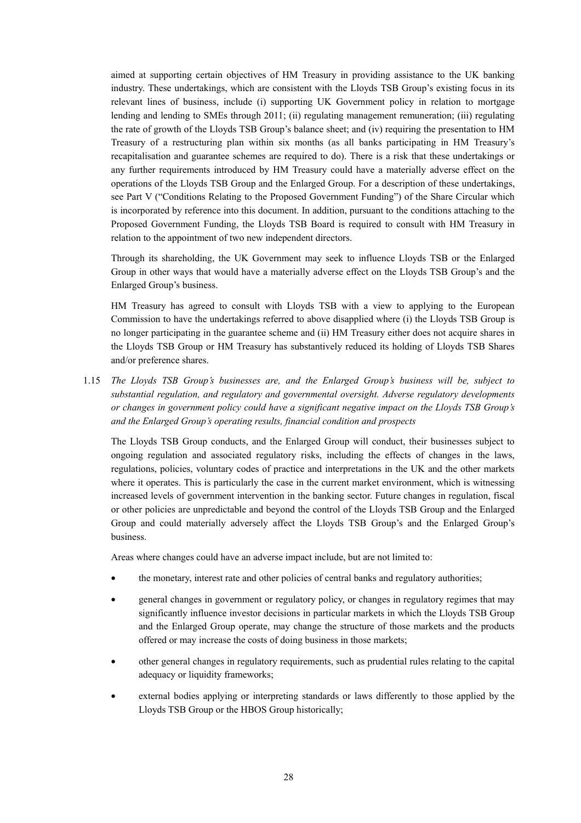aimed at supporting certain objectives of HM Treasury in providing assistance to the UK banking industry. These undertakings, which are consistent with the Lloyds TSB Group's existing focus in its relevant lines of business, include (i) supporting UK Government policy in relation to mortgage lending and lending to SMEs through 2011; (ii) regulating management remuneration; (iii) regulating the rate of growth of the Lloyds TSB Group's balance sheet; and (iv) requiring the presentation to HM Treasury of a restructuring plan within six months (as all banks participating in HM Treasury's recapitalisation and guarantee schemes are required to do). There is a risk that these undertakings or any further requirements introduced by HM Treasury could have a materially adverse effect on the operations of the Lloyds TSB Group and the Enlarged Group. For a description of these undertakings, see Part V ("Conditions Relating to the Proposed Government Funding") of the Share Circular which is incorporated by reference into this document. In addition, pursuant to the conditions attaching to the Proposed Government Funding, the Lloyds TSB Board is required to consult with HM Treasury in relation to the appointment of two new independent directors.

Through its shareholding, the UK Government may seek to influence Lloyds TSB or the Enlarged Group in other ways that would have a materially adverse effect on the Lloyds TSB Group's and the Enlarged Group's business.

HM Treasury has agreed to consult with Lloyds TSB with a view to applying to the European Commission to have the undertakings referred to above disapplied where (i) the Lloyds TSB Group is no longer participating in the guarantee scheme and (ii) HM Treasury either does not acquire shares in the Lloyds TSB Group or HM Treasury has substantively reduced its holding of Lloyds TSB Shares and/or preference shares.

1.15 *The Lloyds TSB Group's businesses are, and the Enlarged Group's business will be, subject to substantial regulation, and regulatory and governmental oversight. Adverse regulatory developments or changes in government policy could have a significant negative impact on the Lloyds TSB Group's and the Enlarged Group's operating results, financial condition and prospects* 

The Lloyds TSB Group conducts, and the Enlarged Group will conduct, their businesses subject to ongoing regulation and associated regulatory risks, including the effects of changes in the laws, regulations, policies, voluntary codes of practice and interpretations in the UK and the other markets where it operates. This is particularly the case in the current market environment, which is witnessing increased levels of government intervention in the banking sector. Future changes in regulation, fiscal or other policies are unpredictable and beyond the control of the Lloyds TSB Group and the Enlarged Group and could materially adversely affect the Lloyds TSB Group's and the Enlarged Group's business.

Areas where changes could have an adverse impact include, but are not limited to:

- the monetary, interest rate and other policies of central banks and regulatory authorities;
- general changes in government or regulatory policy, or changes in regulatory regimes that may significantly influence investor decisions in particular markets in which the Lloyds TSB Group and the Enlarged Group operate, may change the structure of those markets and the products offered or may increase the costs of doing business in those markets;
- other general changes in regulatory requirements, such as prudential rules relating to the capital adequacy or liquidity frameworks;
- external bodies applying or interpreting standards or laws differently to those applied by the Lloyds TSB Group or the HBOS Group historically;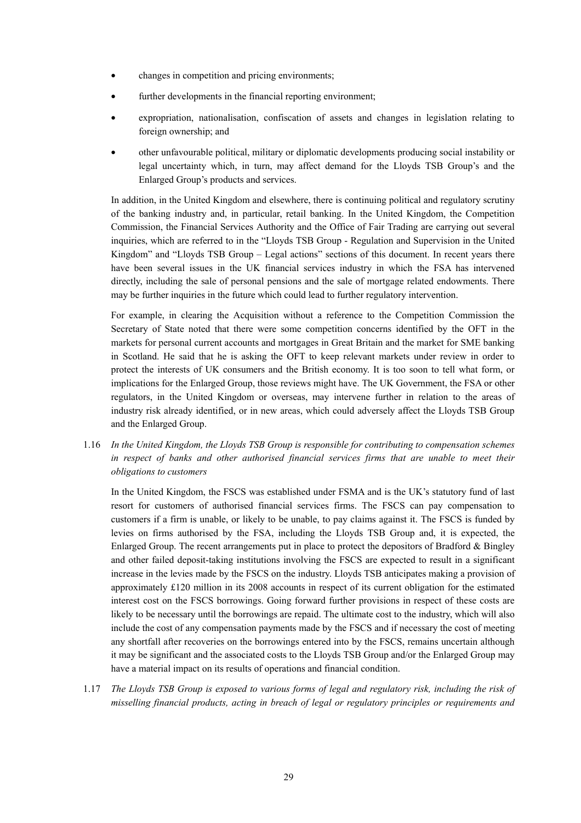- changes in competition and pricing environments;
- further developments in the financial reporting environment;
- expropriation, nationalisation, confiscation of assets and changes in legislation relating to foreign ownership; and
- other unfavourable political, military or diplomatic developments producing social instability or legal uncertainty which, in turn, may affect demand for the Lloyds TSB Group's and the Enlarged Group's products and services.

In addition, in the United Kingdom and elsewhere, there is continuing political and regulatory scrutiny of the banking industry and, in particular, retail banking. In the United Kingdom, the Competition Commission, the Financial Services Authority and the Office of Fair Trading are carrying out several inquiries, which are referred to in the "Lloyds TSB Group - Regulation and Supervision in the United Kingdom" and "Lloyds TSB Group – Legal actions" sections of this document. In recent years there have been several issues in the UK financial services industry in which the FSA has intervened directly, including the sale of personal pensions and the sale of mortgage related endowments. There may be further inquiries in the future which could lead to further regulatory intervention.

For example, in clearing the Acquisition without a reference to the Competition Commission the Secretary of State noted that there were some competition concerns identified by the OFT in the markets for personal current accounts and mortgages in Great Britain and the market for SME banking in Scotland. He said that he is asking the OFT to keep relevant markets under review in order to protect the interests of UK consumers and the British economy. It is too soon to tell what form, or implications for the Enlarged Group, those reviews might have. The UK Government, the FSA or other regulators, in the United Kingdom or overseas, may intervene further in relation to the areas of industry risk already identified, or in new areas, which could adversely affect the Lloyds TSB Group and the Enlarged Group.

1.16 *In the United Kingdom, the Lloyds TSB Group is responsible for contributing to compensation schemes in respect of banks and other authorised financial services firms that are unable to meet their obligations to customers* 

In the United Kingdom, the FSCS was established under FSMA and is the UK's statutory fund of last resort for customers of authorised financial services firms. The FSCS can pay compensation to customers if a firm is unable, or likely to be unable, to pay claims against it. The FSCS is funded by levies on firms authorised by the FSA, including the Lloyds TSB Group and, it is expected, the Enlarged Group. The recent arrangements put in place to protect the depositors of Bradford & Bingley and other failed deposit-taking institutions involving the FSCS are expected to result in a significant increase in the levies made by the FSCS on the industry. Lloyds TSB anticipates making a provision of approximately £120 million in its 2008 accounts in respect of its current obligation for the estimated interest cost on the FSCS borrowings. Going forward further provisions in respect of these costs are likely to be necessary until the borrowings are repaid. The ultimate cost to the industry, which will also include the cost of any compensation payments made by the FSCS and if necessary the cost of meeting any shortfall after recoveries on the borrowings entered into by the FSCS, remains uncertain although it may be significant and the associated costs to the Lloyds TSB Group and/or the Enlarged Group may have a material impact on its results of operations and financial condition.

1.17 *The Lloyds TSB Group is exposed to various forms of legal and regulatory risk, including the risk of misselling financial products, acting in breach of legal or regulatory principles or requirements and*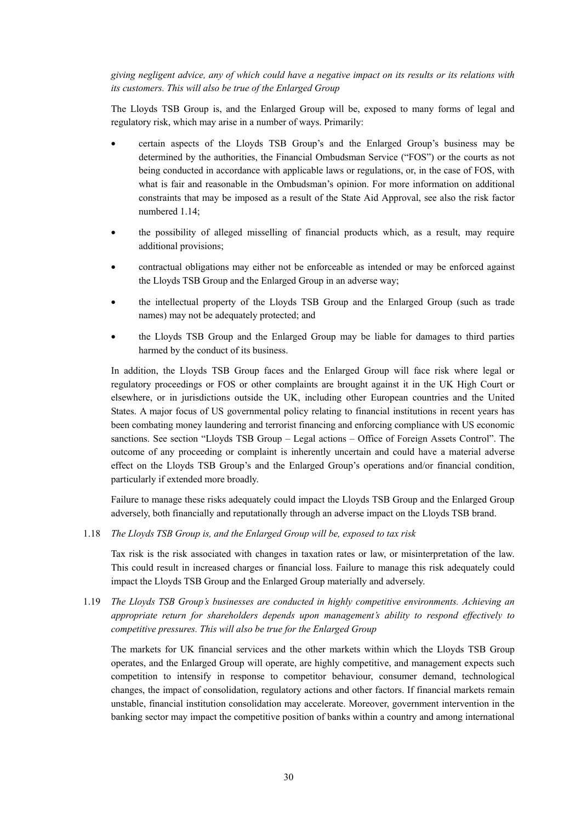*giving negligent advice, any of which could have a negative impact on its results or its relations with its customers. This will also be true of the Enlarged Group* 

The Lloyds TSB Group is, and the Enlarged Group will be, exposed to many forms of legal and regulatory risk, which may arise in a number of ways. Primarily:

- certain aspects of the Lloyds TSB Group's and the Enlarged Group's business may be determined by the authorities, the Financial Ombudsman Service ("FOS") or the courts as not being conducted in accordance with applicable laws or regulations, or, in the case of FOS, with what is fair and reasonable in the Ombudsman's opinion. For more information on additional constraints that may be imposed as a result of the State Aid Approval, see also the risk factor numbered 1.14;
- the possibility of alleged misselling of financial products which, as a result, may require additional provisions;
- contractual obligations may either not be enforceable as intended or may be enforced against the Lloyds TSB Group and the Enlarged Group in an adverse way;
- the intellectual property of the Lloyds TSB Group and the Enlarged Group (such as trade names) may not be adequately protected; and
- the Lloyds TSB Group and the Enlarged Group may be liable for damages to third parties harmed by the conduct of its business.

In addition, the Lloyds TSB Group faces and the Enlarged Group will face risk where legal or regulatory proceedings or FOS or other complaints are brought against it in the UK High Court or elsewhere, or in jurisdictions outside the UK, including other European countries and the United States. A major focus of US governmental policy relating to financial institutions in recent years has been combating money laundering and terrorist financing and enforcing compliance with US economic sanctions. See section "Lloyds TSB Group – Legal actions – Office of Foreign Assets Control". The outcome of any proceeding or complaint is inherently uncertain and could have a material adverse effect on the Lloyds TSB Group's and the Enlarged Group's operations and/or financial condition, particularly if extended more broadly.

Failure to manage these risks adequately could impact the Lloyds TSB Group and the Enlarged Group adversely, both financially and reputationally through an adverse impact on the Lloyds TSB brand.

1.18 *The Lloyds TSB Group is, and the Enlarged Group will be, exposed to tax risk* 

Tax risk is the risk associated with changes in taxation rates or law, or misinterpretation of the law. This could result in increased charges or financial loss. Failure to manage this risk adequately could impact the Lloyds TSB Group and the Enlarged Group materially and adversely.

1.19 *The Lloyds TSB Group's businesses are conducted in highly competitive environments. Achieving an appropriate return for shareholders depends upon management's ability to respond effectively to competitive pressures. This will also be true for the Enlarged Group* 

The markets for UK financial services and the other markets within which the Lloyds TSB Group operates, and the Enlarged Group will operate, are highly competitive, and management expects such competition to intensify in response to competitor behaviour, consumer demand, technological changes, the impact of consolidation, regulatory actions and other factors. If financial markets remain unstable, financial institution consolidation may accelerate. Moreover, government intervention in the banking sector may impact the competitive position of banks within a country and among international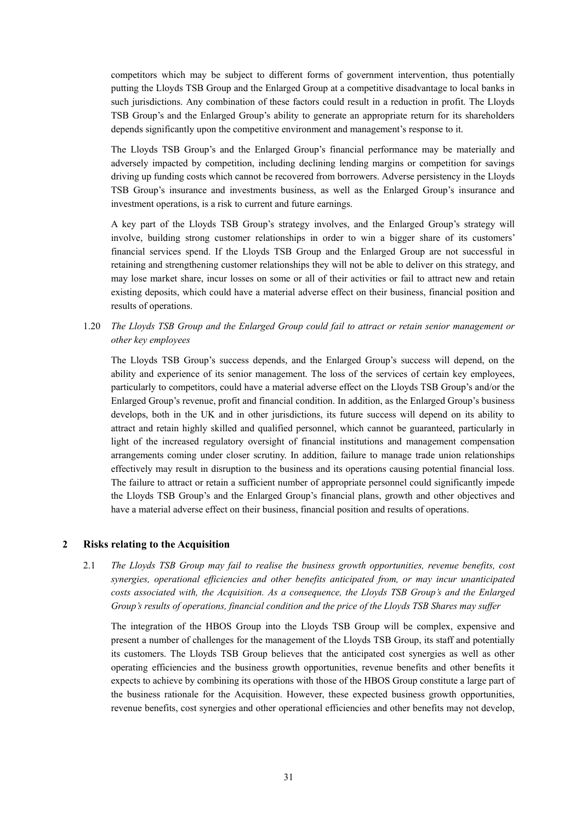competitors which may be subject to different forms of government intervention, thus potentially putting the Lloyds TSB Group and the Enlarged Group at a competitive disadvantage to local banks in such jurisdictions. Any combination of these factors could result in a reduction in profit. The Lloyds TSB Group's and the Enlarged Group's ability to generate an appropriate return for its shareholders depends significantly upon the competitive environment and management's response to it.

The Lloyds TSB Group's and the Enlarged Group's financial performance may be materially and adversely impacted by competition, including declining lending margins or competition for savings driving up funding costs which cannot be recovered from borrowers. Adverse persistency in the Lloyds TSB Group's insurance and investments business, as well as the Enlarged Group's insurance and investment operations, is a risk to current and future earnings.

A key part of the Lloyds TSB Group's strategy involves, and the Enlarged Group's strategy will involve, building strong customer relationships in order to win a bigger share of its customers' financial services spend. If the Lloyds TSB Group and the Enlarged Group are not successful in retaining and strengthening customer relationships they will not be able to deliver on this strategy, and may lose market share, incur losses on some or all of their activities or fail to attract new and retain existing deposits, which could have a material adverse effect on their business, financial position and results of operations.

1.20 *The Lloyds TSB Group and the Enlarged Group could fail to attract or retain senior management or other key employees* 

The Lloyds TSB Group's success depends, and the Enlarged Group's success will depend, on the ability and experience of its senior management. The loss of the services of certain key employees, particularly to competitors, could have a material adverse effect on the Lloyds TSB Group's and/or the Enlarged Group's revenue, profit and financial condition. In addition, as the Enlarged Group's business develops, both in the UK and in other jurisdictions, its future success will depend on its ability to attract and retain highly skilled and qualified personnel, which cannot be guaranteed, particularly in light of the increased regulatory oversight of financial institutions and management compensation arrangements coming under closer scrutiny. In addition, failure to manage trade union relationships effectively may result in disruption to the business and its operations causing potential financial loss. The failure to attract or retain a sufficient number of appropriate personnel could significantly impede the Lloyds TSB Group's and the Enlarged Group's financial plans, growth and other objectives and have a material adverse effect on their business, financial position and results of operations.

### **2 Risks relating to the Acquisition**

2.1 *The Lloyds TSB Group may fail to realise the business growth opportunities, revenue benefits, cost synergies, operational efficiencies and other benefits anticipated from, or may incur unanticipated costs associated with, the Acquisition. As a consequence, the Lloyds TSB Group's and the Enlarged Group's results of operations, financial condition and the price of the Lloyds TSB Shares may suffer* 

The integration of the HBOS Group into the Lloyds TSB Group will be complex, expensive and present a number of challenges for the management of the Lloyds TSB Group, its staff and potentially its customers. The Lloyds TSB Group believes that the anticipated cost synergies as well as other operating efficiencies and the business growth opportunities, revenue benefits and other benefits it expects to achieve by combining its operations with those of the HBOS Group constitute a large part of the business rationale for the Acquisition. However, these expected business growth opportunities, revenue benefits, cost synergies and other operational efficiencies and other benefits may not develop,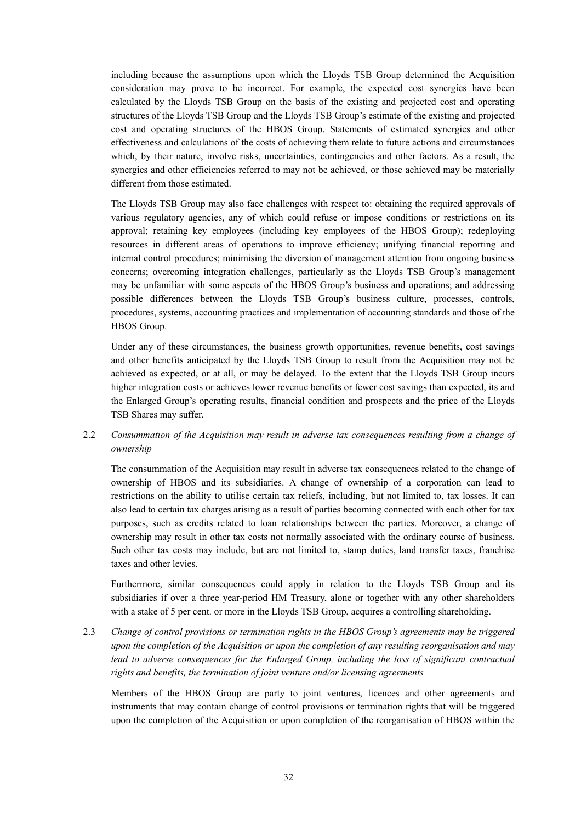including because the assumptions upon which the Lloyds TSB Group determined the Acquisition consideration may prove to be incorrect. For example, the expected cost synergies have been calculated by the Lloyds TSB Group on the basis of the existing and projected cost and operating structures of the Lloyds TSB Group and the Lloyds TSB Group's estimate of the existing and projected cost and operating structures of the HBOS Group. Statements of estimated synergies and other effectiveness and calculations of the costs of achieving them relate to future actions and circumstances which, by their nature, involve risks, uncertainties, contingencies and other factors. As a result, the synergies and other efficiencies referred to may not be achieved, or those achieved may be materially different from those estimated.

The Lloyds TSB Group may also face challenges with respect to: obtaining the required approvals of various regulatory agencies, any of which could refuse or impose conditions or restrictions on its approval; retaining key employees (including key employees of the HBOS Group); redeploying resources in different areas of operations to improve efficiency; unifying financial reporting and internal control procedures; minimising the diversion of management attention from ongoing business concerns; overcoming integration challenges, particularly as the Lloyds TSB Group's management may be unfamiliar with some aspects of the HBOS Group's business and operations; and addressing possible differences between the Lloyds TSB Group's business culture, processes, controls, procedures, systems, accounting practices and implementation of accounting standards and those of the HBOS Group.

Under any of these circumstances, the business growth opportunities, revenue benefits, cost savings and other benefits anticipated by the Lloyds TSB Group to result from the Acquisition may not be achieved as expected, or at all, or may be delayed. To the extent that the Lloyds TSB Group incurs higher integration costs or achieves lower revenue benefits or fewer cost savings than expected, its and the Enlarged Group's operating results, financial condition and prospects and the price of the Lloyds TSB Shares may suffer.

# 2.2 *Consummation of the Acquisition may result in adverse tax consequences resulting from a change of ownership*

The consummation of the Acquisition may result in adverse tax consequences related to the change of ownership of HBOS and its subsidiaries. A change of ownership of a corporation can lead to restrictions on the ability to utilise certain tax reliefs, including, but not limited to, tax losses. It can also lead to certain tax charges arising as a result of parties becoming connected with each other for tax purposes, such as credits related to loan relationships between the parties. Moreover, a change of ownership may result in other tax costs not normally associated with the ordinary course of business. Such other tax costs may include, but are not limited to, stamp duties, land transfer taxes, franchise taxes and other levies.

Furthermore, similar consequences could apply in relation to the Lloyds TSB Group and its subsidiaries if over a three year-period HM Treasury, alone or together with any other shareholders with a stake of 5 per cent. or more in the Lloyds TSB Group, acquires a controlling shareholding.

2.3 *Change of control provisions or termination rights in the HBOS Group's agreements may be triggered upon the completion of the Acquisition or upon the completion of any resulting reorganisation and may*  lead to adverse consequences for the Enlarged Group, including the loss of significant contractual *rights and benefits, the termination of joint venture and/or licensing agreements* 

Members of the HBOS Group are party to joint ventures, licences and other agreements and instruments that may contain change of control provisions or termination rights that will be triggered upon the completion of the Acquisition or upon completion of the reorganisation of HBOS within the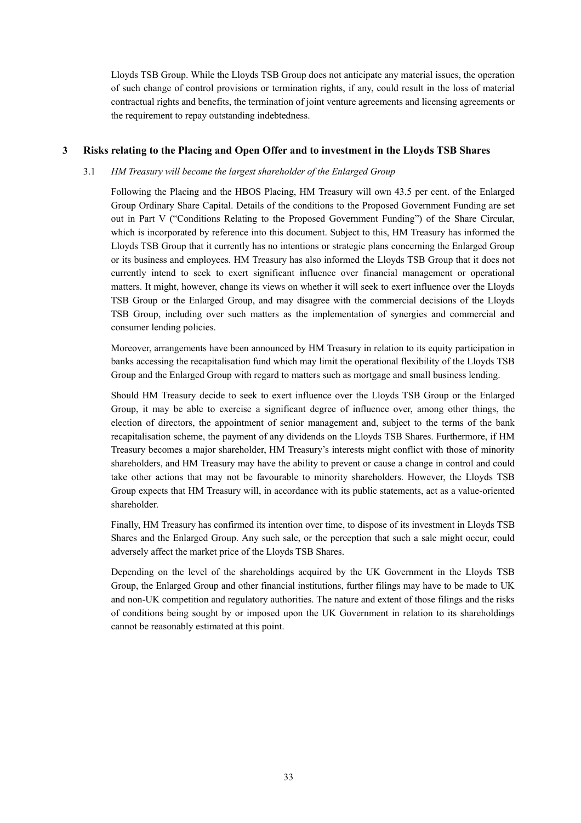Lloyds TSB Group. While the Lloyds TSB Group does not anticipate any material issues, the operation of such change of control provisions or termination rights, if any, could result in the loss of material contractual rights and benefits, the termination of joint venture agreements and licensing agreements or the requirement to repay outstanding indebtedness.

# **3 Risks relating to the Placing and Open Offer and to investment in the Lloyds TSB Shares**

### 3.1 *HM Treasury will become the largest shareholder of the Enlarged Group*

Following the Placing and the HBOS Placing, HM Treasury will own 43.5 per cent. of the Enlarged Group Ordinary Share Capital. Details of the conditions to the Proposed Government Funding are set out in Part V ("Conditions Relating to the Proposed Government Funding") of the Share Circular, which is incorporated by reference into this document. Subject to this, HM Treasury has informed the Lloyds TSB Group that it currently has no intentions or strategic plans concerning the Enlarged Group or its business and employees. HM Treasury has also informed the Lloyds TSB Group that it does not currently intend to seek to exert significant influence over financial management or operational matters. It might, however, change its views on whether it will seek to exert influence over the Lloyds TSB Group or the Enlarged Group, and may disagree with the commercial decisions of the Lloyds TSB Group, including over such matters as the implementation of synergies and commercial and consumer lending policies.

Moreover, arrangements have been announced by HM Treasury in relation to its equity participation in banks accessing the recapitalisation fund which may limit the operational flexibility of the Lloyds TSB Group and the Enlarged Group with regard to matters such as mortgage and small business lending.

Should HM Treasury decide to seek to exert influence over the Lloyds TSB Group or the Enlarged Group, it may be able to exercise a significant degree of influence over, among other things, the election of directors, the appointment of senior management and, subject to the terms of the bank recapitalisation scheme, the payment of any dividends on the Lloyds TSB Shares. Furthermore, if HM Treasury becomes a major shareholder, HM Treasury's interests might conflict with those of minority shareholders, and HM Treasury may have the ability to prevent or cause a change in control and could take other actions that may not be favourable to minority shareholders. However, the Lloyds TSB Group expects that HM Treasury will, in accordance with its public statements, act as a value-oriented shareholder.

Finally, HM Treasury has confirmed its intention over time, to dispose of its investment in Lloyds TSB Shares and the Enlarged Group. Any such sale, or the perception that such a sale might occur, could adversely affect the market price of the Lloyds TSB Shares.

Depending on the level of the shareholdings acquired by the UK Government in the Lloyds TSB Group, the Enlarged Group and other financial institutions, further filings may have to be made to UK and non-UK competition and regulatory authorities. The nature and extent of those filings and the risks of conditions being sought by or imposed upon the UK Government in relation to its shareholdings cannot be reasonably estimated at this point.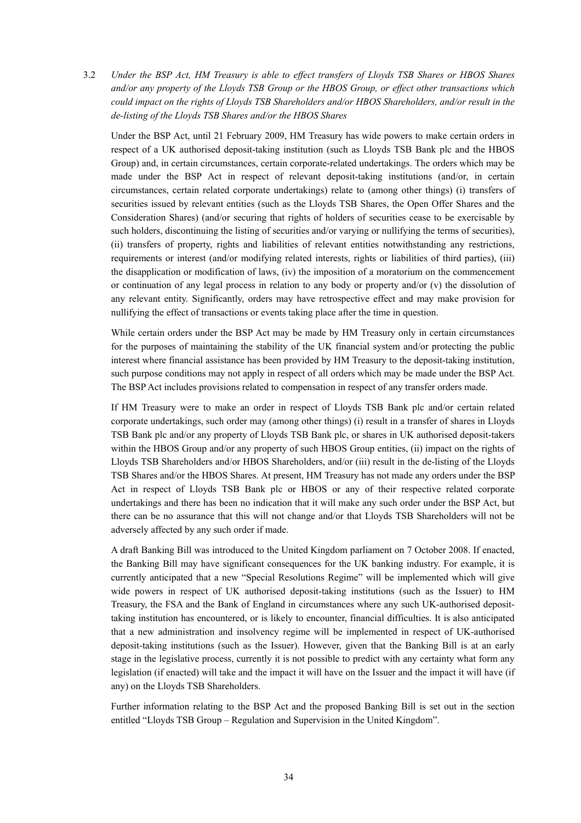3.2 *Under the BSP Act, HM Treasury is able to effect transfers of Lloyds TSB Shares or HBOS Shares and/or any property of the Lloyds TSB Group or the HBOS Group, or effect other transactions which could impact on the rights of Lloyds TSB Shareholders and/or HBOS Shareholders, and/or result in the de-listing of the Lloyds TSB Shares and/or the HBOS Shares* 

Under the BSP Act, until 21 February 2009, HM Treasury has wide powers to make certain orders in respect of a UK authorised deposit-taking institution (such as Lloyds TSB Bank plc and the HBOS Group) and, in certain circumstances, certain corporate-related undertakings. The orders which may be made under the BSP Act in respect of relevant deposit-taking institutions (and/or, in certain circumstances, certain related corporate undertakings) relate to (among other things) (i) transfers of securities issued by relevant entities (such as the Lloyds TSB Shares, the Open Offer Shares and the Consideration Shares) (and/or securing that rights of holders of securities cease to be exercisable by such holders, discontinuing the listing of securities and/or varying or nullifying the terms of securities), (ii) transfers of property, rights and liabilities of relevant entities notwithstanding any restrictions, requirements or interest (and/or modifying related interests, rights or liabilities of third parties), (iii) the disapplication or modification of laws, (iv) the imposition of a moratorium on the commencement or continuation of any legal process in relation to any body or property and/or (v) the dissolution of any relevant entity. Significantly, orders may have retrospective effect and may make provision for nullifying the effect of transactions or events taking place after the time in question.

While certain orders under the BSP Act may be made by HM Treasury only in certain circumstances for the purposes of maintaining the stability of the UK financial system and/or protecting the public interest where financial assistance has been provided by HM Treasury to the deposit-taking institution, such purpose conditions may not apply in respect of all orders which may be made under the BSP Act. The BSP Act includes provisions related to compensation in respect of any transfer orders made.

If HM Treasury were to make an order in respect of Lloyds TSB Bank plc and/or certain related corporate undertakings, such order may (among other things) (i) result in a transfer of shares in Lloyds TSB Bank plc and/or any property of Lloyds TSB Bank plc, or shares in UK authorised deposit-takers within the HBOS Group and/or any property of such HBOS Group entities, (ii) impact on the rights of Lloyds TSB Shareholders and/or HBOS Shareholders, and/or (iii) result in the de-listing of the Lloyds TSB Shares and/or the HBOS Shares. At present, HM Treasury has not made any orders under the BSP Act in respect of Lloyds TSB Bank plc or HBOS or any of their respective related corporate undertakings and there has been no indication that it will make any such order under the BSP Act, but there can be no assurance that this will not change and/or that Lloyds TSB Shareholders will not be adversely affected by any such order if made.

A draft Banking Bill was introduced to the United Kingdom parliament on 7 October 2008. If enacted, the Banking Bill may have significant consequences for the UK banking industry. For example, it is currently anticipated that a new "Special Resolutions Regime" will be implemented which will give wide powers in respect of UK authorised deposit-taking institutions (such as the Issuer) to HM Treasury, the FSA and the Bank of England in circumstances where any such UK-authorised deposittaking institution has encountered, or is likely to encounter, financial difficulties. It is also anticipated that a new administration and insolvency regime will be implemented in respect of UK-authorised deposit-taking institutions (such as the Issuer). However, given that the Banking Bill is at an early stage in the legislative process, currently it is not possible to predict with any certainty what form any legislation (if enacted) will take and the impact it will have on the Issuer and the impact it will have (if any) on the Lloyds TSB Shareholders.

Further information relating to the BSP Act and the proposed Banking Bill is set out in the section entitled "Lloyds TSB Group – Regulation and Supervision in the United Kingdom".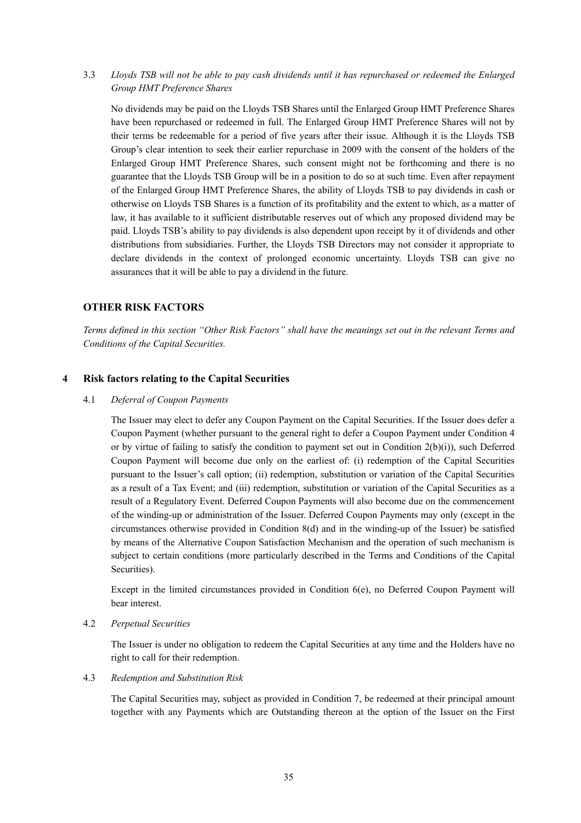3.3 *Lloyds TSB will not be able to pay cash dividends until it has repurchased or redeemed the Enlarged Group HMT Preference Shares* 

No dividends may be paid on the Lloyds TSB Shares until the Enlarged Group HMT Preference Shares have been repurchased or redeemed in full. The Enlarged Group HMT Preference Shares will not by their terms be redeemable for a period of five years after their issue. Although it is the Lloyds TSB Group's clear intention to seek their earlier repurchase in 2009 with the consent of the holders of the Enlarged Group HMT Preference Shares, such consent might not be forthcoming and there is no guarantee that the Lloyds TSB Group will be in a position to do so at such time. Even after repayment of the Enlarged Group HMT Preference Shares, the ability of Lloyds TSB to pay dividends in cash or otherwise on Lloyds TSB Shares is a function of its profitability and the extent to which, as a matter of law, it has available to it sufficient distributable reserves out of which any proposed dividend may be paid. Lloyds TSB's ability to pay dividends is also dependent upon receipt by it of dividends and other distributions from subsidiaries. Further, the Lloyds TSB Directors may not consider it appropriate to declare dividends in the context of prolonged economic uncertainty. Lloyds TSB can give no assurances that it will be able to pay a dividend in the future.

# **OTHER RISK FACTORS**

*Terms defined in this section "Other Risk Factors" shall have the meanings set out in the relevant Terms and Conditions of the Capital Securities.* 

### **4 Risk factors relating to the Capital Securities**

### 4.1 *Deferral of Coupon Payments*

The Issuer may elect to defer any Coupon Payment on the Capital Securities. If the Issuer does defer a Coupon Payment (whether pursuant to the general right to defer a Coupon Payment under Condition 4 or by virtue of failing to satisfy the condition to payment set out in Condition  $2(b)(i)$ , such Deferred Coupon Payment will become due only on the earliest of: (i) redemption of the Capital Securities pursuant to the Issuer's call option; (ii) redemption, substitution or variation of the Capital Securities as a result of a Tax Event; and (iii) redemption, substitution or variation of the Capital Securities as a result of a Regulatory Event. Deferred Coupon Payments will also become due on the commencement of the winding-up or administration of the Issuer. Deferred Coupon Payments may only (except in the circumstances otherwise provided in Condition 8(d) and in the winding-up of the Issuer) be satisfied by means of the Alternative Coupon Satisfaction Mechanism and the operation of such mechanism is subject to certain conditions (more particularly described in the Terms and Conditions of the Capital Securities).

Except in the limited circumstances provided in Condition 6(e), no Deferred Coupon Payment will bear interest.

### 4.2 *Perpetual Securities*

The Issuer is under no obligation to redeem the Capital Securities at any time and the Holders have no right to call for their redemption.

### 4.3 *Redemption and Substitution Risk*

The Capital Securities may, subject as provided in Condition 7, be redeemed at their principal amount together with any Payments which are Outstanding thereon at the option of the Issuer on the First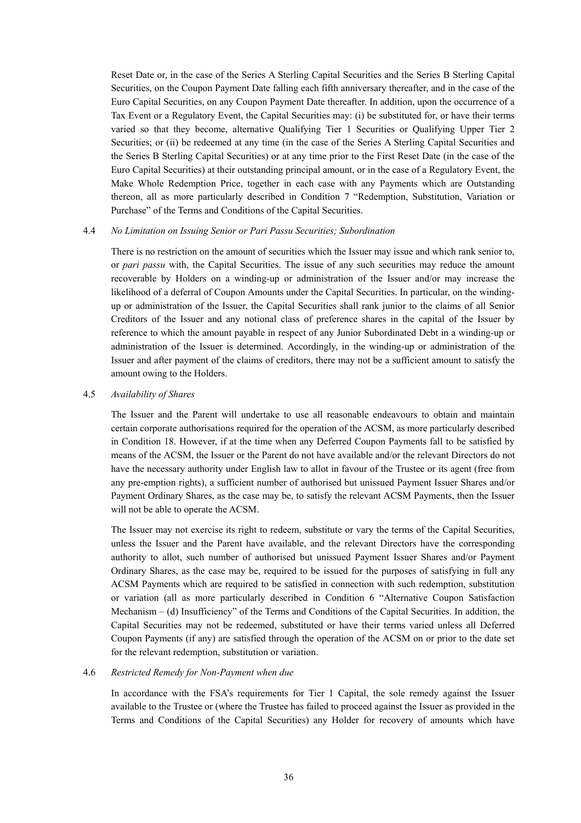Reset Date or, in the case of the Series A Sterling Capital Securities and the Series B Sterling Capital Securities, on the Coupon Payment Date falling each fifth anniversary thereafter, and in the case of the Euro Capital Securities, on any Coupon Payment Date thereafter. In addition, upon the occurrence of a Tax Event or a Regulatory Event, the Capital Securities may: (i) be substituted for, or have their terms varied so that they become, alternative Qualifying Tier 1 Securities or Qualifying Upper Tier 2 Securities; or (ii) be redeemed at any time (in the case of the Series A Sterling Capital Securities and the Series B Sterling Capital Securities) or at any time prior to the First Reset Date (in the case of the Euro Capital Securities) at their outstanding principal amount, or in the case of a Regulatory Event, the Make Whole Redemption Price, together in each case with any Payments which are Outstanding thereon, all as more particularly described in Condition 7 "Redemption, Substitution, Variation or Purchase" of the Terms and Conditions of the Capital Securities.

#### 4.4 *No Limitation on Issuing Senior or Pari Passu Securities; Subordination*

There is no restriction on the amount of securities which the Issuer may issue and which rank senior to, or *pari passu* with, the Capital Securities. The issue of any such securities may reduce the amount recoverable by Holders on a winding-up or administration of the Issuer and/or may increase the likelihood of a deferral of Coupon Amounts under the Capital Securities. In particular, on the windingup or administration of the Issuer, the Capital Securities shall rank junior to the claims of all Senior Creditors of the Issuer and any notional class of preference shares in the capital of the Issuer by reference to which the amount payable in respect of any Junior Subordinated Debt in a winding-up or administration of the Issuer is determined. Accordingly, in the winding-up or administration of the Issuer and after payment of the claims of creditors, there may not be a sufficient amount to satisfy the amount owing to the Holders.

### 4.5 *Availability of Shares*

The Issuer and the Parent will undertake to use all reasonable endeavours to obtain and maintain certain corporate authorisations required for the operation of the ACSM, as more particularly described in Condition 18. However, if at the time when any Deferred Coupon Payments fall to be satisfied by means of the ACSM, the Issuer or the Parent do not have available and/or the relevant Directors do not have the necessary authority under English law to allot in favour of the Trustee or its agent (free from any pre-emption rights), a sufficient number of authorised but unissued Payment Issuer Shares and/or Payment Ordinary Shares, as the case may be, to satisfy the relevant ACSM Payments, then the Issuer will not be able to operate the ACSM.

The Issuer may not exercise its right to redeem, substitute or vary the terms of the Capital Securities, unless the Issuer and the Parent have available, and the relevant Directors have the corresponding authority to allot, such number of authorised but unissued Payment Issuer Shares and/or Payment Ordinary Shares, as the case may be, required to be issued for the purposes of satisfying in full any ACSM Payments which are required to be satisfied in connection with such redemption, substitution or variation (all as more particularly described in Condition 6 "Alternative Coupon Satisfaction Mechanism – (d) Insufficiency" of the Terms and Conditions of the Capital Securities. In addition, the Capital Securities may not be redeemed, substituted or have their terms varied unless all Deferred Coupon Payments (if any) are satisfied through the operation of the ACSM on or prior to the date set for the relevant redemption, substitution or variation.

#### 4.6 *Restricted Remedy for Non-Payment when due*

In accordance with the FSA's requirements for Tier 1 Capital, the sole remedy against the Issuer available to the Trustee or (where the Trustee has failed to proceed against the Issuer as provided in the Terms and Conditions of the Capital Securities) any Holder for recovery of amounts which have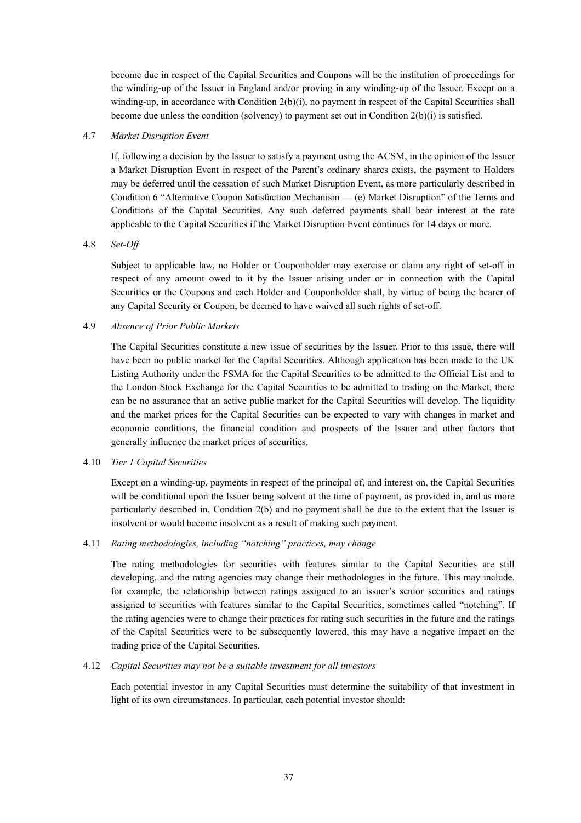become due in respect of the Capital Securities and Coupons will be the institution of proceedings for the winding-up of the Issuer in England and/or proving in any winding-up of the Issuer. Except on a winding-up, in accordance with Condition 2(b)(i), no payment in respect of the Capital Securities shall become due unless the condition (solvency) to payment set out in Condition 2(b)(i) is satisfied.

### 4.7 *Market Disruption Event*

If, following a decision by the Issuer to satisfy a payment using the ACSM, in the opinion of the Issuer a Market Disruption Event in respect of the Parent's ordinary shares exists, the payment to Holders may be deferred until the cessation of such Market Disruption Event, as more particularly described in Condition 6 "Alternative Coupon Satisfaction Mechanism — (e) Market Disruption" of the Terms and Conditions of the Capital Securities. Any such deferred payments shall bear interest at the rate applicable to the Capital Securities if the Market Disruption Event continues for 14 days or more.

## 4.8 *Set-Off*

Subject to applicable law, no Holder or Couponholder may exercise or claim any right of set-off in respect of any amount owed to it by the Issuer arising under or in connection with the Capital Securities or the Coupons and each Holder and Couponholder shall, by virtue of being the bearer of any Capital Security or Coupon, be deemed to have waived all such rights of set-off.

## 4.9 *Absence of Prior Public Markets*

The Capital Securities constitute a new issue of securities by the Issuer. Prior to this issue, there will have been no public market for the Capital Securities. Although application has been made to the UK Listing Authority under the FSMA for the Capital Securities to be admitted to the Official List and to the London Stock Exchange for the Capital Securities to be admitted to trading on the Market, there can be no assurance that an active public market for the Capital Securities will develop. The liquidity and the market prices for the Capital Securities can be expected to vary with changes in market and economic conditions, the financial condition and prospects of the Issuer and other factors that generally influence the market prices of securities.

### 4.10 *Tier 1 Capital Securities*

Except on a winding-up, payments in respect of the principal of, and interest on, the Capital Securities will be conditional upon the Issuer being solvent at the time of payment, as provided in, and as more particularly described in, Condition 2(b) and no payment shall be due to the extent that the Issuer is insolvent or would become insolvent as a result of making such payment.

### 4.11 *Rating methodologies, including "notching" practices, may change*

The rating methodologies for securities with features similar to the Capital Securities are still developing, and the rating agencies may change their methodologies in the future. This may include, for example, the relationship between ratings assigned to an issuer's senior securities and ratings assigned to securities with features similar to the Capital Securities, sometimes called "notching". If the rating agencies were to change their practices for rating such securities in the future and the ratings of the Capital Securities were to be subsequently lowered, this may have a negative impact on the trading price of the Capital Securities.

### 4.12 *Capital Securities may not be a suitable investment for all investors*

Each potential investor in any Capital Securities must determine the suitability of that investment in light of its own circumstances. In particular, each potential investor should: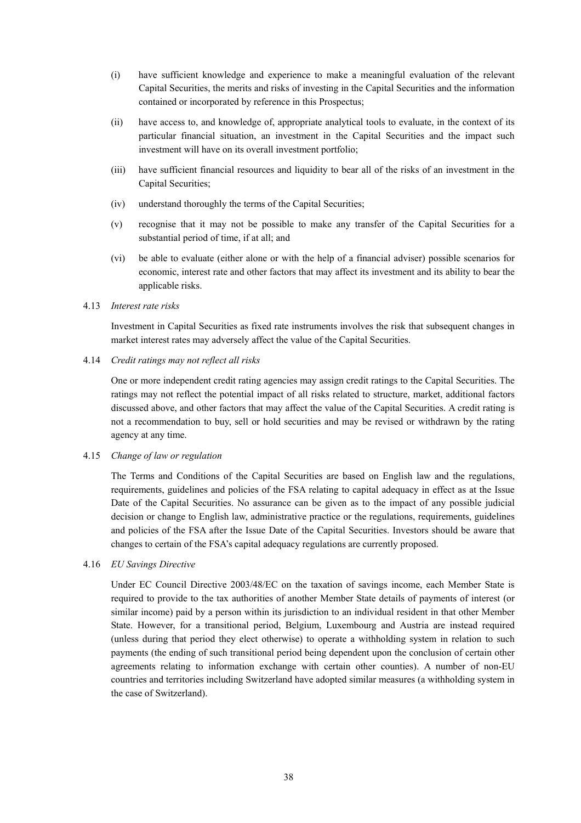- (i) have sufficient knowledge and experience to make a meaningful evaluation of the relevant Capital Securities, the merits and risks of investing in the Capital Securities and the information contained or incorporated by reference in this Prospectus;
- (ii) have access to, and knowledge of, appropriate analytical tools to evaluate, in the context of its particular financial situation, an investment in the Capital Securities and the impact such investment will have on its overall investment portfolio;
- (iii) have sufficient financial resources and liquidity to bear all of the risks of an investment in the Capital Securities;
- (iv) understand thoroughly the terms of the Capital Securities;
- (v) recognise that it may not be possible to make any transfer of the Capital Securities for a substantial period of time, if at all; and
- (vi) be able to evaluate (either alone or with the help of a financial adviser) possible scenarios for economic, interest rate and other factors that may affect its investment and its ability to bear the applicable risks.
- 4.13 *Interest rate risks*

Investment in Capital Securities as fixed rate instruments involves the risk that subsequent changes in market interest rates may adversely affect the value of the Capital Securities.

4.14 *Credit ratings may not reflect all risks* 

One or more independent credit rating agencies may assign credit ratings to the Capital Securities. The ratings may not reflect the potential impact of all risks related to structure, market, additional factors discussed above, and other factors that may affect the value of the Capital Securities. A credit rating is not a recommendation to buy, sell or hold securities and may be revised or withdrawn by the rating agency at any time.

# 4.15 *Change of law or regulation*

The Terms and Conditions of the Capital Securities are based on English law and the regulations, requirements, guidelines and policies of the FSA relating to capital adequacy in effect as at the Issue Date of the Capital Securities. No assurance can be given as to the impact of any possible judicial decision or change to English law, administrative practice or the regulations, requirements, guidelines and policies of the FSA after the Issue Date of the Capital Securities. Investors should be aware that changes to certain of the FSA's capital adequacy regulations are currently proposed.

# 4.16 *EU Savings Directive*

Under EC Council Directive 2003/48/EC on the taxation of savings income, each Member State is required to provide to the tax authorities of another Member State details of payments of interest (or similar income) paid by a person within its jurisdiction to an individual resident in that other Member State. However, for a transitional period, Belgium, Luxembourg and Austria are instead required (unless during that period they elect otherwise) to operate a withholding system in relation to such payments (the ending of such transitional period being dependent upon the conclusion of certain other agreements relating to information exchange with certain other counties). A number of non-EU countries and territories including Switzerland have adopted similar measures (a withholding system in the case of Switzerland).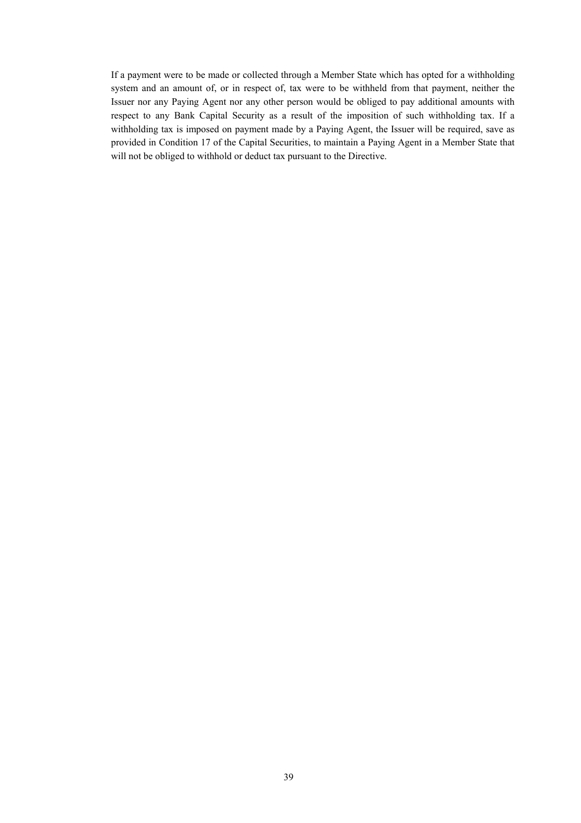If a payment were to be made or collected through a Member State which has opted for a withholding system and an amount of, or in respect of, tax were to be withheld from that payment, neither the Issuer nor any Paying Agent nor any other person would be obliged to pay additional amounts with respect to any Bank Capital Security as a result of the imposition of such withholding tax. If a withholding tax is imposed on payment made by a Paying Agent, the Issuer will be required, save as provided in Condition 17 of the Capital Securities, to maintain a Paying Agent in a Member State that will not be obliged to withhold or deduct tax pursuant to the Directive.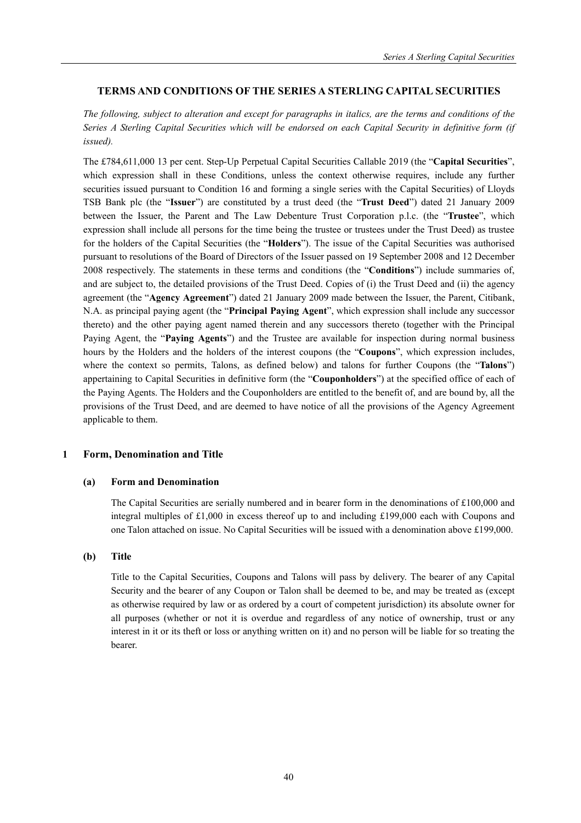# **TERMS AND CONDITIONS OF THE SERIES A STERLING CAPITAL SECURITIES**

*The following, subject to alteration and except for paragraphs in italics, are the terms and conditions of the Series A Sterling Capital Securities which will be endorsed on each Capital Security in definitive form (if issued).* 

The £784,611,000 13 per cent. Step-Up Perpetual Capital Securities Callable 2019 (the "**Capital Securities**", which expression shall in these Conditions, unless the context otherwise requires, include any further securities issued pursuant to Condition 16 and forming a single series with the Capital Securities) of Lloyds TSB Bank plc (the "**Issuer**") are constituted by a trust deed (the "**Trust Deed**") dated 21 January 2009 between the Issuer, the Parent and The Law Debenture Trust Corporation p.l.c. (the "**Trustee**", which expression shall include all persons for the time being the trustee or trustees under the Trust Deed) as trustee for the holders of the Capital Securities (the "**Holders**"). The issue of the Capital Securities was authorised pursuant to resolutions of the Board of Directors of the Issuer passed on 19 September 2008 and 12 December 2008 respectively. The statements in these terms and conditions (the "**Conditions**") include summaries of, and are subject to, the detailed provisions of the Trust Deed. Copies of (i) the Trust Deed and (ii) the agency agreement (the "**Agency Agreement**") dated 21 January 2009 made between the Issuer, the Parent, Citibank, N.A. as principal paying agent (the "**Principal Paying Agent**", which expression shall include any successor thereto) and the other paying agent named therein and any successors thereto (together with the Principal Paying Agent, the "**Paying Agents**") and the Trustee are available for inspection during normal business hours by the Holders and the holders of the interest coupons (the "**Coupons**", which expression includes, where the context so permits, Talons, as defined below) and talons for further Coupons (the "**Talons**") appertaining to Capital Securities in definitive form (the "**Couponholders**") at the specified office of each of the Paying Agents. The Holders and the Couponholders are entitled to the benefit of, and are bound by, all the provisions of the Trust Deed, and are deemed to have notice of all the provisions of the Agency Agreement applicable to them.

### **1 Form, Denomination and Title**

### **(a) Form and Denomination**

The Capital Securities are serially numbered and in bearer form in the denominations of £100,000 and integral multiples of £1,000 in excess thereof up to and including £199,000 each with Coupons and one Talon attached on issue. No Capital Securities will be issued with a denomination above £199,000.

### **(b) Title**

Title to the Capital Securities, Coupons and Talons will pass by delivery. The bearer of any Capital Security and the bearer of any Coupon or Talon shall be deemed to be, and may be treated as (except as otherwise required by law or as ordered by a court of competent jurisdiction) its absolute owner for all purposes (whether or not it is overdue and regardless of any notice of ownership, trust or any interest in it or its theft or loss or anything written on it) and no person will be liable for so treating the bearer.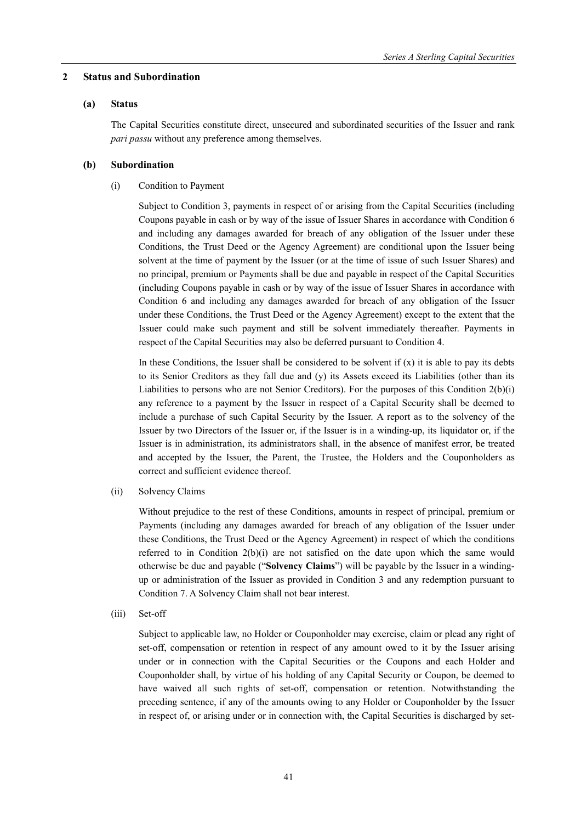### **2 Status and Subordination**

### **(a) Status**

The Capital Securities constitute direct, unsecured and subordinated securities of the Issuer and rank *pari passu* without any preference among themselves.

# **(b) Subordination**

(i) Condition to Payment

Subject to Condition 3, payments in respect of or arising from the Capital Securities (including Coupons payable in cash or by way of the issue of Issuer Shares in accordance with Condition 6 and including any damages awarded for breach of any obligation of the Issuer under these Conditions, the Trust Deed or the Agency Agreement) are conditional upon the Issuer being solvent at the time of payment by the Issuer (or at the time of issue of such Issuer Shares) and no principal, premium or Payments shall be due and payable in respect of the Capital Securities (including Coupons payable in cash or by way of the issue of Issuer Shares in accordance with Condition 6 and including any damages awarded for breach of any obligation of the Issuer under these Conditions, the Trust Deed or the Agency Agreement) except to the extent that the Issuer could make such payment and still be solvent immediately thereafter. Payments in respect of the Capital Securities may also be deferred pursuant to Condition 4.

In these Conditions, the Issuer shall be considered to be solvent if  $(x)$  it is able to pay its debts to its Senior Creditors as they fall due and (y) its Assets exceed its Liabilities (other than its Liabilities to persons who are not Senior Creditors). For the purposes of this Condition 2(b)(i) any reference to a payment by the Issuer in respect of a Capital Security shall be deemed to include a purchase of such Capital Security by the Issuer. A report as to the solvency of the Issuer by two Directors of the Issuer or, if the Issuer is in a winding-up, its liquidator or, if the Issuer is in administration, its administrators shall, in the absence of manifest error, be treated and accepted by the Issuer, the Parent, the Trustee, the Holders and the Couponholders as correct and sufficient evidence thereof.

(ii) Solvency Claims

Without prejudice to the rest of these Conditions, amounts in respect of principal, premium or Payments (including any damages awarded for breach of any obligation of the Issuer under these Conditions, the Trust Deed or the Agency Agreement) in respect of which the conditions referred to in Condition  $2(b)(i)$  are not satisfied on the date upon which the same would otherwise be due and payable ("**Solvency Claims**") will be payable by the Issuer in a windingup or administration of the Issuer as provided in Condition 3 and any redemption pursuant to Condition 7. A Solvency Claim shall not bear interest.

(iii) Set-off

Subject to applicable law, no Holder or Couponholder may exercise, claim or plead any right of set-off, compensation or retention in respect of any amount owed to it by the Issuer arising under or in connection with the Capital Securities or the Coupons and each Holder and Couponholder shall, by virtue of his holding of any Capital Security or Coupon, be deemed to have waived all such rights of set-off, compensation or retention. Notwithstanding the preceding sentence, if any of the amounts owing to any Holder or Couponholder by the Issuer in respect of, or arising under or in connection with, the Capital Securities is discharged by set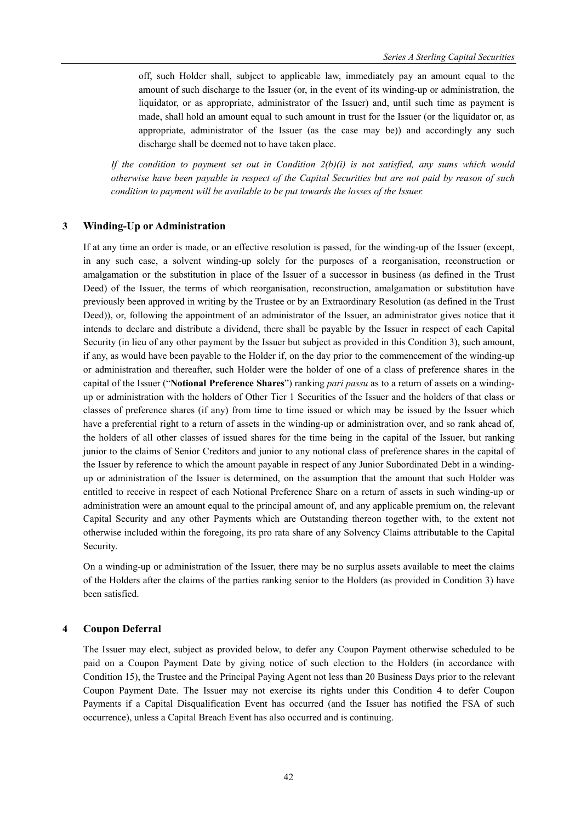off, such Holder shall, subject to applicable law, immediately pay an amount equal to the amount of such discharge to the Issuer (or, in the event of its winding-up or administration, the liquidator, or as appropriate, administrator of the Issuer) and, until such time as payment is made, shall hold an amount equal to such amount in trust for the Issuer (or the liquidator or, as appropriate, administrator of the Issuer (as the case may be)) and accordingly any such discharge shall be deemed not to have taken place.

*If the condition to payment set out in Condition 2(b)(i) is not satisfied, any sums which would otherwise have been payable in respect of the Capital Securities but are not paid by reason of such condition to payment will be available to be put towards the losses of the Issuer.* 

#### **3 Winding-Up or Administration**

If at any time an order is made, or an effective resolution is passed, for the winding-up of the Issuer (except, in any such case, a solvent winding-up solely for the purposes of a reorganisation, reconstruction or amalgamation or the substitution in place of the Issuer of a successor in business (as defined in the Trust Deed) of the Issuer, the terms of which reorganisation, reconstruction, amalgamation or substitution have previously been approved in writing by the Trustee or by an Extraordinary Resolution (as defined in the Trust Deed)), or, following the appointment of an administrator of the Issuer, an administrator gives notice that it intends to declare and distribute a dividend, there shall be payable by the Issuer in respect of each Capital Security (in lieu of any other payment by the Issuer but subject as provided in this Condition 3), such amount, if any, as would have been payable to the Holder if, on the day prior to the commencement of the winding-up or administration and thereafter, such Holder were the holder of one of a class of preference shares in the capital of the Issuer ("**Notional Preference Shares**") ranking *pari passu* as to a return of assets on a windingup or administration with the holders of Other Tier 1 Securities of the Issuer and the holders of that class or classes of preference shares (if any) from time to time issued or which may be issued by the Issuer which have a preferential right to a return of assets in the winding-up or administration over, and so rank ahead of, the holders of all other classes of issued shares for the time being in the capital of the Issuer, but ranking junior to the claims of Senior Creditors and junior to any notional class of preference shares in the capital of the Issuer by reference to which the amount payable in respect of any Junior Subordinated Debt in a windingup or administration of the Issuer is determined, on the assumption that the amount that such Holder was entitled to receive in respect of each Notional Preference Share on a return of assets in such winding-up or administration were an amount equal to the principal amount of, and any applicable premium on, the relevant Capital Security and any other Payments which are Outstanding thereon together with, to the extent not otherwise included within the foregoing, its pro rata share of any Solvency Claims attributable to the Capital Security.

On a winding-up or administration of the Issuer, there may be no surplus assets available to meet the claims of the Holders after the claims of the parties ranking senior to the Holders (as provided in Condition 3) have been satisfied.

#### **4 Coupon Deferral**

The Issuer may elect, subject as provided below, to defer any Coupon Payment otherwise scheduled to be paid on a Coupon Payment Date by giving notice of such election to the Holders (in accordance with Condition 15), the Trustee and the Principal Paying Agent not less than 20 Business Days prior to the relevant Coupon Payment Date. The Issuer may not exercise its rights under this Condition 4 to defer Coupon Payments if a Capital Disqualification Event has occurred (and the Issuer has notified the FSA of such occurrence), unless a Capital Breach Event has also occurred and is continuing.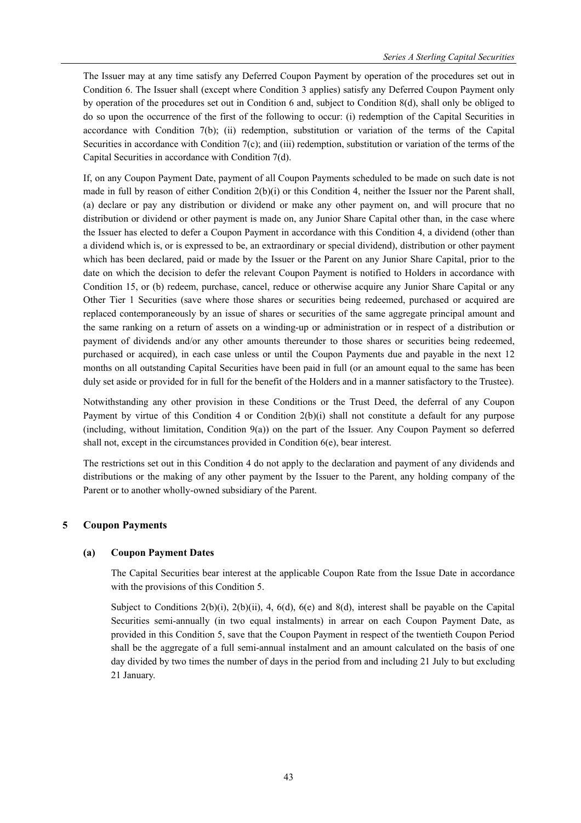The Issuer may at any time satisfy any Deferred Coupon Payment by operation of the procedures set out in Condition 6. The Issuer shall (except where Condition 3 applies) satisfy any Deferred Coupon Payment only by operation of the procedures set out in Condition 6 and, subject to Condition 8(d), shall only be obliged to do so upon the occurrence of the first of the following to occur: (i) redemption of the Capital Securities in accordance with Condition 7(b); (ii) redemption, substitution or variation of the terms of the Capital Securities in accordance with Condition 7(c); and (iii) redemption, substitution or variation of the terms of the Capital Securities in accordance with Condition 7(d).

If, on any Coupon Payment Date, payment of all Coupon Payments scheduled to be made on such date is not made in full by reason of either Condition 2(b)(i) or this Condition 4, neither the Issuer nor the Parent shall, (a) declare or pay any distribution or dividend or make any other payment on, and will procure that no distribution or dividend or other payment is made on, any Junior Share Capital other than, in the case where the Issuer has elected to defer a Coupon Payment in accordance with this Condition 4, a dividend (other than a dividend which is, or is expressed to be, an extraordinary or special dividend), distribution or other payment which has been declared, paid or made by the Issuer or the Parent on any Junior Share Capital, prior to the date on which the decision to defer the relevant Coupon Payment is notified to Holders in accordance with Condition 15, or (b) redeem, purchase, cancel, reduce or otherwise acquire any Junior Share Capital or any Other Tier 1 Securities (save where those shares or securities being redeemed, purchased or acquired are replaced contemporaneously by an issue of shares or securities of the same aggregate principal amount and the same ranking on a return of assets on a winding-up or administration or in respect of a distribution or payment of dividends and/or any other amounts thereunder to those shares or securities being redeemed, purchased or acquired), in each case unless or until the Coupon Payments due and payable in the next 12 months on all outstanding Capital Securities have been paid in full (or an amount equal to the same has been duly set aside or provided for in full for the benefit of the Holders and in a manner satisfactory to the Trustee).

Notwithstanding any other provision in these Conditions or the Trust Deed, the deferral of any Coupon Payment by virtue of this Condition 4 or Condition 2(b)(i) shall not constitute a default for any purpose (including, without limitation, Condition 9(a)) on the part of the Issuer. Any Coupon Payment so deferred shall not, except in the circumstances provided in Condition 6(e), bear interest.

The restrictions set out in this Condition 4 do not apply to the declaration and payment of any dividends and distributions or the making of any other payment by the Issuer to the Parent, any holding company of the Parent or to another wholly-owned subsidiary of the Parent.

# **5 Coupon Payments**

# **(a) Coupon Payment Dates**

The Capital Securities bear interest at the applicable Coupon Rate from the Issue Date in accordance with the provisions of this Condition 5.

Subject to Conditions 2(b)(i), 2(b)(ii), 4, 6(d), 6(e) and 8(d), interest shall be payable on the Capital Securities semi-annually (in two equal instalments) in arrear on each Coupon Payment Date, as provided in this Condition 5, save that the Coupon Payment in respect of the twentieth Coupon Period shall be the aggregate of a full semi-annual instalment and an amount calculated on the basis of one day divided by two times the number of days in the period from and including 21 July to but excluding 21 January.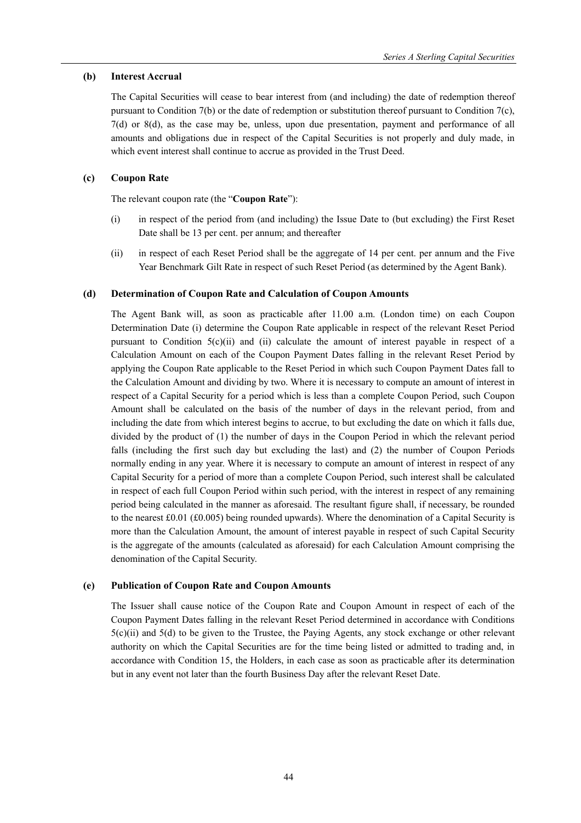### **(b) Interest Accrual**

The Capital Securities will cease to bear interest from (and including) the date of redemption thereof pursuant to Condition 7(b) or the date of redemption or substitution thereof pursuant to Condition 7(c), 7(d) or 8(d), as the case may be, unless, upon due presentation, payment and performance of all amounts and obligations due in respect of the Capital Securities is not properly and duly made, in which event interest shall continue to accrue as provided in the Trust Deed.

# **(c) Coupon Rate**

The relevant coupon rate (the "**Coupon Rate**"):

- (i) in respect of the period from (and including) the Issue Date to (but excluding) the First Reset Date shall be 13 per cent. per annum; and thereafter
- (ii) in respect of each Reset Period shall be the aggregate of 14 per cent. per annum and the Five Year Benchmark Gilt Rate in respect of such Reset Period (as determined by the Agent Bank).

## **(d) Determination of Coupon Rate and Calculation of Coupon Amounts**

The Agent Bank will, as soon as practicable after 11.00 a.m. (London time) on each Coupon Determination Date (i) determine the Coupon Rate applicable in respect of the relevant Reset Period pursuant to Condition  $5(c)(ii)$  and (ii) calculate the amount of interest payable in respect of a Calculation Amount on each of the Coupon Payment Dates falling in the relevant Reset Period by applying the Coupon Rate applicable to the Reset Period in which such Coupon Payment Dates fall to the Calculation Amount and dividing by two. Where it is necessary to compute an amount of interest in respect of a Capital Security for a period which is less than a complete Coupon Period, such Coupon Amount shall be calculated on the basis of the number of days in the relevant period, from and including the date from which interest begins to accrue, to but excluding the date on which it falls due, divided by the product of (1) the number of days in the Coupon Period in which the relevant period falls (including the first such day but excluding the last) and (2) the number of Coupon Periods normally ending in any year. Where it is necessary to compute an amount of interest in respect of any Capital Security for a period of more than a complete Coupon Period, such interest shall be calculated in respect of each full Coupon Period within such period, with the interest in respect of any remaining period being calculated in the manner as aforesaid. The resultant figure shall, if necessary, be rounded to the nearest £0.01 (£0.005) being rounded upwards). Where the denomination of a Capital Security is more than the Calculation Amount, the amount of interest payable in respect of such Capital Security is the aggregate of the amounts (calculated as aforesaid) for each Calculation Amount comprising the denomination of the Capital Security.

### **(e) Publication of Coupon Rate and Coupon Amounts**

The Issuer shall cause notice of the Coupon Rate and Coupon Amount in respect of each of the Coupon Payment Dates falling in the relevant Reset Period determined in accordance with Conditions 5(c)(ii) and 5(d) to be given to the Trustee, the Paying Agents, any stock exchange or other relevant authority on which the Capital Securities are for the time being listed or admitted to trading and, in accordance with Condition 15, the Holders, in each case as soon as practicable after its determination but in any event not later than the fourth Business Day after the relevant Reset Date.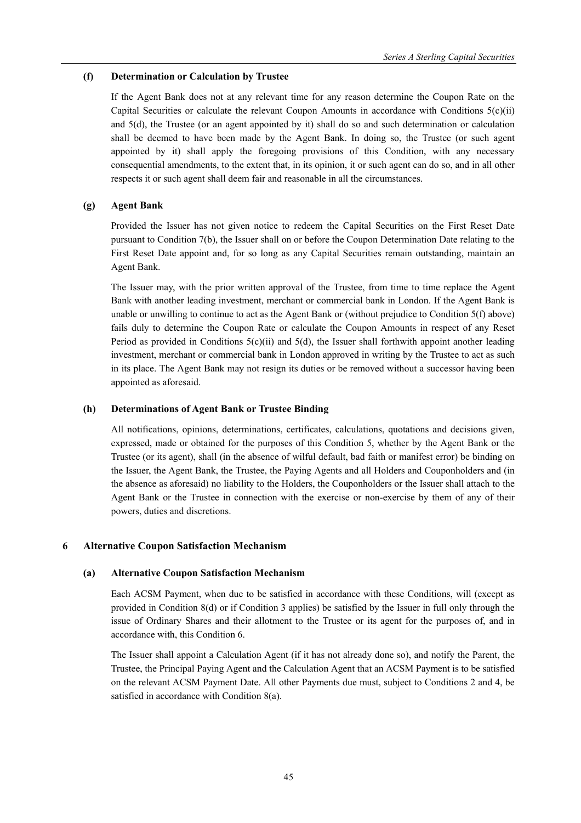# **(f) Determination or Calculation by Trustee**

If the Agent Bank does not at any relevant time for any reason determine the Coupon Rate on the Capital Securities or calculate the relevant Coupon Amounts in accordance with Conditions  $5(c)(ii)$ and 5(d), the Trustee (or an agent appointed by it) shall do so and such determination or calculation shall be deemed to have been made by the Agent Bank. In doing so, the Trustee (or such agent appointed by it) shall apply the foregoing provisions of this Condition, with any necessary consequential amendments, to the extent that, in its opinion, it or such agent can do so, and in all other respects it or such agent shall deem fair and reasonable in all the circumstances.

# **(g) Agent Bank**

Provided the Issuer has not given notice to redeem the Capital Securities on the First Reset Date pursuant to Condition 7(b), the Issuer shall on or before the Coupon Determination Date relating to the First Reset Date appoint and, for so long as any Capital Securities remain outstanding, maintain an Agent Bank.

The Issuer may, with the prior written approval of the Trustee, from time to time replace the Agent Bank with another leading investment, merchant or commercial bank in London. If the Agent Bank is unable or unwilling to continue to act as the Agent Bank or (without prejudice to Condition 5(f) above) fails duly to determine the Coupon Rate or calculate the Coupon Amounts in respect of any Reset Period as provided in Conditions  $5(c)(ii)$  and  $5(d)$ , the Issuer shall forthwith appoint another leading investment, merchant or commercial bank in London approved in writing by the Trustee to act as such in its place. The Agent Bank may not resign its duties or be removed without a successor having been appointed as aforesaid.

# **(h) Determinations of Agent Bank or Trustee Binding**

All notifications, opinions, determinations, certificates, calculations, quotations and decisions given, expressed, made or obtained for the purposes of this Condition 5, whether by the Agent Bank or the Trustee (or its agent), shall (in the absence of wilful default, bad faith or manifest error) be binding on the Issuer, the Agent Bank, the Trustee, the Paying Agents and all Holders and Couponholders and (in the absence as aforesaid) no liability to the Holders, the Couponholders or the Issuer shall attach to the Agent Bank or the Trustee in connection with the exercise or non-exercise by them of any of their powers, duties and discretions.

# **6 Alternative Coupon Satisfaction Mechanism**

# **(a) Alternative Coupon Satisfaction Mechanism**

Each ACSM Payment, when due to be satisfied in accordance with these Conditions, will (except as provided in Condition 8(d) or if Condition 3 applies) be satisfied by the Issuer in full only through the issue of Ordinary Shares and their allotment to the Trustee or its agent for the purposes of, and in accordance with, this Condition 6.

The Issuer shall appoint a Calculation Agent (if it has not already done so), and notify the Parent, the Trustee, the Principal Paying Agent and the Calculation Agent that an ACSM Payment is to be satisfied on the relevant ACSM Payment Date. All other Payments due must, subject to Conditions 2 and 4, be satisfied in accordance with Condition 8(a).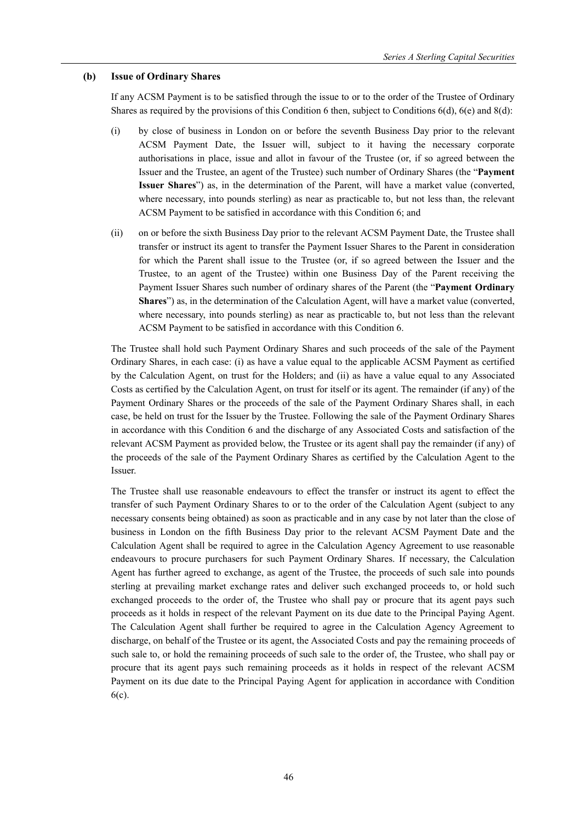### **(b) Issue of Ordinary Shares**

If any ACSM Payment is to be satisfied through the issue to or to the order of the Trustee of Ordinary Shares as required by the provisions of this Condition 6 then, subject to Conditions 6(d), 6(e) and 8(d):

- (i) by close of business in London on or before the seventh Business Day prior to the relevant ACSM Payment Date, the Issuer will, subject to it having the necessary corporate authorisations in place, issue and allot in favour of the Trustee (or, if so agreed between the Issuer and the Trustee, an agent of the Trustee) such number of Ordinary Shares (the "**Payment Issuer Shares**") as, in the determination of the Parent, will have a market value (converted, where necessary, into pounds sterling) as near as practicable to, but not less than, the relevant ACSM Payment to be satisfied in accordance with this Condition 6; and
- (ii) on or before the sixth Business Day prior to the relevant ACSM Payment Date, the Trustee shall transfer or instruct its agent to transfer the Payment Issuer Shares to the Parent in consideration for which the Parent shall issue to the Trustee (or, if so agreed between the Issuer and the Trustee, to an agent of the Trustee) within one Business Day of the Parent receiving the Payment Issuer Shares such number of ordinary shares of the Parent (the "**Payment Ordinary Shares**") as, in the determination of the Calculation Agent, will have a market value (converted, where necessary, into pounds sterling) as near as practicable to, but not less than the relevant ACSM Payment to be satisfied in accordance with this Condition 6.

The Trustee shall hold such Payment Ordinary Shares and such proceeds of the sale of the Payment Ordinary Shares, in each case: (i) as have a value equal to the applicable ACSM Payment as certified by the Calculation Agent, on trust for the Holders; and (ii) as have a value equal to any Associated Costs as certified by the Calculation Agent, on trust for itself or its agent. The remainder (if any) of the Payment Ordinary Shares or the proceeds of the sale of the Payment Ordinary Shares shall, in each case, be held on trust for the Issuer by the Trustee. Following the sale of the Payment Ordinary Shares in accordance with this Condition 6 and the discharge of any Associated Costs and satisfaction of the relevant ACSM Payment as provided below, the Trustee or its agent shall pay the remainder (if any) of the proceeds of the sale of the Payment Ordinary Shares as certified by the Calculation Agent to the Issuer.

The Trustee shall use reasonable endeavours to effect the transfer or instruct its agent to effect the transfer of such Payment Ordinary Shares to or to the order of the Calculation Agent (subject to any necessary consents being obtained) as soon as practicable and in any case by not later than the close of business in London on the fifth Business Day prior to the relevant ACSM Payment Date and the Calculation Agent shall be required to agree in the Calculation Agency Agreement to use reasonable endeavours to procure purchasers for such Payment Ordinary Shares. If necessary, the Calculation Agent has further agreed to exchange, as agent of the Trustee, the proceeds of such sale into pounds sterling at prevailing market exchange rates and deliver such exchanged proceeds to, or hold such exchanged proceeds to the order of, the Trustee who shall pay or procure that its agent pays such proceeds as it holds in respect of the relevant Payment on its due date to the Principal Paying Agent. The Calculation Agent shall further be required to agree in the Calculation Agency Agreement to discharge, on behalf of the Trustee or its agent, the Associated Costs and pay the remaining proceeds of such sale to, or hold the remaining proceeds of such sale to the order of, the Trustee, who shall pay or procure that its agent pays such remaining proceeds as it holds in respect of the relevant ACSM Payment on its due date to the Principal Paying Agent for application in accordance with Condition 6(c).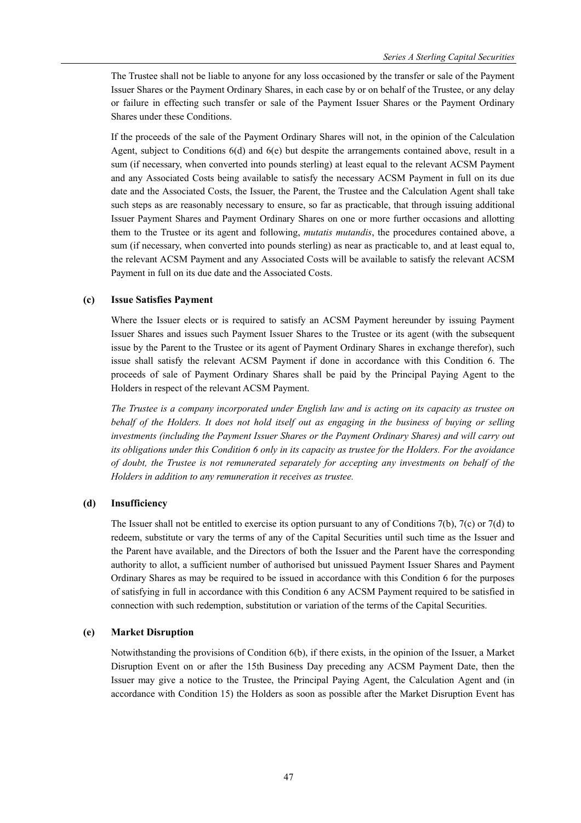The Trustee shall not be liable to anyone for any loss occasioned by the transfer or sale of the Payment Issuer Shares or the Payment Ordinary Shares, in each case by or on behalf of the Trustee, or any delay or failure in effecting such transfer or sale of the Payment Issuer Shares or the Payment Ordinary Shares under these Conditions.

If the proceeds of the sale of the Payment Ordinary Shares will not, in the opinion of the Calculation Agent, subject to Conditions 6(d) and 6(e) but despite the arrangements contained above, result in a sum (if necessary, when converted into pounds sterling) at least equal to the relevant ACSM Payment and any Associated Costs being available to satisfy the necessary ACSM Payment in full on its due date and the Associated Costs, the Issuer, the Parent, the Trustee and the Calculation Agent shall take such steps as are reasonably necessary to ensure, so far as practicable, that through issuing additional Issuer Payment Shares and Payment Ordinary Shares on one or more further occasions and allotting them to the Trustee or its agent and following, *mutatis mutandis*, the procedures contained above, a sum (if necessary, when converted into pounds sterling) as near as practicable to, and at least equal to, the relevant ACSM Payment and any Associated Costs will be available to satisfy the relevant ACSM Payment in full on its due date and the Associated Costs.

# **(c) Issue Satisfies Payment**

Where the Issuer elects or is required to satisfy an ACSM Payment hereunder by issuing Payment Issuer Shares and issues such Payment Issuer Shares to the Trustee or its agent (with the subsequent issue by the Parent to the Trustee or its agent of Payment Ordinary Shares in exchange therefor), such issue shall satisfy the relevant ACSM Payment if done in accordance with this Condition 6. The proceeds of sale of Payment Ordinary Shares shall be paid by the Principal Paying Agent to the Holders in respect of the relevant ACSM Payment.

*The Trustee is a company incorporated under English law and is acting on its capacity as trustee on behalf of the Holders. It does not hold itself out as engaging in the business of buying or selling investments (including the Payment Issuer Shares or the Payment Ordinary Shares) and will carry out its obligations under this Condition 6 only in its capacity as trustee for the Holders. For the avoidance of doubt, the Trustee is not remunerated separately for accepting any investments on behalf of the Holders in addition to any remuneration it receives as trustee.* 

# **(d) Insufficiency**

The Issuer shall not be entitled to exercise its option pursuant to any of Conditions 7(b), 7(c) or 7(d) to redeem, substitute or vary the terms of any of the Capital Securities until such time as the Issuer and the Parent have available, and the Directors of both the Issuer and the Parent have the corresponding authority to allot, a sufficient number of authorised but unissued Payment Issuer Shares and Payment Ordinary Shares as may be required to be issued in accordance with this Condition 6 for the purposes of satisfying in full in accordance with this Condition 6 any ACSM Payment required to be satisfied in connection with such redemption, substitution or variation of the terms of the Capital Securities.

# **(e) Market Disruption**

Notwithstanding the provisions of Condition 6(b), if there exists, in the opinion of the Issuer, a Market Disruption Event on or after the 15th Business Day preceding any ACSM Payment Date, then the Issuer may give a notice to the Trustee, the Principal Paying Agent, the Calculation Agent and (in accordance with Condition 15) the Holders as soon as possible after the Market Disruption Event has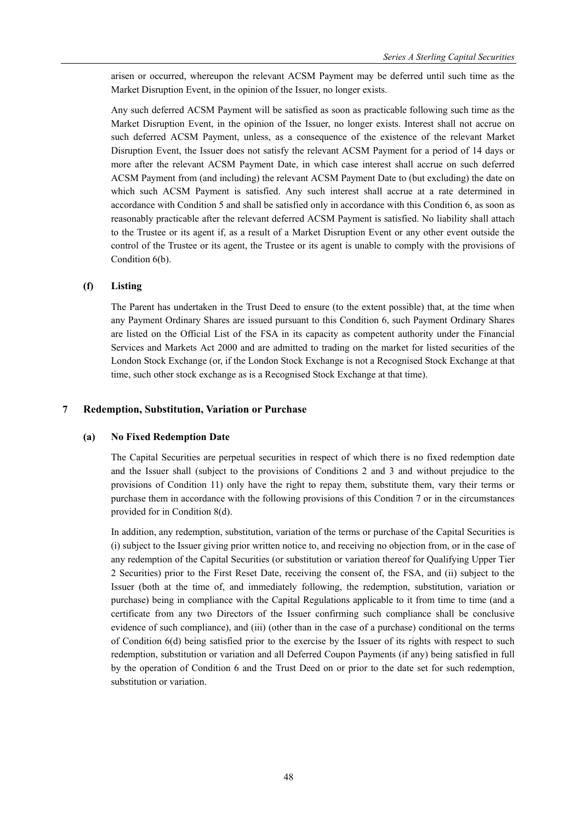arisen or occurred, whereupon the relevant ACSM Payment may be deferred until such time as the Market Disruption Event, in the opinion of the Issuer, no longer exists.

Any such deferred ACSM Payment will be satisfied as soon as practicable following such time as the Market Disruption Event, in the opinion of the Issuer, no longer exists. Interest shall not accrue on such deferred ACSM Payment, unless, as a consequence of the existence of the relevant Market Disruption Event, the Issuer does not satisfy the relevant ACSM Payment for a period of 14 days or more after the relevant ACSM Payment Date, in which case interest shall accrue on such deferred ACSM Payment from (and including) the relevant ACSM Payment Date to (but excluding) the date on which such ACSM Payment is satisfied. Any such interest shall accrue at a rate determined in accordance with Condition 5 and shall be satisfied only in accordance with this Condition 6, as soon as reasonably practicable after the relevant deferred ACSM Payment is satisfied. No liability shall attach to the Trustee or its agent if, as a result of a Market Disruption Event or any other event outside the control of the Trustee or its agent, the Trustee or its agent is unable to comply with the provisions of Condition 6(b).

### **(f) Listing**

The Parent has undertaken in the Trust Deed to ensure (to the extent possible) that, at the time when any Payment Ordinary Shares are issued pursuant to this Condition 6, such Payment Ordinary Shares are listed on the Official List of the FSA in its capacity as competent authority under the Financial Services and Markets Act 2000 and are admitted to trading on the market for listed securities of the London Stock Exchange (or, if the London Stock Exchange is not a Recognised Stock Exchange at that time, such other stock exchange as is a Recognised Stock Exchange at that time).

### **7 Redemption, Substitution, Variation or Purchase**

#### **(a) No Fixed Redemption Date**

The Capital Securities are perpetual securities in respect of which there is no fixed redemption date and the Issuer shall (subject to the provisions of Conditions 2 and 3 and without prejudice to the provisions of Condition 11) only have the right to repay them, substitute them, vary their terms or purchase them in accordance with the following provisions of this Condition 7 or in the circumstances provided for in Condition 8(d).

In addition, any redemption, substitution, variation of the terms or purchase of the Capital Securities is (i) subject to the Issuer giving prior written notice to, and receiving no objection from, or in the case of any redemption of the Capital Securities (or substitution or variation thereof for Qualifying Upper Tier 2 Securities) prior to the First Reset Date, receiving the consent of, the FSA, and (ii) subject to the Issuer (both at the time of, and immediately following, the redemption, substitution, variation or purchase) being in compliance with the Capital Regulations applicable to it from time to time (and a certificate from any two Directors of the Issuer confirming such compliance shall be conclusive evidence of such compliance), and (iii) (other than in the case of a purchase) conditional on the terms of Condition 6(d) being satisfied prior to the exercise by the Issuer of its rights with respect to such redemption, substitution or variation and all Deferred Coupon Payments (if any) being satisfied in full by the operation of Condition 6 and the Trust Deed on or prior to the date set for such redemption, substitution or variation.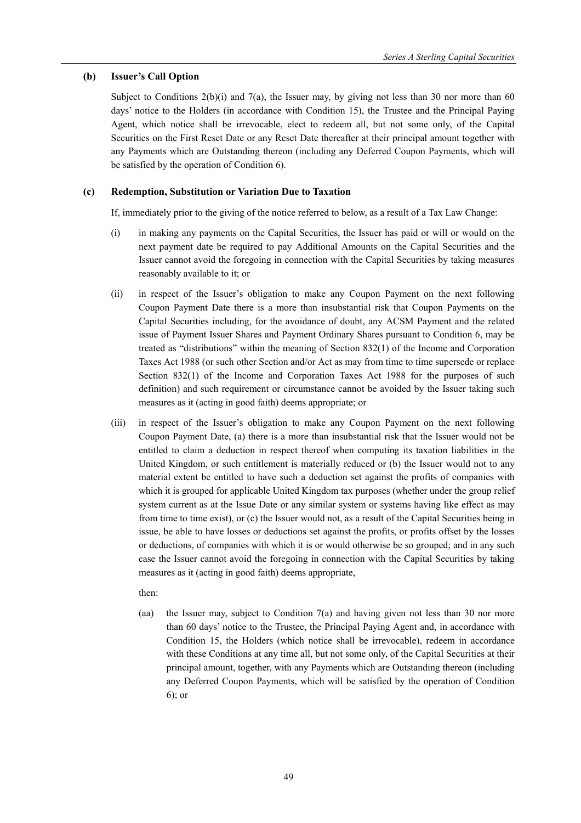### **(b) Issuer's Call Option**

Subject to Conditions  $2(b)(i)$  and  $7(a)$ , the Issuer may, by giving not less than 30 nor more than 60 days' notice to the Holders (in accordance with Condition 15), the Trustee and the Principal Paying Agent, which notice shall be irrevocable, elect to redeem all, but not some only, of the Capital Securities on the First Reset Date or any Reset Date thereafter at their principal amount together with any Payments which are Outstanding thereon (including any Deferred Coupon Payments, which will be satisfied by the operation of Condition 6).

# **(c) Redemption, Substitution or Variation Due to Taxation**

If, immediately prior to the giving of the notice referred to below, as a result of a Tax Law Change:

- (i) in making any payments on the Capital Securities, the Issuer has paid or will or would on the next payment date be required to pay Additional Amounts on the Capital Securities and the Issuer cannot avoid the foregoing in connection with the Capital Securities by taking measures reasonably available to it; or
- (ii) in respect of the Issuer's obligation to make any Coupon Payment on the next following Coupon Payment Date there is a more than insubstantial risk that Coupon Payments on the Capital Securities including, for the avoidance of doubt, any ACSM Payment and the related issue of Payment Issuer Shares and Payment Ordinary Shares pursuant to Condition 6, may be treated as "distributions" within the meaning of Section 832(1) of the Income and Corporation Taxes Act 1988 (or such other Section and/or Act as may from time to time supersede or replace Section 832(1) of the Income and Corporation Taxes Act 1988 for the purposes of such definition) and such requirement or circumstance cannot be avoided by the Issuer taking such measures as it (acting in good faith) deems appropriate; or
- (iii) in respect of the Issuer's obligation to make any Coupon Payment on the next following Coupon Payment Date, (a) there is a more than insubstantial risk that the Issuer would not be entitled to claim a deduction in respect thereof when computing its taxation liabilities in the United Kingdom, or such entitlement is materially reduced or (b) the Issuer would not to any material extent be entitled to have such a deduction set against the profits of companies with which it is grouped for applicable United Kingdom tax purposes (whether under the group relief system current as at the Issue Date or any similar system or systems having like effect as may from time to time exist), or (c) the Issuer would not, as a result of the Capital Securities being in issue, be able to have losses or deductions set against the profits, or profits offset by the losses or deductions, of companies with which it is or would otherwise be so grouped; and in any such case the Issuer cannot avoid the foregoing in connection with the Capital Securities by taking measures as it (acting in good faith) deems appropriate,

### then:

(aa) the Issuer may, subject to Condition 7(a) and having given not less than 30 nor more than 60 days' notice to the Trustee, the Principal Paying Agent and, in accordance with Condition 15, the Holders (which notice shall be irrevocable), redeem in accordance with these Conditions at any time all, but not some only, of the Capital Securities at their principal amount, together, with any Payments which are Outstanding thereon (including any Deferred Coupon Payments, which will be satisfied by the operation of Condition 6); or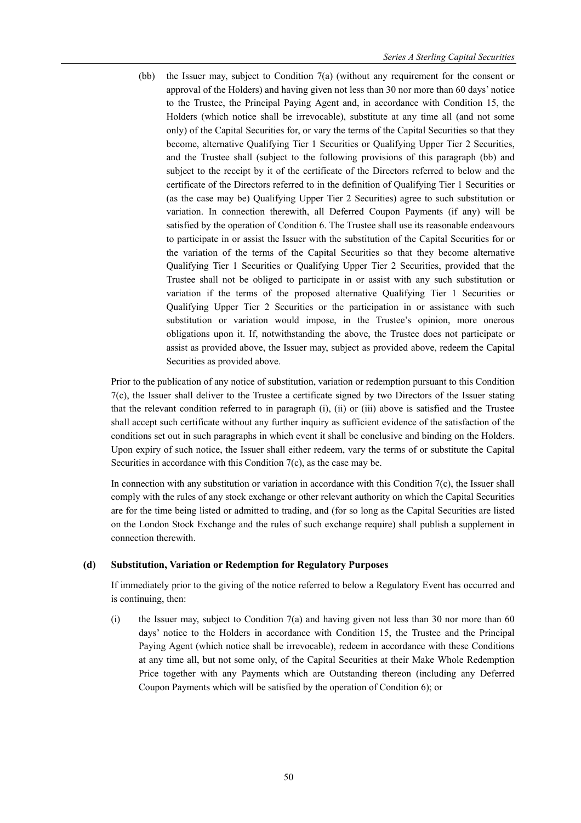(bb) the Issuer may, subject to Condition 7(a) (without any requirement for the consent or approval of the Holders) and having given not less than 30 nor more than 60 days' notice to the Trustee, the Principal Paying Agent and, in accordance with Condition 15, the Holders (which notice shall be irrevocable), substitute at any time all (and not some only) of the Capital Securities for, or vary the terms of the Capital Securities so that they become, alternative Qualifying Tier 1 Securities or Qualifying Upper Tier 2 Securities, and the Trustee shall (subject to the following provisions of this paragraph (bb) and subject to the receipt by it of the certificate of the Directors referred to below and the certificate of the Directors referred to in the definition of Qualifying Tier 1 Securities or (as the case may be) Qualifying Upper Tier 2 Securities) agree to such substitution or variation. In connection therewith, all Deferred Coupon Payments (if any) will be satisfied by the operation of Condition 6. The Trustee shall use its reasonable endeavours to participate in or assist the Issuer with the substitution of the Capital Securities for or the variation of the terms of the Capital Securities so that they become alternative Qualifying Tier 1 Securities or Qualifying Upper Tier 2 Securities, provided that the Trustee shall not be obliged to participate in or assist with any such substitution or variation if the terms of the proposed alternative Qualifying Tier 1 Securities or Qualifying Upper Tier 2 Securities or the participation in or assistance with such substitution or variation would impose, in the Trustee's opinion, more onerous obligations upon it. If, notwithstanding the above, the Trustee does not participate or assist as provided above, the Issuer may, subject as provided above, redeem the Capital Securities as provided above.

Prior to the publication of any notice of substitution, variation or redemption pursuant to this Condition 7(c), the Issuer shall deliver to the Trustee a certificate signed by two Directors of the Issuer stating that the relevant condition referred to in paragraph (i), (ii) or (iii) above is satisfied and the Trustee shall accept such certificate without any further inquiry as sufficient evidence of the satisfaction of the conditions set out in such paragraphs in which event it shall be conclusive and binding on the Holders. Upon expiry of such notice, the Issuer shall either redeem, vary the terms of or substitute the Capital Securities in accordance with this Condition 7(c), as the case may be.

In connection with any substitution or variation in accordance with this Condition 7(c), the Issuer shall comply with the rules of any stock exchange or other relevant authority on which the Capital Securities are for the time being listed or admitted to trading, and (for so long as the Capital Securities are listed on the London Stock Exchange and the rules of such exchange require) shall publish a supplement in connection therewith.

#### **(d) Substitution, Variation or Redemption for Regulatory Purposes**

If immediately prior to the giving of the notice referred to below a Regulatory Event has occurred and is continuing, then:

(i) the Issuer may, subject to Condition 7(a) and having given not less than 30 nor more than 60 days' notice to the Holders in accordance with Condition 15, the Trustee and the Principal Paying Agent (which notice shall be irrevocable), redeem in accordance with these Conditions at any time all, but not some only, of the Capital Securities at their Make Whole Redemption Price together with any Payments which are Outstanding thereon (including any Deferred Coupon Payments which will be satisfied by the operation of Condition 6); or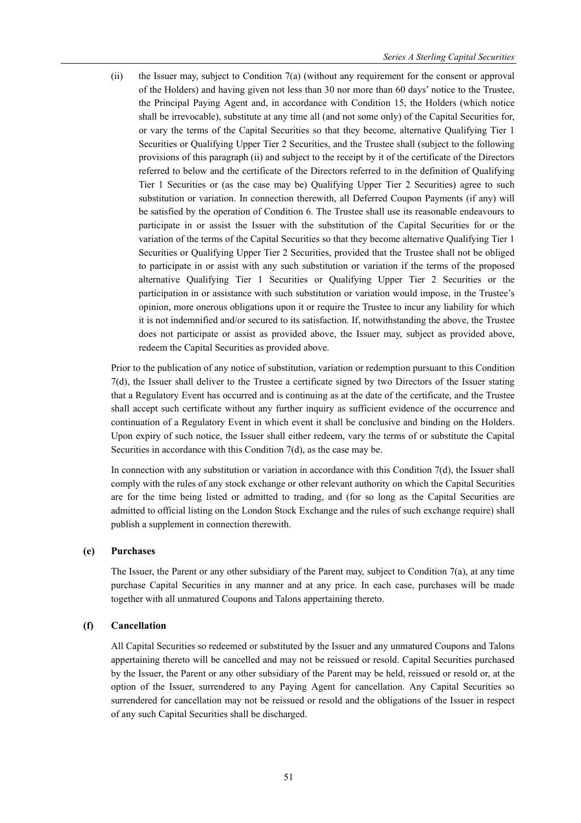(ii) the Issuer may, subject to Condition 7(a) (without any requirement for the consent or approval of the Holders) and having given not less than 30 nor more than 60 days' notice to the Trustee, the Principal Paying Agent and, in accordance with Condition 15, the Holders (which notice shall be irrevocable), substitute at any time all (and not some only) of the Capital Securities for, or vary the terms of the Capital Securities so that they become, alternative Qualifying Tier 1 Securities or Qualifying Upper Tier 2 Securities, and the Trustee shall (subject to the following provisions of this paragraph (ii) and subject to the receipt by it of the certificate of the Directors referred to below and the certificate of the Directors referred to in the definition of Qualifying Tier 1 Securities or (as the case may be) Qualifying Upper Tier 2 Securities) agree to such substitution or variation. In connection therewith, all Deferred Coupon Payments (if any) will be satisfied by the operation of Condition 6. The Trustee shall use its reasonable endeavours to participate in or assist the Issuer with the substitution of the Capital Securities for or the variation of the terms of the Capital Securities so that they become alternative Qualifying Tier 1 Securities or Qualifying Upper Tier 2 Securities, provided that the Trustee shall not be obliged to participate in or assist with any such substitution or variation if the terms of the proposed alternative Qualifying Tier 1 Securities or Qualifying Upper Tier 2 Securities or the participation in or assistance with such substitution or variation would impose, in the Trustee's opinion, more onerous obligations upon it or require the Trustee to incur any liability for which it is not indemnified and/or secured to its satisfaction. If, notwithstanding the above, the Trustee does not participate or assist as provided above, the Issuer may, subject as provided above, redeem the Capital Securities as provided above.

Prior to the publication of any notice of substitution, variation or redemption pursuant to this Condition 7(d), the Issuer shall deliver to the Trustee a certificate signed by two Directors of the Issuer stating that a Regulatory Event has occurred and is continuing as at the date of the certificate, and the Trustee shall accept such certificate without any further inquiry as sufficient evidence of the occurrence and continuation of a Regulatory Event in which event it shall be conclusive and binding on the Holders. Upon expiry of such notice, the Issuer shall either redeem, vary the terms of or substitute the Capital Securities in accordance with this Condition 7(d), as the case may be.

In connection with any substitution or variation in accordance with this Condition 7(d), the Issuer shall comply with the rules of any stock exchange or other relevant authority on which the Capital Securities are for the time being listed or admitted to trading, and (for so long as the Capital Securities are admitted to official listing on the London Stock Exchange and the rules of such exchange require) shall publish a supplement in connection therewith.

#### **(e) Purchases**

The Issuer, the Parent or any other subsidiary of the Parent may, subject to Condition 7(a), at any time purchase Capital Securities in any manner and at any price. In each case, purchases will be made together with all unmatured Coupons and Talons appertaining thereto.

### **(f) Cancellation**

All Capital Securities so redeemed or substituted by the Issuer and any unmatured Coupons and Talons appertaining thereto will be cancelled and may not be reissued or resold. Capital Securities purchased by the Issuer, the Parent or any other subsidiary of the Parent may be held, reissued or resold or, at the option of the Issuer, surrendered to any Paying Agent for cancellation. Any Capital Securities so surrendered for cancellation may not be reissued or resold and the obligations of the Issuer in respect of any such Capital Securities shall be discharged.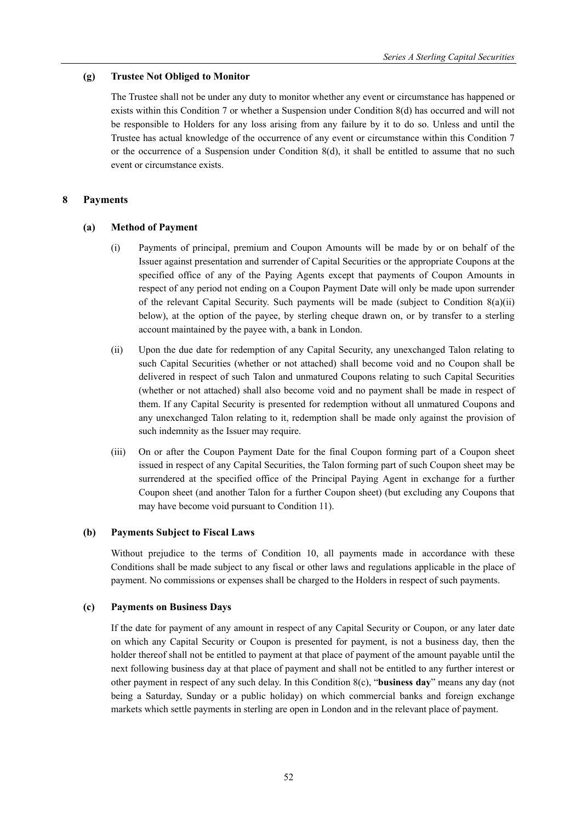# **(g) Trustee Not Obliged to Monitor**

The Trustee shall not be under any duty to monitor whether any event or circumstance has happened or exists within this Condition 7 or whether a Suspension under Condition 8(d) has occurred and will not be responsible to Holders for any loss arising from any failure by it to do so. Unless and until the Trustee has actual knowledge of the occurrence of any event or circumstance within this Condition 7 or the occurrence of a Suspension under Condition 8(d), it shall be entitled to assume that no such event or circumstance exists.

# **8 Payments**

# **(a) Method of Payment**

- (i) Payments of principal, premium and Coupon Amounts will be made by or on behalf of the Issuer against presentation and surrender of Capital Securities or the appropriate Coupons at the specified office of any of the Paying Agents except that payments of Coupon Amounts in respect of any period not ending on a Coupon Payment Date will only be made upon surrender of the relevant Capital Security. Such payments will be made (subject to Condition  $8(a)(ii)$ ) below), at the option of the payee, by sterling cheque drawn on, or by transfer to a sterling account maintained by the payee with, a bank in London.
- (ii) Upon the due date for redemption of any Capital Security, any unexchanged Talon relating to such Capital Securities (whether or not attached) shall become void and no Coupon shall be delivered in respect of such Talon and unmatured Coupons relating to such Capital Securities (whether or not attached) shall also become void and no payment shall be made in respect of them. If any Capital Security is presented for redemption without all unmatured Coupons and any unexchanged Talon relating to it, redemption shall be made only against the provision of such indemnity as the Issuer may require.
- (iii) On or after the Coupon Payment Date for the final Coupon forming part of a Coupon sheet issued in respect of any Capital Securities, the Talon forming part of such Coupon sheet may be surrendered at the specified office of the Principal Paying Agent in exchange for a further Coupon sheet (and another Talon for a further Coupon sheet) (but excluding any Coupons that may have become void pursuant to Condition 11).

# **(b) Payments Subject to Fiscal Laws**

Without prejudice to the terms of Condition 10, all payments made in accordance with these Conditions shall be made subject to any fiscal or other laws and regulations applicable in the place of payment. No commissions or expenses shall be charged to the Holders in respect of such payments.

# **(c) Payments on Business Days**

If the date for payment of any amount in respect of any Capital Security or Coupon, or any later date on which any Capital Security or Coupon is presented for payment, is not a business day, then the holder thereof shall not be entitled to payment at that place of payment of the amount payable until the next following business day at that place of payment and shall not be entitled to any further interest or other payment in respect of any such delay. In this Condition 8(c), "**business day**" means any day (not being a Saturday, Sunday or a public holiday) on which commercial banks and foreign exchange markets which settle payments in sterling are open in London and in the relevant place of payment.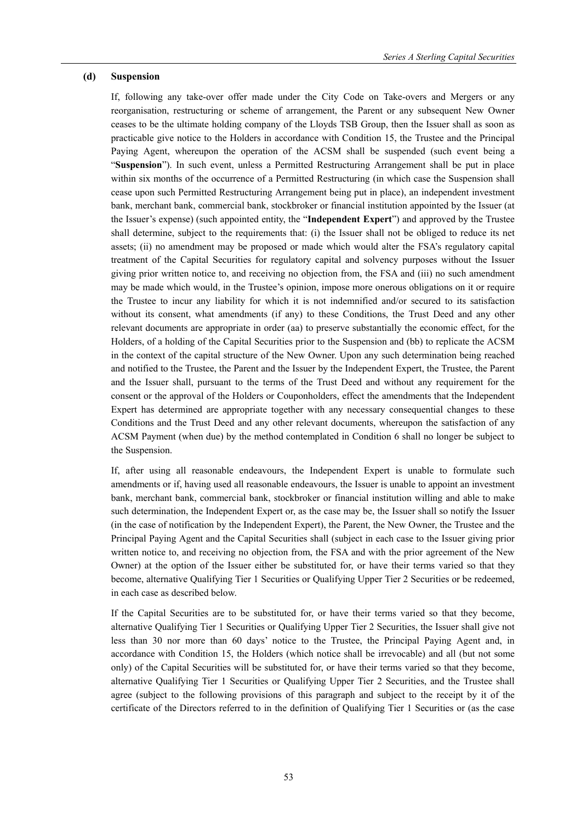#### **(d) Suspension**

If, following any take-over offer made under the City Code on Take-overs and Mergers or any reorganisation, restructuring or scheme of arrangement, the Parent or any subsequent New Owner ceases to be the ultimate holding company of the Lloyds TSB Group, then the Issuer shall as soon as practicable give notice to the Holders in accordance with Condition 15, the Trustee and the Principal Paying Agent, whereupon the operation of the ACSM shall be suspended (such event being a "**Suspension**"). In such event, unless a Permitted Restructuring Arrangement shall be put in place within six months of the occurrence of a Permitted Restructuring (in which case the Suspension shall cease upon such Permitted Restructuring Arrangement being put in place), an independent investment bank, merchant bank, commercial bank, stockbroker or financial institution appointed by the Issuer (at the Issuer's expense) (such appointed entity, the "**Independent Expert**") and approved by the Trustee shall determine, subject to the requirements that: (i) the Issuer shall not be obliged to reduce its net assets; (ii) no amendment may be proposed or made which would alter the FSA's regulatory capital treatment of the Capital Securities for regulatory capital and solvency purposes without the Issuer giving prior written notice to, and receiving no objection from, the FSA and (iii) no such amendment may be made which would, in the Trustee's opinion, impose more onerous obligations on it or require the Trustee to incur any liability for which it is not indemnified and/or secured to its satisfaction without its consent, what amendments (if any) to these Conditions, the Trust Deed and any other relevant documents are appropriate in order (aa) to preserve substantially the economic effect, for the Holders, of a holding of the Capital Securities prior to the Suspension and (bb) to replicate the ACSM in the context of the capital structure of the New Owner. Upon any such determination being reached and notified to the Trustee, the Parent and the Issuer by the Independent Expert, the Trustee, the Parent and the Issuer shall, pursuant to the terms of the Trust Deed and without any requirement for the consent or the approval of the Holders or Couponholders, effect the amendments that the Independent Expert has determined are appropriate together with any necessary consequential changes to these Conditions and the Trust Deed and any other relevant documents, whereupon the satisfaction of any ACSM Payment (when due) by the method contemplated in Condition 6 shall no longer be subject to the Suspension.

If, after using all reasonable endeavours, the Independent Expert is unable to formulate such amendments or if, having used all reasonable endeavours, the Issuer is unable to appoint an investment bank, merchant bank, commercial bank, stockbroker or financial institution willing and able to make such determination, the Independent Expert or, as the case may be, the Issuer shall so notify the Issuer (in the case of notification by the Independent Expert), the Parent, the New Owner, the Trustee and the Principal Paying Agent and the Capital Securities shall (subject in each case to the Issuer giving prior written notice to, and receiving no objection from, the FSA and with the prior agreement of the New Owner) at the option of the Issuer either be substituted for, or have their terms varied so that they become, alternative Qualifying Tier 1 Securities or Qualifying Upper Tier 2 Securities or be redeemed, in each case as described below.

If the Capital Securities are to be substituted for, or have their terms varied so that they become, alternative Qualifying Tier 1 Securities or Qualifying Upper Tier 2 Securities, the Issuer shall give not less than 30 nor more than 60 days' notice to the Trustee, the Principal Paying Agent and, in accordance with Condition 15, the Holders (which notice shall be irrevocable) and all (but not some only) of the Capital Securities will be substituted for, or have their terms varied so that they become, alternative Qualifying Tier 1 Securities or Qualifying Upper Tier 2 Securities, and the Trustee shall agree (subject to the following provisions of this paragraph and subject to the receipt by it of the certificate of the Directors referred to in the definition of Qualifying Tier 1 Securities or (as the case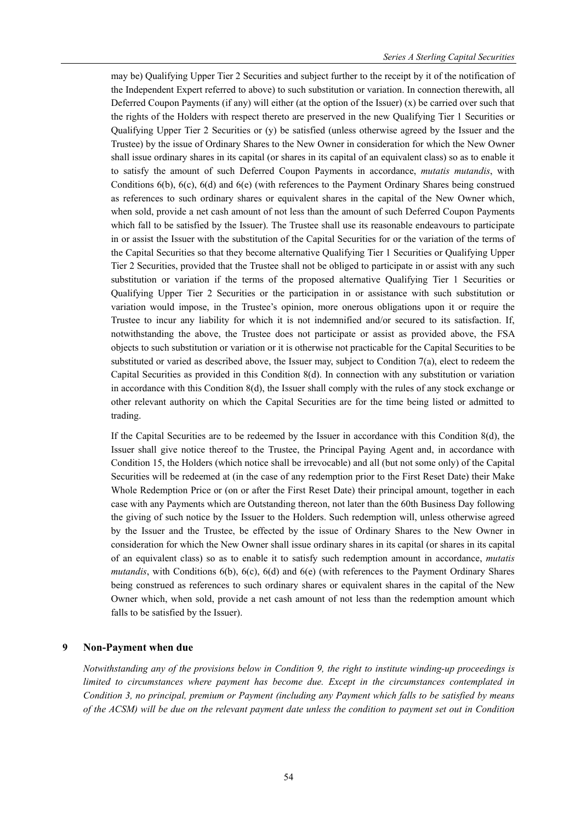may be) Qualifying Upper Tier 2 Securities and subject further to the receipt by it of the notification of the Independent Expert referred to above) to such substitution or variation. In connection therewith, all Deferred Coupon Payments (if any) will either (at the option of the Issuer)  $(x)$  be carried over such that the rights of the Holders with respect thereto are preserved in the new Qualifying Tier 1 Securities or Qualifying Upper Tier 2 Securities or (y) be satisfied (unless otherwise agreed by the Issuer and the Trustee) by the issue of Ordinary Shares to the New Owner in consideration for which the New Owner shall issue ordinary shares in its capital (or shares in its capital of an equivalent class) so as to enable it to satisfy the amount of such Deferred Coupon Payments in accordance, *mutatis mutandis*, with Conditions 6(b), 6(c), 6(d) and 6(e) (with references to the Payment Ordinary Shares being construed as references to such ordinary shares or equivalent shares in the capital of the New Owner which, when sold, provide a net cash amount of not less than the amount of such Deferred Coupon Payments which fall to be satisfied by the Issuer). The Trustee shall use its reasonable endeavours to participate in or assist the Issuer with the substitution of the Capital Securities for or the variation of the terms of the Capital Securities so that they become alternative Qualifying Tier 1 Securities or Qualifying Upper Tier 2 Securities, provided that the Trustee shall not be obliged to participate in or assist with any such substitution or variation if the terms of the proposed alternative Qualifying Tier 1 Securities or Qualifying Upper Tier 2 Securities or the participation in or assistance with such substitution or variation would impose, in the Trustee's opinion, more onerous obligations upon it or require the Trustee to incur any liability for which it is not indemnified and/or secured to its satisfaction. If, notwithstanding the above, the Trustee does not participate or assist as provided above, the FSA objects to such substitution or variation or it is otherwise not practicable for the Capital Securities to be substituted or varied as described above, the Issuer may, subject to Condition 7(a), elect to redeem the Capital Securities as provided in this Condition 8(d). In connection with any substitution or variation in accordance with this Condition 8(d), the Issuer shall comply with the rules of any stock exchange or other relevant authority on which the Capital Securities are for the time being listed or admitted to trading.

If the Capital Securities are to be redeemed by the Issuer in accordance with this Condition 8(d), the Issuer shall give notice thereof to the Trustee, the Principal Paying Agent and, in accordance with Condition 15, the Holders (which notice shall be irrevocable) and all (but not some only) of the Capital Securities will be redeemed at (in the case of any redemption prior to the First Reset Date) their Make Whole Redemption Price or (on or after the First Reset Date) their principal amount, together in each case with any Payments which are Outstanding thereon, not later than the 60th Business Day following the giving of such notice by the Issuer to the Holders. Such redemption will, unless otherwise agreed by the Issuer and the Trustee, be effected by the issue of Ordinary Shares to the New Owner in consideration for which the New Owner shall issue ordinary shares in its capital (or shares in its capital of an equivalent class) so as to enable it to satisfy such redemption amount in accordance, *mutatis mutandis*, with Conditions 6(b), 6(c), 6(d) and 6(e) (with references to the Payment Ordinary Shares being construed as references to such ordinary shares or equivalent shares in the capital of the New Owner which, when sold, provide a net cash amount of not less than the redemption amount which falls to be satisfied by the Issuer).

### **9 Non-Payment when due**

*Notwithstanding any of the provisions below in Condition 9, the right to institute winding-up proceedings is limited to circumstances where payment has become due. Except in the circumstances contemplated in Condition 3, no principal, premium or Payment (including any Payment which falls to be satisfied by means of the ACSM) will be due on the relevant payment date unless the condition to payment set out in Condition*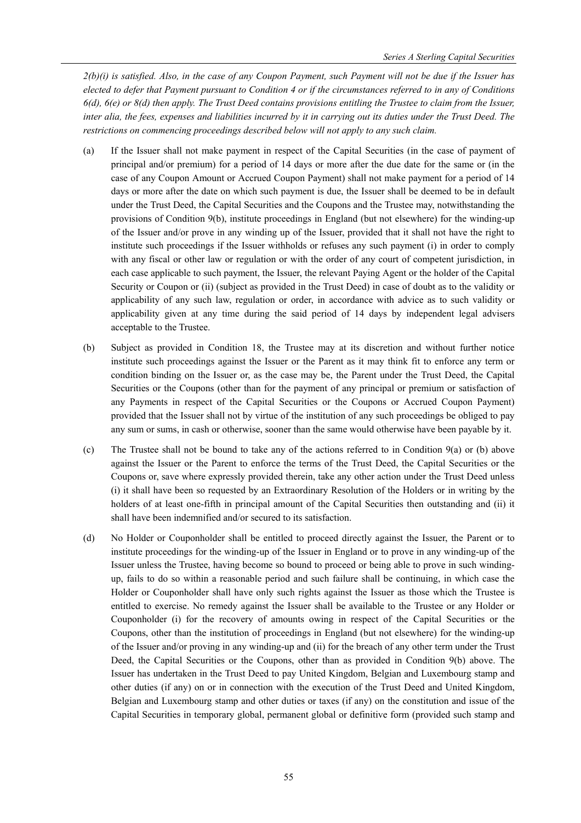*2(b)(i) is satisfied. Also, in the case of any Coupon Payment, such Payment will not be due if the Issuer has elected to defer that Payment pursuant to Condition 4 or if the circumstances referred to in any of Conditions 6(d), 6(e) or 8(d) then apply. The Trust Deed contains provisions entitling the Trustee to claim from the Issuer, inter alia, the fees, expenses and liabilities incurred by it in carrying out its duties under the Trust Deed. The restrictions on commencing proceedings described below will not apply to any such claim.* 

- (a) If the Issuer shall not make payment in respect of the Capital Securities (in the case of payment of principal and/or premium) for a period of 14 days or more after the due date for the same or (in the case of any Coupon Amount or Accrued Coupon Payment) shall not make payment for a period of 14 days or more after the date on which such payment is due, the Issuer shall be deemed to be in default under the Trust Deed, the Capital Securities and the Coupons and the Trustee may, notwithstanding the provisions of Condition 9(b), institute proceedings in England (but not elsewhere) for the winding-up of the Issuer and/or prove in any winding up of the Issuer, provided that it shall not have the right to institute such proceedings if the Issuer withholds or refuses any such payment (i) in order to comply with any fiscal or other law or regulation or with the order of any court of competent jurisdiction, in each case applicable to such payment, the Issuer, the relevant Paying Agent or the holder of the Capital Security or Coupon or (ii) (subject as provided in the Trust Deed) in case of doubt as to the validity or applicability of any such law, regulation or order, in accordance with advice as to such validity or applicability given at any time during the said period of 14 days by independent legal advisers acceptable to the Trustee.
- (b) Subject as provided in Condition 18, the Trustee may at its discretion and without further notice institute such proceedings against the Issuer or the Parent as it may think fit to enforce any term or condition binding on the Issuer or, as the case may be, the Parent under the Trust Deed, the Capital Securities or the Coupons (other than for the payment of any principal or premium or satisfaction of any Payments in respect of the Capital Securities or the Coupons or Accrued Coupon Payment) provided that the Issuer shall not by virtue of the institution of any such proceedings be obliged to pay any sum or sums, in cash or otherwise, sooner than the same would otherwise have been payable by it.
- (c) The Trustee shall not be bound to take any of the actions referred to in Condition 9(a) or (b) above against the Issuer or the Parent to enforce the terms of the Trust Deed, the Capital Securities or the Coupons or, save where expressly provided therein, take any other action under the Trust Deed unless (i) it shall have been so requested by an Extraordinary Resolution of the Holders or in writing by the holders of at least one-fifth in principal amount of the Capital Securities then outstanding and (ii) it shall have been indemnified and/or secured to its satisfaction.
- (d) No Holder or Couponholder shall be entitled to proceed directly against the Issuer, the Parent or to institute proceedings for the winding-up of the Issuer in England or to prove in any winding-up of the Issuer unless the Trustee, having become so bound to proceed or being able to prove in such windingup, fails to do so within a reasonable period and such failure shall be continuing, in which case the Holder or Couponholder shall have only such rights against the Issuer as those which the Trustee is entitled to exercise. No remedy against the Issuer shall be available to the Trustee or any Holder or Couponholder (i) for the recovery of amounts owing in respect of the Capital Securities or the Coupons, other than the institution of proceedings in England (but not elsewhere) for the winding-up of the Issuer and/or proving in any winding-up and (ii) for the breach of any other term under the Trust Deed, the Capital Securities or the Coupons, other than as provided in Condition 9(b) above. The Issuer has undertaken in the Trust Deed to pay United Kingdom, Belgian and Luxembourg stamp and other duties (if any) on or in connection with the execution of the Trust Deed and United Kingdom, Belgian and Luxembourg stamp and other duties or taxes (if any) on the constitution and issue of the Capital Securities in temporary global, permanent global or definitive form (provided such stamp and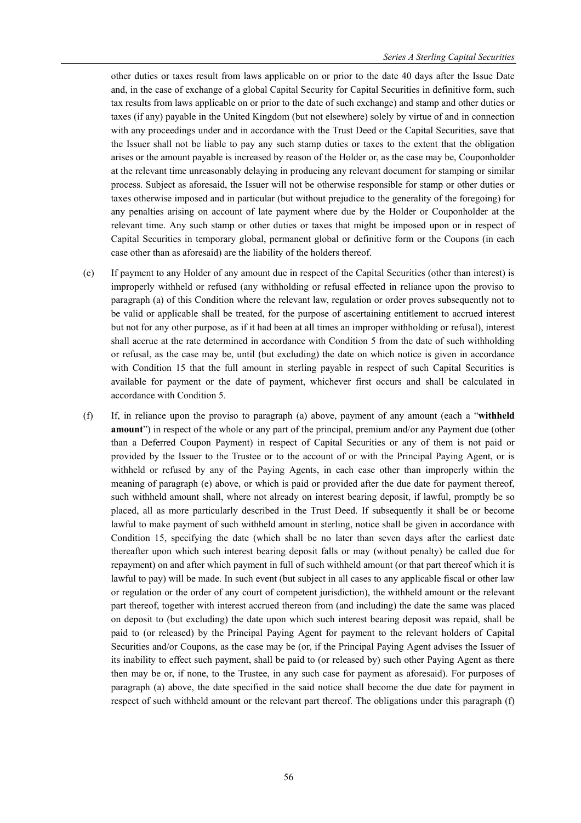other duties or taxes result from laws applicable on or prior to the date 40 days after the Issue Date and, in the case of exchange of a global Capital Security for Capital Securities in definitive form, such tax results from laws applicable on or prior to the date of such exchange) and stamp and other duties or taxes (if any) payable in the United Kingdom (but not elsewhere) solely by virtue of and in connection with any proceedings under and in accordance with the Trust Deed or the Capital Securities, save that the Issuer shall not be liable to pay any such stamp duties or taxes to the extent that the obligation arises or the amount payable is increased by reason of the Holder or, as the case may be, Couponholder at the relevant time unreasonably delaying in producing any relevant document for stamping or similar process. Subject as aforesaid, the Issuer will not be otherwise responsible for stamp or other duties or taxes otherwise imposed and in particular (but without prejudice to the generality of the foregoing) for any penalties arising on account of late payment where due by the Holder or Couponholder at the relevant time. Any such stamp or other duties or taxes that might be imposed upon or in respect of Capital Securities in temporary global, permanent global or definitive form or the Coupons (in each case other than as aforesaid) are the liability of the holders thereof.

- (e) If payment to any Holder of any amount due in respect of the Capital Securities (other than interest) is improperly withheld or refused (any withholding or refusal effected in reliance upon the proviso to paragraph (a) of this Condition where the relevant law, regulation or order proves subsequently not to be valid or applicable shall be treated, for the purpose of ascertaining entitlement to accrued interest but not for any other purpose, as if it had been at all times an improper withholding or refusal), interest shall accrue at the rate determined in accordance with Condition 5 from the date of such withholding or refusal, as the case may be, until (but excluding) the date on which notice is given in accordance with Condition 15 that the full amount in sterling payable in respect of such Capital Securities is available for payment or the date of payment, whichever first occurs and shall be calculated in accordance with Condition 5.
- (f) If, in reliance upon the proviso to paragraph (a) above, payment of any amount (each a "**withheld amount**") in respect of the whole or any part of the principal, premium and/or any Payment due (other than a Deferred Coupon Payment) in respect of Capital Securities or any of them is not paid or provided by the Issuer to the Trustee or to the account of or with the Principal Paying Agent, or is withheld or refused by any of the Paying Agents, in each case other than improperly within the meaning of paragraph (e) above, or which is paid or provided after the due date for payment thereof, such withheld amount shall, where not already on interest bearing deposit, if lawful, promptly be so placed, all as more particularly described in the Trust Deed. If subsequently it shall be or become lawful to make payment of such withheld amount in sterling, notice shall be given in accordance with Condition 15, specifying the date (which shall be no later than seven days after the earliest date thereafter upon which such interest bearing deposit falls or may (without penalty) be called due for repayment) on and after which payment in full of such withheld amount (or that part thereof which it is lawful to pay) will be made. In such event (but subject in all cases to any applicable fiscal or other law or regulation or the order of any court of competent jurisdiction), the withheld amount or the relevant part thereof, together with interest accrued thereon from (and including) the date the same was placed on deposit to (but excluding) the date upon which such interest bearing deposit was repaid, shall be paid to (or released) by the Principal Paying Agent for payment to the relevant holders of Capital Securities and/or Coupons, as the case may be (or, if the Principal Paying Agent advises the Issuer of its inability to effect such payment, shall be paid to (or released by) such other Paying Agent as there then may be or, if none, to the Trustee, in any such case for payment as aforesaid). For purposes of paragraph (a) above, the date specified in the said notice shall become the due date for payment in respect of such withheld amount or the relevant part thereof. The obligations under this paragraph (f)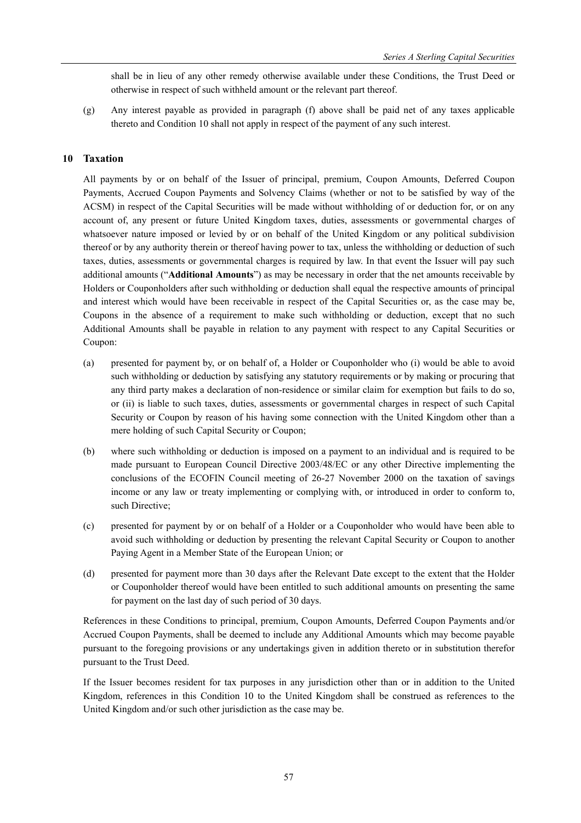shall be in lieu of any other remedy otherwise available under these Conditions, the Trust Deed or otherwise in respect of such withheld amount or the relevant part thereof.

(g) Any interest payable as provided in paragraph (f) above shall be paid net of any taxes applicable thereto and Condition 10 shall not apply in respect of the payment of any such interest.

# **10 Taxation**

All payments by or on behalf of the Issuer of principal, premium, Coupon Amounts, Deferred Coupon Payments, Accrued Coupon Payments and Solvency Claims (whether or not to be satisfied by way of the ACSM) in respect of the Capital Securities will be made without withholding of or deduction for, or on any account of, any present or future United Kingdom taxes, duties, assessments or governmental charges of whatsoever nature imposed or levied by or on behalf of the United Kingdom or any political subdivision thereof or by any authority therein or thereof having power to tax, unless the withholding or deduction of such taxes, duties, assessments or governmental charges is required by law. In that event the Issuer will pay such additional amounts ("**Additional Amounts**") as may be necessary in order that the net amounts receivable by Holders or Couponholders after such withholding or deduction shall equal the respective amounts of principal and interest which would have been receivable in respect of the Capital Securities or, as the case may be, Coupons in the absence of a requirement to make such withholding or deduction, except that no such Additional Amounts shall be payable in relation to any payment with respect to any Capital Securities or Coupon:

- (a) presented for payment by, or on behalf of, a Holder or Couponholder who (i) would be able to avoid such withholding or deduction by satisfying any statutory requirements or by making or procuring that any third party makes a declaration of non-residence or similar claim for exemption but fails to do so, or (ii) is liable to such taxes, duties, assessments or governmental charges in respect of such Capital Security or Coupon by reason of his having some connection with the United Kingdom other than a mere holding of such Capital Security or Coupon;
- (b) where such withholding or deduction is imposed on a payment to an individual and is required to be made pursuant to European Council Directive 2003/48/EC or any other Directive implementing the conclusions of the ECOFIN Council meeting of 26-27 November 2000 on the taxation of savings income or any law or treaty implementing or complying with, or introduced in order to conform to, such Directive;
- (c) presented for payment by or on behalf of a Holder or a Couponholder who would have been able to avoid such withholding or deduction by presenting the relevant Capital Security or Coupon to another Paying Agent in a Member State of the European Union; or
- (d) presented for payment more than 30 days after the Relevant Date except to the extent that the Holder or Couponholder thereof would have been entitled to such additional amounts on presenting the same for payment on the last day of such period of 30 days.

References in these Conditions to principal, premium, Coupon Amounts, Deferred Coupon Payments and/or Accrued Coupon Payments, shall be deemed to include any Additional Amounts which may become payable pursuant to the foregoing provisions or any undertakings given in addition thereto or in substitution therefor pursuant to the Trust Deed.

If the Issuer becomes resident for tax purposes in any jurisdiction other than or in addition to the United Kingdom, references in this Condition 10 to the United Kingdom shall be construed as references to the United Kingdom and/or such other jurisdiction as the case may be.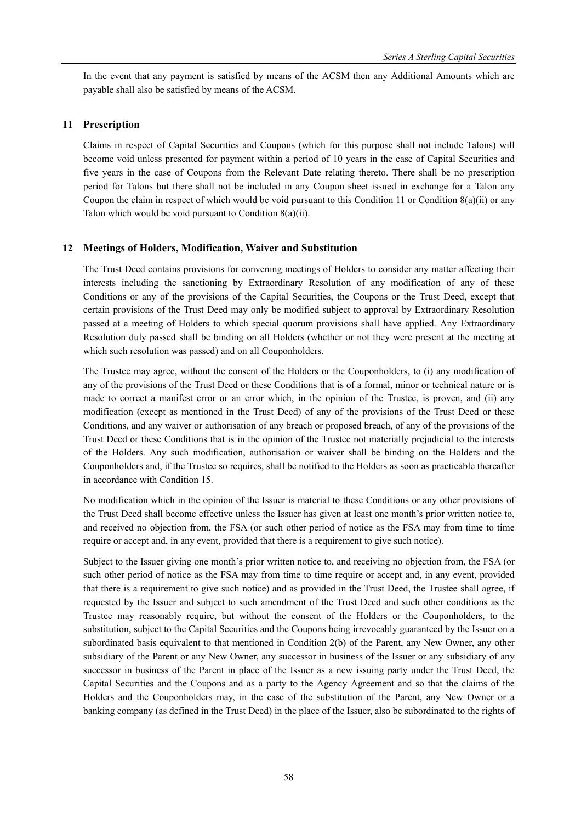In the event that any payment is satisfied by means of the ACSM then any Additional Amounts which are payable shall also be satisfied by means of the ACSM.

## **11 Prescription**

Claims in respect of Capital Securities and Coupons (which for this purpose shall not include Talons) will become void unless presented for payment within a period of 10 years in the case of Capital Securities and five years in the case of Coupons from the Relevant Date relating thereto. There shall be no prescription period for Talons but there shall not be included in any Coupon sheet issued in exchange for a Talon any Coupon the claim in respect of which would be void pursuant to this Condition 11 or Condition 8(a)(ii) or any Talon which would be void pursuant to Condition 8(a)(ii).

## **12 Meetings of Holders, Modification, Waiver and Substitution**

The Trust Deed contains provisions for convening meetings of Holders to consider any matter affecting their interests including the sanctioning by Extraordinary Resolution of any modification of any of these Conditions or any of the provisions of the Capital Securities, the Coupons or the Trust Deed, except that certain provisions of the Trust Deed may only be modified subject to approval by Extraordinary Resolution passed at a meeting of Holders to which special quorum provisions shall have applied. Any Extraordinary Resolution duly passed shall be binding on all Holders (whether or not they were present at the meeting at which such resolution was passed) and on all Couponholders.

The Trustee may agree, without the consent of the Holders or the Couponholders, to (i) any modification of any of the provisions of the Trust Deed or these Conditions that is of a formal, minor or technical nature or is made to correct a manifest error or an error which, in the opinion of the Trustee, is proven, and (ii) any modification (except as mentioned in the Trust Deed) of any of the provisions of the Trust Deed or these Conditions, and any waiver or authorisation of any breach or proposed breach, of any of the provisions of the Trust Deed or these Conditions that is in the opinion of the Trustee not materially prejudicial to the interests of the Holders. Any such modification, authorisation or waiver shall be binding on the Holders and the Couponholders and, if the Trustee so requires, shall be notified to the Holders as soon as practicable thereafter in accordance with Condition 15.

No modification which in the opinion of the Issuer is material to these Conditions or any other provisions of the Trust Deed shall become effective unless the Issuer has given at least one month's prior written notice to, and received no objection from, the FSA (or such other period of notice as the FSA may from time to time require or accept and, in any event, provided that there is a requirement to give such notice).

Subject to the Issuer giving one month's prior written notice to, and receiving no objection from, the FSA (or such other period of notice as the FSA may from time to time require or accept and, in any event, provided that there is a requirement to give such notice) and as provided in the Trust Deed, the Trustee shall agree, if requested by the Issuer and subject to such amendment of the Trust Deed and such other conditions as the Trustee may reasonably require, but without the consent of the Holders or the Couponholders, to the substitution, subject to the Capital Securities and the Coupons being irrevocably guaranteed by the Issuer on a subordinated basis equivalent to that mentioned in Condition 2(b) of the Parent, any New Owner, any other subsidiary of the Parent or any New Owner, any successor in business of the Issuer or any subsidiary of any successor in business of the Parent in place of the Issuer as a new issuing party under the Trust Deed, the Capital Securities and the Coupons and as a party to the Agency Agreement and so that the claims of the Holders and the Couponholders may, in the case of the substitution of the Parent, any New Owner or a banking company (as defined in the Trust Deed) in the place of the Issuer, also be subordinated to the rights of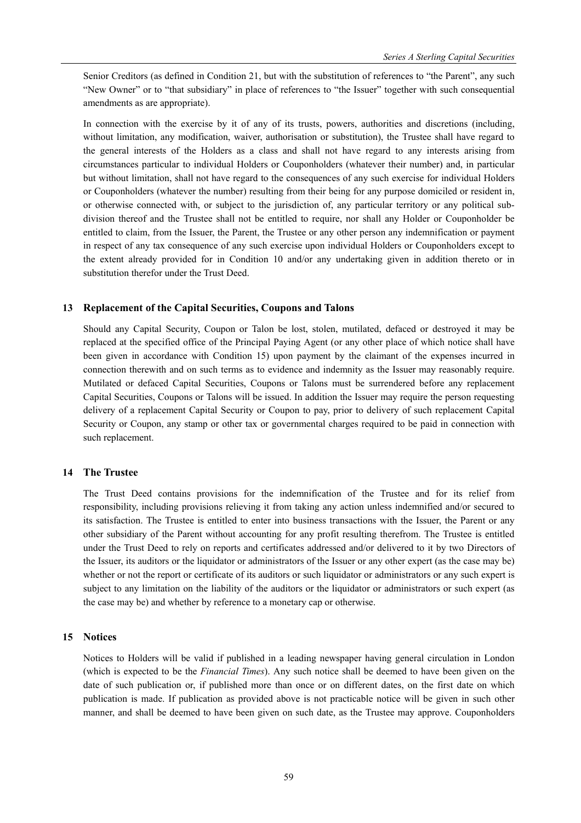Senior Creditors (as defined in Condition 21, but with the substitution of references to "the Parent", any such "New Owner" or to "that subsidiary" in place of references to "the Issuer" together with such consequential amendments as are appropriate).

In connection with the exercise by it of any of its trusts, powers, authorities and discretions (including, without limitation, any modification, waiver, authorisation or substitution), the Trustee shall have regard to the general interests of the Holders as a class and shall not have regard to any interests arising from circumstances particular to individual Holders or Couponholders (whatever their number) and, in particular but without limitation, shall not have regard to the consequences of any such exercise for individual Holders or Couponholders (whatever the number) resulting from their being for any purpose domiciled or resident in, or otherwise connected with, or subject to the jurisdiction of, any particular territory or any political subdivision thereof and the Trustee shall not be entitled to require, nor shall any Holder or Couponholder be entitled to claim, from the Issuer, the Parent, the Trustee or any other person any indemnification or payment in respect of any tax consequence of any such exercise upon individual Holders or Couponholders except to the extent already provided for in Condition 10 and/or any undertaking given in addition thereto or in substitution therefor under the Trust Deed.

### **13 Replacement of the Capital Securities, Coupons and Talons**

Should any Capital Security, Coupon or Talon be lost, stolen, mutilated, defaced or destroyed it may be replaced at the specified office of the Principal Paying Agent (or any other place of which notice shall have been given in accordance with Condition 15) upon payment by the claimant of the expenses incurred in connection therewith and on such terms as to evidence and indemnity as the Issuer may reasonably require. Mutilated or defaced Capital Securities, Coupons or Talons must be surrendered before any replacement Capital Securities, Coupons or Talons will be issued. In addition the Issuer may require the person requesting delivery of a replacement Capital Security or Coupon to pay, prior to delivery of such replacement Capital Security or Coupon, any stamp or other tax or governmental charges required to be paid in connection with such replacement.

### **14 The Trustee**

The Trust Deed contains provisions for the indemnification of the Trustee and for its relief from responsibility, including provisions relieving it from taking any action unless indemnified and/or secured to its satisfaction. The Trustee is entitled to enter into business transactions with the Issuer, the Parent or any other subsidiary of the Parent without accounting for any profit resulting therefrom. The Trustee is entitled under the Trust Deed to rely on reports and certificates addressed and/or delivered to it by two Directors of the Issuer, its auditors or the liquidator or administrators of the Issuer or any other expert (as the case may be) whether or not the report or certificate of its auditors or such liquidator or administrators or any such expert is subject to any limitation on the liability of the auditors or the liquidator or administrators or such expert (as the case may be) and whether by reference to a monetary cap or otherwise.

### **15 Notices**

Notices to Holders will be valid if published in a leading newspaper having general circulation in London (which is expected to be the *Financial Times*). Any such notice shall be deemed to have been given on the date of such publication or, if published more than once or on different dates, on the first date on which publication is made. If publication as provided above is not practicable notice will be given in such other manner, and shall be deemed to have been given on such date, as the Trustee may approve. Couponholders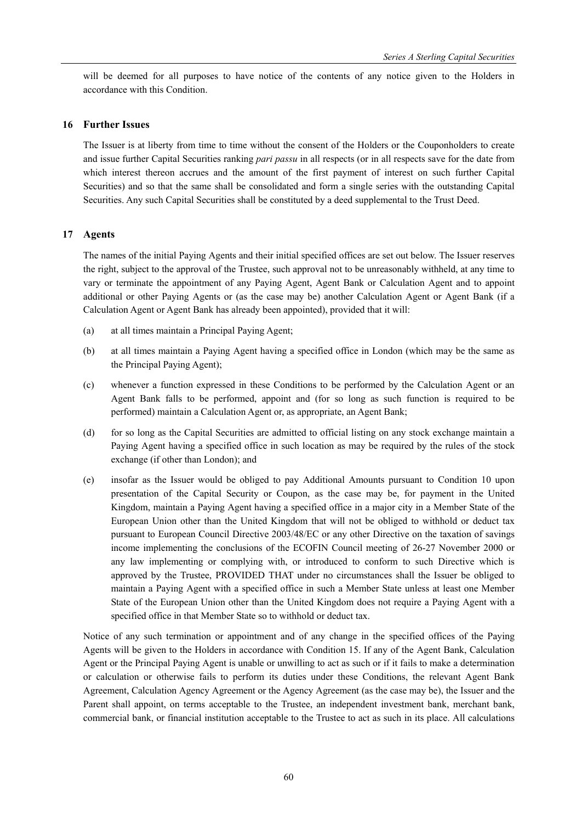will be deemed for all purposes to have notice of the contents of any notice given to the Holders in accordance with this Condition.

# **16 Further Issues**

The Issuer is at liberty from time to time without the consent of the Holders or the Couponholders to create and issue further Capital Securities ranking *pari passu* in all respects (or in all respects save for the date from which interest thereon accrues and the amount of the first payment of interest on such further Capital Securities) and so that the same shall be consolidated and form a single series with the outstanding Capital Securities. Any such Capital Securities shall be constituted by a deed supplemental to the Trust Deed.

## **17 Agents**

The names of the initial Paying Agents and their initial specified offices are set out below. The Issuer reserves the right, subject to the approval of the Trustee, such approval not to be unreasonably withheld, at any time to vary or terminate the appointment of any Paying Agent, Agent Bank or Calculation Agent and to appoint additional or other Paying Agents or (as the case may be) another Calculation Agent or Agent Bank (if a Calculation Agent or Agent Bank has already been appointed), provided that it will:

- (a) at all times maintain a Principal Paying Agent;
- (b) at all times maintain a Paying Agent having a specified office in London (which may be the same as the Principal Paying Agent);
- (c) whenever a function expressed in these Conditions to be performed by the Calculation Agent or an Agent Bank falls to be performed, appoint and (for so long as such function is required to be performed) maintain a Calculation Agent or, as appropriate, an Agent Bank;
- (d) for so long as the Capital Securities are admitted to official listing on any stock exchange maintain a Paying Agent having a specified office in such location as may be required by the rules of the stock exchange (if other than London); and
- (e) insofar as the Issuer would be obliged to pay Additional Amounts pursuant to Condition 10 upon presentation of the Capital Security or Coupon, as the case may be, for payment in the United Kingdom, maintain a Paying Agent having a specified office in a major city in a Member State of the European Union other than the United Kingdom that will not be obliged to withhold or deduct tax pursuant to European Council Directive 2003/48/EC or any other Directive on the taxation of savings income implementing the conclusions of the ECOFIN Council meeting of 26-27 November 2000 or any law implementing or complying with, or introduced to conform to such Directive which is approved by the Trustee, PROVIDED THAT under no circumstances shall the Issuer be obliged to maintain a Paying Agent with a specified office in such a Member State unless at least one Member State of the European Union other than the United Kingdom does not require a Paying Agent with a specified office in that Member State so to withhold or deduct tax.

Notice of any such termination or appointment and of any change in the specified offices of the Paying Agents will be given to the Holders in accordance with Condition 15. If any of the Agent Bank, Calculation Agent or the Principal Paying Agent is unable or unwilling to act as such or if it fails to make a determination or calculation or otherwise fails to perform its duties under these Conditions, the relevant Agent Bank Agreement, Calculation Agency Agreement or the Agency Agreement (as the case may be), the Issuer and the Parent shall appoint, on terms acceptable to the Trustee, an independent investment bank, merchant bank, commercial bank, or financial institution acceptable to the Trustee to act as such in its place. All calculations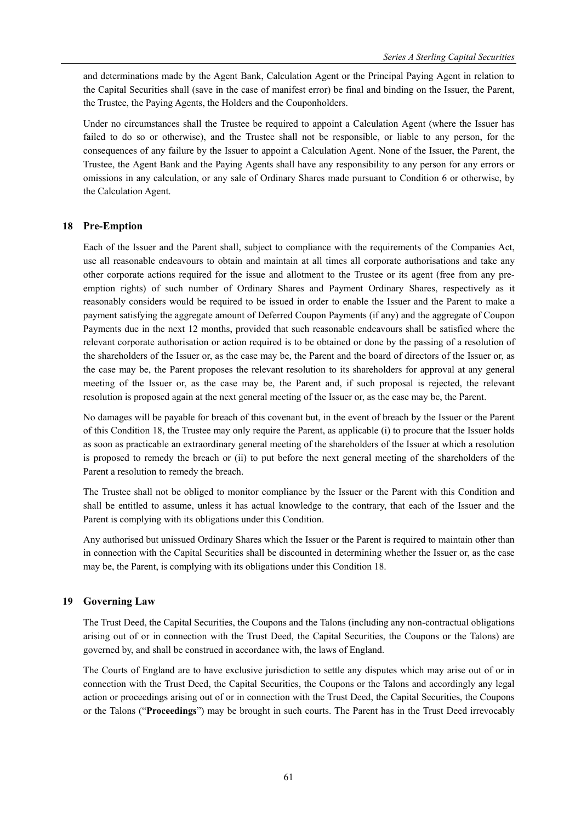and determinations made by the Agent Bank, Calculation Agent or the Principal Paying Agent in relation to the Capital Securities shall (save in the case of manifest error) be final and binding on the Issuer, the Parent, the Trustee, the Paying Agents, the Holders and the Couponholders.

Under no circumstances shall the Trustee be required to appoint a Calculation Agent (where the Issuer has failed to do so or otherwise), and the Trustee shall not be responsible, or liable to any person, for the consequences of any failure by the Issuer to appoint a Calculation Agent. None of the Issuer, the Parent, the Trustee, the Agent Bank and the Paying Agents shall have any responsibility to any person for any errors or omissions in any calculation, or any sale of Ordinary Shares made pursuant to Condition 6 or otherwise, by the Calculation Agent.

### **18 Pre-Emption**

Each of the Issuer and the Parent shall, subject to compliance with the requirements of the Companies Act, use all reasonable endeavours to obtain and maintain at all times all corporate authorisations and take any other corporate actions required for the issue and allotment to the Trustee or its agent (free from any preemption rights) of such number of Ordinary Shares and Payment Ordinary Shares, respectively as it reasonably considers would be required to be issued in order to enable the Issuer and the Parent to make a payment satisfying the aggregate amount of Deferred Coupon Payments (if any) and the aggregate of Coupon Payments due in the next 12 months, provided that such reasonable endeavours shall be satisfied where the relevant corporate authorisation or action required is to be obtained or done by the passing of a resolution of the shareholders of the Issuer or, as the case may be, the Parent and the board of directors of the Issuer or, as the case may be, the Parent proposes the relevant resolution to its shareholders for approval at any general meeting of the Issuer or, as the case may be, the Parent and, if such proposal is rejected, the relevant resolution is proposed again at the next general meeting of the Issuer or, as the case may be, the Parent.

No damages will be payable for breach of this covenant but, in the event of breach by the Issuer or the Parent of this Condition 18, the Trustee may only require the Parent, as applicable (i) to procure that the Issuer holds as soon as practicable an extraordinary general meeting of the shareholders of the Issuer at which a resolution is proposed to remedy the breach or (ii) to put before the next general meeting of the shareholders of the Parent a resolution to remedy the breach.

The Trustee shall not be obliged to monitor compliance by the Issuer or the Parent with this Condition and shall be entitled to assume, unless it has actual knowledge to the contrary, that each of the Issuer and the Parent is complying with its obligations under this Condition.

Any authorised but unissued Ordinary Shares which the Issuer or the Parent is required to maintain other than in connection with the Capital Securities shall be discounted in determining whether the Issuer or, as the case may be, the Parent, is complying with its obligations under this Condition 18.

### **19 Governing Law**

The Trust Deed, the Capital Securities, the Coupons and the Talons (including any non-contractual obligations arising out of or in connection with the Trust Deed, the Capital Securities, the Coupons or the Talons) are governed by, and shall be construed in accordance with, the laws of England.

The Courts of England are to have exclusive jurisdiction to settle any disputes which may arise out of or in connection with the Trust Deed, the Capital Securities, the Coupons or the Talons and accordingly any legal action or proceedings arising out of or in connection with the Trust Deed, the Capital Securities, the Coupons or the Talons ("**Proceedings**") may be brought in such courts. The Parent has in the Trust Deed irrevocably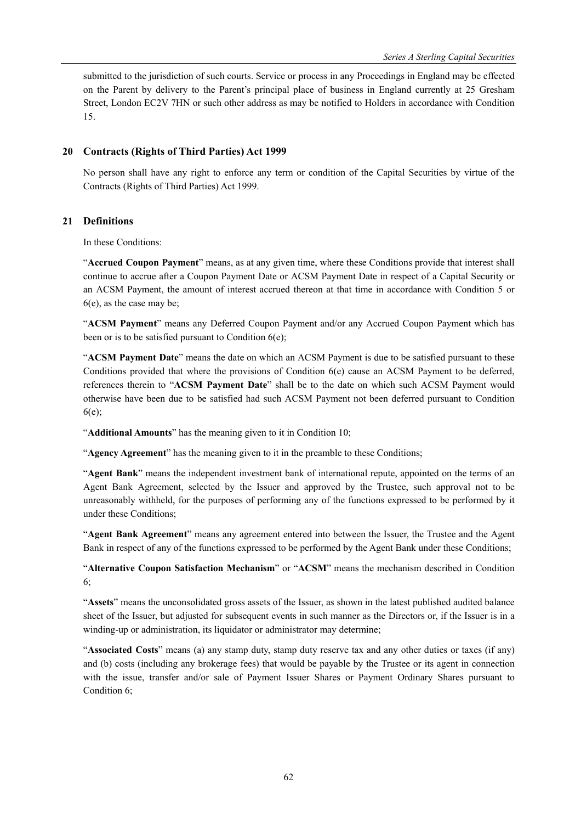submitted to the jurisdiction of such courts. Service or process in any Proceedings in England may be effected on the Parent by delivery to the Parent's principal place of business in England currently at 25 Gresham Street, London EC2V 7HN or such other address as may be notified to Holders in accordance with Condition 15.

# **20 Contracts (Rights of Third Parties) Act 1999**

No person shall have any right to enforce any term or condition of the Capital Securities by virtue of the Contracts (Rights of Third Parties) Act 1999.

# **21 Definitions**

In these Conditions:

"**Accrued Coupon Payment**" means, as at any given time, where these Conditions provide that interest shall continue to accrue after a Coupon Payment Date or ACSM Payment Date in respect of a Capital Security or an ACSM Payment, the amount of interest accrued thereon at that time in accordance with Condition 5 or 6(e), as the case may be;

"**ACSM Payment**" means any Deferred Coupon Payment and/or any Accrued Coupon Payment which has been or is to be satisfied pursuant to Condition  $6(e)$ ;

"**ACSM Payment Date**" means the date on which an ACSM Payment is due to be satisfied pursuant to these Conditions provided that where the provisions of Condition 6(e) cause an ACSM Payment to be deferred, references therein to "**ACSM Payment Date**" shall be to the date on which such ACSM Payment would otherwise have been due to be satisfied had such ACSM Payment not been deferred pursuant to Condition 6(e);

"**Additional Amounts**" has the meaning given to it in Condition 10;

"**Agency Agreement**" has the meaning given to it in the preamble to these Conditions;

"**Agent Bank**" means the independent investment bank of international repute, appointed on the terms of an Agent Bank Agreement, selected by the Issuer and approved by the Trustee, such approval not to be unreasonably withheld, for the purposes of performing any of the functions expressed to be performed by it under these Conditions;

"**Agent Bank Agreement**" means any agreement entered into between the Issuer, the Trustee and the Agent Bank in respect of any of the functions expressed to be performed by the Agent Bank under these Conditions;

"**Alternative Coupon Satisfaction Mechanism**" or "**ACSM**" means the mechanism described in Condition 6;

"**Assets**" means the unconsolidated gross assets of the Issuer, as shown in the latest published audited balance sheet of the Issuer, but adjusted for subsequent events in such manner as the Directors or, if the Issuer is in a winding-up or administration, its liquidator or administrator may determine;

"**Associated Costs**" means (a) any stamp duty, stamp duty reserve tax and any other duties or taxes (if any) and (b) costs (including any brokerage fees) that would be payable by the Trustee or its agent in connection with the issue, transfer and/or sale of Payment Issuer Shares or Payment Ordinary Shares pursuant to Condition 6;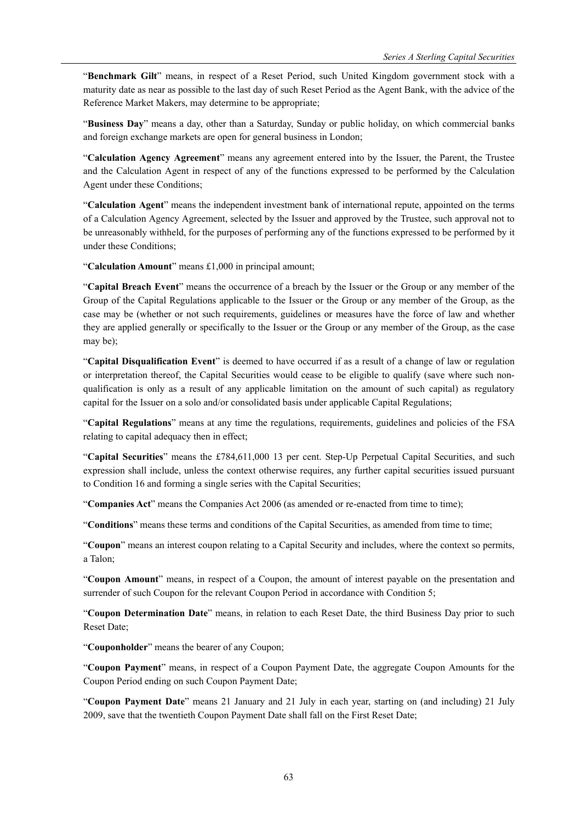"**Benchmark Gilt**" means, in respect of a Reset Period, such United Kingdom government stock with a maturity date as near as possible to the last day of such Reset Period as the Agent Bank, with the advice of the Reference Market Makers, may determine to be appropriate;

"**Business Day**" means a day, other than a Saturday, Sunday or public holiday, on which commercial banks and foreign exchange markets are open for general business in London;

"**Calculation Agency Agreement**" means any agreement entered into by the Issuer, the Parent, the Trustee and the Calculation Agent in respect of any of the functions expressed to be performed by the Calculation Agent under these Conditions;

"**Calculation Agent**" means the independent investment bank of international repute, appointed on the terms of a Calculation Agency Agreement, selected by the Issuer and approved by the Trustee, such approval not to be unreasonably withheld, for the purposes of performing any of the functions expressed to be performed by it under these Conditions;

"**Calculation Amount**" means £1,000 in principal amount;

"**Capital Breach Event**" means the occurrence of a breach by the Issuer or the Group or any member of the Group of the Capital Regulations applicable to the Issuer or the Group or any member of the Group, as the case may be (whether or not such requirements, guidelines or measures have the force of law and whether they are applied generally or specifically to the Issuer or the Group or any member of the Group, as the case may be);

"**Capital Disqualification Event**" is deemed to have occurred if as a result of a change of law or regulation or interpretation thereof, the Capital Securities would cease to be eligible to qualify (save where such nonqualification is only as a result of any applicable limitation on the amount of such capital) as regulatory capital for the Issuer on a solo and/or consolidated basis under applicable Capital Regulations;

"**Capital Regulations**" means at any time the regulations, requirements, guidelines and policies of the FSA relating to capital adequacy then in effect;

"**Capital Securities**" means the £784,611,000 13 per cent. Step-Up Perpetual Capital Securities, and such expression shall include, unless the context otherwise requires, any further capital securities issued pursuant to Condition 16 and forming a single series with the Capital Securities;

"**Companies Act**" means the Companies Act 2006 (as amended or re-enacted from time to time);

"**Conditions**" means these terms and conditions of the Capital Securities, as amended from time to time;

"**Coupon**" means an interest coupon relating to a Capital Security and includes, where the context so permits, a Talon;

"**Coupon Amount**" means, in respect of a Coupon, the amount of interest payable on the presentation and surrender of such Coupon for the relevant Coupon Period in accordance with Condition 5;

"**Coupon Determination Date**" means, in relation to each Reset Date, the third Business Day prior to such Reset Date;

"**Couponholder**" means the bearer of any Coupon;

"**Coupon Payment**" means, in respect of a Coupon Payment Date, the aggregate Coupon Amounts for the Coupon Period ending on such Coupon Payment Date;

"**Coupon Payment Date**" means 21 January and 21 July in each year, starting on (and including) 21 July 2009, save that the twentieth Coupon Payment Date shall fall on the First Reset Date;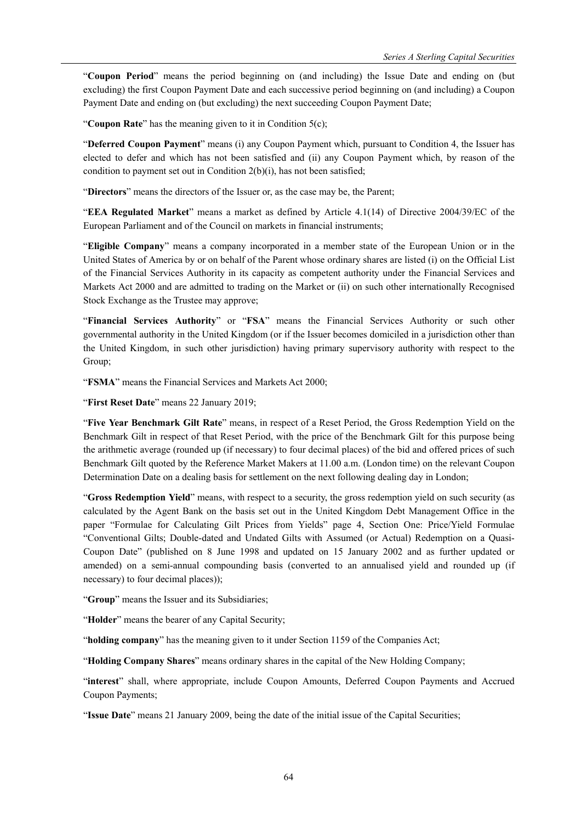"**Coupon Period**" means the period beginning on (and including) the Issue Date and ending on (but excluding) the first Coupon Payment Date and each successive period beginning on (and including) a Coupon Payment Date and ending on (but excluding) the next succeeding Coupon Payment Date;

"**Coupon Rate**" has the meaning given to it in Condition 5(c);

"**Deferred Coupon Payment**" means (i) any Coupon Payment which, pursuant to Condition 4, the Issuer has elected to defer and which has not been satisfied and (ii) any Coupon Payment which, by reason of the condition to payment set out in Condition 2(b)(i), has not been satisfied;

"**Directors**" means the directors of the Issuer or, as the case may be, the Parent;

"**EEA Regulated Market**" means a market as defined by Article 4.1(14) of Directive 2004/39/EC of the European Parliament and of the Council on markets in financial instruments;

"**Eligible Company**" means a company incorporated in a member state of the European Union or in the United States of America by or on behalf of the Parent whose ordinary shares are listed (i) on the Official List of the Financial Services Authority in its capacity as competent authority under the Financial Services and Markets Act 2000 and are admitted to trading on the Market or (ii) on such other internationally Recognised Stock Exchange as the Trustee may approve;

"**Financial Services Authority**" or "**FSA**" means the Financial Services Authority or such other governmental authority in the United Kingdom (or if the Issuer becomes domiciled in a jurisdiction other than the United Kingdom, in such other jurisdiction) having primary supervisory authority with respect to the Group;

"**FSMA**" means the Financial Services and Markets Act 2000;

"**First Reset Date**" means 22 January 2019;

"**Five Year Benchmark Gilt Rate**" means, in respect of a Reset Period, the Gross Redemption Yield on the Benchmark Gilt in respect of that Reset Period, with the price of the Benchmark Gilt for this purpose being the arithmetic average (rounded up (if necessary) to four decimal places) of the bid and offered prices of such Benchmark Gilt quoted by the Reference Market Makers at 11.00 a.m. (London time) on the relevant Coupon Determination Date on a dealing basis for settlement on the next following dealing day in London;

"**Gross Redemption Yield**" means, with respect to a security, the gross redemption yield on such security (as calculated by the Agent Bank on the basis set out in the United Kingdom Debt Management Office in the paper "Formulae for Calculating Gilt Prices from Yields" page 4, Section One: Price/Yield Formulae "Conventional Gilts; Double-dated and Undated Gilts with Assumed (or Actual) Redemption on a Quasi-Coupon Date" (published on 8 June 1998 and updated on 15 January 2002 and as further updated or amended) on a semi-annual compounding basis (converted to an annualised yield and rounded up (if necessary) to four decimal places));

"**Group**" means the Issuer and its Subsidiaries;

"**Holder**" means the bearer of any Capital Security;

"**holding company**" has the meaning given to it under Section 1159 of the Companies Act;

"**Holding Company Shares**" means ordinary shares in the capital of the New Holding Company;

"**interest**" shall, where appropriate, include Coupon Amounts, Deferred Coupon Payments and Accrued Coupon Payments;

"**Issue Date**" means 21 January 2009, being the date of the initial issue of the Capital Securities;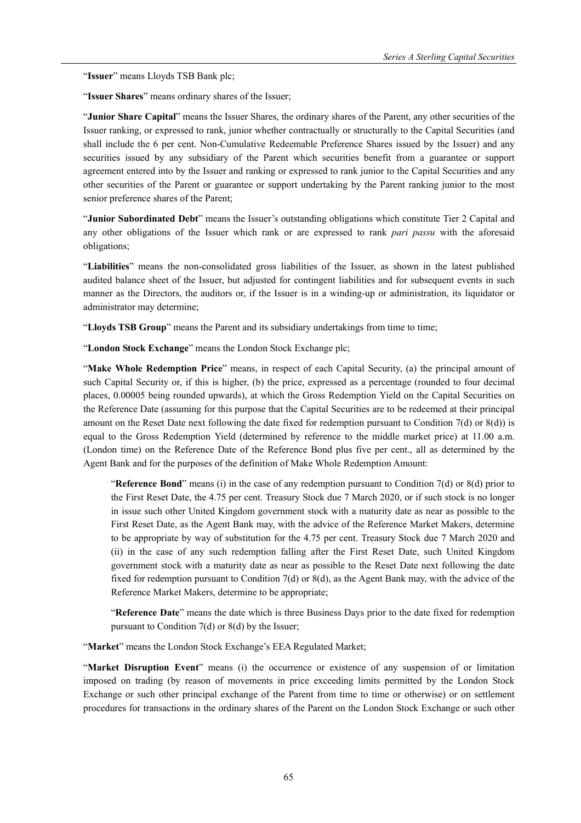"**Issuer**" means Lloyds TSB Bank plc;

"**Issuer Shares**" means ordinary shares of the Issuer;

"**Junior Share Capital**" means the Issuer Shares, the ordinary shares of the Parent, any other securities of the Issuer ranking, or expressed to rank, junior whether contractually or structurally to the Capital Securities (and shall include the 6 per cent. Non-Cumulative Redeemable Preference Shares issued by the Issuer) and any securities issued by any subsidiary of the Parent which securities benefit from a guarantee or support agreement entered into by the Issuer and ranking or expressed to rank junior to the Capital Securities and any other securities of the Parent or guarantee or support undertaking by the Parent ranking junior to the most senior preference shares of the Parent;

"**Junior Subordinated Debt**" means the Issuer's outstanding obligations which constitute Tier 2 Capital and any other obligations of the Issuer which rank or are expressed to rank *pari passu* with the aforesaid obligations;

"**Liabilities**" means the non-consolidated gross liabilities of the Issuer, as shown in the latest published audited balance sheet of the Issuer, but adjusted for contingent liabilities and for subsequent events in such manner as the Directors, the auditors or, if the Issuer is in a winding-up or administration, its liquidator or administrator may determine;

"**Lloyds TSB Group**" means the Parent and its subsidiary undertakings from time to time;

"**London Stock Exchange**" means the London Stock Exchange plc;

"**Make Whole Redemption Price**" means, in respect of each Capital Security, (a) the principal amount of such Capital Security or, if this is higher, (b) the price, expressed as a percentage (rounded to four decimal places, 0.00005 being rounded upwards), at which the Gross Redemption Yield on the Capital Securities on the Reference Date (assuming for this purpose that the Capital Securities are to be redeemed at their principal amount on the Reset Date next following the date fixed for redemption pursuant to Condition 7(d) or 8(d)) is equal to the Gross Redemption Yield (determined by reference to the middle market price) at 11.00 a.m. (London time) on the Reference Date of the Reference Bond plus five per cent., all as determined by the Agent Bank and for the purposes of the definition of Make Whole Redemption Amount:

"**Reference Bond**" means (i) in the case of any redemption pursuant to Condition 7(d) or 8(d) prior to the First Reset Date, the 4.75 per cent. Treasury Stock due 7 March 2020, or if such stock is no longer in issue such other United Kingdom government stock with a maturity date as near as possible to the First Reset Date, as the Agent Bank may, with the advice of the Reference Market Makers, determine to be appropriate by way of substitution for the 4.75 per cent. Treasury Stock due 7 March 2020 and (ii) in the case of any such redemption falling after the First Reset Date, such United Kingdom government stock with a maturity date as near as possible to the Reset Date next following the date fixed for redemption pursuant to Condition 7(d) or 8(d), as the Agent Bank may, with the advice of the Reference Market Makers, determine to be appropriate;

"**Reference Date**" means the date which is three Business Days prior to the date fixed for redemption pursuant to Condition 7(d) or 8(d) by the Issuer;

"**Market**" means the London Stock Exchange's EEA Regulated Market;

"**Market Disruption Event**" means (i) the occurrence or existence of any suspension of or limitation imposed on trading (by reason of movements in price exceeding limits permitted by the London Stock Exchange or such other principal exchange of the Parent from time to time or otherwise) or on settlement procedures for transactions in the ordinary shares of the Parent on the London Stock Exchange or such other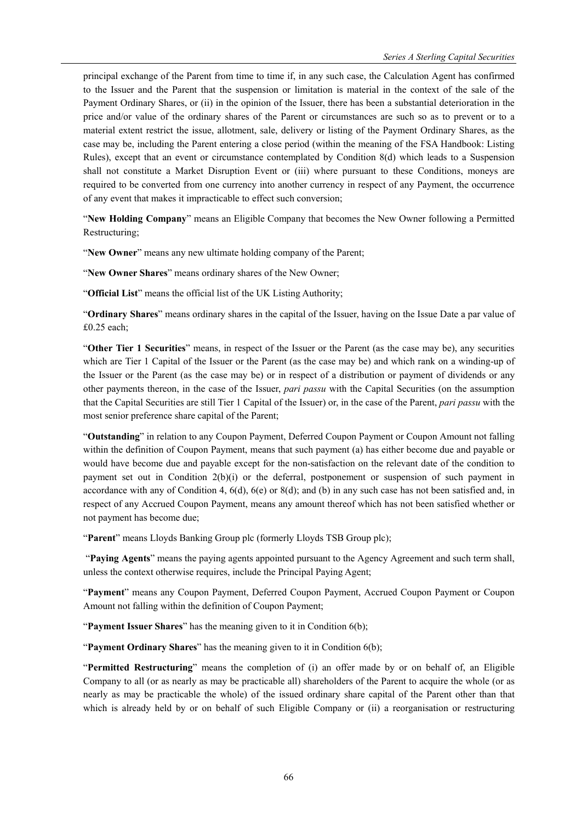principal exchange of the Parent from time to time if, in any such case, the Calculation Agent has confirmed to the Issuer and the Parent that the suspension or limitation is material in the context of the sale of the Payment Ordinary Shares, or (ii) in the opinion of the Issuer, there has been a substantial deterioration in the price and/or value of the ordinary shares of the Parent or circumstances are such so as to prevent or to a material extent restrict the issue, allotment, sale, delivery or listing of the Payment Ordinary Shares, as the case may be, including the Parent entering a close period (within the meaning of the FSA Handbook: Listing Rules), except that an event or circumstance contemplated by Condition 8(d) which leads to a Suspension shall not constitute a Market Disruption Event or (iii) where pursuant to these Conditions, moneys are required to be converted from one currency into another currency in respect of any Payment, the occurrence of any event that makes it impracticable to effect such conversion;

"**New Holding Company**" means an Eligible Company that becomes the New Owner following a Permitted Restructuring;

"**New Owner**" means any new ultimate holding company of the Parent;

"**New Owner Shares**" means ordinary shares of the New Owner;

"**Official List**" means the official list of the UK Listing Authority;

"**Ordinary Shares**" means ordinary shares in the capital of the Issuer, having on the Issue Date a par value of £0.25 each;

"**Other Tier 1 Securities**" means, in respect of the Issuer or the Parent (as the case may be), any securities which are Tier 1 Capital of the Issuer or the Parent (as the case may be) and which rank on a winding-up of the Issuer or the Parent (as the case may be) or in respect of a distribution or payment of dividends or any other payments thereon, in the case of the Issuer, *pari passu* with the Capital Securities (on the assumption that the Capital Securities are still Tier 1 Capital of the Issuer) or, in the case of the Parent, *pari passu* with the most senior preference share capital of the Parent;

"**Outstanding**" in relation to any Coupon Payment, Deferred Coupon Payment or Coupon Amount not falling within the definition of Coupon Payment, means that such payment (a) has either become due and payable or would have become due and payable except for the non-satisfaction on the relevant date of the condition to payment set out in Condition 2(b)(i) or the deferral, postponement or suspension of such payment in accordance with any of Condition 4,  $6(d)$ ,  $6(e)$  or  $8(d)$ ; and (b) in any such case has not been satisfied and, in respect of any Accrued Coupon Payment, means any amount thereof which has not been satisfied whether or not payment has become due;

"**Parent**" means Lloyds Banking Group plc (formerly Lloyds TSB Group plc);

 "**Paying Agents**" means the paying agents appointed pursuant to the Agency Agreement and such term shall, unless the context otherwise requires, include the Principal Paying Agent;

"**Payment**" means any Coupon Payment, Deferred Coupon Payment, Accrued Coupon Payment or Coupon Amount not falling within the definition of Coupon Payment;

"**Payment Issuer Shares**" has the meaning given to it in Condition 6(b);

"**Payment Ordinary Shares**" has the meaning given to it in Condition 6(b);

"**Permitted Restructuring**" means the completion of (i) an offer made by or on behalf of, an Eligible Company to all (or as nearly as may be practicable all) shareholders of the Parent to acquire the whole (or as nearly as may be practicable the whole) of the issued ordinary share capital of the Parent other than that which is already held by or on behalf of such Eligible Company or (ii) a reorganisation or restructuring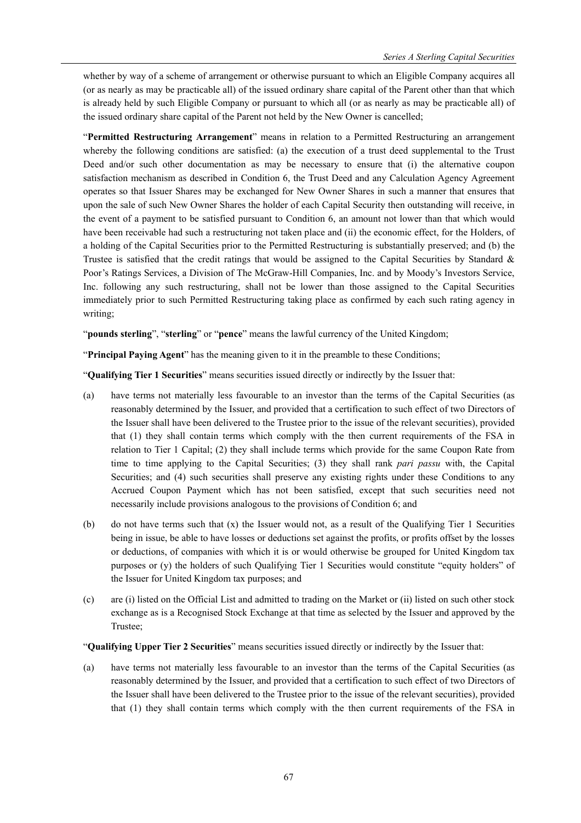whether by way of a scheme of arrangement or otherwise pursuant to which an Eligible Company acquires all (or as nearly as may be practicable all) of the issued ordinary share capital of the Parent other than that which is already held by such Eligible Company or pursuant to which all (or as nearly as may be practicable all) of the issued ordinary share capital of the Parent not held by the New Owner is cancelled;

"**Permitted Restructuring Arrangement**" means in relation to a Permitted Restructuring an arrangement whereby the following conditions are satisfied: (a) the execution of a trust deed supplemental to the Trust Deed and/or such other documentation as may be necessary to ensure that (i) the alternative coupon satisfaction mechanism as described in Condition 6, the Trust Deed and any Calculation Agency Agreement operates so that Issuer Shares may be exchanged for New Owner Shares in such a manner that ensures that upon the sale of such New Owner Shares the holder of each Capital Security then outstanding will receive, in the event of a payment to be satisfied pursuant to Condition 6, an amount not lower than that which would have been receivable had such a restructuring not taken place and (ii) the economic effect, for the Holders, of a holding of the Capital Securities prior to the Permitted Restructuring is substantially preserved; and (b) the Trustee is satisfied that the credit ratings that would be assigned to the Capital Securities by Standard  $\&$ Poor's Ratings Services, a Division of The McGraw-Hill Companies, Inc. and by Moody's Investors Service, Inc. following any such restructuring, shall not be lower than those assigned to the Capital Securities immediately prior to such Permitted Restructuring taking place as confirmed by each such rating agency in writing;

"**pounds sterling**", "**sterling**" or "**pence**" means the lawful currency of the United Kingdom;

"**Principal Paying Agent**" has the meaning given to it in the preamble to these Conditions;

"**Qualifying Tier 1 Securities**" means securities issued directly or indirectly by the Issuer that:

- (a) have terms not materially less favourable to an investor than the terms of the Capital Securities (as reasonably determined by the Issuer, and provided that a certification to such effect of two Directors of the Issuer shall have been delivered to the Trustee prior to the issue of the relevant securities), provided that (1) they shall contain terms which comply with the then current requirements of the FSA in relation to Tier 1 Capital; (2) they shall include terms which provide for the same Coupon Rate from time to time applying to the Capital Securities; (3) they shall rank *pari passu* with, the Capital Securities; and (4) such securities shall preserve any existing rights under these Conditions to any Accrued Coupon Payment which has not been satisfied, except that such securities need not necessarily include provisions analogous to the provisions of Condition 6; and
- (b) do not have terms such that (x) the Issuer would not, as a result of the Qualifying Tier 1 Securities being in issue, be able to have losses or deductions set against the profits, or profits offset by the losses or deductions, of companies with which it is or would otherwise be grouped for United Kingdom tax purposes or (y) the holders of such Qualifying Tier 1 Securities would constitute "equity holders" of the Issuer for United Kingdom tax purposes; and
- (c) are (i) listed on the Official List and admitted to trading on the Market or (ii) listed on such other stock exchange as is a Recognised Stock Exchange at that time as selected by the Issuer and approved by the Trustee;

"**Qualifying Upper Tier 2 Securities**" means securities issued directly or indirectly by the Issuer that:

(a) have terms not materially less favourable to an investor than the terms of the Capital Securities (as reasonably determined by the Issuer, and provided that a certification to such effect of two Directors of the Issuer shall have been delivered to the Trustee prior to the issue of the relevant securities), provided that (1) they shall contain terms which comply with the then current requirements of the FSA in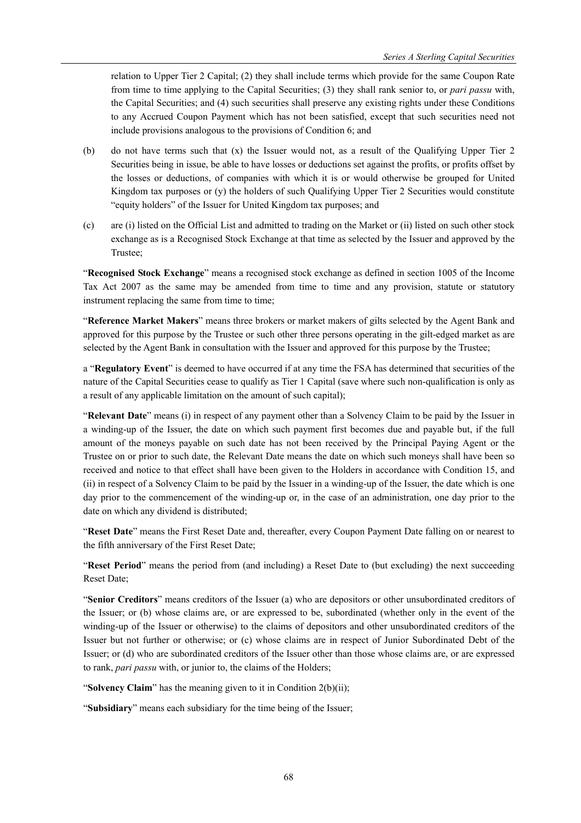relation to Upper Tier 2 Capital; (2) they shall include terms which provide for the same Coupon Rate from time to time applying to the Capital Securities; (3) they shall rank senior to, or *pari passu* with, the Capital Securities; and (4) such securities shall preserve any existing rights under these Conditions to any Accrued Coupon Payment which has not been satisfied, except that such securities need not include provisions analogous to the provisions of Condition 6; and

- (b) do not have terms such that (x) the Issuer would not, as a result of the Qualifying Upper Tier 2 Securities being in issue, be able to have losses or deductions set against the profits, or profits offset by the losses or deductions, of companies with which it is or would otherwise be grouped for United Kingdom tax purposes or (y) the holders of such Qualifying Upper Tier 2 Securities would constitute "equity holders" of the Issuer for United Kingdom tax purposes; and
- (c) are (i) listed on the Official List and admitted to trading on the Market or (ii) listed on such other stock exchange as is a Recognised Stock Exchange at that time as selected by the Issuer and approved by the Trustee;

"**Recognised Stock Exchange**" means a recognised stock exchange as defined in section 1005 of the Income Tax Act 2007 as the same may be amended from time to time and any provision, statute or statutory instrument replacing the same from time to time;

"**Reference Market Makers**" means three brokers or market makers of gilts selected by the Agent Bank and approved for this purpose by the Trustee or such other three persons operating in the gilt-edged market as are selected by the Agent Bank in consultation with the Issuer and approved for this purpose by the Trustee;

a "**Regulatory Event**" is deemed to have occurred if at any time the FSA has determined that securities of the nature of the Capital Securities cease to qualify as Tier 1 Capital (save where such non-qualification is only as a result of any applicable limitation on the amount of such capital);

"**Relevant Date**" means (i) in respect of any payment other than a Solvency Claim to be paid by the Issuer in a winding-up of the Issuer, the date on which such payment first becomes due and payable but, if the full amount of the moneys payable on such date has not been received by the Principal Paying Agent or the Trustee on or prior to such date, the Relevant Date means the date on which such moneys shall have been so received and notice to that effect shall have been given to the Holders in accordance with Condition 15, and (ii) in respect of a Solvency Claim to be paid by the Issuer in a winding-up of the Issuer, the date which is one day prior to the commencement of the winding-up or, in the case of an administration, one day prior to the date on which any dividend is distributed;

"**Reset Date**" means the First Reset Date and, thereafter, every Coupon Payment Date falling on or nearest to the fifth anniversary of the First Reset Date;

"**Reset Period**" means the period from (and including) a Reset Date to (but excluding) the next succeeding Reset Date;

"**Senior Creditors**" means creditors of the Issuer (a) who are depositors or other unsubordinated creditors of the Issuer; or (b) whose claims are, or are expressed to be, subordinated (whether only in the event of the winding-up of the Issuer or otherwise) to the claims of depositors and other unsubordinated creditors of the Issuer but not further or otherwise; or (c) whose claims are in respect of Junior Subordinated Debt of the Issuer; or (d) who are subordinated creditors of the Issuer other than those whose claims are, or are expressed to rank, *pari passu* with, or junior to, the claims of the Holders;

"**Solvency Claim**" has the meaning given to it in Condition 2(b)(ii);

"**Subsidiary**" means each subsidiary for the time being of the Issuer;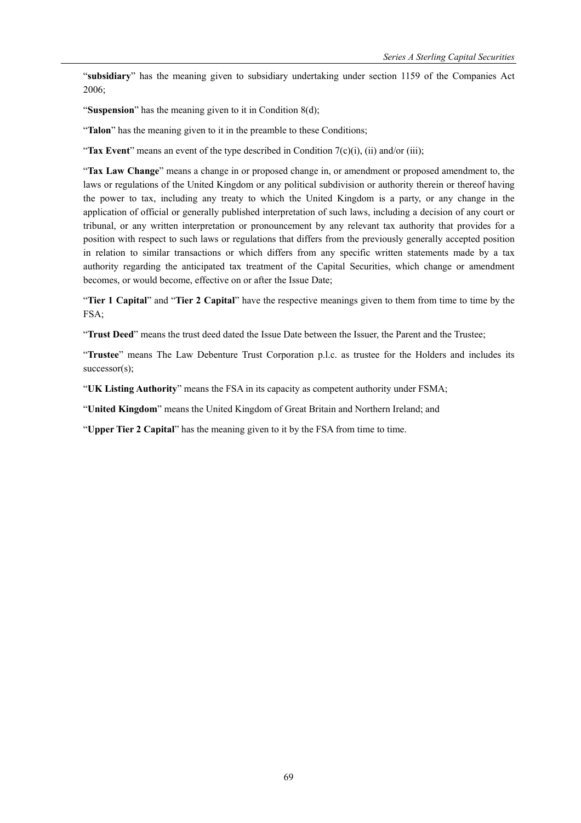"**subsidiary**" has the meaning given to subsidiary undertaking under section 1159 of the Companies Act 2006;

"**Suspension**" has the meaning given to it in Condition 8(d);

"**Talon**" has the meaning given to it in the preamble to these Conditions;

"**Tax Event**" means an event of the type described in Condition 7(c)(i), (ii) and/or (iii);

"**Tax Law Change**" means a change in or proposed change in, or amendment or proposed amendment to, the laws or regulations of the United Kingdom or any political subdivision or authority therein or thereof having the power to tax, including any treaty to which the United Kingdom is a party, or any change in the application of official or generally published interpretation of such laws, including a decision of any court or tribunal, or any written interpretation or pronouncement by any relevant tax authority that provides for a position with respect to such laws or regulations that differs from the previously generally accepted position in relation to similar transactions or which differs from any specific written statements made by a tax authority regarding the anticipated tax treatment of the Capital Securities, which change or amendment becomes, or would become, effective on or after the Issue Date;

"**Tier 1 Capital**" and "**Tier 2 Capital**" have the respective meanings given to them from time to time by the FSA;

"**Trust Deed**" means the trust deed dated the Issue Date between the Issuer, the Parent and the Trustee;

"**Trustee**" means The Law Debenture Trust Corporation p.l.c. as trustee for the Holders and includes its successor(s);

"**UK Listing Authority**" means the FSA in its capacity as competent authority under FSMA;

"**United Kingdom**" means the United Kingdom of Great Britain and Northern Ireland; and

"**Upper Tier 2 Capital**" has the meaning given to it by the FSA from time to time.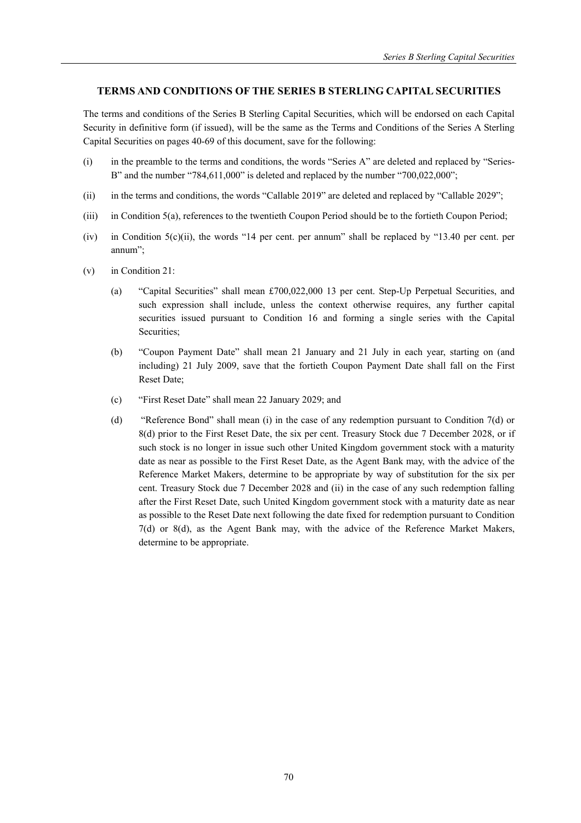# **TERMS AND CONDITIONS OF THE SERIES B STERLING CAPITAL SECURITIES**

The terms and conditions of the Series B Sterling Capital Securities, which will be endorsed on each Capital Security in definitive form (if issued), will be the same as the Terms and Conditions of the Series A Sterling Capital Securities on pages 40-69 of this document, save for the following:

- (i) in the preamble to the terms and conditions, the words "Series A" are deleted and replaced by "Series-B" and the number "784,611,000" is deleted and replaced by the number "700,022,000";
- (ii) in the terms and conditions, the words "Callable 2019" are deleted and replaced by "Callable 2029";
- (iii) in Condition 5(a), references to the twentieth Coupon Period should be to the fortieth Coupon Period;
- (iv) in Condition 5(c)(ii), the words "14 per cent. per annum" shall be replaced by "13.40 per cent. per annum";
- (v) in Condition 21:
	- (a) "Capital Securities" shall mean £700,022,000 13 per cent. Step-Up Perpetual Securities, and such expression shall include, unless the context otherwise requires, any further capital securities issued pursuant to Condition 16 and forming a single series with the Capital Securities;
	- (b) "Coupon Payment Date" shall mean 21 January and 21 July in each year, starting on (and including) 21 July 2009, save that the fortieth Coupon Payment Date shall fall on the First Reset Date;
	- (c) "First Reset Date" shall mean 22 January 2029; and
	- (d) "Reference Bond" shall mean (i) in the case of any redemption pursuant to Condition 7(d) or 8(d) prior to the First Reset Date, the six per cent. Treasury Stock due 7 December 2028, or if such stock is no longer in issue such other United Kingdom government stock with a maturity date as near as possible to the First Reset Date, as the Agent Bank may, with the advice of the Reference Market Makers, determine to be appropriate by way of substitution for the six per cent. Treasury Stock due 7 December 2028 and (ii) in the case of any such redemption falling after the First Reset Date, such United Kingdom government stock with a maturity date as near as possible to the Reset Date next following the date fixed for redemption pursuant to Condition 7(d) or 8(d), as the Agent Bank may, with the advice of the Reference Market Makers, determine to be appropriate.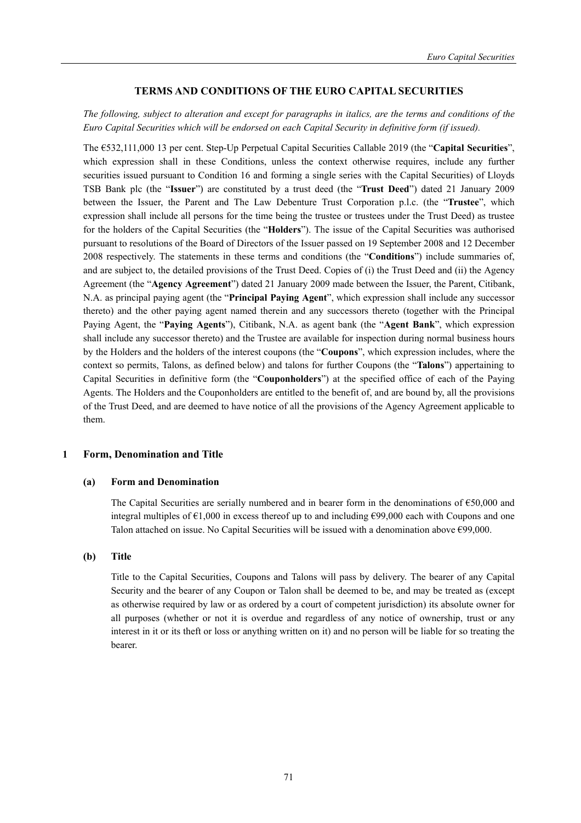# **TERMS AND CONDITIONS OF THE EURO CAPITAL SECURITIES**

# *The following, subject to alteration and except for paragraphs in italics, are the terms and conditions of the Euro Capital Securities which will be endorsed on each Capital Security in definitive form (if issued).*

The €532,111,000 13 per cent. Step-Up Perpetual Capital Securities Callable 2019 (the "**Capital Securities**", which expression shall in these Conditions, unless the context otherwise requires, include any further securities issued pursuant to Condition 16 and forming a single series with the Capital Securities) of Lloyds TSB Bank plc (the "**Issuer**") are constituted by a trust deed (the "**Trust Deed**") dated 21 January 2009 between the Issuer, the Parent and The Law Debenture Trust Corporation p.l.c. (the "**Trustee**", which expression shall include all persons for the time being the trustee or trustees under the Trust Deed) as trustee for the holders of the Capital Securities (the "**Holders**"). The issue of the Capital Securities was authorised pursuant to resolutions of the Board of Directors of the Issuer passed on 19 September 2008 and 12 December 2008 respectively. The statements in these terms and conditions (the "**Conditions**") include summaries of, and are subject to, the detailed provisions of the Trust Deed. Copies of (i) the Trust Deed and (ii) the Agency Agreement (the "**Agency Agreement**") dated 21 January 2009 made between the Issuer, the Parent, Citibank, N.A. as principal paying agent (the "**Principal Paying Agent**", which expression shall include any successor thereto) and the other paying agent named therein and any successors thereto (together with the Principal Paying Agent, the "**Paying Agents**"), Citibank, N.A. as agent bank (the "**Agent Bank**", which expression shall include any successor thereto) and the Trustee are available for inspection during normal business hours by the Holders and the holders of the interest coupons (the "**Coupons**", which expression includes, where the context so permits, Talons, as defined below) and talons for further Coupons (the "**Talons**") appertaining to Capital Securities in definitive form (the "**Couponholders**") at the specified office of each of the Paying Agents. The Holders and the Couponholders are entitled to the benefit of, and are bound by, all the provisions of the Trust Deed, and are deemed to have notice of all the provisions of the Agency Agreement applicable to them.

### **1 Form, Denomination and Title**

#### **(a) Form and Denomination**

The Capital Securities are serially numbered and in bearer form in the denominations of €50,000 and integral multiples of  $\epsilon$ 1,000 in excess thereof up to and including  $\epsilon$ 99,000 each with Coupons and one Talon attached on issue. No Capital Securities will be issued with a denomination above  $\epsilon$ 99,000.

### **(b) Title**

Title to the Capital Securities, Coupons and Talons will pass by delivery. The bearer of any Capital Security and the bearer of any Coupon or Talon shall be deemed to be, and may be treated as (except as otherwise required by law or as ordered by a court of competent jurisdiction) its absolute owner for all purposes (whether or not it is overdue and regardless of any notice of ownership, trust or any interest in it or its theft or loss or anything written on it) and no person will be liable for so treating the bearer.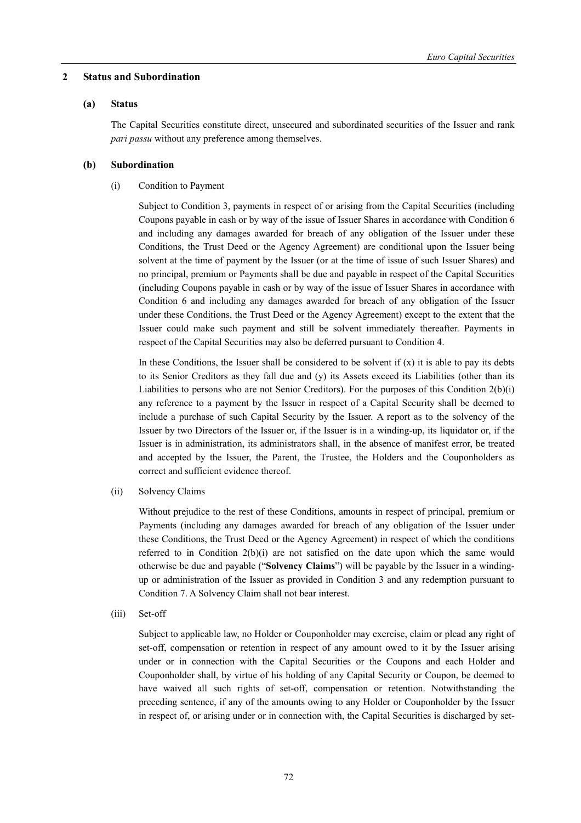### **2 Status and Subordination**

### **(a) Status**

The Capital Securities constitute direct, unsecured and subordinated securities of the Issuer and rank *pari passu* without any preference among themselves.

# **(b) Subordination**

(i) Condition to Payment

Subject to Condition 3, payments in respect of or arising from the Capital Securities (including Coupons payable in cash or by way of the issue of Issuer Shares in accordance with Condition 6 and including any damages awarded for breach of any obligation of the Issuer under these Conditions, the Trust Deed or the Agency Agreement) are conditional upon the Issuer being solvent at the time of payment by the Issuer (or at the time of issue of such Issuer Shares) and no principal, premium or Payments shall be due and payable in respect of the Capital Securities (including Coupons payable in cash or by way of the issue of Issuer Shares in accordance with Condition 6 and including any damages awarded for breach of any obligation of the Issuer under these Conditions, the Trust Deed or the Agency Agreement) except to the extent that the Issuer could make such payment and still be solvent immediately thereafter. Payments in respect of the Capital Securities may also be deferred pursuant to Condition 4.

In these Conditions, the Issuer shall be considered to be solvent if  $(x)$  it is able to pay its debts to its Senior Creditors as they fall due and (y) its Assets exceed its Liabilities (other than its Liabilities to persons who are not Senior Creditors). For the purposes of this Condition 2(b)(i) any reference to a payment by the Issuer in respect of a Capital Security shall be deemed to include a purchase of such Capital Security by the Issuer. A report as to the solvency of the Issuer by two Directors of the Issuer or, if the Issuer is in a winding-up, its liquidator or, if the Issuer is in administration, its administrators shall, in the absence of manifest error, be treated and accepted by the Issuer, the Parent, the Trustee, the Holders and the Couponholders as correct and sufficient evidence thereof.

(ii) Solvency Claims

Without prejudice to the rest of these Conditions, amounts in respect of principal, premium or Payments (including any damages awarded for breach of any obligation of the Issuer under these Conditions, the Trust Deed or the Agency Agreement) in respect of which the conditions referred to in Condition  $2(b)(i)$  are not satisfied on the date upon which the same would otherwise be due and payable ("**Solvency Claims**") will be payable by the Issuer in a windingup or administration of the Issuer as provided in Condition 3 and any redemption pursuant to Condition 7. A Solvency Claim shall not bear interest.

(iii) Set-off

Subject to applicable law, no Holder or Couponholder may exercise, claim or plead any right of set-off, compensation or retention in respect of any amount owed to it by the Issuer arising under or in connection with the Capital Securities or the Coupons and each Holder and Couponholder shall, by virtue of his holding of any Capital Security or Coupon, be deemed to have waived all such rights of set-off, compensation or retention. Notwithstanding the preceding sentence, if any of the amounts owing to any Holder or Couponholder by the Issuer in respect of, or arising under or in connection with, the Capital Securities is discharged by set-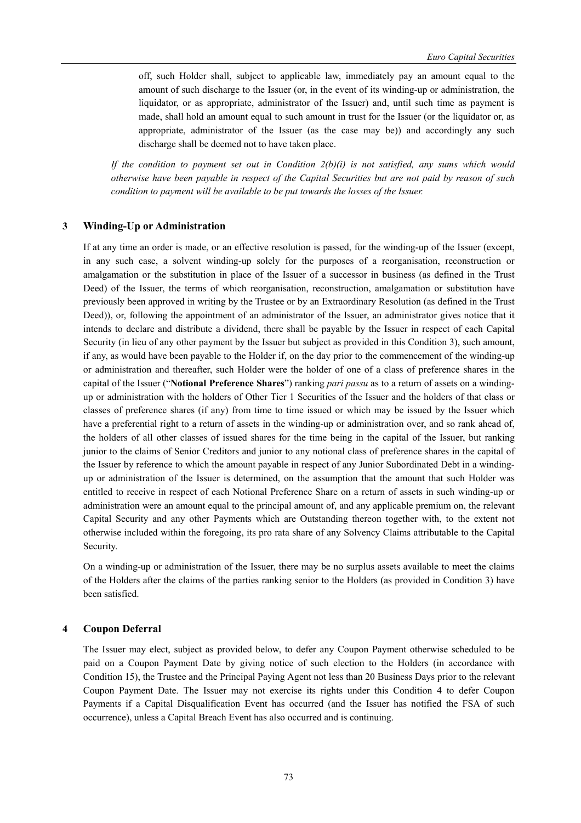off, such Holder shall, subject to applicable law, immediately pay an amount equal to the amount of such discharge to the Issuer (or, in the event of its winding-up or administration, the liquidator, or as appropriate, administrator of the Issuer) and, until such time as payment is made, shall hold an amount equal to such amount in trust for the Issuer (or the liquidator or, as appropriate, administrator of the Issuer (as the case may be)) and accordingly any such discharge shall be deemed not to have taken place.

*If the condition to payment set out in Condition 2(b)(i) is not satisfied, any sums which would otherwise have been payable in respect of the Capital Securities but are not paid by reason of such condition to payment will be available to be put towards the losses of the Issuer.* 

#### **3 Winding-Up or Administration**

If at any time an order is made, or an effective resolution is passed, for the winding-up of the Issuer (except, in any such case, a solvent winding-up solely for the purposes of a reorganisation, reconstruction or amalgamation or the substitution in place of the Issuer of a successor in business (as defined in the Trust Deed) of the Issuer, the terms of which reorganisation, reconstruction, amalgamation or substitution have previously been approved in writing by the Trustee or by an Extraordinary Resolution (as defined in the Trust Deed)), or, following the appointment of an administrator of the Issuer, an administrator gives notice that it intends to declare and distribute a dividend, there shall be payable by the Issuer in respect of each Capital Security (in lieu of any other payment by the Issuer but subject as provided in this Condition 3), such amount, if any, as would have been payable to the Holder if, on the day prior to the commencement of the winding-up or administration and thereafter, such Holder were the holder of one of a class of preference shares in the capital of the Issuer ("**Notional Preference Shares**") ranking *pari passu* as to a return of assets on a windingup or administration with the holders of Other Tier 1 Securities of the Issuer and the holders of that class or classes of preference shares (if any) from time to time issued or which may be issued by the Issuer which have a preferential right to a return of assets in the winding-up or administration over, and so rank ahead of, the holders of all other classes of issued shares for the time being in the capital of the Issuer, but ranking junior to the claims of Senior Creditors and junior to any notional class of preference shares in the capital of the Issuer by reference to which the amount payable in respect of any Junior Subordinated Debt in a windingup or administration of the Issuer is determined, on the assumption that the amount that such Holder was entitled to receive in respect of each Notional Preference Share on a return of assets in such winding-up or administration were an amount equal to the principal amount of, and any applicable premium on, the relevant Capital Security and any other Payments which are Outstanding thereon together with, to the extent not otherwise included within the foregoing, its pro rata share of any Solvency Claims attributable to the Capital Security.

On a winding-up or administration of the Issuer, there may be no surplus assets available to meet the claims of the Holders after the claims of the parties ranking senior to the Holders (as provided in Condition 3) have been satisfied.

#### **4 Coupon Deferral**

The Issuer may elect, subject as provided below, to defer any Coupon Payment otherwise scheduled to be paid on a Coupon Payment Date by giving notice of such election to the Holders (in accordance with Condition 15), the Trustee and the Principal Paying Agent not less than 20 Business Days prior to the relevant Coupon Payment Date. The Issuer may not exercise its rights under this Condition 4 to defer Coupon Payments if a Capital Disqualification Event has occurred (and the Issuer has notified the FSA of such occurrence), unless a Capital Breach Event has also occurred and is continuing.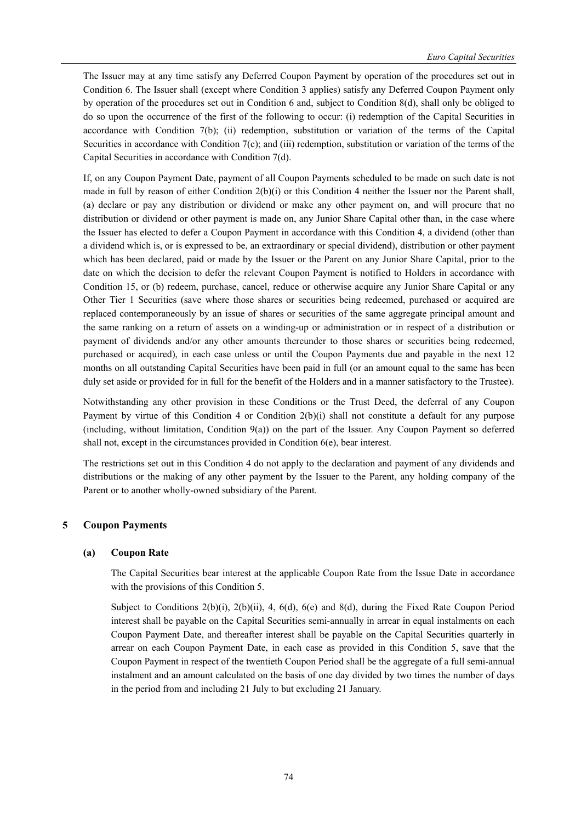The Issuer may at any time satisfy any Deferred Coupon Payment by operation of the procedures set out in Condition 6. The Issuer shall (except where Condition 3 applies) satisfy any Deferred Coupon Payment only by operation of the procedures set out in Condition 6 and, subject to Condition 8(d), shall only be obliged to do so upon the occurrence of the first of the following to occur: (i) redemption of the Capital Securities in accordance with Condition 7(b); (ii) redemption, substitution or variation of the terms of the Capital Securities in accordance with Condition 7(c); and (iii) redemption, substitution or variation of the terms of the Capital Securities in accordance with Condition 7(d).

If, on any Coupon Payment Date, payment of all Coupon Payments scheduled to be made on such date is not made in full by reason of either Condition 2(b)(i) or this Condition 4 neither the Issuer nor the Parent shall, (a) declare or pay any distribution or dividend or make any other payment on, and will procure that no distribution or dividend or other payment is made on, any Junior Share Capital other than, in the case where the Issuer has elected to defer a Coupon Payment in accordance with this Condition 4, a dividend (other than a dividend which is, or is expressed to be, an extraordinary or special dividend), distribution or other payment which has been declared, paid or made by the Issuer or the Parent on any Junior Share Capital, prior to the date on which the decision to defer the relevant Coupon Payment is notified to Holders in accordance with Condition 15, or (b) redeem, purchase, cancel, reduce or otherwise acquire any Junior Share Capital or any Other Tier 1 Securities (save where those shares or securities being redeemed, purchased or acquired are replaced contemporaneously by an issue of shares or securities of the same aggregate principal amount and the same ranking on a return of assets on a winding-up or administration or in respect of a distribution or payment of dividends and/or any other amounts thereunder to those shares or securities being redeemed, purchased or acquired), in each case unless or until the Coupon Payments due and payable in the next 12 months on all outstanding Capital Securities have been paid in full (or an amount equal to the same has been duly set aside or provided for in full for the benefit of the Holders and in a manner satisfactory to the Trustee).

Notwithstanding any other provision in these Conditions or the Trust Deed, the deferral of any Coupon Payment by virtue of this Condition 4 or Condition 2(b)(i) shall not constitute a default for any purpose (including, without limitation, Condition 9(a)) on the part of the Issuer. Any Coupon Payment so deferred shall not, except in the circumstances provided in Condition 6(e), bear interest.

The restrictions set out in this Condition 4 do not apply to the declaration and payment of any dividends and distributions or the making of any other payment by the Issuer to the Parent, any holding company of the Parent or to another wholly-owned subsidiary of the Parent.

# **5 Coupon Payments**

# **(a) Coupon Rate**

The Capital Securities bear interest at the applicable Coupon Rate from the Issue Date in accordance with the provisions of this Condition 5.

Subject to Conditions 2(b)(i), 2(b)(ii), 4, 6(d), 6(e) and 8(d), during the Fixed Rate Coupon Period interest shall be payable on the Capital Securities semi-annually in arrear in equal instalments on each Coupon Payment Date, and thereafter interest shall be payable on the Capital Securities quarterly in arrear on each Coupon Payment Date, in each case as provided in this Condition 5, save that the Coupon Payment in respect of the twentieth Coupon Period shall be the aggregate of a full semi-annual instalment and an amount calculated on the basis of one day divided by two times the number of days in the period from and including 21 July to but excluding 21 January.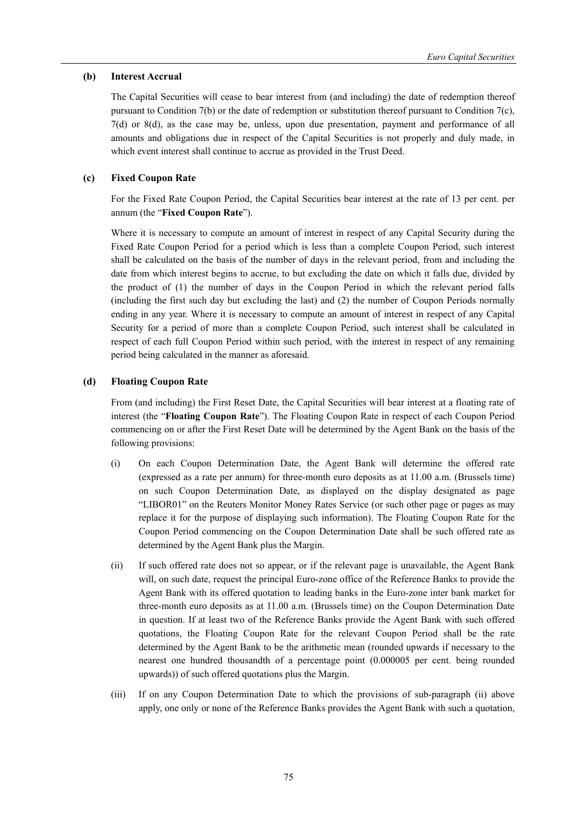## **(b) Interest Accrual**

The Capital Securities will cease to bear interest from (and including) the date of redemption thereof pursuant to Condition 7(b) or the date of redemption or substitution thereof pursuant to Condition 7(c), 7(d) or 8(d), as the case may be, unless, upon due presentation, payment and performance of all amounts and obligations due in respect of the Capital Securities is not properly and duly made, in which event interest shall continue to accrue as provided in the Trust Deed.

# **(c) Fixed Coupon Rate**

For the Fixed Rate Coupon Period, the Capital Securities bear interest at the rate of 13 per cent. per annum (the "**Fixed Coupon Rate**").

Where it is necessary to compute an amount of interest in respect of any Capital Security during the Fixed Rate Coupon Period for a period which is less than a complete Coupon Period, such interest shall be calculated on the basis of the number of days in the relevant period, from and including the date from which interest begins to accrue, to but excluding the date on which it falls due, divided by the product of (1) the number of days in the Coupon Period in which the relevant period falls (including the first such day but excluding the last) and (2) the number of Coupon Periods normally ending in any year. Where it is necessary to compute an amount of interest in respect of any Capital Security for a period of more than a complete Coupon Period, such interest shall be calculated in respect of each full Coupon Period within such period, with the interest in respect of any remaining period being calculated in the manner as aforesaid.

# **(d) Floating Coupon Rate**

From (and including) the First Reset Date, the Capital Securities will bear interest at a floating rate of interest (the "**Floating Coupon Rate**"). The Floating Coupon Rate in respect of each Coupon Period commencing on or after the First Reset Date will be determined by the Agent Bank on the basis of the following provisions:

- (i) On each Coupon Determination Date, the Agent Bank will determine the offered rate (expressed as a rate per annum) for three-month euro deposits as at 11.00 a.m. (Brussels time) on such Coupon Determination Date, as displayed on the display designated as page "LIBOR01" on the Reuters Monitor Money Rates Service (or such other page or pages as may replace it for the purpose of displaying such information). The Floating Coupon Rate for the Coupon Period commencing on the Coupon Determination Date shall be such offered rate as determined by the Agent Bank plus the Margin.
- (ii) If such offered rate does not so appear, or if the relevant page is unavailable, the Agent Bank will, on such date, request the principal Euro-zone office of the Reference Banks to provide the Agent Bank with its offered quotation to leading banks in the Euro-zone inter bank market for three-month euro deposits as at 11.00 a.m. (Brussels time) on the Coupon Determination Date in question. If at least two of the Reference Banks provide the Agent Bank with such offered quotations, the Floating Coupon Rate for the relevant Coupon Period shall be the rate determined by the Agent Bank to be the arithmetic mean (rounded upwards if necessary to the nearest one hundred thousandth of a percentage point (0.000005 per cent. being rounded upwards)) of such offered quotations plus the Margin.
- (iii) If on any Coupon Determination Date to which the provisions of sub-paragraph (ii) above apply, one only or none of the Reference Banks provides the Agent Bank with such a quotation,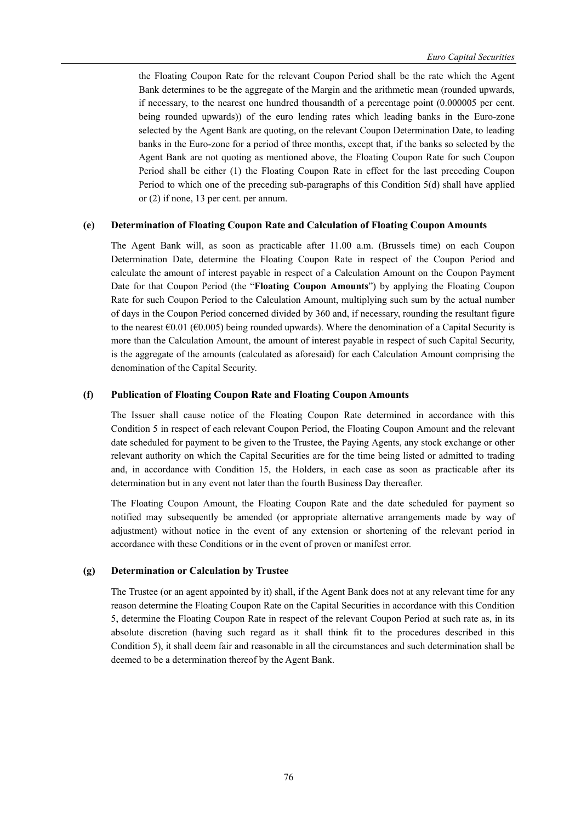the Floating Coupon Rate for the relevant Coupon Period shall be the rate which the Agent Bank determines to be the aggregate of the Margin and the arithmetic mean (rounded upwards, if necessary, to the nearest one hundred thousandth of a percentage point (0.000005 per cent. being rounded upwards)) of the euro lending rates which leading banks in the Euro-zone selected by the Agent Bank are quoting, on the relevant Coupon Determination Date, to leading banks in the Euro-zone for a period of three months, except that, if the banks so selected by the Agent Bank are not quoting as mentioned above, the Floating Coupon Rate for such Coupon Period shall be either (1) the Floating Coupon Rate in effect for the last preceding Coupon Period to which one of the preceding sub-paragraphs of this Condition 5(d) shall have applied or (2) if none, 13 per cent. per annum.

# **(e) Determination of Floating Coupon Rate and Calculation of Floating Coupon Amounts**

The Agent Bank will, as soon as practicable after 11.00 a.m. (Brussels time) on each Coupon Determination Date, determine the Floating Coupon Rate in respect of the Coupon Period and calculate the amount of interest payable in respect of a Calculation Amount on the Coupon Payment Date for that Coupon Period (the "**Floating Coupon Amounts**") by applying the Floating Coupon Rate for such Coupon Period to the Calculation Amount, multiplying such sum by the actual number of days in the Coupon Period concerned divided by 360 and, if necessary, rounding the resultant figure to the nearest  $\epsilon$ 0.01 ( $\epsilon$ 0.005) being rounded upwards). Where the denomination of a Capital Security is more than the Calculation Amount, the amount of interest payable in respect of such Capital Security, is the aggregate of the amounts (calculated as aforesaid) for each Calculation Amount comprising the denomination of the Capital Security.

## **(f) Publication of Floating Coupon Rate and Floating Coupon Amounts**

The Issuer shall cause notice of the Floating Coupon Rate determined in accordance with this Condition 5 in respect of each relevant Coupon Period, the Floating Coupon Amount and the relevant date scheduled for payment to be given to the Trustee, the Paying Agents, any stock exchange or other relevant authority on which the Capital Securities are for the time being listed or admitted to trading and, in accordance with Condition 15, the Holders, in each case as soon as practicable after its determination but in any event not later than the fourth Business Day thereafter.

The Floating Coupon Amount, the Floating Coupon Rate and the date scheduled for payment so notified may subsequently be amended (or appropriate alternative arrangements made by way of adjustment) without notice in the event of any extension or shortening of the relevant period in accordance with these Conditions or in the event of proven or manifest error.

## **(g) Determination or Calculation by Trustee**

The Trustee (or an agent appointed by it) shall, if the Agent Bank does not at any relevant time for any reason determine the Floating Coupon Rate on the Capital Securities in accordance with this Condition 5, determine the Floating Coupon Rate in respect of the relevant Coupon Period at such rate as, in its absolute discretion (having such regard as it shall think fit to the procedures described in this Condition 5), it shall deem fair and reasonable in all the circumstances and such determination shall be deemed to be a determination thereof by the Agent Bank.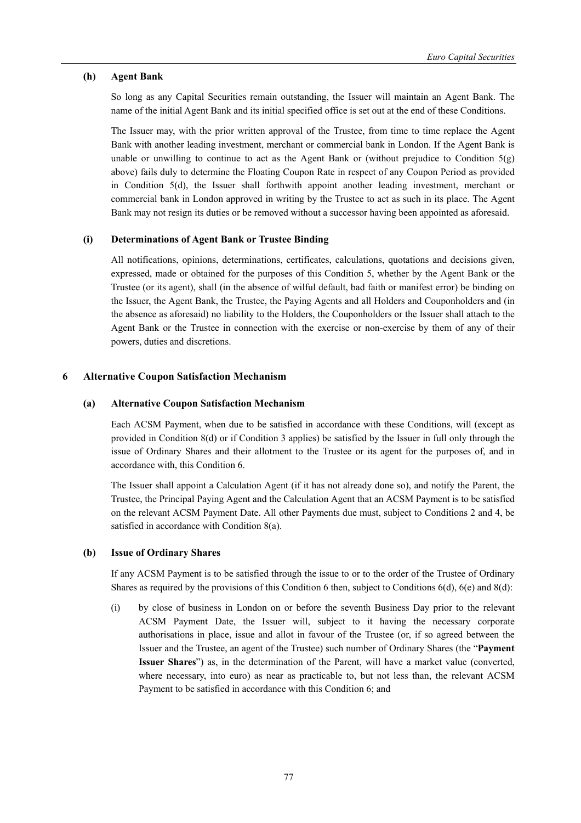## **(h) Agent Bank**

So long as any Capital Securities remain outstanding, the Issuer will maintain an Agent Bank. The name of the initial Agent Bank and its initial specified office is set out at the end of these Conditions.

The Issuer may, with the prior written approval of the Trustee, from time to time replace the Agent Bank with another leading investment, merchant or commercial bank in London. If the Agent Bank is unable or unwilling to continue to act as the Agent Bank or (without prejudice to Condition  $5(g)$ ) above) fails duly to determine the Floating Coupon Rate in respect of any Coupon Period as provided in Condition 5(d), the Issuer shall forthwith appoint another leading investment, merchant or commercial bank in London approved in writing by the Trustee to act as such in its place. The Agent Bank may not resign its duties or be removed without a successor having been appointed as aforesaid.

## **(i) Determinations of Agent Bank or Trustee Binding**

All notifications, opinions, determinations, certificates, calculations, quotations and decisions given, expressed, made or obtained for the purposes of this Condition 5, whether by the Agent Bank or the Trustee (or its agent), shall (in the absence of wilful default, bad faith or manifest error) be binding on the Issuer, the Agent Bank, the Trustee, the Paying Agents and all Holders and Couponholders and (in the absence as aforesaid) no liability to the Holders, the Couponholders or the Issuer shall attach to the Agent Bank or the Trustee in connection with the exercise or non-exercise by them of any of their powers, duties and discretions.

## **6 Alternative Coupon Satisfaction Mechanism**

## **(a) Alternative Coupon Satisfaction Mechanism**

Each ACSM Payment, when due to be satisfied in accordance with these Conditions, will (except as provided in Condition 8(d) or if Condition 3 applies) be satisfied by the Issuer in full only through the issue of Ordinary Shares and their allotment to the Trustee or its agent for the purposes of, and in accordance with, this Condition 6.

The Issuer shall appoint a Calculation Agent (if it has not already done so), and notify the Parent, the Trustee, the Principal Paying Agent and the Calculation Agent that an ACSM Payment is to be satisfied on the relevant ACSM Payment Date. All other Payments due must, subject to Conditions 2 and 4, be satisfied in accordance with Condition 8(a).

## **(b) Issue of Ordinary Shares**

If any ACSM Payment is to be satisfied through the issue to or to the order of the Trustee of Ordinary Shares as required by the provisions of this Condition 6 then, subject to Conditions 6(d), 6(e) and 8(d):

(i) by close of business in London on or before the seventh Business Day prior to the relevant ACSM Payment Date, the Issuer will, subject to it having the necessary corporate authorisations in place, issue and allot in favour of the Trustee (or, if so agreed between the Issuer and the Trustee, an agent of the Trustee) such number of Ordinary Shares (the "**Payment Issuer Shares**") as, in the determination of the Parent, will have a market value (converted, where necessary, into euro) as near as practicable to, but not less than, the relevant ACSM Payment to be satisfied in accordance with this Condition 6; and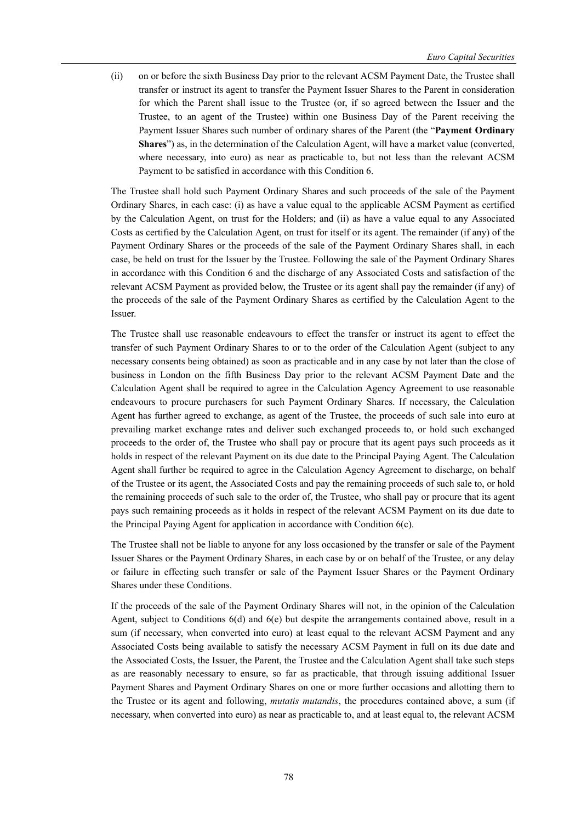(ii) on or before the sixth Business Day prior to the relevant ACSM Payment Date, the Trustee shall transfer or instruct its agent to transfer the Payment Issuer Shares to the Parent in consideration for which the Parent shall issue to the Trustee (or, if so agreed between the Issuer and the Trustee, to an agent of the Trustee) within one Business Day of the Parent receiving the Payment Issuer Shares such number of ordinary shares of the Parent (the "**Payment Ordinary Shares**") as, in the determination of the Calculation Agent, will have a market value (converted, where necessary, into euro) as near as practicable to, but not less than the relevant ACSM Payment to be satisfied in accordance with this Condition 6.

The Trustee shall hold such Payment Ordinary Shares and such proceeds of the sale of the Payment Ordinary Shares, in each case: (i) as have a value equal to the applicable ACSM Payment as certified by the Calculation Agent, on trust for the Holders; and (ii) as have a value equal to any Associated Costs as certified by the Calculation Agent, on trust for itself or its agent. The remainder (if any) of the Payment Ordinary Shares or the proceeds of the sale of the Payment Ordinary Shares shall, in each case, be held on trust for the Issuer by the Trustee. Following the sale of the Payment Ordinary Shares in accordance with this Condition 6 and the discharge of any Associated Costs and satisfaction of the relevant ACSM Payment as provided below, the Trustee or its agent shall pay the remainder (if any) of the proceeds of the sale of the Payment Ordinary Shares as certified by the Calculation Agent to the Issuer.

The Trustee shall use reasonable endeavours to effect the transfer or instruct its agent to effect the transfer of such Payment Ordinary Shares to or to the order of the Calculation Agent (subject to any necessary consents being obtained) as soon as practicable and in any case by not later than the close of business in London on the fifth Business Day prior to the relevant ACSM Payment Date and the Calculation Agent shall be required to agree in the Calculation Agency Agreement to use reasonable endeavours to procure purchasers for such Payment Ordinary Shares. If necessary, the Calculation Agent has further agreed to exchange, as agent of the Trustee, the proceeds of such sale into euro at prevailing market exchange rates and deliver such exchanged proceeds to, or hold such exchanged proceeds to the order of, the Trustee who shall pay or procure that its agent pays such proceeds as it holds in respect of the relevant Payment on its due date to the Principal Paying Agent. The Calculation Agent shall further be required to agree in the Calculation Agency Agreement to discharge, on behalf of the Trustee or its agent, the Associated Costs and pay the remaining proceeds of such sale to, or hold the remaining proceeds of such sale to the order of, the Trustee, who shall pay or procure that its agent pays such remaining proceeds as it holds in respect of the relevant ACSM Payment on its due date to the Principal Paying Agent for application in accordance with Condition 6(c).

The Trustee shall not be liable to anyone for any loss occasioned by the transfer or sale of the Payment Issuer Shares or the Payment Ordinary Shares, in each case by or on behalf of the Trustee, or any delay or failure in effecting such transfer or sale of the Payment Issuer Shares or the Payment Ordinary Shares under these Conditions.

If the proceeds of the sale of the Payment Ordinary Shares will not, in the opinion of the Calculation Agent, subject to Conditions 6(d) and 6(e) but despite the arrangements contained above, result in a sum (if necessary, when converted into euro) at least equal to the relevant ACSM Payment and any Associated Costs being available to satisfy the necessary ACSM Payment in full on its due date and the Associated Costs, the Issuer, the Parent, the Trustee and the Calculation Agent shall take such steps as are reasonably necessary to ensure, so far as practicable, that through issuing additional Issuer Payment Shares and Payment Ordinary Shares on one or more further occasions and allotting them to the Trustee or its agent and following, *mutatis mutandis*, the procedures contained above, a sum (if necessary, when converted into euro) as near as practicable to, and at least equal to, the relevant ACSM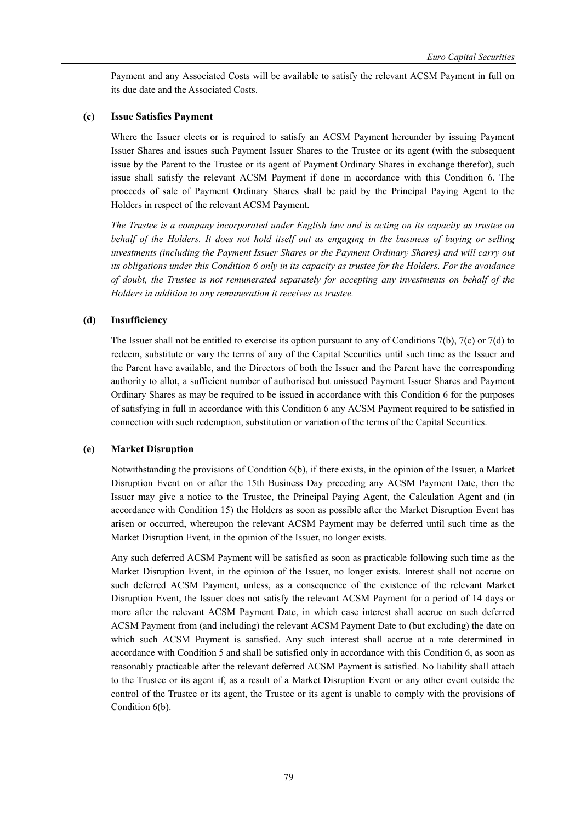Payment and any Associated Costs will be available to satisfy the relevant ACSM Payment in full on its due date and the Associated Costs.

## **(c) Issue Satisfies Payment**

Where the Issuer elects or is required to satisfy an ACSM Payment hereunder by issuing Payment Issuer Shares and issues such Payment Issuer Shares to the Trustee or its agent (with the subsequent issue by the Parent to the Trustee or its agent of Payment Ordinary Shares in exchange therefor), such issue shall satisfy the relevant ACSM Payment if done in accordance with this Condition 6. The proceeds of sale of Payment Ordinary Shares shall be paid by the Principal Paying Agent to the Holders in respect of the relevant ACSM Payment.

*The Trustee is a company incorporated under English law and is acting on its capacity as trustee on behalf of the Holders. It does not hold itself out as engaging in the business of buying or selling investments (including the Payment Issuer Shares or the Payment Ordinary Shares) and will carry out its obligations under this Condition 6 only in its capacity as trustee for the Holders. For the avoidance of doubt, the Trustee is not remunerated separately for accepting any investments on behalf of the Holders in addition to any remuneration it receives as trustee.* 

#### **(d) Insufficiency**

The Issuer shall not be entitled to exercise its option pursuant to any of Conditions 7(b), 7(c) or 7(d) to redeem, substitute or vary the terms of any of the Capital Securities until such time as the Issuer and the Parent have available, and the Directors of both the Issuer and the Parent have the corresponding authority to allot, a sufficient number of authorised but unissued Payment Issuer Shares and Payment Ordinary Shares as may be required to be issued in accordance with this Condition 6 for the purposes of satisfying in full in accordance with this Condition 6 any ACSM Payment required to be satisfied in connection with such redemption, substitution or variation of the terms of the Capital Securities.

## **(e) Market Disruption**

Notwithstanding the provisions of Condition 6(b), if there exists, in the opinion of the Issuer, a Market Disruption Event on or after the 15th Business Day preceding any ACSM Payment Date, then the Issuer may give a notice to the Trustee, the Principal Paying Agent, the Calculation Agent and (in accordance with Condition 15) the Holders as soon as possible after the Market Disruption Event has arisen or occurred, whereupon the relevant ACSM Payment may be deferred until such time as the Market Disruption Event, in the opinion of the Issuer, no longer exists.

Any such deferred ACSM Payment will be satisfied as soon as practicable following such time as the Market Disruption Event, in the opinion of the Issuer, no longer exists. Interest shall not accrue on such deferred ACSM Payment, unless, as a consequence of the existence of the relevant Market Disruption Event, the Issuer does not satisfy the relevant ACSM Payment for a period of 14 days or more after the relevant ACSM Payment Date, in which case interest shall accrue on such deferred ACSM Payment from (and including) the relevant ACSM Payment Date to (but excluding) the date on which such ACSM Payment is satisfied. Any such interest shall accrue at a rate determined in accordance with Condition 5 and shall be satisfied only in accordance with this Condition 6, as soon as reasonably practicable after the relevant deferred ACSM Payment is satisfied. No liability shall attach to the Trustee or its agent if, as a result of a Market Disruption Event or any other event outside the control of the Trustee or its agent, the Trustee or its agent is unable to comply with the provisions of Condition 6(b).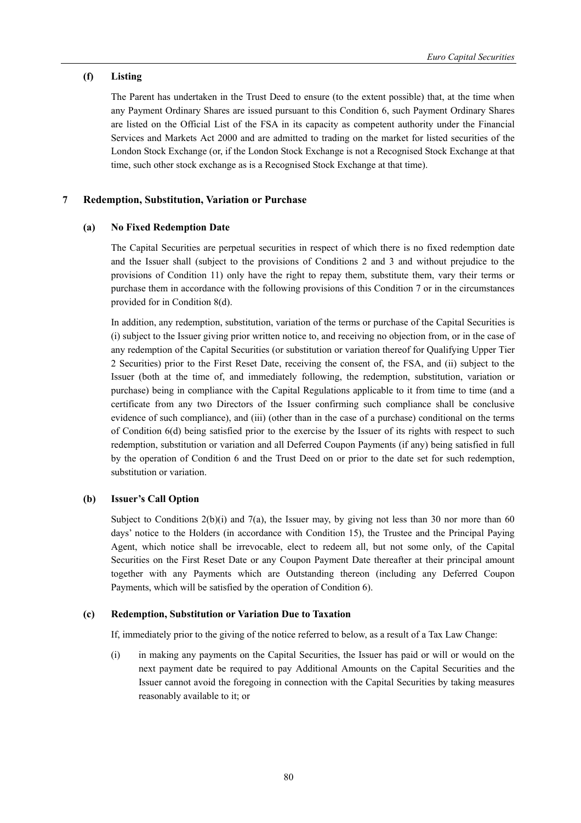# **(f) Listing**

The Parent has undertaken in the Trust Deed to ensure (to the extent possible) that, at the time when any Payment Ordinary Shares are issued pursuant to this Condition 6, such Payment Ordinary Shares are listed on the Official List of the FSA in its capacity as competent authority under the Financial Services and Markets Act 2000 and are admitted to trading on the market for listed securities of the London Stock Exchange (or, if the London Stock Exchange is not a Recognised Stock Exchange at that time, such other stock exchange as is a Recognised Stock Exchange at that time).

# **7 Redemption, Substitution, Variation or Purchase**

# **(a) No Fixed Redemption Date**

The Capital Securities are perpetual securities in respect of which there is no fixed redemption date and the Issuer shall (subject to the provisions of Conditions 2 and 3 and without prejudice to the provisions of Condition 11) only have the right to repay them, substitute them, vary their terms or purchase them in accordance with the following provisions of this Condition 7 or in the circumstances provided for in Condition 8(d).

In addition, any redemption, substitution, variation of the terms or purchase of the Capital Securities is (i) subject to the Issuer giving prior written notice to, and receiving no objection from, or in the case of any redemption of the Capital Securities (or substitution or variation thereof for Qualifying Upper Tier 2 Securities) prior to the First Reset Date, receiving the consent of, the FSA, and (ii) subject to the Issuer (both at the time of, and immediately following, the redemption, substitution, variation or purchase) being in compliance with the Capital Regulations applicable to it from time to time (and a certificate from any two Directors of the Issuer confirming such compliance shall be conclusive evidence of such compliance), and (iii) (other than in the case of a purchase) conditional on the terms of Condition 6(d) being satisfied prior to the exercise by the Issuer of its rights with respect to such redemption, substitution or variation and all Deferred Coupon Payments (if any) being satisfied in full by the operation of Condition 6 and the Trust Deed on or prior to the date set for such redemption, substitution or variation.

# **(b) Issuer's Call Option**

Subject to Conditions  $2(b)(i)$  and  $7(a)$ , the Issuer may, by giving not less than 30 nor more than 60 days' notice to the Holders (in accordance with Condition 15), the Trustee and the Principal Paying Agent, which notice shall be irrevocable, elect to redeem all, but not some only, of the Capital Securities on the First Reset Date or any Coupon Payment Date thereafter at their principal amount together with any Payments which are Outstanding thereon (including any Deferred Coupon Payments, which will be satisfied by the operation of Condition 6).

# **(c) Redemption, Substitution or Variation Due to Taxation**

If, immediately prior to the giving of the notice referred to below, as a result of a Tax Law Change:

(i) in making any payments on the Capital Securities, the Issuer has paid or will or would on the next payment date be required to pay Additional Amounts on the Capital Securities and the Issuer cannot avoid the foregoing in connection with the Capital Securities by taking measures reasonably available to it; or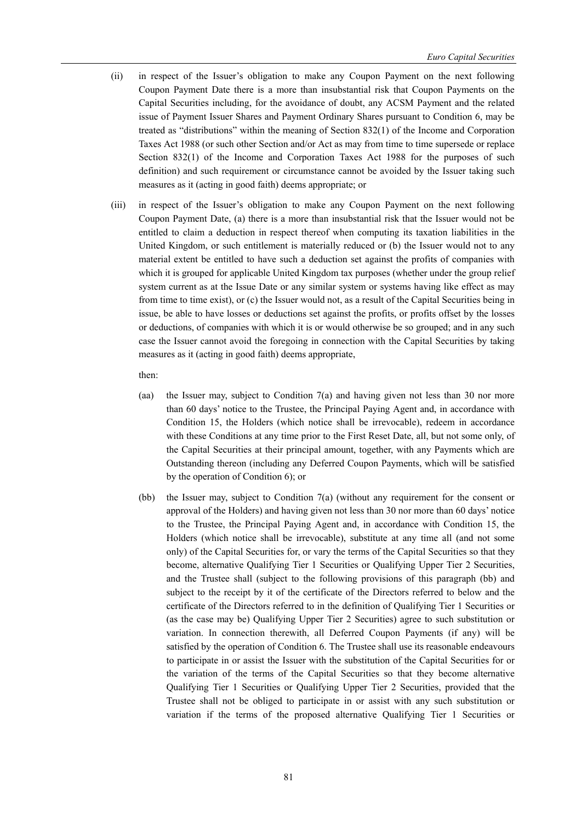- (ii) in respect of the Issuer's obligation to make any Coupon Payment on the next following Coupon Payment Date there is a more than insubstantial risk that Coupon Payments on the Capital Securities including, for the avoidance of doubt, any ACSM Payment and the related issue of Payment Issuer Shares and Payment Ordinary Shares pursuant to Condition 6, may be treated as "distributions" within the meaning of Section 832(1) of the Income and Corporation Taxes Act 1988 (or such other Section and/or Act as may from time to time supersede or replace Section 832(1) of the Income and Corporation Taxes Act 1988 for the purposes of such definition) and such requirement or circumstance cannot be avoided by the Issuer taking such measures as it (acting in good faith) deems appropriate; or
- (iii) in respect of the Issuer's obligation to make any Coupon Payment on the next following Coupon Payment Date, (a) there is a more than insubstantial risk that the Issuer would not be entitled to claim a deduction in respect thereof when computing its taxation liabilities in the United Kingdom, or such entitlement is materially reduced or (b) the Issuer would not to any material extent be entitled to have such a deduction set against the profits of companies with which it is grouped for applicable United Kingdom tax purposes (whether under the group relief system current as at the Issue Date or any similar system or systems having like effect as may from time to time exist), or (c) the Issuer would not, as a result of the Capital Securities being in issue, be able to have losses or deductions set against the profits, or profits offset by the losses or deductions, of companies with which it is or would otherwise be so grouped; and in any such case the Issuer cannot avoid the foregoing in connection with the Capital Securities by taking measures as it (acting in good faith) deems appropriate,

then:

- (aa) the Issuer may, subject to Condition 7(a) and having given not less than 30 nor more than 60 days' notice to the Trustee, the Principal Paying Agent and, in accordance with Condition 15, the Holders (which notice shall be irrevocable), redeem in accordance with these Conditions at any time prior to the First Reset Date, all, but not some only, of the Capital Securities at their principal amount, together, with any Payments which are Outstanding thereon (including any Deferred Coupon Payments, which will be satisfied by the operation of Condition 6); or
- (bb) the Issuer may, subject to Condition 7(a) (without any requirement for the consent or approval of the Holders) and having given not less than 30 nor more than 60 days' notice to the Trustee, the Principal Paying Agent and, in accordance with Condition 15, the Holders (which notice shall be irrevocable), substitute at any time all (and not some only) of the Capital Securities for, or vary the terms of the Capital Securities so that they become, alternative Qualifying Tier 1 Securities or Qualifying Upper Tier 2 Securities, and the Trustee shall (subject to the following provisions of this paragraph (bb) and subject to the receipt by it of the certificate of the Directors referred to below and the certificate of the Directors referred to in the definition of Qualifying Tier 1 Securities or (as the case may be) Qualifying Upper Tier 2 Securities) agree to such substitution or variation. In connection therewith, all Deferred Coupon Payments (if any) will be satisfied by the operation of Condition 6. The Trustee shall use its reasonable endeavours to participate in or assist the Issuer with the substitution of the Capital Securities for or the variation of the terms of the Capital Securities so that they become alternative Qualifying Tier 1 Securities or Qualifying Upper Tier 2 Securities, provided that the Trustee shall not be obliged to participate in or assist with any such substitution or variation if the terms of the proposed alternative Qualifying Tier 1 Securities or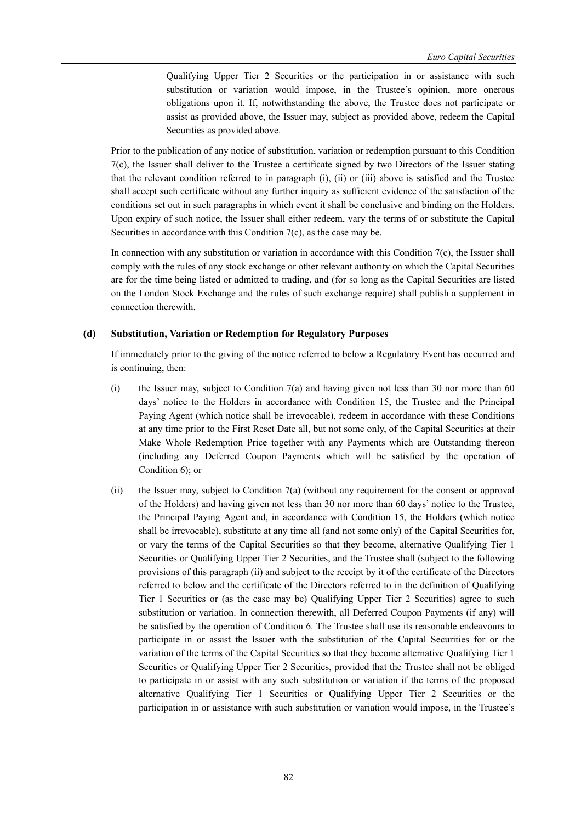Qualifying Upper Tier 2 Securities or the participation in or assistance with such substitution or variation would impose, in the Trustee's opinion, more onerous obligations upon it. If, notwithstanding the above, the Trustee does not participate or assist as provided above, the Issuer may, subject as provided above, redeem the Capital Securities as provided above.

Prior to the publication of any notice of substitution, variation or redemption pursuant to this Condition 7(c), the Issuer shall deliver to the Trustee a certificate signed by two Directors of the Issuer stating that the relevant condition referred to in paragraph (i), (ii) or (iii) above is satisfied and the Trustee shall accept such certificate without any further inquiry as sufficient evidence of the satisfaction of the conditions set out in such paragraphs in which event it shall be conclusive and binding on the Holders. Upon expiry of such notice, the Issuer shall either redeem, vary the terms of or substitute the Capital Securities in accordance with this Condition 7(c), as the case may be.

In connection with any substitution or variation in accordance with this Condition 7(c), the Issuer shall comply with the rules of any stock exchange or other relevant authority on which the Capital Securities are for the time being listed or admitted to trading, and (for so long as the Capital Securities are listed on the London Stock Exchange and the rules of such exchange require) shall publish a supplement in connection therewith.

#### **(d) Substitution, Variation or Redemption for Regulatory Purposes**

If immediately prior to the giving of the notice referred to below a Regulatory Event has occurred and is continuing, then:

- (i) the Issuer may, subject to Condition 7(a) and having given not less than 30 nor more than  $60$ days' notice to the Holders in accordance with Condition 15, the Trustee and the Principal Paying Agent (which notice shall be irrevocable), redeem in accordance with these Conditions at any time prior to the First Reset Date all, but not some only, of the Capital Securities at their Make Whole Redemption Price together with any Payments which are Outstanding thereon (including any Deferred Coupon Payments which will be satisfied by the operation of Condition 6); or
- (ii) the Issuer may, subject to Condition 7(a) (without any requirement for the consent or approval of the Holders) and having given not less than 30 nor more than 60 days' notice to the Trustee, the Principal Paying Agent and, in accordance with Condition 15, the Holders (which notice shall be irrevocable), substitute at any time all (and not some only) of the Capital Securities for, or vary the terms of the Capital Securities so that they become, alternative Qualifying Tier 1 Securities or Qualifying Upper Tier 2 Securities, and the Trustee shall (subject to the following provisions of this paragraph (ii) and subject to the receipt by it of the certificate of the Directors referred to below and the certificate of the Directors referred to in the definition of Qualifying Tier 1 Securities or (as the case may be) Qualifying Upper Tier 2 Securities) agree to such substitution or variation. In connection therewith, all Deferred Coupon Payments (if any) will be satisfied by the operation of Condition 6. The Trustee shall use its reasonable endeavours to participate in or assist the Issuer with the substitution of the Capital Securities for or the variation of the terms of the Capital Securities so that they become alternative Qualifying Tier 1 Securities or Qualifying Upper Tier 2 Securities, provided that the Trustee shall not be obliged to participate in or assist with any such substitution or variation if the terms of the proposed alternative Qualifying Tier 1 Securities or Qualifying Upper Tier 2 Securities or the participation in or assistance with such substitution or variation would impose, in the Trustee's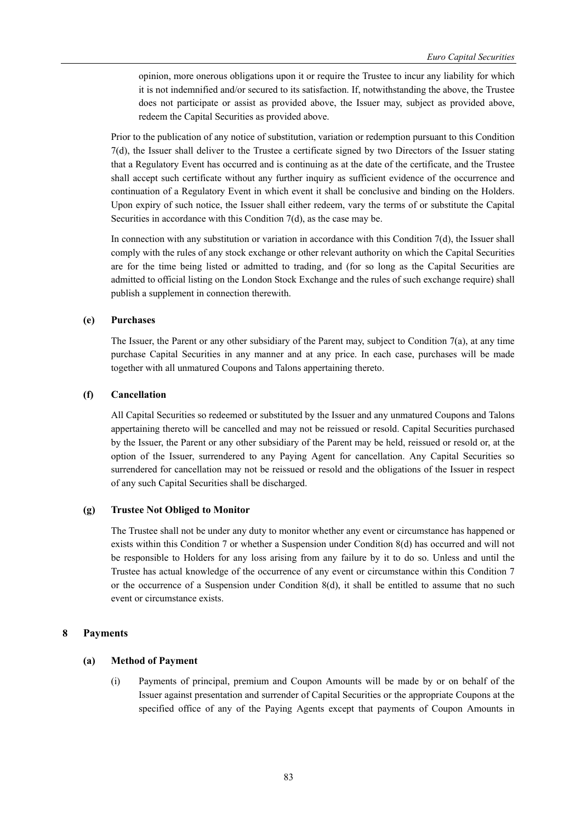opinion, more onerous obligations upon it or require the Trustee to incur any liability for which it is not indemnified and/or secured to its satisfaction. If, notwithstanding the above, the Trustee does not participate or assist as provided above, the Issuer may, subject as provided above, redeem the Capital Securities as provided above.

Prior to the publication of any notice of substitution, variation or redemption pursuant to this Condition 7(d), the Issuer shall deliver to the Trustee a certificate signed by two Directors of the Issuer stating that a Regulatory Event has occurred and is continuing as at the date of the certificate, and the Trustee shall accept such certificate without any further inquiry as sufficient evidence of the occurrence and continuation of a Regulatory Event in which event it shall be conclusive and binding on the Holders. Upon expiry of such notice, the Issuer shall either redeem, vary the terms of or substitute the Capital Securities in accordance with this Condition 7(d), as the case may be.

In connection with any substitution or variation in accordance with this Condition 7(d), the Issuer shall comply with the rules of any stock exchange or other relevant authority on which the Capital Securities are for the time being listed or admitted to trading, and (for so long as the Capital Securities are admitted to official listing on the London Stock Exchange and the rules of such exchange require) shall publish a supplement in connection therewith.

## **(e) Purchases**

The Issuer, the Parent or any other subsidiary of the Parent may, subject to Condition 7(a), at any time purchase Capital Securities in any manner and at any price. In each case, purchases will be made together with all unmatured Coupons and Talons appertaining thereto.

## **(f) Cancellation**

All Capital Securities so redeemed or substituted by the Issuer and any unmatured Coupons and Talons appertaining thereto will be cancelled and may not be reissued or resold. Capital Securities purchased by the Issuer, the Parent or any other subsidiary of the Parent may be held, reissued or resold or, at the option of the Issuer, surrendered to any Paying Agent for cancellation. Any Capital Securities so surrendered for cancellation may not be reissued or resold and the obligations of the Issuer in respect of any such Capital Securities shall be discharged.

## **(g) Trustee Not Obliged to Monitor**

The Trustee shall not be under any duty to monitor whether any event or circumstance has happened or exists within this Condition 7 or whether a Suspension under Condition 8(d) has occurred and will not be responsible to Holders for any loss arising from any failure by it to do so. Unless and until the Trustee has actual knowledge of the occurrence of any event or circumstance within this Condition 7 or the occurrence of a Suspension under Condition  $8(d)$ , it shall be entitled to assume that no such event or circumstance exists.

## **8 Payments**

## **(a) Method of Payment**

(i) Payments of principal, premium and Coupon Amounts will be made by or on behalf of the Issuer against presentation and surrender of Capital Securities or the appropriate Coupons at the specified office of any of the Paying Agents except that payments of Coupon Amounts in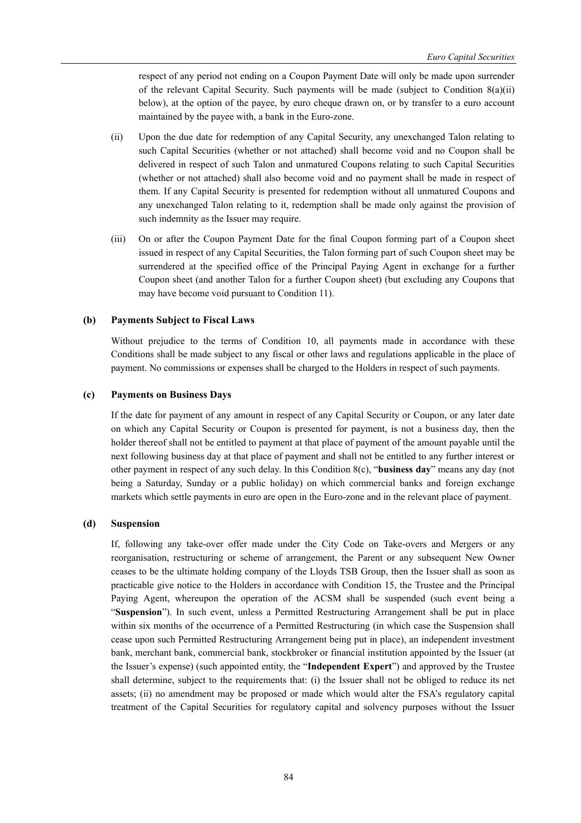respect of any period not ending on a Coupon Payment Date will only be made upon surrender of the relevant Capital Security. Such payments will be made (subject to Condition  $8(a)(ii)$ ) below), at the option of the payee, by euro cheque drawn on, or by transfer to a euro account maintained by the payee with, a bank in the Euro-zone.

- (ii) Upon the due date for redemption of any Capital Security, any unexchanged Talon relating to such Capital Securities (whether or not attached) shall become void and no Coupon shall be delivered in respect of such Talon and unmatured Coupons relating to such Capital Securities (whether or not attached) shall also become void and no payment shall be made in respect of them. If any Capital Security is presented for redemption without all unmatured Coupons and any unexchanged Talon relating to it, redemption shall be made only against the provision of such indemnity as the Issuer may require.
- (iii) On or after the Coupon Payment Date for the final Coupon forming part of a Coupon sheet issued in respect of any Capital Securities, the Talon forming part of such Coupon sheet may be surrendered at the specified office of the Principal Paying Agent in exchange for a further Coupon sheet (and another Talon for a further Coupon sheet) (but excluding any Coupons that may have become void pursuant to Condition 11).

## **(b) Payments Subject to Fiscal Laws**

Without prejudice to the terms of Condition 10, all payments made in accordance with these Conditions shall be made subject to any fiscal or other laws and regulations applicable in the place of payment. No commissions or expenses shall be charged to the Holders in respect of such payments.

## **(c) Payments on Business Days**

If the date for payment of any amount in respect of any Capital Security or Coupon, or any later date on which any Capital Security or Coupon is presented for payment, is not a business day, then the holder thereof shall not be entitled to payment at that place of payment of the amount payable until the next following business day at that place of payment and shall not be entitled to any further interest or other payment in respect of any such delay. In this Condition 8(c), "**business day**" means any day (not being a Saturday, Sunday or a public holiday) on which commercial banks and foreign exchange markets which settle payments in euro are open in the Euro-zone and in the relevant place of payment.

## **(d) Suspension**

If, following any take-over offer made under the City Code on Take-overs and Mergers or any reorganisation, restructuring or scheme of arrangement, the Parent or any subsequent New Owner ceases to be the ultimate holding company of the Lloyds TSB Group, then the Issuer shall as soon as practicable give notice to the Holders in accordance with Condition 15, the Trustee and the Principal Paying Agent, whereupon the operation of the ACSM shall be suspended (such event being a "**Suspension**"). In such event, unless a Permitted Restructuring Arrangement shall be put in place within six months of the occurrence of a Permitted Restructuring (in which case the Suspension shall cease upon such Permitted Restructuring Arrangement being put in place), an independent investment bank, merchant bank, commercial bank, stockbroker or financial institution appointed by the Issuer (at the Issuer's expense) (such appointed entity, the "**Independent Expert**") and approved by the Trustee shall determine, subject to the requirements that: (i) the Issuer shall not be obliged to reduce its net assets; (ii) no amendment may be proposed or made which would alter the FSA's regulatory capital treatment of the Capital Securities for regulatory capital and solvency purposes without the Issuer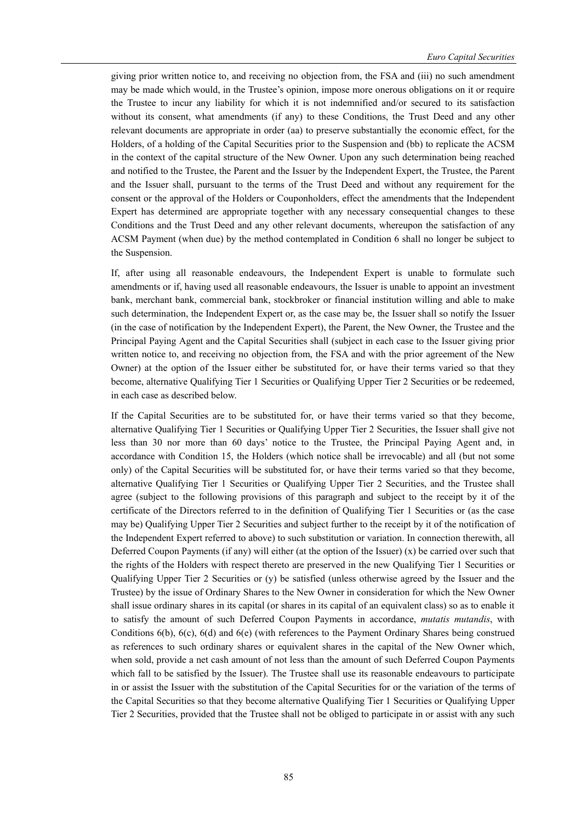*Euro Capital Securities* 

giving prior written notice to, and receiving no objection from, the FSA and (iii) no such amendment may be made which would, in the Trustee's opinion, impose more onerous obligations on it or require the Trustee to incur any liability for which it is not indemnified and/or secured to its satisfaction without its consent, what amendments (if any) to these Conditions, the Trust Deed and any other relevant documents are appropriate in order (aa) to preserve substantially the economic effect, for the Holders, of a holding of the Capital Securities prior to the Suspension and (bb) to replicate the ACSM in the context of the capital structure of the New Owner. Upon any such determination being reached and notified to the Trustee, the Parent and the Issuer by the Independent Expert, the Trustee, the Parent and the Issuer shall, pursuant to the terms of the Trust Deed and without any requirement for the consent or the approval of the Holders or Couponholders, effect the amendments that the Independent Expert has determined are appropriate together with any necessary consequential changes to these Conditions and the Trust Deed and any other relevant documents, whereupon the satisfaction of any ACSM Payment (when due) by the method contemplated in Condition 6 shall no longer be subject to the Suspension.

If, after using all reasonable endeavours, the Independent Expert is unable to formulate such amendments or if, having used all reasonable endeavours, the Issuer is unable to appoint an investment bank, merchant bank, commercial bank, stockbroker or financial institution willing and able to make such determination, the Independent Expert or, as the case may be, the Issuer shall so notify the Issuer (in the case of notification by the Independent Expert), the Parent, the New Owner, the Trustee and the Principal Paying Agent and the Capital Securities shall (subject in each case to the Issuer giving prior written notice to, and receiving no objection from, the FSA and with the prior agreement of the New Owner) at the option of the Issuer either be substituted for, or have their terms varied so that they become, alternative Qualifying Tier 1 Securities or Qualifying Upper Tier 2 Securities or be redeemed, in each case as described below.

If the Capital Securities are to be substituted for, or have their terms varied so that they become, alternative Qualifying Tier 1 Securities or Qualifying Upper Tier 2 Securities, the Issuer shall give not less than 30 nor more than 60 days' notice to the Trustee, the Principal Paying Agent and, in accordance with Condition 15, the Holders (which notice shall be irrevocable) and all (but not some only) of the Capital Securities will be substituted for, or have their terms varied so that they become, alternative Qualifying Tier 1 Securities or Qualifying Upper Tier 2 Securities, and the Trustee shall agree (subject to the following provisions of this paragraph and subject to the receipt by it of the certificate of the Directors referred to in the definition of Qualifying Tier 1 Securities or (as the case may be) Qualifying Upper Tier 2 Securities and subject further to the receipt by it of the notification of the Independent Expert referred to above) to such substitution or variation. In connection therewith, all Deferred Coupon Payments (if any) will either (at the option of the Issuer) (x) be carried over such that the rights of the Holders with respect thereto are preserved in the new Qualifying Tier 1 Securities or Qualifying Upper Tier 2 Securities or (y) be satisfied (unless otherwise agreed by the Issuer and the Trustee) by the issue of Ordinary Shares to the New Owner in consideration for which the New Owner shall issue ordinary shares in its capital (or shares in its capital of an equivalent class) so as to enable it to satisfy the amount of such Deferred Coupon Payments in accordance, *mutatis mutandis*, with Conditions 6(b), 6(c), 6(d) and 6(e) (with references to the Payment Ordinary Shares being construed as references to such ordinary shares or equivalent shares in the capital of the New Owner which, when sold, provide a net cash amount of not less than the amount of such Deferred Coupon Payments which fall to be satisfied by the Issuer). The Trustee shall use its reasonable endeavours to participate in or assist the Issuer with the substitution of the Capital Securities for or the variation of the terms of the Capital Securities so that they become alternative Qualifying Tier 1 Securities or Qualifying Upper Tier 2 Securities, provided that the Trustee shall not be obliged to participate in or assist with any such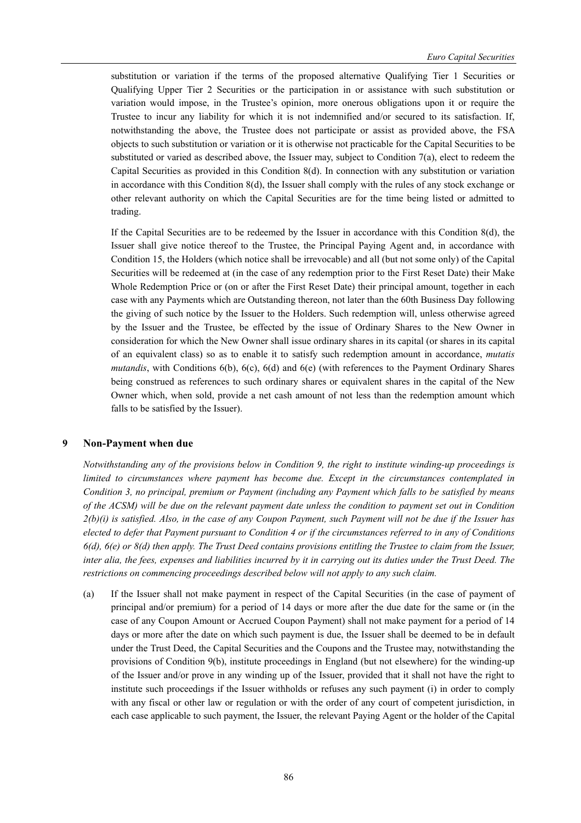substitution or variation if the terms of the proposed alternative Qualifying Tier 1 Securities or Qualifying Upper Tier 2 Securities or the participation in or assistance with such substitution or variation would impose, in the Trustee's opinion, more onerous obligations upon it or require the Trustee to incur any liability for which it is not indemnified and/or secured to its satisfaction. If, notwithstanding the above, the Trustee does not participate or assist as provided above, the FSA objects to such substitution or variation or it is otherwise not practicable for the Capital Securities to be substituted or varied as described above, the Issuer may, subject to Condition 7(a), elect to redeem the Capital Securities as provided in this Condition 8(d). In connection with any substitution or variation in accordance with this Condition 8(d), the Issuer shall comply with the rules of any stock exchange or other relevant authority on which the Capital Securities are for the time being listed or admitted to trading.

If the Capital Securities are to be redeemed by the Issuer in accordance with this Condition 8(d), the Issuer shall give notice thereof to the Trustee, the Principal Paying Agent and, in accordance with Condition 15, the Holders (which notice shall be irrevocable) and all (but not some only) of the Capital Securities will be redeemed at (in the case of any redemption prior to the First Reset Date) their Make Whole Redemption Price or (on or after the First Reset Date) their principal amount, together in each case with any Payments which are Outstanding thereon, not later than the 60th Business Day following the giving of such notice by the Issuer to the Holders. Such redemption will, unless otherwise agreed by the Issuer and the Trustee, be effected by the issue of Ordinary Shares to the New Owner in consideration for which the New Owner shall issue ordinary shares in its capital (or shares in its capital of an equivalent class) so as to enable it to satisfy such redemption amount in accordance, *mutatis mutandis*, with Conditions 6(b), 6(c), 6(d) and 6(e) (with references to the Payment Ordinary Shares being construed as references to such ordinary shares or equivalent shares in the capital of the New Owner which, when sold, provide a net cash amount of not less than the redemption amount which falls to be satisfied by the Issuer).

#### **9 Non-Payment when due**

*Notwithstanding any of the provisions below in Condition 9, the right to institute winding-up proceedings is limited to circumstances where payment has become due. Except in the circumstances contemplated in Condition 3, no principal, premium or Payment (including any Payment which falls to be satisfied by means of the ACSM) will be due on the relevant payment date unless the condition to payment set out in Condition 2(b)(i) is satisfied. Also, in the case of any Coupon Payment, such Payment will not be due if the Issuer has elected to defer that Payment pursuant to Condition 4 or if the circumstances referred to in any of Conditions 6(d), 6(e) or 8(d) then apply. The Trust Deed contains provisions entitling the Trustee to claim from the Issuer, inter alia, the fees, expenses and liabilities incurred by it in carrying out its duties under the Trust Deed. The restrictions on commencing proceedings described below will not apply to any such claim.* 

(a) If the Issuer shall not make payment in respect of the Capital Securities (in the case of payment of principal and/or premium) for a period of 14 days or more after the due date for the same or (in the case of any Coupon Amount or Accrued Coupon Payment) shall not make payment for a period of 14 days or more after the date on which such payment is due, the Issuer shall be deemed to be in default under the Trust Deed, the Capital Securities and the Coupons and the Trustee may, notwithstanding the provisions of Condition 9(b), institute proceedings in England (but not elsewhere) for the winding-up of the Issuer and/or prove in any winding up of the Issuer, provided that it shall not have the right to institute such proceedings if the Issuer withholds or refuses any such payment (i) in order to comply with any fiscal or other law or regulation or with the order of any court of competent jurisdiction, in each case applicable to such payment, the Issuer, the relevant Paying Agent or the holder of the Capital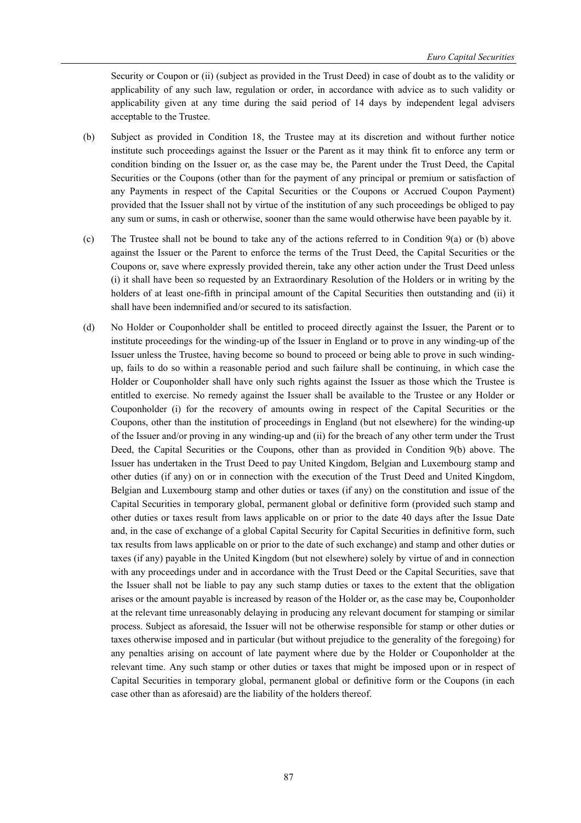Security or Coupon or (ii) (subject as provided in the Trust Deed) in case of doubt as to the validity or applicability of any such law, regulation or order, in accordance with advice as to such validity or applicability given at any time during the said period of 14 days by independent legal advisers acceptable to the Trustee.

- (b) Subject as provided in Condition 18, the Trustee may at its discretion and without further notice institute such proceedings against the Issuer or the Parent as it may think fit to enforce any term or condition binding on the Issuer or, as the case may be, the Parent under the Trust Deed, the Capital Securities or the Coupons (other than for the payment of any principal or premium or satisfaction of any Payments in respect of the Capital Securities or the Coupons or Accrued Coupon Payment) provided that the Issuer shall not by virtue of the institution of any such proceedings be obliged to pay any sum or sums, in cash or otherwise, sooner than the same would otherwise have been payable by it.
- (c) The Trustee shall not be bound to take any of the actions referred to in Condition 9(a) or (b) above against the Issuer or the Parent to enforce the terms of the Trust Deed, the Capital Securities or the Coupons or, save where expressly provided therein, take any other action under the Trust Deed unless (i) it shall have been so requested by an Extraordinary Resolution of the Holders or in writing by the holders of at least one-fifth in principal amount of the Capital Securities then outstanding and (ii) it shall have been indemnified and/or secured to its satisfaction.
- (d) No Holder or Couponholder shall be entitled to proceed directly against the Issuer, the Parent or to institute proceedings for the winding-up of the Issuer in England or to prove in any winding-up of the Issuer unless the Trustee, having become so bound to proceed or being able to prove in such windingup, fails to do so within a reasonable period and such failure shall be continuing, in which case the Holder or Couponholder shall have only such rights against the Issuer as those which the Trustee is entitled to exercise. No remedy against the Issuer shall be available to the Trustee or any Holder or Couponholder (i) for the recovery of amounts owing in respect of the Capital Securities or the Coupons, other than the institution of proceedings in England (but not elsewhere) for the winding-up of the Issuer and/or proving in any winding-up and (ii) for the breach of any other term under the Trust Deed, the Capital Securities or the Coupons, other than as provided in Condition 9(b) above. The Issuer has undertaken in the Trust Deed to pay United Kingdom, Belgian and Luxembourg stamp and other duties (if any) on or in connection with the execution of the Trust Deed and United Kingdom, Belgian and Luxembourg stamp and other duties or taxes (if any) on the constitution and issue of the Capital Securities in temporary global, permanent global or definitive form (provided such stamp and other duties or taxes result from laws applicable on or prior to the date 40 days after the Issue Date and, in the case of exchange of a global Capital Security for Capital Securities in definitive form, such tax results from laws applicable on or prior to the date of such exchange) and stamp and other duties or taxes (if any) payable in the United Kingdom (but not elsewhere) solely by virtue of and in connection with any proceedings under and in accordance with the Trust Deed or the Capital Securities, save that the Issuer shall not be liable to pay any such stamp duties or taxes to the extent that the obligation arises or the amount payable is increased by reason of the Holder or, as the case may be, Couponholder at the relevant time unreasonably delaying in producing any relevant document for stamping or similar process. Subject as aforesaid, the Issuer will not be otherwise responsible for stamp or other duties or taxes otherwise imposed and in particular (but without prejudice to the generality of the foregoing) for any penalties arising on account of late payment where due by the Holder or Couponholder at the relevant time. Any such stamp or other duties or taxes that might be imposed upon or in respect of Capital Securities in temporary global, permanent global or definitive form or the Coupons (in each case other than as aforesaid) are the liability of the holders thereof.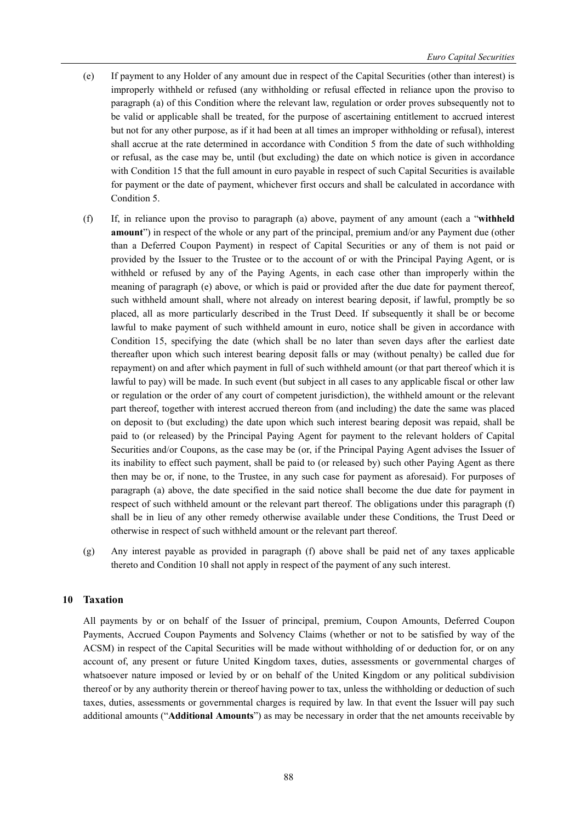- (e) If payment to any Holder of any amount due in respect of the Capital Securities (other than interest) is improperly withheld or refused (any withholding or refusal effected in reliance upon the proviso to paragraph (a) of this Condition where the relevant law, regulation or order proves subsequently not to be valid or applicable shall be treated, for the purpose of ascertaining entitlement to accrued interest but not for any other purpose, as if it had been at all times an improper withholding or refusal), interest shall accrue at the rate determined in accordance with Condition 5 from the date of such withholding or refusal, as the case may be, until (but excluding) the date on which notice is given in accordance with Condition 15 that the full amount in euro payable in respect of such Capital Securities is available for payment or the date of payment, whichever first occurs and shall be calculated in accordance with Condition 5.
- (f) If, in reliance upon the proviso to paragraph (a) above, payment of any amount (each a "**withheld amount**") in respect of the whole or any part of the principal, premium and/or any Payment due (other than a Deferred Coupon Payment) in respect of Capital Securities or any of them is not paid or provided by the Issuer to the Trustee or to the account of or with the Principal Paying Agent, or is withheld or refused by any of the Paying Agents, in each case other than improperly within the meaning of paragraph (e) above, or which is paid or provided after the due date for payment thereof, such withheld amount shall, where not already on interest bearing deposit, if lawful, promptly be so placed, all as more particularly described in the Trust Deed. If subsequently it shall be or become lawful to make payment of such withheld amount in euro, notice shall be given in accordance with Condition 15, specifying the date (which shall be no later than seven days after the earliest date thereafter upon which such interest bearing deposit falls or may (without penalty) be called due for repayment) on and after which payment in full of such withheld amount (or that part thereof which it is lawful to pay) will be made. In such event (but subject in all cases to any applicable fiscal or other law or regulation or the order of any court of competent jurisdiction), the withheld amount or the relevant part thereof, together with interest accrued thereon from (and including) the date the same was placed on deposit to (but excluding) the date upon which such interest bearing deposit was repaid, shall be paid to (or released) by the Principal Paying Agent for payment to the relevant holders of Capital Securities and/or Coupons, as the case may be (or, if the Principal Paying Agent advises the Issuer of its inability to effect such payment, shall be paid to (or released by) such other Paying Agent as there then may be or, if none, to the Trustee, in any such case for payment as aforesaid). For purposes of paragraph (a) above, the date specified in the said notice shall become the due date for payment in respect of such withheld amount or the relevant part thereof. The obligations under this paragraph (f) shall be in lieu of any other remedy otherwise available under these Conditions, the Trust Deed or otherwise in respect of such withheld amount or the relevant part thereof.
- (g) Any interest payable as provided in paragraph (f) above shall be paid net of any taxes applicable thereto and Condition 10 shall not apply in respect of the payment of any such interest.

## **10 Taxation**

All payments by or on behalf of the Issuer of principal, premium, Coupon Amounts, Deferred Coupon Payments, Accrued Coupon Payments and Solvency Claims (whether or not to be satisfied by way of the ACSM) in respect of the Capital Securities will be made without withholding of or deduction for, or on any account of, any present or future United Kingdom taxes, duties, assessments or governmental charges of whatsoever nature imposed or levied by or on behalf of the United Kingdom or any political subdivision thereof or by any authority therein or thereof having power to tax, unless the withholding or deduction of such taxes, duties, assessments or governmental charges is required by law. In that event the Issuer will pay such additional amounts ("**Additional Amounts**") as may be necessary in order that the net amounts receivable by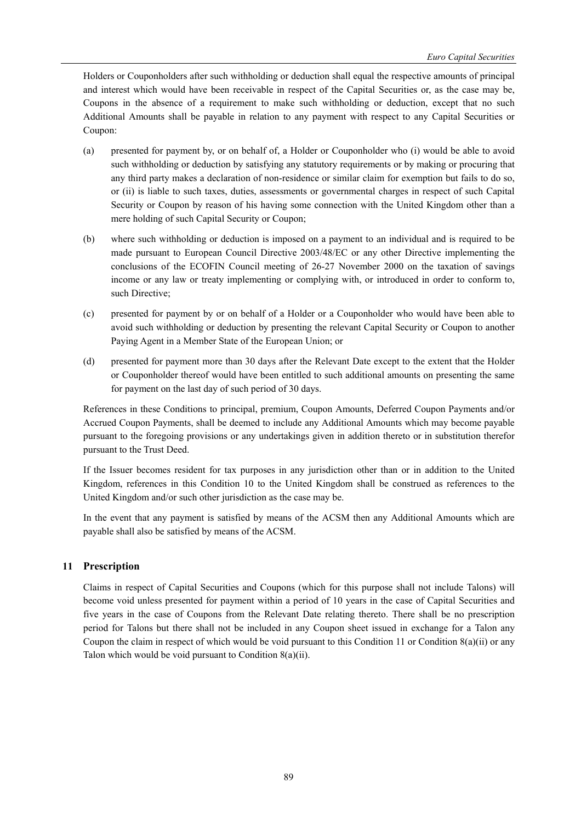Holders or Couponholders after such withholding or deduction shall equal the respective amounts of principal and interest which would have been receivable in respect of the Capital Securities or, as the case may be, Coupons in the absence of a requirement to make such withholding or deduction, except that no such Additional Amounts shall be payable in relation to any payment with respect to any Capital Securities or Coupon:

- (a) presented for payment by, or on behalf of, a Holder or Couponholder who (i) would be able to avoid such withholding or deduction by satisfying any statutory requirements or by making or procuring that any third party makes a declaration of non-residence or similar claim for exemption but fails to do so, or (ii) is liable to such taxes, duties, assessments or governmental charges in respect of such Capital Security or Coupon by reason of his having some connection with the United Kingdom other than a mere holding of such Capital Security or Coupon;
- (b) where such withholding or deduction is imposed on a payment to an individual and is required to be made pursuant to European Council Directive 2003/48/EC or any other Directive implementing the conclusions of the ECOFIN Council meeting of 26-27 November 2000 on the taxation of savings income or any law or treaty implementing or complying with, or introduced in order to conform to, such Directive;
- (c) presented for payment by or on behalf of a Holder or a Couponholder who would have been able to avoid such withholding or deduction by presenting the relevant Capital Security or Coupon to another Paying Agent in a Member State of the European Union; or
- (d) presented for payment more than 30 days after the Relevant Date except to the extent that the Holder or Couponholder thereof would have been entitled to such additional amounts on presenting the same for payment on the last day of such period of 30 days.

References in these Conditions to principal, premium, Coupon Amounts, Deferred Coupon Payments and/or Accrued Coupon Payments, shall be deemed to include any Additional Amounts which may become payable pursuant to the foregoing provisions or any undertakings given in addition thereto or in substitution therefor pursuant to the Trust Deed.

If the Issuer becomes resident for tax purposes in any jurisdiction other than or in addition to the United Kingdom, references in this Condition 10 to the United Kingdom shall be construed as references to the United Kingdom and/or such other jurisdiction as the case may be.

In the event that any payment is satisfied by means of the ACSM then any Additional Amounts which are payable shall also be satisfied by means of the ACSM.

# **11 Prescription**

Claims in respect of Capital Securities and Coupons (which for this purpose shall not include Talons) will become void unless presented for payment within a period of 10 years in the case of Capital Securities and five years in the case of Coupons from the Relevant Date relating thereto. There shall be no prescription period for Talons but there shall not be included in any Coupon sheet issued in exchange for a Talon any Coupon the claim in respect of which would be void pursuant to this Condition 11 or Condition 8(a)(ii) or any Talon which would be void pursuant to Condition 8(a)(ii).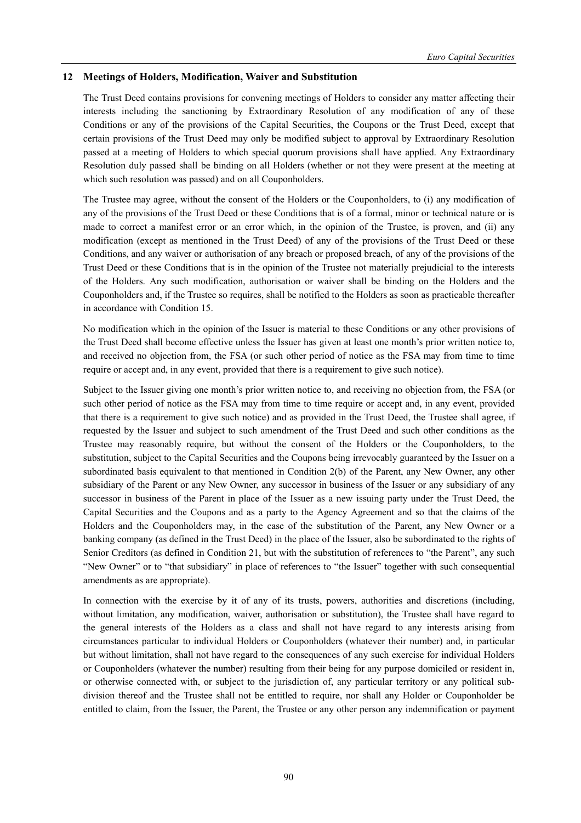## **12 Meetings of Holders, Modification, Waiver and Substitution**

The Trust Deed contains provisions for convening meetings of Holders to consider any matter affecting their interests including the sanctioning by Extraordinary Resolution of any modification of any of these Conditions or any of the provisions of the Capital Securities, the Coupons or the Trust Deed, except that certain provisions of the Trust Deed may only be modified subject to approval by Extraordinary Resolution passed at a meeting of Holders to which special quorum provisions shall have applied. Any Extraordinary Resolution duly passed shall be binding on all Holders (whether or not they were present at the meeting at which such resolution was passed) and on all Couponholders.

The Trustee may agree, without the consent of the Holders or the Couponholders, to (i) any modification of any of the provisions of the Trust Deed or these Conditions that is of a formal, minor or technical nature or is made to correct a manifest error or an error which, in the opinion of the Trustee, is proven, and (ii) any modification (except as mentioned in the Trust Deed) of any of the provisions of the Trust Deed or these Conditions, and any waiver or authorisation of any breach or proposed breach, of any of the provisions of the Trust Deed or these Conditions that is in the opinion of the Trustee not materially prejudicial to the interests of the Holders. Any such modification, authorisation or waiver shall be binding on the Holders and the Couponholders and, if the Trustee so requires, shall be notified to the Holders as soon as practicable thereafter in accordance with Condition 15.

No modification which in the opinion of the Issuer is material to these Conditions or any other provisions of the Trust Deed shall become effective unless the Issuer has given at least one month's prior written notice to, and received no objection from, the FSA (or such other period of notice as the FSA may from time to time require or accept and, in any event, provided that there is a requirement to give such notice).

Subject to the Issuer giving one month's prior written notice to, and receiving no objection from, the FSA (or such other period of notice as the FSA may from time to time require or accept and, in any event, provided that there is a requirement to give such notice) and as provided in the Trust Deed, the Trustee shall agree, if requested by the Issuer and subject to such amendment of the Trust Deed and such other conditions as the Trustee may reasonably require, but without the consent of the Holders or the Couponholders, to the substitution, subject to the Capital Securities and the Coupons being irrevocably guaranteed by the Issuer on a subordinated basis equivalent to that mentioned in Condition 2(b) of the Parent, any New Owner, any other subsidiary of the Parent or any New Owner, any successor in business of the Issuer or any subsidiary of any successor in business of the Parent in place of the Issuer as a new issuing party under the Trust Deed, the Capital Securities and the Coupons and as a party to the Agency Agreement and so that the claims of the Holders and the Couponholders may, in the case of the substitution of the Parent, any New Owner or a banking company (as defined in the Trust Deed) in the place of the Issuer, also be subordinated to the rights of Senior Creditors (as defined in Condition 21, but with the substitution of references to "the Parent", any such "New Owner" or to "that subsidiary" in place of references to "the Issuer" together with such consequential amendments as are appropriate).

In connection with the exercise by it of any of its trusts, powers, authorities and discretions (including, without limitation, any modification, waiver, authorisation or substitution), the Trustee shall have regard to the general interests of the Holders as a class and shall not have regard to any interests arising from circumstances particular to individual Holders or Couponholders (whatever their number) and, in particular but without limitation, shall not have regard to the consequences of any such exercise for individual Holders or Couponholders (whatever the number) resulting from their being for any purpose domiciled or resident in, or otherwise connected with, or subject to the jurisdiction of, any particular territory or any political subdivision thereof and the Trustee shall not be entitled to require, nor shall any Holder or Couponholder be entitled to claim, from the Issuer, the Parent, the Trustee or any other person any indemnification or payment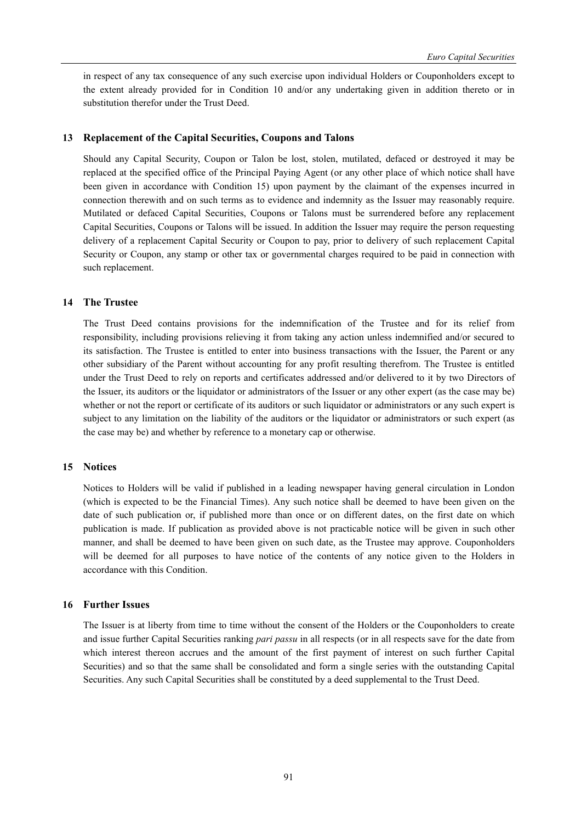in respect of any tax consequence of any such exercise upon individual Holders or Couponholders except to the extent already provided for in Condition 10 and/or any undertaking given in addition thereto or in substitution therefor under the Trust Deed.

## **13 Replacement of the Capital Securities, Coupons and Talons**

Should any Capital Security, Coupon or Talon be lost, stolen, mutilated, defaced or destroyed it may be replaced at the specified office of the Principal Paying Agent (or any other place of which notice shall have been given in accordance with Condition 15) upon payment by the claimant of the expenses incurred in connection therewith and on such terms as to evidence and indemnity as the Issuer may reasonably require. Mutilated or defaced Capital Securities, Coupons or Talons must be surrendered before any replacement Capital Securities, Coupons or Talons will be issued. In addition the Issuer may require the person requesting delivery of a replacement Capital Security or Coupon to pay, prior to delivery of such replacement Capital Security or Coupon, any stamp or other tax or governmental charges required to be paid in connection with such replacement.

## **14 The Trustee**

The Trust Deed contains provisions for the indemnification of the Trustee and for its relief from responsibility, including provisions relieving it from taking any action unless indemnified and/or secured to its satisfaction. The Trustee is entitled to enter into business transactions with the Issuer, the Parent or any other subsidiary of the Parent without accounting for any profit resulting therefrom. The Trustee is entitled under the Trust Deed to rely on reports and certificates addressed and/or delivered to it by two Directors of the Issuer, its auditors or the liquidator or administrators of the Issuer or any other expert (as the case may be) whether or not the report or certificate of its auditors or such liquidator or administrators or any such expert is subject to any limitation on the liability of the auditors or the liquidator or administrators or such expert (as the case may be) and whether by reference to a monetary cap or otherwise.

## **15 Notices**

Notices to Holders will be valid if published in a leading newspaper having general circulation in London (which is expected to be the Financial Times). Any such notice shall be deemed to have been given on the date of such publication or, if published more than once or on different dates, on the first date on which publication is made. If publication as provided above is not practicable notice will be given in such other manner, and shall be deemed to have been given on such date, as the Trustee may approve. Couponholders will be deemed for all purposes to have notice of the contents of any notice given to the Holders in accordance with this Condition.

# **16 Further Issues**

The Issuer is at liberty from time to time without the consent of the Holders or the Couponholders to create and issue further Capital Securities ranking *pari passu* in all respects (or in all respects save for the date from which interest thereon accrues and the amount of the first payment of interest on such further Capital Securities) and so that the same shall be consolidated and form a single series with the outstanding Capital Securities. Any such Capital Securities shall be constituted by a deed supplemental to the Trust Deed.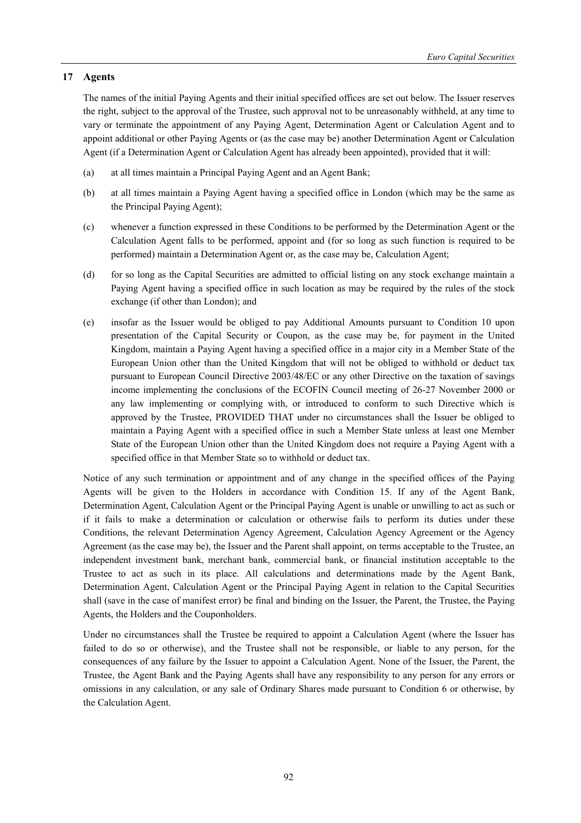# **17 Agents**

The names of the initial Paying Agents and their initial specified offices are set out below. The Issuer reserves the right, subject to the approval of the Trustee, such approval not to be unreasonably withheld, at any time to vary or terminate the appointment of any Paying Agent, Determination Agent or Calculation Agent and to appoint additional or other Paying Agents or (as the case may be) another Determination Agent or Calculation Agent (if a Determination Agent or Calculation Agent has already been appointed), provided that it will:

- (a) at all times maintain a Principal Paying Agent and an Agent Bank;
- (b) at all times maintain a Paying Agent having a specified office in London (which may be the same as the Principal Paying Agent);
- (c) whenever a function expressed in these Conditions to be performed by the Determination Agent or the Calculation Agent falls to be performed, appoint and (for so long as such function is required to be performed) maintain a Determination Agent or, as the case may be, Calculation Agent;
- (d) for so long as the Capital Securities are admitted to official listing on any stock exchange maintain a Paying Agent having a specified office in such location as may be required by the rules of the stock exchange (if other than London); and
- (e) insofar as the Issuer would be obliged to pay Additional Amounts pursuant to Condition 10 upon presentation of the Capital Security or Coupon, as the case may be, for payment in the United Kingdom, maintain a Paying Agent having a specified office in a major city in a Member State of the European Union other than the United Kingdom that will not be obliged to withhold or deduct tax pursuant to European Council Directive 2003/48/EC or any other Directive on the taxation of savings income implementing the conclusions of the ECOFIN Council meeting of 26-27 November 2000 or any law implementing or complying with, or introduced to conform to such Directive which is approved by the Trustee, PROVIDED THAT under no circumstances shall the Issuer be obliged to maintain a Paying Agent with a specified office in such a Member State unless at least one Member State of the European Union other than the United Kingdom does not require a Paying Agent with a specified office in that Member State so to withhold or deduct tax.

Notice of any such termination or appointment and of any change in the specified offices of the Paying Agents will be given to the Holders in accordance with Condition 15. If any of the Agent Bank, Determination Agent, Calculation Agent or the Principal Paying Agent is unable or unwilling to act as such or if it fails to make a determination or calculation or otherwise fails to perform its duties under these Conditions, the relevant Determination Agency Agreement, Calculation Agency Agreement or the Agency Agreement (as the case may be), the Issuer and the Parent shall appoint, on terms acceptable to the Trustee, an independent investment bank, merchant bank, commercial bank, or financial institution acceptable to the Trustee to act as such in its place. All calculations and determinations made by the Agent Bank, Determination Agent, Calculation Agent or the Principal Paying Agent in relation to the Capital Securities shall (save in the case of manifest error) be final and binding on the Issuer, the Parent, the Trustee, the Paying Agents, the Holders and the Couponholders.

Under no circumstances shall the Trustee be required to appoint a Calculation Agent (where the Issuer has failed to do so or otherwise), and the Trustee shall not be responsible, or liable to any person, for the consequences of any failure by the Issuer to appoint a Calculation Agent. None of the Issuer, the Parent, the Trustee, the Agent Bank and the Paying Agents shall have any responsibility to any person for any errors or omissions in any calculation, or any sale of Ordinary Shares made pursuant to Condition 6 or otherwise, by the Calculation Agent.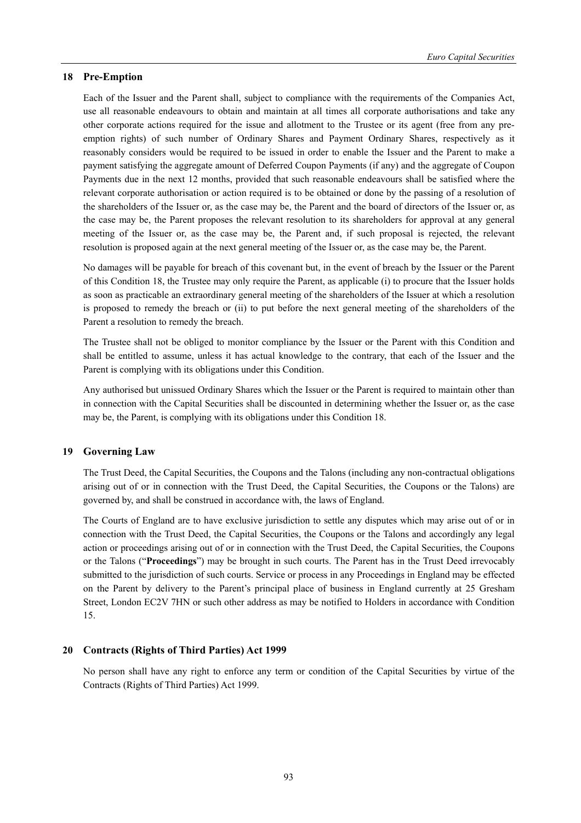## **18 Pre-Emption**

Each of the Issuer and the Parent shall, subject to compliance with the requirements of the Companies Act, use all reasonable endeavours to obtain and maintain at all times all corporate authorisations and take any other corporate actions required for the issue and allotment to the Trustee or its agent (free from any preemption rights) of such number of Ordinary Shares and Payment Ordinary Shares, respectively as it reasonably considers would be required to be issued in order to enable the Issuer and the Parent to make a payment satisfying the aggregate amount of Deferred Coupon Payments (if any) and the aggregate of Coupon Payments due in the next 12 months, provided that such reasonable endeavours shall be satisfied where the relevant corporate authorisation or action required is to be obtained or done by the passing of a resolution of the shareholders of the Issuer or, as the case may be, the Parent and the board of directors of the Issuer or, as the case may be, the Parent proposes the relevant resolution to its shareholders for approval at any general meeting of the Issuer or, as the case may be, the Parent and, if such proposal is rejected, the relevant resolution is proposed again at the next general meeting of the Issuer or, as the case may be, the Parent.

No damages will be payable for breach of this covenant but, in the event of breach by the Issuer or the Parent of this Condition 18, the Trustee may only require the Parent, as applicable (i) to procure that the Issuer holds as soon as practicable an extraordinary general meeting of the shareholders of the Issuer at which a resolution is proposed to remedy the breach or (ii) to put before the next general meeting of the shareholders of the Parent a resolution to remedy the breach.

The Trustee shall not be obliged to monitor compliance by the Issuer or the Parent with this Condition and shall be entitled to assume, unless it has actual knowledge to the contrary, that each of the Issuer and the Parent is complying with its obligations under this Condition.

Any authorised but unissued Ordinary Shares which the Issuer or the Parent is required to maintain other than in connection with the Capital Securities shall be discounted in determining whether the Issuer or, as the case may be, the Parent, is complying with its obligations under this Condition 18.

## **19 Governing Law**

The Trust Deed, the Capital Securities, the Coupons and the Talons (including any non-contractual obligations arising out of or in connection with the Trust Deed, the Capital Securities, the Coupons or the Talons) are governed by, and shall be construed in accordance with, the laws of England.

The Courts of England are to have exclusive jurisdiction to settle any disputes which may arise out of or in connection with the Trust Deed, the Capital Securities, the Coupons or the Talons and accordingly any legal action or proceedings arising out of or in connection with the Trust Deed, the Capital Securities, the Coupons or the Talons ("**Proceedings**") may be brought in such courts. The Parent has in the Trust Deed irrevocably submitted to the jurisdiction of such courts. Service or process in any Proceedings in England may be effected on the Parent by delivery to the Parent's principal place of business in England currently at 25 Gresham Street, London EC2V 7HN or such other address as may be notified to Holders in accordance with Condition 15.

# **20 Contracts (Rights of Third Parties) Act 1999**

No person shall have any right to enforce any term or condition of the Capital Securities by virtue of the Contracts (Rights of Third Parties) Act 1999.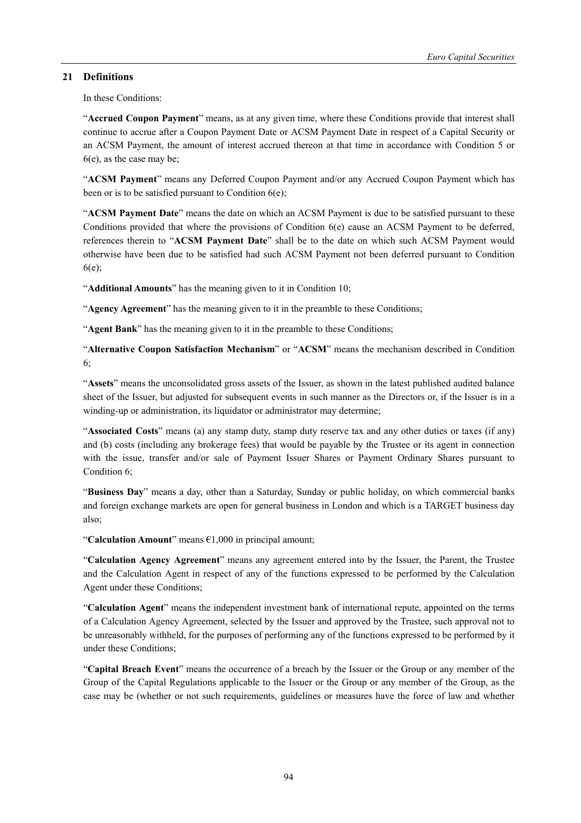# **21 Definitions**

In these Conditions:

"**Accrued Coupon Payment**" means, as at any given time, where these Conditions provide that interest shall continue to accrue after a Coupon Payment Date or ACSM Payment Date in respect of a Capital Security or an ACSM Payment, the amount of interest accrued thereon at that time in accordance with Condition 5 or 6(e), as the case may be;

"**ACSM Payment**" means any Deferred Coupon Payment and/or any Accrued Coupon Payment which has been or is to be satisfied pursuant to Condition 6(e);

"**ACSM Payment Date**" means the date on which an ACSM Payment is due to be satisfied pursuant to these Conditions provided that where the provisions of Condition 6(e) cause an ACSM Payment to be deferred, references therein to "**ACSM Payment Date**" shall be to the date on which such ACSM Payment would otherwise have been due to be satisfied had such ACSM Payment not been deferred pursuant to Condition 6(e);

"**Additional Amounts**" has the meaning given to it in Condition 10;

"**Agency Agreement**" has the meaning given to it in the preamble to these Conditions;

"**Agent Bank**" has the meaning given to it in the preamble to these Conditions;

"**Alternative Coupon Satisfaction Mechanism**" or "**ACSM**" means the mechanism described in Condition 6;

"**Assets**" means the unconsolidated gross assets of the Issuer, as shown in the latest published audited balance sheet of the Issuer, but adjusted for subsequent events in such manner as the Directors or, if the Issuer is in a winding-up or administration, its liquidator or administrator may determine;

"**Associated Costs**" means (a) any stamp duty, stamp duty reserve tax and any other duties or taxes (if any) and (b) costs (including any brokerage fees) that would be payable by the Trustee or its agent in connection with the issue, transfer and/or sale of Payment Issuer Shares or Payment Ordinary Shares pursuant to Condition 6;

"**Business Day**" means a day, other than a Saturday, Sunday or public holiday, on which commercial banks and foreign exchange markets are open for general business in London and which is a TARGET business day also;

"**Calculation Amount**" means €1,000 in principal amount;

"**Calculation Agency Agreement**" means any agreement entered into by the Issuer, the Parent, the Trustee and the Calculation Agent in respect of any of the functions expressed to be performed by the Calculation Agent under these Conditions;

"**Calculation Agent**" means the independent investment bank of international repute, appointed on the terms of a Calculation Agency Agreement, selected by the Issuer and approved by the Trustee, such approval not to be unreasonably withheld, for the purposes of performing any of the functions expressed to be performed by it under these Conditions;

"**Capital Breach Event**" means the occurrence of a breach by the Issuer or the Group or any member of the Group of the Capital Regulations applicable to the Issuer or the Group or any member of the Group, as the case may be (whether or not such requirements, guidelines or measures have the force of law and whether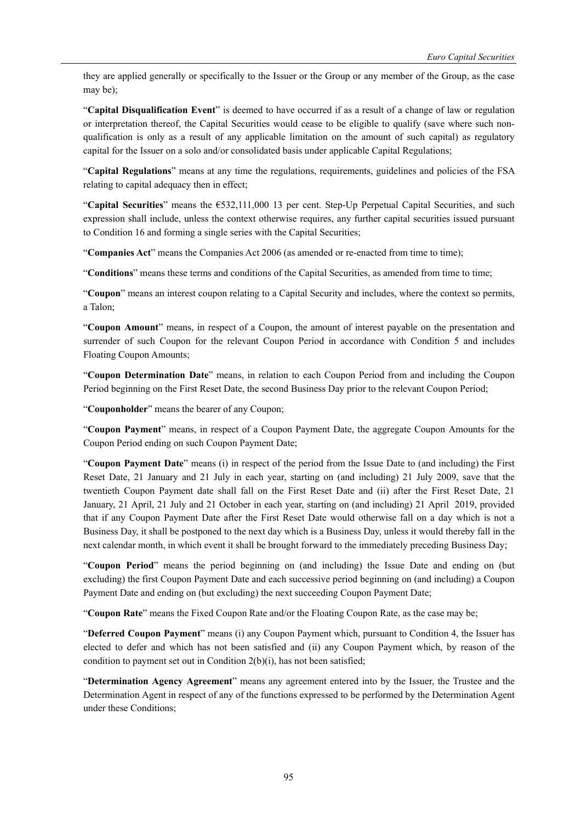they are applied generally or specifically to the Issuer or the Group or any member of the Group, as the case may be);

"**Capital Disqualification Event**" is deemed to have occurred if as a result of a change of law or regulation or interpretation thereof, the Capital Securities would cease to be eligible to qualify (save where such nonqualification is only as a result of any applicable limitation on the amount of such capital) as regulatory capital for the Issuer on a solo and/or consolidated basis under applicable Capital Regulations;

"**Capital Regulations**" means at any time the regulations, requirements, guidelines and policies of the FSA relating to capital adequacy then in effect;

"**Capital Securities**" means the €532,111,000 13 per cent. Step-Up Perpetual Capital Securities, and such expression shall include, unless the context otherwise requires, any further capital securities issued pursuant to Condition 16 and forming a single series with the Capital Securities;

"**Companies Act**" means the Companies Act 2006 (as amended or re-enacted from time to time);

"**Conditions**" means these terms and conditions of the Capital Securities, as amended from time to time;

"**Coupon**" means an interest coupon relating to a Capital Security and includes, where the context so permits, a Talon;

"**Coupon Amount**" means, in respect of a Coupon, the amount of interest payable on the presentation and surrender of such Coupon for the relevant Coupon Period in accordance with Condition 5 and includes Floating Coupon Amounts;

"**Coupon Determination Date**" means, in relation to each Coupon Period from and including the Coupon Period beginning on the First Reset Date, the second Business Day prior to the relevant Coupon Period;

"**Couponholder**" means the bearer of any Coupon;

"**Coupon Payment**" means, in respect of a Coupon Payment Date, the aggregate Coupon Amounts for the Coupon Period ending on such Coupon Payment Date;

"**Coupon Payment Date**" means (i) in respect of the period from the Issue Date to (and including) the First Reset Date, 21 January and 21 July in each year, starting on (and including) 21 July 2009, save that the twentieth Coupon Payment date shall fall on the First Reset Date and (ii) after the First Reset Date, 21 January, 21 April, 21 July and 21 October in each year, starting on (and including) 21 April 2019, provided that if any Coupon Payment Date after the First Reset Date would otherwise fall on a day which is not a Business Day, it shall be postponed to the next day which is a Business Day, unless it would thereby fall in the next calendar month, in which event it shall be brought forward to the immediately preceding Business Day;

"**Coupon Period**" means the period beginning on (and including) the Issue Date and ending on (but excluding) the first Coupon Payment Date and each successive period beginning on (and including) a Coupon Payment Date and ending on (but excluding) the next succeeding Coupon Payment Date;

"**Coupon Rate**" means the Fixed Coupon Rate and/or the Floating Coupon Rate, as the case may be;

"**Deferred Coupon Payment**" means (i) any Coupon Payment which, pursuant to Condition 4, the Issuer has elected to defer and which has not been satisfied and (ii) any Coupon Payment which, by reason of the condition to payment set out in Condition 2(b)(i), has not been satisfied;

"**Determination Agency Agreement**" means any agreement entered into by the Issuer, the Trustee and the Determination Agent in respect of any of the functions expressed to be performed by the Determination Agent under these Conditions;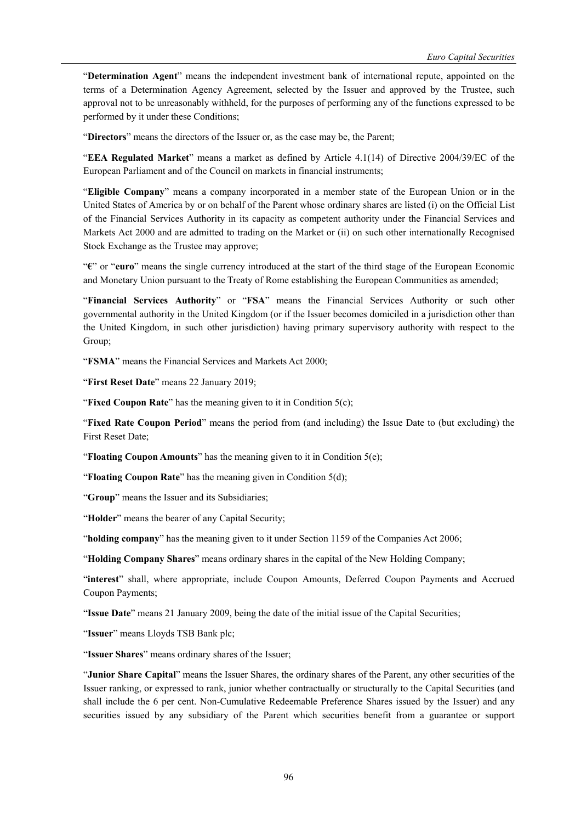"**Determination Agent**" means the independent investment bank of international repute, appointed on the terms of a Determination Agency Agreement, selected by the Issuer and approved by the Trustee, such approval not to be unreasonably withheld, for the purposes of performing any of the functions expressed to be performed by it under these Conditions;

"**Directors**" means the directors of the Issuer or, as the case may be, the Parent;

"**EEA Regulated Market**" means a market as defined by Article 4.1(14) of Directive 2004/39/EC of the European Parliament and of the Council on markets in financial instruments;

"**Eligible Company**" means a company incorporated in a member state of the European Union or in the United States of America by or on behalf of the Parent whose ordinary shares are listed (i) on the Official List of the Financial Services Authority in its capacity as competent authority under the Financial Services and Markets Act 2000 and are admitted to trading on the Market or (ii) on such other internationally Recognised Stock Exchange as the Trustee may approve;

"**€**" or "**euro**" means the single currency introduced at the start of the third stage of the European Economic and Monetary Union pursuant to the Treaty of Rome establishing the European Communities as amended;

"**Financial Services Authority**" or "**FSA**" means the Financial Services Authority or such other governmental authority in the United Kingdom (or if the Issuer becomes domiciled in a jurisdiction other than the United Kingdom, in such other jurisdiction) having primary supervisory authority with respect to the Group;

"**FSMA**" means the Financial Services and Markets Act 2000;

"**First Reset Date**" means 22 January 2019;

"**Fixed Coupon Rate**" has the meaning given to it in Condition 5(c);

"**Fixed Rate Coupon Period**" means the period from (and including) the Issue Date to (but excluding) the First Reset Date;

"**Floating Coupon Amounts**" has the meaning given to it in Condition 5(e);

"**Floating Coupon Rate**" has the meaning given in Condition 5(d);

"**Group**" means the Issuer and its Subsidiaries;

"**Holder**" means the bearer of any Capital Security;

"**holding company**" has the meaning given to it under Section 1159 of the Companies Act 2006;

"**Holding Company Shares**" means ordinary shares in the capital of the New Holding Company;

"**interest**" shall, where appropriate, include Coupon Amounts, Deferred Coupon Payments and Accrued Coupon Payments;

"**Issue Date**" means 21 January 2009, being the date of the initial issue of the Capital Securities;

"**Issuer**" means Lloyds TSB Bank plc;

"**Issuer Shares**" means ordinary shares of the Issuer;

"**Junior Share Capital**" means the Issuer Shares, the ordinary shares of the Parent, any other securities of the Issuer ranking, or expressed to rank, junior whether contractually or structurally to the Capital Securities (and shall include the 6 per cent. Non-Cumulative Redeemable Preference Shares issued by the Issuer) and any securities issued by any subsidiary of the Parent which securities benefit from a guarantee or support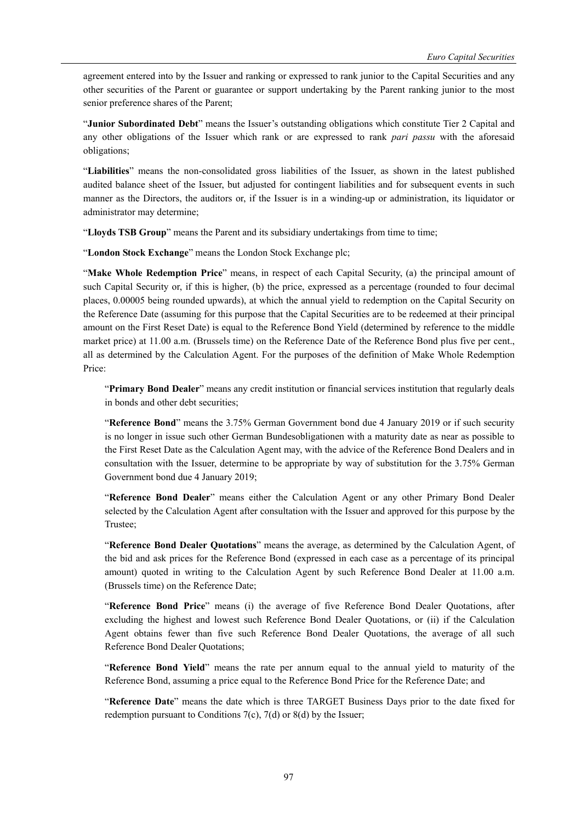agreement entered into by the Issuer and ranking or expressed to rank junior to the Capital Securities and any other securities of the Parent or guarantee or support undertaking by the Parent ranking junior to the most senior preference shares of the Parent;

"**Junior Subordinated Debt**" means the Issuer's outstanding obligations which constitute Tier 2 Capital and any other obligations of the Issuer which rank or are expressed to rank *pari passu* with the aforesaid obligations;

"**Liabilities**" means the non-consolidated gross liabilities of the Issuer, as shown in the latest published audited balance sheet of the Issuer, but adjusted for contingent liabilities and for subsequent events in such manner as the Directors, the auditors or, if the Issuer is in a winding-up or administration, its liquidator or administrator may determine;

"**Lloyds TSB Group**" means the Parent and its subsidiary undertakings from time to time;

"**London Stock Exchange**" means the London Stock Exchange plc;

"**Make Whole Redemption Price**" means, in respect of each Capital Security, (a) the principal amount of such Capital Security or, if this is higher, (b) the price, expressed as a percentage (rounded to four decimal places, 0.00005 being rounded upwards), at which the annual yield to redemption on the Capital Security on the Reference Date (assuming for this purpose that the Capital Securities are to be redeemed at their principal amount on the First Reset Date) is equal to the Reference Bond Yield (determined by reference to the middle market price) at 11.00 a.m. (Brussels time) on the Reference Date of the Reference Bond plus five per cent., all as determined by the Calculation Agent. For the purposes of the definition of Make Whole Redemption Price:

"**Primary Bond Dealer**" means any credit institution or financial services institution that regularly deals in bonds and other debt securities;

"**Reference Bond**" means the 3.75% German Government bond due 4 January 2019 or if such security is no longer in issue such other German Bundesobligationen with a maturity date as near as possible to the First Reset Date as the Calculation Agent may, with the advice of the Reference Bond Dealers and in consultation with the Issuer, determine to be appropriate by way of substitution for the 3.75% German Government bond due 4 January 2019;

"**Reference Bond Dealer**" means either the Calculation Agent or any other Primary Bond Dealer selected by the Calculation Agent after consultation with the Issuer and approved for this purpose by the Trustee;

"**Reference Bond Dealer Quotations**" means the average, as determined by the Calculation Agent, of the bid and ask prices for the Reference Bond (expressed in each case as a percentage of its principal amount) quoted in writing to the Calculation Agent by such Reference Bond Dealer at 11.00 a.m. (Brussels time) on the Reference Date;

"**Reference Bond Price**" means (i) the average of five Reference Bond Dealer Quotations, after excluding the highest and lowest such Reference Bond Dealer Quotations, or (ii) if the Calculation Agent obtains fewer than five such Reference Bond Dealer Quotations, the average of all such Reference Bond Dealer Quotations;

"**Reference Bond Yield**" means the rate per annum equal to the annual yield to maturity of the Reference Bond, assuming a price equal to the Reference Bond Price for the Reference Date; and

"**Reference Date**" means the date which is three TARGET Business Days prior to the date fixed for redemption pursuant to Conditions 7(c), 7(d) or 8(d) by the Issuer;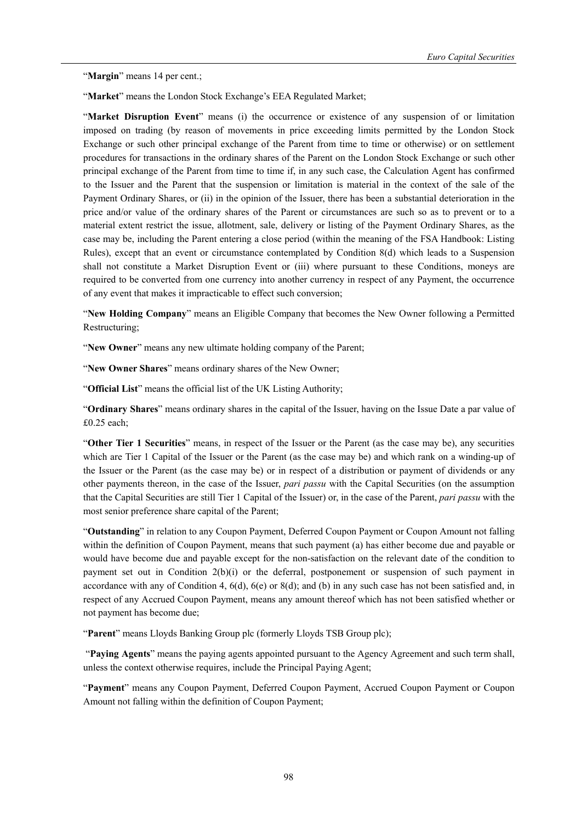"**Margin**" means 14 per cent.;

"**Market**" means the London Stock Exchange's EEA Regulated Market;

"**Market Disruption Event**" means (i) the occurrence or existence of any suspension of or limitation imposed on trading (by reason of movements in price exceeding limits permitted by the London Stock Exchange or such other principal exchange of the Parent from time to time or otherwise) or on settlement procedures for transactions in the ordinary shares of the Parent on the London Stock Exchange or such other principal exchange of the Parent from time to time if, in any such case, the Calculation Agent has confirmed to the Issuer and the Parent that the suspension or limitation is material in the context of the sale of the Payment Ordinary Shares, or (ii) in the opinion of the Issuer, there has been a substantial deterioration in the price and/or value of the ordinary shares of the Parent or circumstances are such so as to prevent or to a material extent restrict the issue, allotment, sale, delivery or listing of the Payment Ordinary Shares, as the case may be, including the Parent entering a close period (within the meaning of the FSA Handbook: Listing Rules), except that an event or circumstance contemplated by Condition 8(d) which leads to a Suspension shall not constitute a Market Disruption Event or (iii) where pursuant to these Conditions, moneys are required to be converted from one currency into another currency in respect of any Payment, the occurrence of any event that makes it impracticable to effect such conversion;

"**New Holding Company**" means an Eligible Company that becomes the New Owner following a Permitted Restructuring;

"**New Owner**" means any new ultimate holding company of the Parent;

"**New Owner Shares**" means ordinary shares of the New Owner;

"**Official List**" means the official list of the UK Listing Authority;

"**Ordinary Shares**" means ordinary shares in the capital of the Issuer, having on the Issue Date a par value of £0.25 each;

"**Other Tier 1 Securities**" means, in respect of the Issuer or the Parent (as the case may be), any securities which are Tier 1 Capital of the Issuer or the Parent (as the case may be) and which rank on a winding-up of the Issuer or the Parent (as the case may be) or in respect of a distribution or payment of dividends or any other payments thereon, in the case of the Issuer, *pari passu* with the Capital Securities (on the assumption that the Capital Securities are still Tier 1 Capital of the Issuer) or, in the case of the Parent, *pari passu* with the most senior preference share capital of the Parent;

"**Outstanding**" in relation to any Coupon Payment, Deferred Coupon Payment or Coupon Amount not falling within the definition of Coupon Payment, means that such payment (a) has either become due and payable or would have become due and payable except for the non-satisfaction on the relevant date of the condition to payment set out in Condition 2(b)(i) or the deferral, postponement or suspension of such payment in accordance with any of Condition 4,  $6(d)$ ,  $6(e)$  or  $8(d)$ ; and (b) in any such case has not been satisfied and, in respect of any Accrued Coupon Payment, means any amount thereof which has not been satisfied whether or not payment has become due;

"**Parent**" means Lloyds Banking Group plc (formerly Lloyds TSB Group plc);

 "**Paying Agents**" means the paying agents appointed pursuant to the Agency Agreement and such term shall, unless the context otherwise requires, include the Principal Paying Agent;

"**Payment**" means any Coupon Payment, Deferred Coupon Payment, Accrued Coupon Payment or Coupon Amount not falling within the definition of Coupon Payment;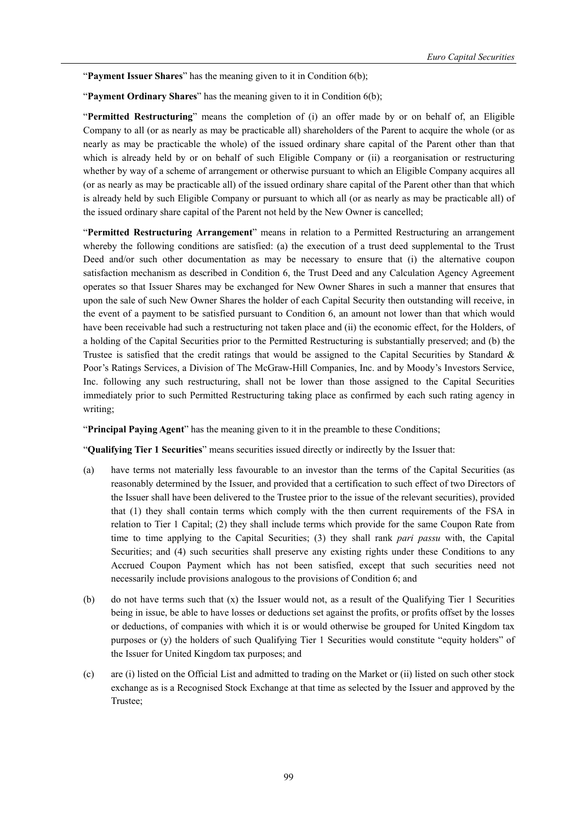"Payment Issuer Shares" has the meaning given to it in Condition 6(b);

"**Payment Ordinary Shares**" has the meaning given to it in Condition 6(b);

"**Permitted Restructuring**" means the completion of (i) an offer made by or on behalf of, an Eligible Company to all (or as nearly as may be practicable all) shareholders of the Parent to acquire the whole (or as nearly as may be practicable the whole) of the issued ordinary share capital of the Parent other than that which is already held by or on behalf of such Eligible Company or (ii) a reorganisation or restructuring whether by way of a scheme of arrangement or otherwise pursuant to which an Eligible Company acquires all (or as nearly as may be practicable all) of the issued ordinary share capital of the Parent other than that which is already held by such Eligible Company or pursuant to which all (or as nearly as may be practicable all) of the issued ordinary share capital of the Parent not held by the New Owner is cancelled;

"**Permitted Restructuring Arrangement**" means in relation to a Permitted Restructuring an arrangement whereby the following conditions are satisfied: (a) the execution of a trust deed supplemental to the Trust Deed and/or such other documentation as may be necessary to ensure that (i) the alternative coupon satisfaction mechanism as described in Condition 6, the Trust Deed and any Calculation Agency Agreement operates so that Issuer Shares may be exchanged for New Owner Shares in such a manner that ensures that upon the sale of such New Owner Shares the holder of each Capital Security then outstanding will receive, in the event of a payment to be satisfied pursuant to Condition 6, an amount not lower than that which would have been receivable had such a restructuring not taken place and (ii) the economic effect, for the Holders, of a holding of the Capital Securities prior to the Permitted Restructuring is substantially preserved; and (b) the Trustee is satisfied that the credit ratings that would be assigned to the Capital Securities by Standard  $\&$ Poor's Ratings Services, a Division of The McGraw-Hill Companies, Inc. and by Moody's Investors Service, Inc. following any such restructuring, shall not be lower than those assigned to the Capital Securities immediately prior to such Permitted Restructuring taking place as confirmed by each such rating agency in writing;

"**Principal Paying Agent**" has the meaning given to it in the preamble to these Conditions;

"**Qualifying Tier 1 Securities**" means securities issued directly or indirectly by the Issuer that:

- (a) have terms not materially less favourable to an investor than the terms of the Capital Securities (as reasonably determined by the Issuer, and provided that a certification to such effect of two Directors of the Issuer shall have been delivered to the Trustee prior to the issue of the relevant securities), provided that (1) they shall contain terms which comply with the then current requirements of the FSA in relation to Tier 1 Capital; (2) they shall include terms which provide for the same Coupon Rate from time to time applying to the Capital Securities; (3) they shall rank *pari passu* with, the Capital Securities; and (4) such securities shall preserve any existing rights under these Conditions to any Accrued Coupon Payment which has not been satisfied, except that such securities need not necessarily include provisions analogous to the provisions of Condition 6; and
- (b) do not have terms such that (x) the Issuer would not, as a result of the Qualifying Tier 1 Securities being in issue, be able to have losses or deductions set against the profits, or profits offset by the losses or deductions, of companies with which it is or would otherwise be grouped for United Kingdom tax purposes or (y) the holders of such Qualifying Tier 1 Securities would constitute "equity holders" of the Issuer for United Kingdom tax purposes; and
- (c) are (i) listed on the Official List and admitted to trading on the Market or (ii) listed on such other stock exchange as is a Recognised Stock Exchange at that time as selected by the Issuer and approved by the Trustee;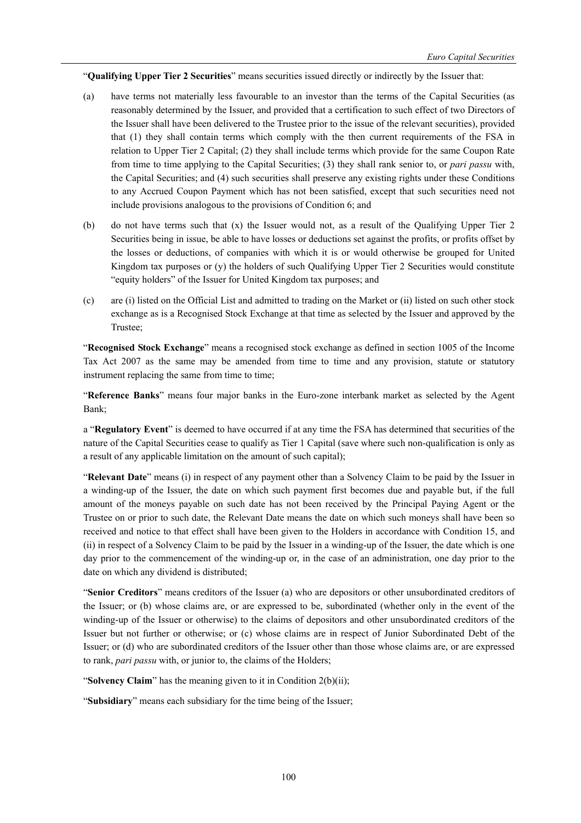"**Qualifying Upper Tier 2 Securities**" means securities issued directly or indirectly by the Issuer that:

- (a) have terms not materially less favourable to an investor than the terms of the Capital Securities (as reasonably determined by the Issuer, and provided that a certification to such effect of two Directors of the Issuer shall have been delivered to the Trustee prior to the issue of the relevant securities), provided that (1) they shall contain terms which comply with the then current requirements of the FSA in relation to Upper Tier 2 Capital; (2) they shall include terms which provide for the same Coupon Rate from time to time applying to the Capital Securities; (3) they shall rank senior to, or *pari passu* with, the Capital Securities; and (4) such securities shall preserve any existing rights under these Conditions to any Accrued Coupon Payment which has not been satisfied, except that such securities need not include provisions analogous to the provisions of Condition 6; and
- (b) do not have terms such that (x) the Issuer would not, as a result of the Qualifying Upper Tier 2 Securities being in issue, be able to have losses or deductions set against the profits, or profits offset by the losses or deductions, of companies with which it is or would otherwise be grouped for United Kingdom tax purposes or (y) the holders of such Qualifying Upper Tier 2 Securities would constitute "equity holders" of the Issuer for United Kingdom tax purposes; and
- (c) are (i) listed on the Official List and admitted to trading on the Market or (ii) listed on such other stock exchange as is a Recognised Stock Exchange at that time as selected by the Issuer and approved by the Trustee;

"**Recognised Stock Exchange**" means a recognised stock exchange as defined in section 1005 of the Income Tax Act 2007 as the same may be amended from time to time and any provision, statute or statutory instrument replacing the same from time to time;

"**Reference Banks**" means four major banks in the Euro-zone interbank market as selected by the Agent Bank;

a "**Regulatory Event**" is deemed to have occurred if at any time the FSA has determined that securities of the nature of the Capital Securities cease to qualify as Tier 1 Capital (save where such non-qualification is only as a result of any applicable limitation on the amount of such capital);

"**Relevant Date**" means (i) in respect of any payment other than a Solvency Claim to be paid by the Issuer in a winding-up of the Issuer, the date on which such payment first becomes due and payable but, if the full amount of the moneys payable on such date has not been received by the Principal Paying Agent or the Trustee on or prior to such date, the Relevant Date means the date on which such moneys shall have been so received and notice to that effect shall have been given to the Holders in accordance with Condition 15, and (ii) in respect of a Solvency Claim to be paid by the Issuer in a winding-up of the Issuer, the date which is one day prior to the commencement of the winding-up or, in the case of an administration, one day prior to the date on which any dividend is distributed;

"**Senior Creditors**" means creditors of the Issuer (a) who are depositors or other unsubordinated creditors of the Issuer; or (b) whose claims are, or are expressed to be, subordinated (whether only in the event of the winding-up of the Issuer or otherwise) to the claims of depositors and other unsubordinated creditors of the Issuer but not further or otherwise; or (c) whose claims are in respect of Junior Subordinated Debt of the Issuer; or (d) who are subordinated creditors of the Issuer other than those whose claims are, or are expressed to rank, *pari passu* with, or junior to, the claims of the Holders;

"**Solvency Claim**" has the meaning given to it in Condition 2(b)(ii);

"**Subsidiary**" means each subsidiary for the time being of the Issuer;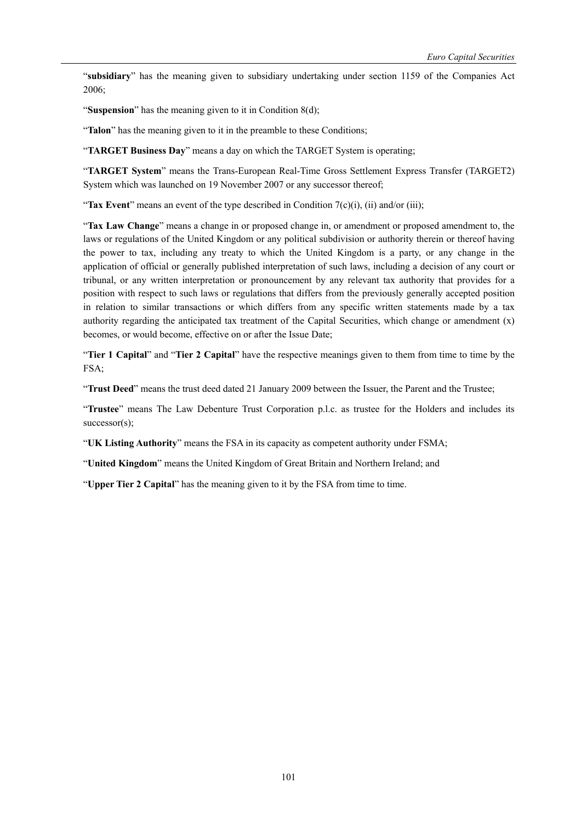"**subsidiary**" has the meaning given to subsidiary undertaking under section 1159 of the Companies Act 2006;

"**Suspension**" has the meaning given to it in Condition 8(d);

"**Talon**" has the meaning given to it in the preamble to these Conditions;

"**TARGET Business Day**" means a day on which the TARGET System is operating;

"**TARGET System**" means the Trans-European Real-Time Gross Settlement Express Transfer (TARGET2) System which was launched on 19 November 2007 or any successor thereof;

"**Tax Event**" means an event of the type described in Condition 7(c)(i), (ii) and/or (iii);

"**Tax Law Change**" means a change in or proposed change in, or amendment or proposed amendment to, the laws or regulations of the United Kingdom or any political subdivision or authority therein or thereof having the power to tax, including any treaty to which the United Kingdom is a party, or any change in the application of official or generally published interpretation of such laws, including a decision of any court or tribunal, or any written interpretation or pronouncement by any relevant tax authority that provides for a position with respect to such laws or regulations that differs from the previously generally accepted position in relation to similar transactions or which differs from any specific written statements made by a tax authority regarding the anticipated tax treatment of the Capital Securities, which change or amendment  $(x)$ becomes, or would become, effective on or after the Issue Date;

"**Tier 1 Capital**" and "**Tier 2 Capital**" have the respective meanings given to them from time to time by the FSA;

"**Trust Deed**" means the trust deed dated 21 January 2009 between the Issuer, the Parent and the Trustee;

"**Trustee**" means The Law Debenture Trust Corporation p.l.c. as trustee for the Holders and includes its successor(s);

"**UK Listing Authority**" means the FSA in its capacity as competent authority under FSMA;

"**United Kingdom**" means the United Kingdom of Great Britain and Northern Ireland; and

"**Upper Tier 2 Capital**" has the meaning given to it by the FSA from time to time.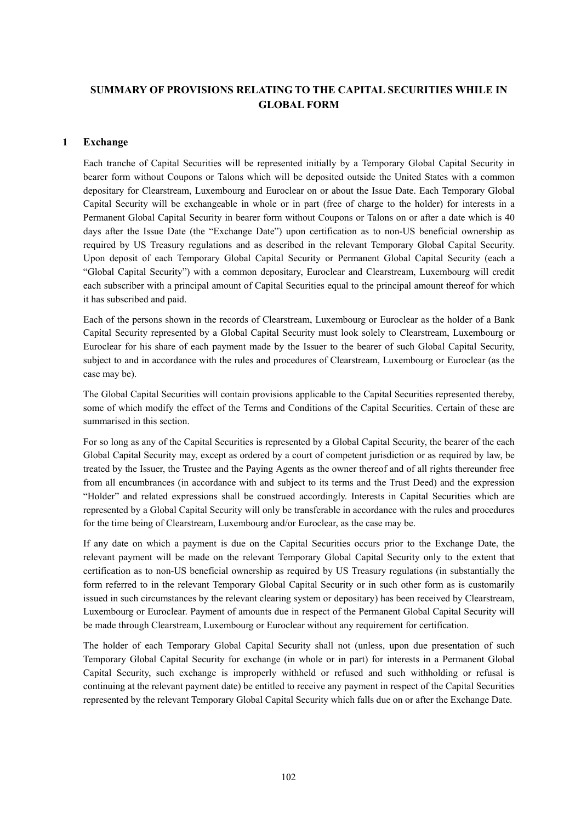# **SUMMARY OF PROVISIONS RELATING TO THE CAPITAL SECURITIES WHILE IN GLOBAL FORM**

# **1 Exchange**

Each tranche of Capital Securities will be represented initially by a Temporary Global Capital Security in bearer form without Coupons or Talons which will be deposited outside the United States with a common depositary for Clearstream, Luxembourg and Euroclear on or about the Issue Date. Each Temporary Global Capital Security will be exchangeable in whole or in part (free of charge to the holder) for interests in a Permanent Global Capital Security in bearer form without Coupons or Talons on or after a date which is 40 days after the Issue Date (the "Exchange Date") upon certification as to non-US beneficial ownership as required by US Treasury regulations and as described in the relevant Temporary Global Capital Security. Upon deposit of each Temporary Global Capital Security or Permanent Global Capital Security (each a "Global Capital Security") with a common depositary, Euroclear and Clearstream, Luxembourg will credit each subscriber with a principal amount of Capital Securities equal to the principal amount thereof for which it has subscribed and paid.

Each of the persons shown in the records of Clearstream, Luxembourg or Euroclear as the holder of a Bank Capital Security represented by a Global Capital Security must look solely to Clearstream, Luxembourg or Euroclear for his share of each payment made by the Issuer to the bearer of such Global Capital Security, subject to and in accordance with the rules and procedures of Clearstream, Luxembourg or Euroclear (as the case may be).

The Global Capital Securities will contain provisions applicable to the Capital Securities represented thereby, some of which modify the effect of the Terms and Conditions of the Capital Securities. Certain of these are summarised in this section.

For so long as any of the Capital Securities is represented by a Global Capital Security, the bearer of the each Global Capital Security may, except as ordered by a court of competent jurisdiction or as required by law, be treated by the Issuer, the Trustee and the Paying Agents as the owner thereof and of all rights thereunder free from all encumbrances (in accordance with and subject to its terms and the Trust Deed) and the expression "Holder" and related expressions shall be construed accordingly. Interests in Capital Securities which are represented by a Global Capital Security will only be transferable in accordance with the rules and procedures for the time being of Clearstream, Luxembourg and/or Euroclear, as the case may be.

If any date on which a payment is due on the Capital Securities occurs prior to the Exchange Date, the relevant payment will be made on the relevant Temporary Global Capital Security only to the extent that certification as to non-US beneficial ownership as required by US Treasury regulations (in substantially the form referred to in the relevant Temporary Global Capital Security or in such other form as is customarily issued in such circumstances by the relevant clearing system or depositary) has been received by Clearstream, Luxembourg or Euroclear. Payment of amounts due in respect of the Permanent Global Capital Security will be made through Clearstream, Luxembourg or Euroclear without any requirement for certification.

The holder of each Temporary Global Capital Security shall not (unless, upon due presentation of such Temporary Global Capital Security for exchange (in whole or in part) for interests in a Permanent Global Capital Security, such exchange is improperly withheld or refused and such withholding or refusal is continuing at the relevant payment date) be entitled to receive any payment in respect of the Capital Securities represented by the relevant Temporary Global Capital Security which falls due on or after the Exchange Date.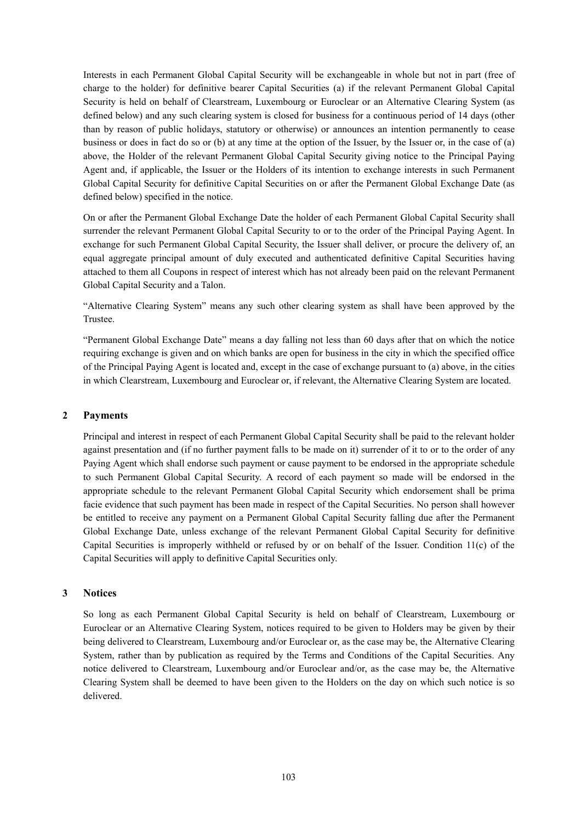Interests in each Permanent Global Capital Security will be exchangeable in whole but not in part (free of charge to the holder) for definitive bearer Capital Securities (a) if the relevant Permanent Global Capital Security is held on behalf of Clearstream, Luxembourg or Euroclear or an Alternative Clearing System (as defined below) and any such clearing system is closed for business for a continuous period of 14 days (other than by reason of public holidays, statutory or otherwise) or announces an intention permanently to cease business or does in fact do so or (b) at any time at the option of the Issuer, by the Issuer or, in the case of (a) above, the Holder of the relevant Permanent Global Capital Security giving notice to the Principal Paying Agent and, if applicable, the Issuer or the Holders of its intention to exchange interests in such Permanent Global Capital Security for definitive Capital Securities on or after the Permanent Global Exchange Date (as defined below) specified in the notice.

On or after the Permanent Global Exchange Date the holder of each Permanent Global Capital Security shall surrender the relevant Permanent Global Capital Security to or to the order of the Principal Paying Agent. In exchange for such Permanent Global Capital Security, the Issuer shall deliver, or procure the delivery of, an equal aggregate principal amount of duly executed and authenticated definitive Capital Securities having attached to them all Coupons in respect of interest which has not already been paid on the relevant Permanent Global Capital Security and a Talon.

"Alternative Clearing System" means any such other clearing system as shall have been approved by the Trustee.

"Permanent Global Exchange Date" means a day falling not less than 60 days after that on which the notice requiring exchange is given and on which banks are open for business in the city in which the specified office of the Principal Paying Agent is located and, except in the case of exchange pursuant to (a) above, in the cities in which Clearstream, Luxembourg and Euroclear or, if relevant, the Alternative Clearing System are located.

# **2 Payments**

Principal and interest in respect of each Permanent Global Capital Security shall be paid to the relevant holder against presentation and (if no further payment falls to be made on it) surrender of it to or to the order of any Paying Agent which shall endorse such payment or cause payment to be endorsed in the appropriate schedule to such Permanent Global Capital Security. A record of each payment so made will be endorsed in the appropriate schedule to the relevant Permanent Global Capital Security which endorsement shall be prima facie evidence that such payment has been made in respect of the Capital Securities. No person shall however be entitled to receive any payment on a Permanent Global Capital Security falling due after the Permanent Global Exchange Date, unless exchange of the relevant Permanent Global Capital Security for definitive Capital Securities is improperly withheld or refused by or on behalf of the Issuer. Condition 11(c) of the Capital Securities will apply to definitive Capital Securities only.

## **3 Notices**

So long as each Permanent Global Capital Security is held on behalf of Clearstream, Luxembourg or Euroclear or an Alternative Clearing System, notices required to be given to Holders may be given by their being delivered to Clearstream, Luxembourg and/or Euroclear or, as the case may be, the Alternative Clearing System, rather than by publication as required by the Terms and Conditions of the Capital Securities. Any notice delivered to Clearstream, Luxembourg and/or Euroclear and/or, as the case may be, the Alternative Clearing System shall be deemed to have been given to the Holders on the day on which such notice is so delivered.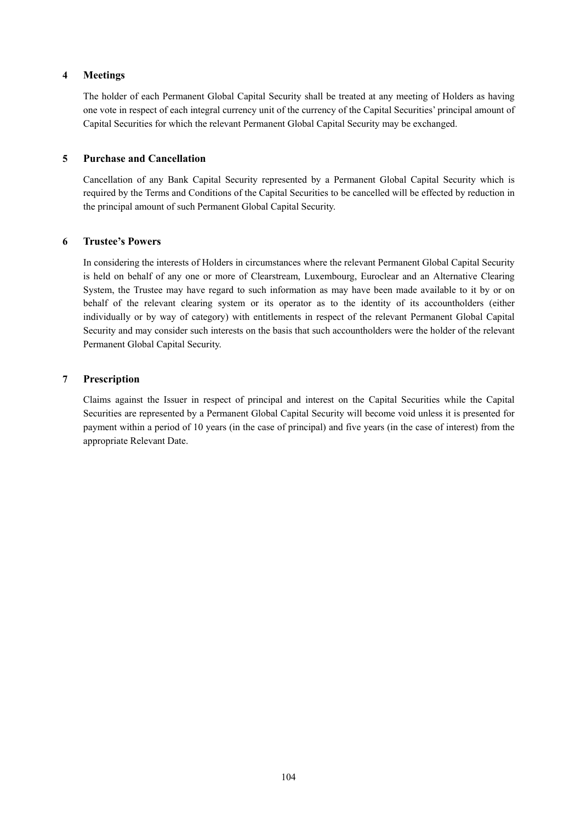# **4 Meetings**

The holder of each Permanent Global Capital Security shall be treated at any meeting of Holders as having one vote in respect of each integral currency unit of the currency of the Capital Securities' principal amount of Capital Securities for which the relevant Permanent Global Capital Security may be exchanged.

# **5 Purchase and Cancellation**

Cancellation of any Bank Capital Security represented by a Permanent Global Capital Security which is required by the Terms and Conditions of the Capital Securities to be cancelled will be effected by reduction in the principal amount of such Permanent Global Capital Security.

# **6 Trustee's Powers**

In considering the interests of Holders in circumstances where the relevant Permanent Global Capital Security is held on behalf of any one or more of Clearstream, Luxembourg, Euroclear and an Alternative Clearing System, the Trustee may have regard to such information as may have been made available to it by or on behalf of the relevant clearing system or its operator as to the identity of its accountholders (either individually or by way of category) with entitlements in respect of the relevant Permanent Global Capital Security and may consider such interests on the basis that such accountholders were the holder of the relevant Permanent Global Capital Security.

# **7 Prescription**

Claims against the Issuer in respect of principal and interest on the Capital Securities while the Capital Securities are represented by a Permanent Global Capital Security will become void unless it is presented for payment within a period of 10 years (in the case of principal) and five years (in the case of interest) from the appropriate Relevant Date.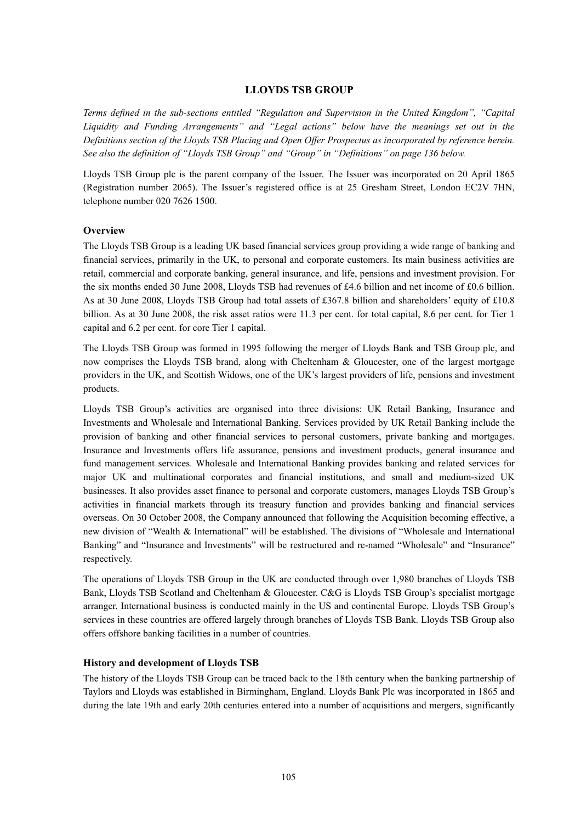## **LLOYDS TSB GROUP**

*Terms defined in the sub-sections entitled "Regulation and Supervision in the United Kingdom", "Capital Liquidity and Funding Arrangements" and "Legal actions" below have the meanings set out in the Definitions section of the Lloyds TSB Placing and Open Offer Prospectus as incorporated by reference herein. See also the definition of "Lloyds TSB Group" and "Group" in "Definitions" on page 136 below.* 

Lloyds TSB Group plc is the parent company of the Issuer. The Issuer was incorporated on 20 April 1865 (Registration number 2065). The Issuer's registered office is at 25 Gresham Street, London EC2V 7HN, telephone number 020 7626 1500.

## **Overview**

The Lloyds TSB Group is a leading UK based financial services group providing a wide range of banking and financial services, primarily in the UK, to personal and corporate customers. Its main business activities are retail, commercial and corporate banking, general insurance, and life, pensions and investment provision. For the six months ended 30 June 2008, Lloyds TSB had revenues of £4.6 billion and net income of £0.6 billion. As at 30 June 2008, Lloyds TSB Group had total assets of £367.8 billion and shareholders' equity of £10.8 billion. As at 30 June 2008, the risk asset ratios were 11.3 per cent. for total capital, 8.6 per cent. for Tier 1 capital and 6.2 per cent. for core Tier 1 capital.

The Lloyds TSB Group was formed in 1995 following the merger of Lloyds Bank and TSB Group plc, and now comprises the Lloyds TSB brand, along with Cheltenham & Gloucester, one of the largest mortgage providers in the UK, and Scottish Widows, one of the UK's largest providers of life, pensions and investment products.

Lloyds TSB Group's activities are organised into three divisions: UK Retail Banking, Insurance and Investments and Wholesale and International Banking. Services provided by UK Retail Banking include the provision of banking and other financial services to personal customers, private banking and mortgages. Insurance and Investments offers life assurance, pensions and investment products, general insurance and fund management services. Wholesale and International Banking provides banking and related services for major UK and multinational corporates and financial institutions, and small and medium-sized UK businesses. It also provides asset finance to personal and corporate customers, manages Lloyds TSB Group's activities in financial markets through its treasury function and provides banking and financial services overseas. On 30 October 2008, the Company announced that following the Acquisition becoming effective, a new division of "Wealth & International" will be established. The divisions of "Wholesale and International Banking" and "Insurance and Investments" will be restructured and re-named "Wholesale" and "Insurance" respectively.

The operations of Lloyds TSB Group in the UK are conducted through over 1,980 branches of Lloyds TSB Bank, Lloyds TSB Scotland and Cheltenham & Gloucester. C&G is Lloyds TSB Group's specialist mortgage arranger. International business is conducted mainly in the US and continental Europe. Lloyds TSB Group's services in these countries are offered largely through branches of Lloyds TSB Bank. Lloyds TSB Group also offers offshore banking facilities in a number of countries.

#### **History and development of Lloyds TSB**

The history of the Lloyds TSB Group can be traced back to the 18th century when the banking partnership of Taylors and Lloyds was established in Birmingham, England. Lloyds Bank Plc was incorporated in 1865 and during the late 19th and early 20th centuries entered into a number of acquisitions and mergers, significantly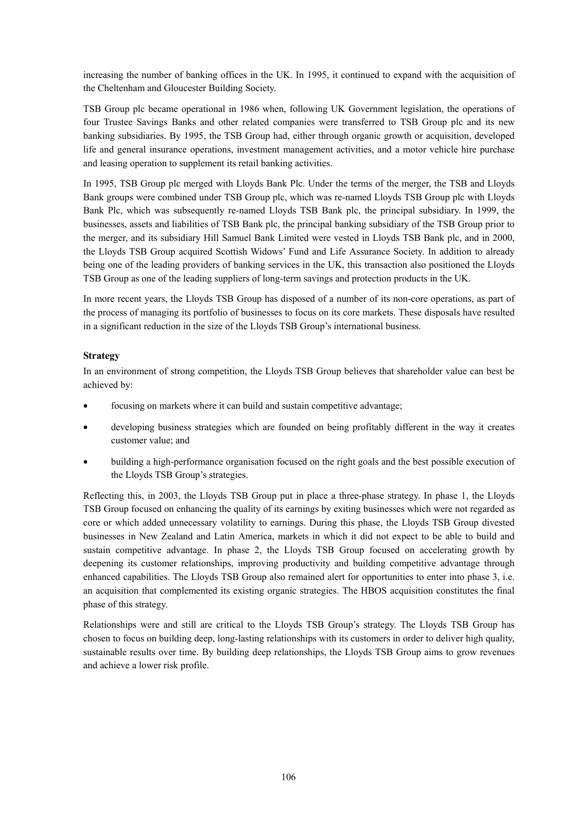increasing the number of banking offices in the UK. In 1995, it continued to expand with the acquisition of the Cheltenham and Gloucester Building Society.

TSB Group plc became operational in 1986 when, following UK Government legislation, the operations of four Trustee Savings Banks and other related companies were transferred to TSB Group plc and its new banking subsidiaries. By 1995, the TSB Group had, either through organic growth or acquisition, developed life and general insurance operations, investment management activities, and a motor vehicle hire purchase and leasing operation to supplement its retail banking activities.

In 1995, TSB Group plc merged with Lloyds Bank Plc. Under the terms of the merger, the TSB and Lloyds Bank groups were combined under TSB Group plc, which was re-named Lloyds TSB Group plc with Lloyds Bank Plc, which was subsequently re-named Lloyds TSB Bank plc, the principal subsidiary. In 1999, the businesses, assets and liabilities of TSB Bank plc, the principal banking subsidiary of the TSB Group prior to the merger, and its subsidiary Hill Samuel Bank Limited were vested in Lloyds TSB Bank plc, and in 2000, the Lloyds TSB Group acquired Scottish Widows' Fund and Life Assurance Society. In addition to already being one of the leading providers of banking services in the UK, this transaction also positioned the Lloyds TSB Group as one of the leading suppliers of long-term savings and protection products in the UK.

In more recent years, the Lloyds TSB Group has disposed of a number of its non-core operations, as part of the process of managing its portfolio of businesses to focus on its core markets. These disposals have resulted in a significant reduction in the size of the Lloyds TSB Group's international business.

# **Strategy**

In an environment of strong competition, the Lloyds TSB Group believes that shareholder value can best be achieved by:

- focusing on markets where it can build and sustain competitive advantage;
- developing business strategies which are founded on being profitably different in the way it creates customer value; and
- building a high-performance organisation focused on the right goals and the best possible execution of the Lloyds TSB Group's strategies.

Reflecting this, in 2003, the Lloyds TSB Group put in place a three-phase strategy. In phase 1, the Lloyds TSB Group focused on enhancing the quality of its earnings by exiting businesses which were not regarded as core or which added unnecessary volatility to earnings. During this phase, the Lloyds TSB Group divested businesses in New Zealand and Latin America, markets in which it did not expect to be able to build and sustain competitive advantage. In phase 2, the Lloyds TSB Group focused on accelerating growth by deepening its customer relationships, improving productivity and building competitive advantage through enhanced capabilities. The Lloyds TSB Group also remained alert for opportunities to enter into phase 3, i.e. an acquisition that complemented its existing organic strategies. The HBOS acquisition constitutes the final phase of this strategy.

Relationships were and still are critical to the Lloyds TSB Group's strategy. The Lloyds TSB Group has chosen to focus on building deep, long-lasting relationships with its customers in order to deliver high quality, sustainable results over time. By building deep relationships, the Lloyds TSB Group aims to grow revenues and achieve a lower risk profile.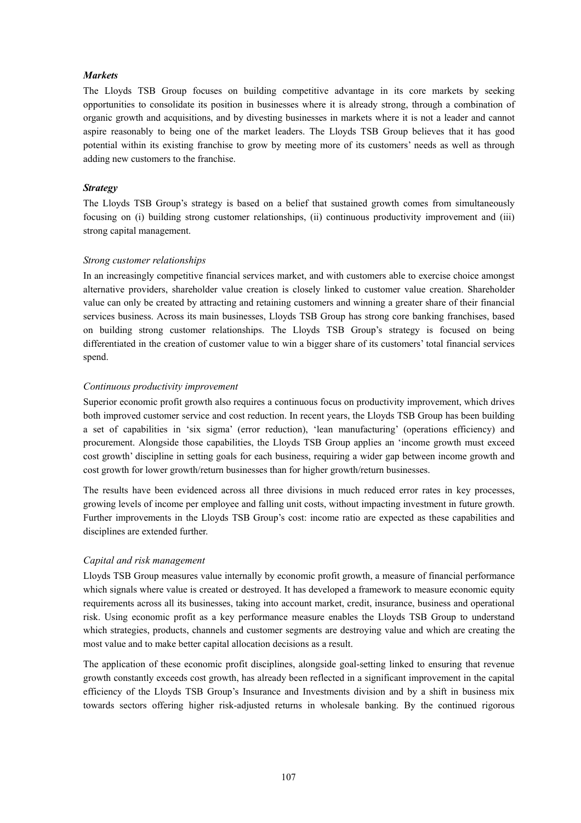## *Markets*

The Lloyds TSB Group focuses on building competitive advantage in its core markets by seeking opportunities to consolidate its position in businesses where it is already strong, through a combination of organic growth and acquisitions, and by divesting businesses in markets where it is not a leader and cannot aspire reasonably to being one of the market leaders. The Lloyds TSB Group believes that it has good potential within its existing franchise to grow by meeting more of its customers' needs as well as through adding new customers to the franchise.

## *Strategy*

The Lloyds TSB Group's strategy is based on a belief that sustained growth comes from simultaneously focusing on (i) building strong customer relationships, (ii) continuous productivity improvement and (iii) strong capital management.

## *Strong customer relationships*

In an increasingly competitive financial services market, and with customers able to exercise choice amongst alternative providers, shareholder value creation is closely linked to customer value creation. Shareholder value can only be created by attracting and retaining customers and winning a greater share of their financial services business. Across its main businesses, Lloyds TSB Group has strong core banking franchises, based on building strong customer relationships. The Lloyds TSB Group's strategy is focused on being differentiated in the creation of customer value to win a bigger share of its customers' total financial services spend.

## *Continuous productivity improvement*

Superior economic profit growth also requires a continuous focus on productivity improvement, which drives both improved customer service and cost reduction. In recent years, the Lloyds TSB Group has been building a set of capabilities in 'six sigma' (error reduction), 'lean manufacturing' (operations efficiency) and procurement. Alongside those capabilities, the Lloyds TSB Group applies an 'income growth must exceed cost growth' discipline in setting goals for each business, requiring a wider gap between income growth and cost growth for lower growth/return businesses than for higher growth/return businesses.

The results have been evidenced across all three divisions in much reduced error rates in key processes, growing levels of income per employee and falling unit costs, without impacting investment in future growth. Further improvements in the Lloyds TSB Group's cost: income ratio are expected as these capabilities and disciplines are extended further.

# *Capital and risk management*

Lloyds TSB Group measures value internally by economic profit growth, a measure of financial performance which signals where value is created or destroyed. It has developed a framework to measure economic equity requirements across all its businesses, taking into account market, credit, insurance, business and operational risk. Using economic profit as a key performance measure enables the Lloyds TSB Group to understand which strategies, products, channels and customer segments are destroying value and which are creating the most value and to make better capital allocation decisions as a result.

The application of these economic profit disciplines, alongside goal-setting linked to ensuring that revenue growth constantly exceeds cost growth, has already been reflected in a significant improvement in the capital efficiency of the Lloyds TSB Group's Insurance and Investments division and by a shift in business mix towards sectors offering higher risk-adjusted returns in wholesale banking. By the continued rigorous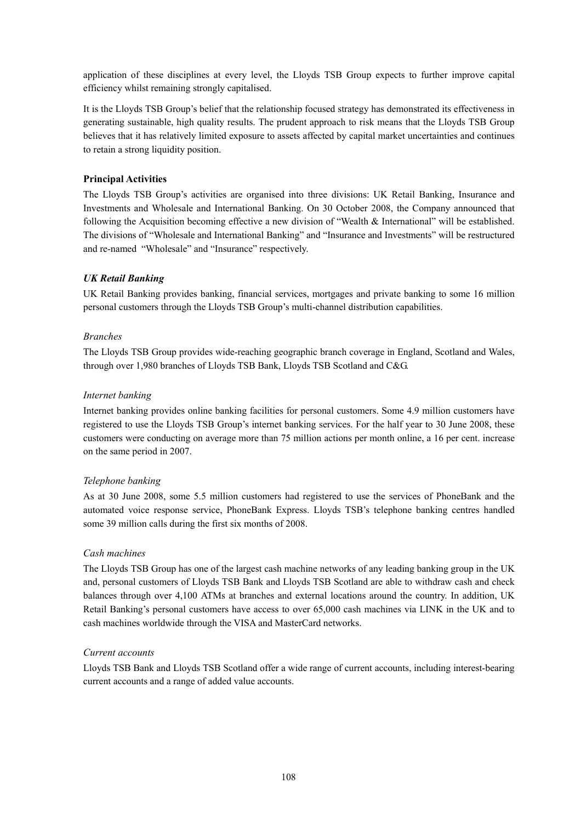application of these disciplines at every level, the Lloyds TSB Group expects to further improve capital efficiency whilst remaining strongly capitalised.

It is the Lloyds TSB Group's belief that the relationship focused strategy has demonstrated its effectiveness in generating sustainable, high quality results. The prudent approach to risk means that the Lloyds TSB Group believes that it has relatively limited exposure to assets affected by capital market uncertainties and continues to retain a strong liquidity position.

# **Principal Activities**

The Lloyds TSB Group's activities are organised into three divisions: UK Retail Banking, Insurance and Investments and Wholesale and International Banking. On 30 October 2008, the Company announced that following the Acquisition becoming effective a new division of "Wealth & International" will be established. The divisions of "Wholesale and International Banking" and "Insurance and Investments" will be restructured and re-named "Wholesale" and "Insurance" respectively.

# *UK Retail Banking*

UK Retail Banking provides banking, financial services, mortgages and private banking to some 16 million personal customers through the Lloyds TSB Group's multi-channel distribution capabilities.

# *Branches*

The Lloyds TSB Group provides wide-reaching geographic branch coverage in England, Scotland and Wales, through over 1,980 branches of Lloyds TSB Bank, Lloyds TSB Scotland and C&G.

# *Internet banking*

Internet banking provides online banking facilities for personal customers. Some 4.9 million customers have registered to use the Lloyds TSB Group's internet banking services. For the half year to 30 June 2008, these customers were conducting on average more than 75 million actions per month online, a 16 per cent. increase on the same period in 2007.

# *Telephone banking*

As at 30 June 2008, some 5.5 million customers had registered to use the services of PhoneBank and the automated voice response service, PhoneBank Express. Lloyds TSB's telephone banking centres handled some 39 million calls during the first six months of 2008.

# *Cash machines*

The Lloyds TSB Group has one of the largest cash machine networks of any leading banking group in the UK and, personal customers of Lloyds TSB Bank and Lloyds TSB Scotland are able to withdraw cash and check balances through over 4,100 ATMs at branches and external locations around the country. In addition, UK Retail Banking's personal customers have access to over 65,000 cash machines via LINK in the UK and to cash machines worldwide through the VISA and MasterCard networks.

# *Current accounts*

Lloyds TSB Bank and Lloyds TSB Scotland offer a wide range of current accounts, including interest-bearing current accounts and a range of added value accounts.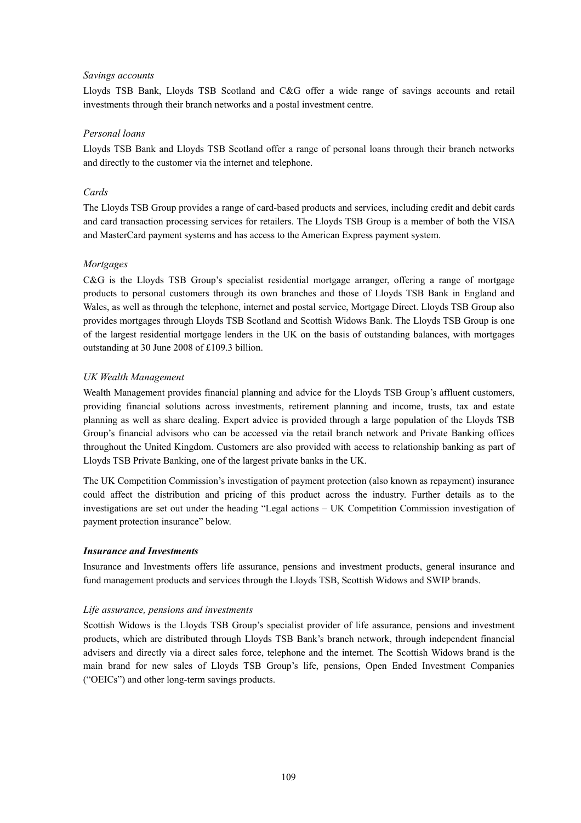## *Savings accounts*

Lloyds TSB Bank, Lloyds TSB Scotland and C&G offer a wide range of savings accounts and retail investments through their branch networks and a postal investment centre.

## *Personal loans*

Lloyds TSB Bank and Lloyds TSB Scotland offer a range of personal loans through their branch networks and directly to the customer via the internet and telephone.

#### *Cards*

The Lloyds TSB Group provides a range of card-based products and services, including credit and debit cards and card transaction processing services for retailers. The Lloyds TSB Group is a member of both the VISA and MasterCard payment systems and has access to the American Express payment system.

## *Mortgages*

C&G is the Lloyds TSB Group's specialist residential mortgage arranger, offering a range of mortgage products to personal customers through its own branches and those of Lloyds TSB Bank in England and Wales, as well as through the telephone, internet and postal service, Mortgage Direct. Lloyds TSB Group also provides mortgages through Lloyds TSB Scotland and Scottish Widows Bank. The Lloyds TSB Group is one of the largest residential mortgage lenders in the UK on the basis of outstanding balances, with mortgages outstanding at 30 June 2008 of £109.3 billion.

# *UK Wealth Management*

Wealth Management provides financial planning and advice for the Lloyds TSB Group's affluent customers, providing financial solutions across investments, retirement planning and income, trusts, tax and estate planning as well as share dealing. Expert advice is provided through a large population of the Lloyds TSB Group's financial advisors who can be accessed via the retail branch network and Private Banking offices throughout the United Kingdom. Customers are also provided with access to relationship banking as part of Lloyds TSB Private Banking, one of the largest private banks in the UK.

The UK Competition Commission's investigation of payment protection (also known as repayment) insurance could affect the distribution and pricing of this product across the industry. Further details as to the investigations are set out under the heading "Legal actions – UK Competition Commission investigation of payment protection insurance" below.

#### *Insurance and Investments*

Insurance and Investments offers life assurance, pensions and investment products, general insurance and fund management products and services through the Lloyds TSB, Scottish Widows and SWIP brands.

#### *Life assurance, pensions and investments*

Scottish Widows is the Lloyds TSB Group's specialist provider of life assurance, pensions and investment products, which are distributed through Lloyds TSB Bank's branch network, through independent financial advisers and directly via a direct sales force, telephone and the internet. The Scottish Widows brand is the main brand for new sales of Lloyds TSB Group's life, pensions, Open Ended Investment Companies ("OEICs") and other long-term savings products.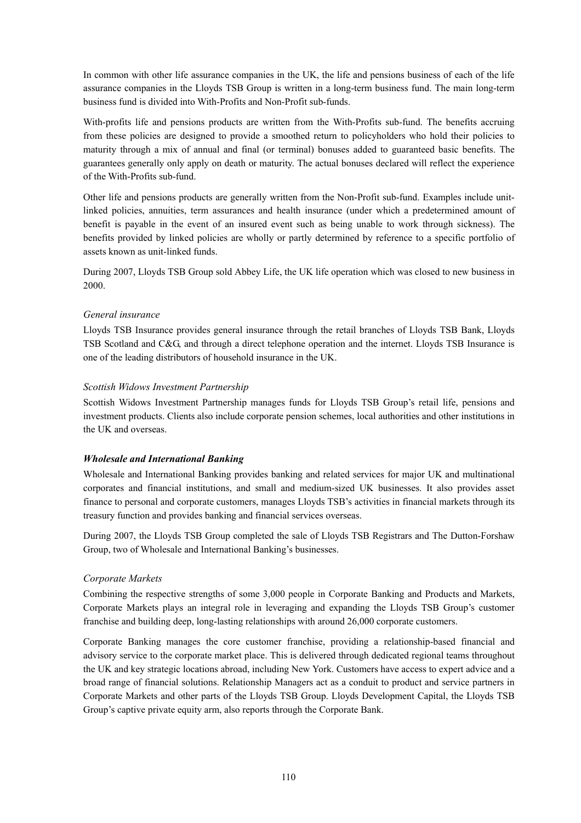In common with other life assurance companies in the UK, the life and pensions business of each of the life assurance companies in the Lloyds TSB Group is written in a long-term business fund. The main long-term business fund is divided into With-Profits and Non-Profit sub-funds.

With-profits life and pensions products are written from the With-Profits sub-fund. The benefits accruing from these policies are designed to provide a smoothed return to policyholders who hold their policies to maturity through a mix of annual and final (or terminal) bonuses added to guaranteed basic benefits. The guarantees generally only apply on death or maturity. The actual bonuses declared will reflect the experience of the With-Profits sub-fund.

Other life and pensions products are generally written from the Non-Profit sub-fund. Examples include unitlinked policies, annuities, term assurances and health insurance (under which a predetermined amount of benefit is payable in the event of an insured event such as being unable to work through sickness). The benefits provided by linked policies are wholly or partly determined by reference to a specific portfolio of assets known as unit-linked funds.

During 2007, Lloyds TSB Group sold Abbey Life, the UK life operation which was closed to new business in 2000.

# *General insurance*

Lloyds TSB Insurance provides general insurance through the retail branches of Lloyds TSB Bank, Lloyds TSB Scotland and C&G, and through a direct telephone operation and the internet. Lloyds TSB Insurance is one of the leading distributors of household insurance in the UK.

## *Scottish Widows Investment Partnership*

Scottish Widows Investment Partnership manages funds for Lloyds TSB Group's retail life, pensions and investment products. Clients also include corporate pension schemes, local authorities and other institutions in the UK and overseas.

# *Wholesale and International Banking*

Wholesale and International Banking provides banking and related services for major UK and multinational corporates and financial institutions, and small and medium-sized UK businesses. It also provides asset finance to personal and corporate customers, manages Lloyds TSB's activities in financial markets through its treasury function and provides banking and financial services overseas.

During 2007, the Lloyds TSB Group completed the sale of Lloyds TSB Registrars and The Dutton-Forshaw Group, two of Wholesale and International Banking's businesses.

# *Corporate Markets*

Combining the respective strengths of some 3,000 people in Corporate Banking and Products and Markets, Corporate Markets plays an integral role in leveraging and expanding the Lloyds TSB Group's customer franchise and building deep, long-lasting relationships with around 26,000 corporate customers.

Corporate Banking manages the core customer franchise, providing a relationship-based financial and advisory service to the corporate market place. This is delivered through dedicated regional teams throughout the UK and key strategic locations abroad, including New York. Customers have access to expert advice and a broad range of financial solutions. Relationship Managers act as a conduit to product and service partners in Corporate Markets and other parts of the Lloyds TSB Group. Lloyds Development Capital, the Lloyds TSB Group's captive private equity arm, also reports through the Corporate Bank.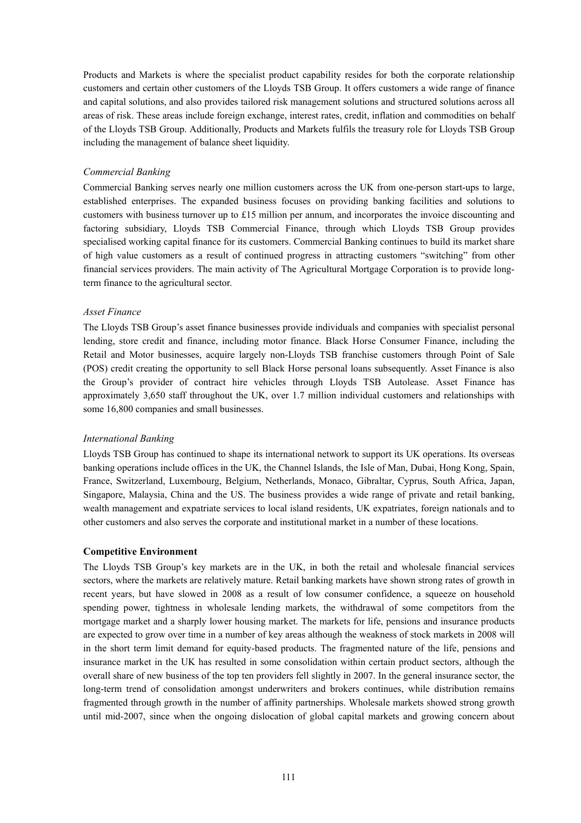Products and Markets is where the specialist product capability resides for both the corporate relationship customers and certain other customers of the Lloyds TSB Group. It offers customers a wide range of finance and capital solutions, and also provides tailored risk management solutions and structured solutions across all areas of risk. These areas include foreign exchange, interest rates, credit, inflation and commodities on behalf of the Lloyds TSB Group. Additionally, Products and Markets fulfils the treasury role for Lloyds TSB Group including the management of balance sheet liquidity.

## *Commercial Banking*

Commercial Banking serves nearly one million customers across the UK from one-person start-ups to large, established enterprises. The expanded business focuses on providing banking facilities and solutions to customers with business turnover up to £15 million per annum, and incorporates the invoice discounting and factoring subsidiary, Lloyds TSB Commercial Finance, through which Lloyds TSB Group provides specialised working capital finance for its customers. Commercial Banking continues to build its market share of high value customers as a result of continued progress in attracting customers "switching" from other financial services providers. The main activity of The Agricultural Mortgage Corporation is to provide longterm finance to the agricultural sector.

#### *Asset Finance*

The Lloyds TSB Group's asset finance businesses provide individuals and companies with specialist personal lending, store credit and finance, including motor finance. Black Horse Consumer Finance, including the Retail and Motor businesses, acquire largely non-Lloyds TSB franchise customers through Point of Sale (POS) credit creating the opportunity to sell Black Horse personal loans subsequently. Asset Finance is also the Group's provider of contract hire vehicles through Lloyds TSB Autolease. Asset Finance has approximately 3,650 staff throughout the UK, over 1.7 million individual customers and relationships with some 16,800 companies and small businesses.

#### *International Banking*

Lloyds TSB Group has continued to shape its international network to support its UK operations. Its overseas banking operations include offices in the UK, the Channel Islands, the Isle of Man, Dubai, Hong Kong, Spain, France, Switzerland, Luxembourg, Belgium, Netherlands, Monaco, Gibraltar, Cyprus, South Africa, Japan, Singapore, Malaysia, China and the US. The business provides a wide range of private and retail banking, wealth management and expatriate services to local island residents, UK expatriates, foreign nationals and to other customers and also serves the corporate and institutional market in a number of these locations.

#### **Competitive Environment**

The Lloyds TSB Group's key markets are in the UK, in both the retail and wholesale financial services sectors, where the markets are relatively mature. Retail banking markets have shown strong rates of growth in recent years, but have slowed in 2008 as a result of low consumer confidence, a squeeze on household spending power, tightness in wholesale lending markets, the withdrawal of some competitors from the mortgage market and a sharply lower housing market. The markets for life, pensions and insurance products are expected to grow over time in a number of key areas although the weakness of stock markets in 2008 will in the short term limit demand for equity-based products. The fragmented nature of the life, pensions and insurance market in the UK has resulted in some consolidation within certain product sectors, although the overall share of new business of the top ten providers fell slightly in 2007. In the general insurance sector, the long-term trend of consolidation amongst underwriters and brokers continues, while distribution remains fragmented through growth in the number of affinity partnerships. Wholesale markets showed strong growth until mid-2007, since when the ongoing dislocation of global capital markets and growing concern about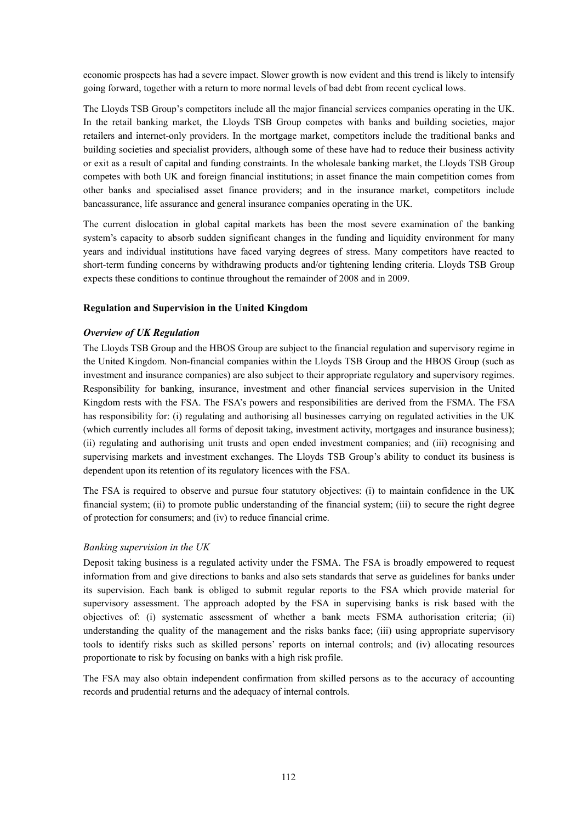economic prospects has had a severe impact. Slower growth is now evident and this trend is likely to intensify going forward, together with a return to more normal levels of bad debt from recent cyclical lows.

The Lloyds TSB Group's competitors include all the major financial services companies operating in the UK. In the retail banking market, the Lloyds TSB Group competes with banks and building societies, major retailers and internet-only providers. In the mortgage market, competitors include the traditional banks and building societies and specialist providers, although some of these have had to reduce their business activity or exit as a result of capital and funding constraints. In the wholesale banking market, the Lloyds TSB Group competes with both UK and foreign financial institutions; in asset finance the main competition comes from other banks and specialised asset finance providers; and in the insurance market, competitors include bancassurance, life assurance and general insurance companies operating in the UK.

The current dislocation in global capital markets has been the most severe examination of the banking system's capacity to absorb sudden significant changes in the funding and liquidity environment for many years and individual institutions have faced varying degrees of stress. Many competitors have reacted to short-term funding concerns by withdrawing products and/or tightening lending criteria. Lloyds TSB Group expects these conditions to continue throughout the remainder of 2008 and in 2009.

## **Regulation and Supervision in the United Kingdom**

#### *Overview of UK Regulation*

The Lloyds TSB Group and the HBOS Group are subject to the financial regulation and supervisory regime in the United Kingdom. Non-financial companies within the Lloyds TSB Group and the HBOS Group (such as investment and insurance companies) are also subject to their appropriate regulatory and supervisory regimes. Responsibility for banking, insurance, investment and other financial services supervision in the United Kingdom rests with the FSA. The FSA's powers and responsibilities are derived from the FSMA. The FSA has responsibility for: (i) regulating and authorising all businesses carrying on regulated activities in the UK (which currently includes all forms of deposit taking, investment activity, mortgages and insurance business); (ii) regulating and authorising unit trusts and open ended investment companies; and (iii) recognising and supervising markets and investment exchanges. The Lloyds TSB Group's ability to conduct its business is dependent upon its retention of its regulatory licences with the FSA.

The FSA is required to observe and pursue four statutory objectives: (i) to maintain confidence in the UK financial system; (ii) to promote public understanding of the financial system; (iii) to secure the right degree of protection for consumers; and (iv) to reduce financial crime.

# *Banking supervision in the UK*

Deposit taking business is a regulated activity under the FSMA. The FSA is broadly empowered to request information from and give directions to banks and also sets standards that serve as guidelines for banks under its supervision. Each bank is obliged to submit regular reports to the FSA which provide material for supervisory assessment. The approach adopted by the FSA in supervising banks is risk based with the objectives of: (i) systematic assessment of whether a bank meets FSMA authorisation criteria; (ii) understanding the quality of the management and the risks banks face; (iii) using appropriate supervisory tools to identify risks such as skilled persons' reports on internal controls; and (iv) allocating resources proportionate to risk by focusing on banks with a high risk profile.

The FSA may also obtain independent confirmation from skilled persons as to the accuracy of accounting records and prudential returns and the adequacy of internal controls.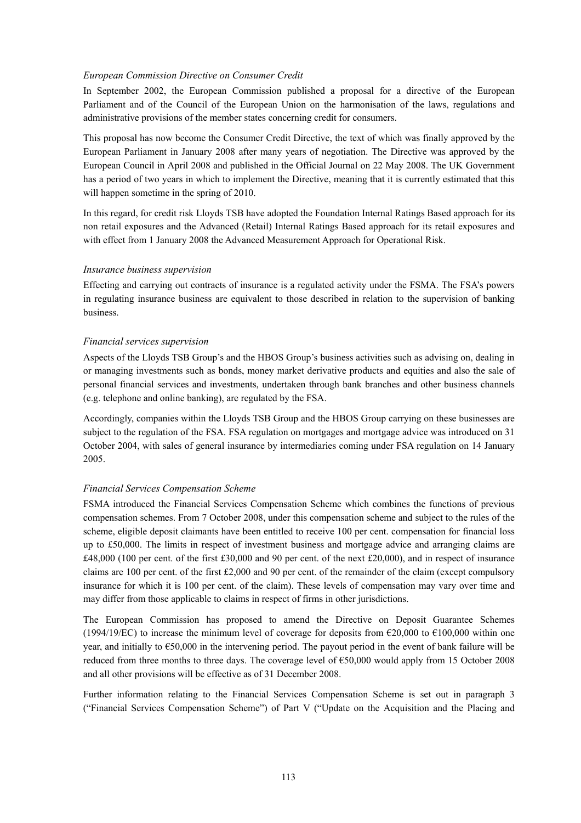#### *European Commission Directive on Consumer Credit*

In September 2002, the European Commission published a proposal for a directive of the European Parliament and of the Council of the European Union on the harmonisation of the laws, regulations and administrative provisions of the member states concerning credit for consumers.

This proposal has now become the Consumer Credit Directive, the text of which was finally approved by the European Parliament in January 2008 after many years of negotiation. The Directive was approved by the European Council in April 2008 and published in the Official Journal on 22 May 2008. The UK Government has a period of two years in which to implement the Directive, meaning that it is currently estimated that this will happen sometime in the spring of 2010.

In this regard, for credit risk Lloyds TSB have adopted the Foundation Internal Ratings Based approach for its non retail exposures and the Advanced (Retail) Internal Ratings Based approach for its retail exposures and with effect from 1 January 2008 the Advanced Measurement Approach for Operational Risk.

## *Insurance business supervision*

Effecting and carrying out contracts of insurance is a regulated activity under the FSMA. The FSA's powers in regulating insurance business are equivalent to those described in relation to the supervision of banking business.

## *Financial services supervision*

Aspects of the Lloyds TSB Group's and the HBOS Group's business activities such as advising on, dealing in or managing investments such as bonds, money market derivative products and equities and also the sale of personal financial services and investments, undertaken through bank branches and other business channels (e.g. telephone and online banking), are regulated by the FSA.

Accordingly, companies within the Lloyds TSB Group and the HBOS Group carrying on these businesses are subject to the regulation of the FSA. FSA regulation on mortgages and mortgage advice was introduced on 31 October 2004, with sales of general insurance by intermediaries coming under FSA regulation on 14 January 2005.

# *Financial Services Compensation Scheme*

FSMA introduced the Financial Services Compensation Scheme which combines the functions of previous compensation schemes. From 7 October 2008, under this compensation scheme and subject to the rules of the scheme, eligible deposit claimants have been entitled to receive 100 per cent. compensation for financial loss up to £50,000. The limits in respect of investment business and mortgage advice and arranging claims are £48,000 (100 per cent. of the first £30,000 and 90 per cent. of the next £20,000), and in respect of insurance claims are 100 per cent. of the first £2,000 and 90 per cent. of the remainder of the claim (except compulsory insurance for which it is 100 per cent. of the claim). These levels of compensation may vary over time and may differ from those applicable to claims in respect of firms in other jurisdictions.

The European Commission has proposed to amend the Directive on Deposit Guarantee Schemes (1994/19/EC) to increase the minimum level of coverage for deposits from  $\epsilon$ 20,000 to  $\epsilon$ 100,000 within one year, and initially to €50,000 in the intervening period. The payout period in the event of bank failure will be reduced from three months to three days. The coverage level of €50,000 would apply from 15 October 2008 and all other provisions will be effective as of 31 December 2008.

Further information relating to the Financial Services Compensation Scheme is set out in paragraph 3 ("Financial Services Compensation Scheme") of Part V ("Update on the Acquisition and the Placing and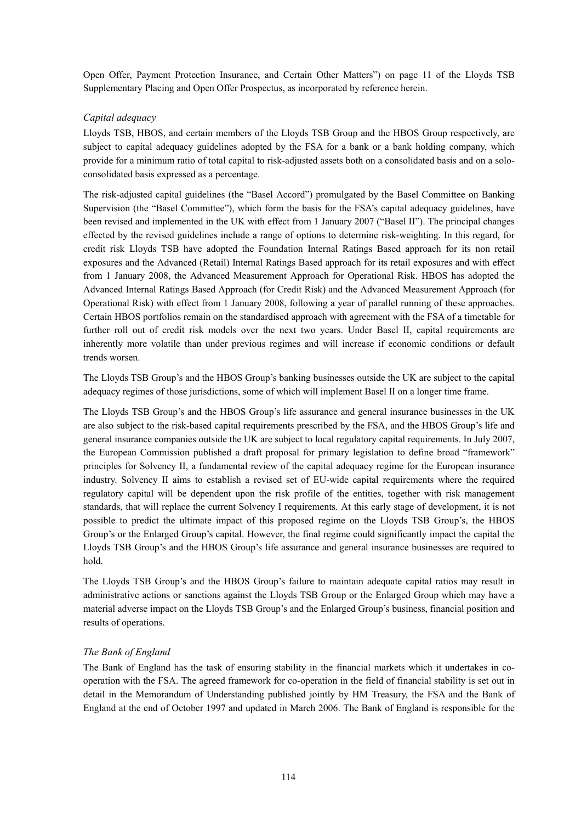Open Offer, Payment Protection Insurance, and Certain Other Matters") on page 11 of the Lloyds TSB Supplementary Placing and Open Offer Prospectus, as incorporated by reference herein.

# *Capital adequacy*

Lloyds TSB, HBOS, and certain members of the Lloyds TSB Group and the HBOS Group respectively, are subject to capital adequacy guidelines adopted by the FSA for a bank or a bank holding company, which provide for a minimum ratio of total capital to risk-adjusted assets both on a consolidated basis and on a soloconsolidated basis expressed as a percentage.

The risk-adjusted capital guidelines (the "Basel Accord") promulgated by the Basel Committee on Banking Supervision (the "Basel Committee"), which form the basis for the FSA's capital adequacy guidelines, have been revised and implemented in the UK with effect from 1 January 2007 ("Basel II"). The principal changes effected by the revised guidelines include a range of options to determine risk-weighting. In this regard, for credit risk Lloyds TSB have adopted the Foundation Internal Ratings Based approach for its non retail exposures and the Advanced (Retail) Internal Ratings Based approach for its retail exposures and with effect from 1 January 2008, the Advanced Measurement Approach for Operational Risk. HBOS has adopted the Advanced Internal Ratings Based Approach (for Credit Risk) and the Advanced Measurement Approach (for Operational Risk) with effect from 1 January 2008, following a year of parallel running of these approaches. Certain HBOS portfolios remain on the standardised approach with agreement with the FSA of a timetable for further roll out of credit risk models over the next two years. Under Basel II, capital requirements are inherently more volatile than under previous regimes and will increase if economic conditions or default trends worsen.

The Lloyds TSB Group's and the HBOS Group's banking businesses outside the UK are subject to the capital adequacy regimes of those jurisdictions, some of which will implement Basel II on a longer time frame.

The Lloyds TSB Group's and the HBOS Group's life assurance and general insurance businesses in the UK are also subject to the risk-based capital requirements prescribed by the FSA, and the HBOS Group's life and general insurance companies outside the UK are subject to local regulatory capital requirements. In July 2007, the European Commission published a draft proposal for primary legislation to define broad "framework" principles for Solvency II, a fundamental review of the capital adequacy regime for the European insurance industry. Solvency II aims to establish a revised set of EU-wide capital requirements where the required regulatory capital will be dependent upon the risk profile of the entities, together with risk management standards, that will replace the current Solvency I requirements. At this early stage of development, it is not possible to predict the ultimate impact of this proposed regime on the Lloyds TSB Group's, the HBOS Group's or the Enlarged Group's capital. However, the final regime could significantly impact the capital the Lloyds TSB Group's and the HBOS Group's life assurance and general insurance businesses are required to hold.

The Lloyds TSB Group's and the HBOS Group's failure to maintain adequate capital ratios may result in administrative actions or sanctions against the Lloyds TSB Group or the Enlarged Group which may have a material adverse impact on the Lloyds TSB Group's and the Enlarged Group's business, financial position and results of operations.

# *The Bank of England*

The Bank of England has the task of ensuring stability in the financial markets which it undertakes in cooperation with the FSA. The agreed framework for co-operation in the field of financial stability is set out in detail in the Memorandum of Understanding published jointly by HM Treasury, the FSA and the Bank of England at the end of October 1997 and updated in March 2006. The Bank of England is responsible for the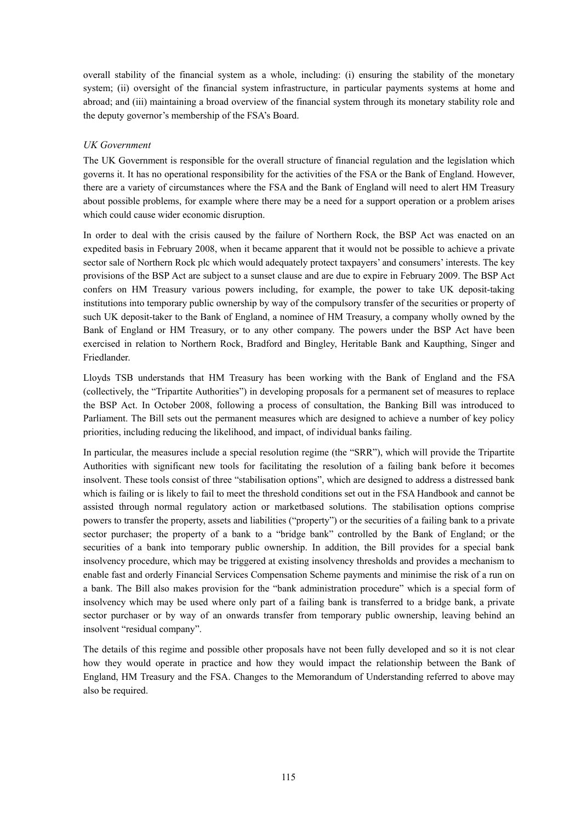overall stability of the financial system as a whole, including: (i) ensuring the stability of the monetary system; (ii) oversight of the financial system infrastructure, in particular payments systems at home and abroad; and (iii) maintaining a broad overview of the financial system through its monetary stability role and the deputy governor's membership of the FSA's Board.

# *UK Government*

The UK Government is responsible for the overall structure of financial regulation and the legislation which governs it. It has no operational responsibility for the activities of the FSA or the Bank of England. However, there are a variety of circumstances where the FSA and the Bank of England will need to alert HM Treasury about possible problems, for example where there may be a need for a support operation or a problem arises which could cause wider economic disruption.

In order to deal with the crisis caused by the failure of Northern Rock, the BSP Act was enacted on an expedited basis in February 2008, when it became apparent that it would not be possible to achieve a private sector sale of Northern Rock plc which would adequately protect taxpayers' and consumers' interests. The key provisions of the BSP Act are subject to a sunset clause and are due to expire in February 2009. The BSP Act confers on HM Treasury various powers including, for example, the power to take UK deposit-taking institutions into temporary public ownership by way of the compulsory transfer of the securities or property of such UK deposit-taker to the Bank of England, a nominee of HM Treasury, a company wholly owned by the Bank of England or HM Treasury, or to any other company. The powers under the BSP Act have been exercised in relation to Northern Rock, Bradford and Bingley, Heritable Bank and Kaupthing, Singer and Friedlander.

Lloyds TSB understands that HM Treasury has been working with the Bank of England and the FSA (collectively, the "Tripartite Authorities") in developing proposals for a permanent set of measures to replace the BSP Act. In October 2008, following a process of consultation, the Banking Bill was introduced to Parliament. The Bill sets out the permanent measures which are designed to achieve a number of key policy priorities, including reducing the likelihood, and impact, of individual banks failing.

In particular, the measures include a special resolution regime (the "SRR"), which will provide the Tripartite Authorities with significant new tools for facilitating the resolution of a failing bank before it becomes insolvent. These tools consist of three "stabilisation options", which are designed to address a distressed bank which is failing or is likely to fail to meet the threshold conditions set out in the FSA Handbook and cannot be assisted through normal regulatory action or marketbased solutions. The stabilisation options comprise powers to transfer the property, assets and liabilities ("property") or the securities of a failing bank to a private sector purchaser; the property of a bank to a "bridge bank" controlled by the Bank of England; or the securities of a bank into temporary public ownership. In addition, the Bill provides for a special bank insolvency procedure, which may be triggered at existing insolvency thresholds and provides a mechanism to enable fast and orderly Financial Services Compensation Scheme payments and minimise the risk of a run on a bank. The Bill also makes provision for the "bank administration procedure" which is a special form of insolvency which may be used where only part of a failing bank is transferred to a bridge bank, a private sector purchaser or by way of an onwards transfer from temporary public ownership, leaving behind an insolvent "residual company".

The details of this regime and possible other proposals have not been fully developed and so it is not clear how they would operate in practice and how they would impact the relationship between the Bank of England, HM Treasury and the FSA. Changes to the Memorandum of Understanding referred to above may also be required.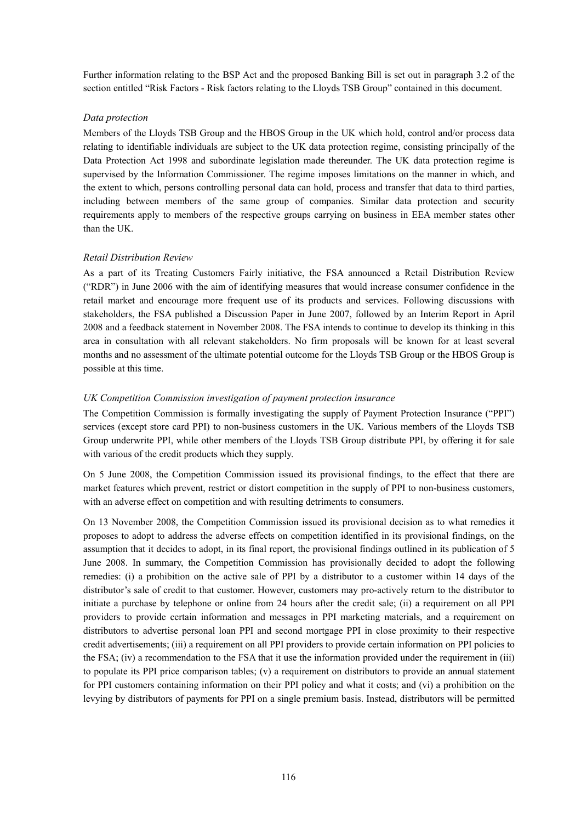Further information relating to the BSP Act and the proposed Banking Bill is set out in paragraph 3.2 of the section entitled "Risk Factors - Risk factors relating to the Lloyds TSB Group" contained in this document.

# *Data protection*

Members of the Lloyds TSB Group and the HBOS Group in the UK which hold, control and/or process data relating to identifiable individuals are subject to the UK data protection regime, consisting principally of the Data Protection Act 1998 and subordinate legislation made thereunder. The UK data protection regime is supervised by the Information Commissioner. The regime imposes limitations on the manner in which, and the extent to which, persons controlling personal data can hold, process and transfer that data to third parties, including between members of the same group of companies. Similar data protection and security requirements apply to members of the respective groups carrying on business in EEA member states other than the UK.

# *Retail Distribution Review*

As a part of its Treating Customers Fairly initiative, the FSA announced a Retail Distribution Review ("RDR") in June 2006 with the aim of identifying measures that would increase consumer confidence in the retail market and encourage more frequent use of its products and services. Following discussions with stakeholders, the FSA published a Discussion Paper in June 2007, followed by an Interim Report in April 2008 and a feedback statement in November 2008. The FSA intends to continue to develop its thinking in this area in consultation with all relevant stakeholders. No firm proposals will be known for at least several months and no assessment of the ultimate potential outcome for the Lloyds TSB Group or the HBOS Group is possible at this time.

# *UK Competition Commission investigation of payment protection insurance*

The Competition Commission is formally investigating the supply of Payment Protection Insurance ("PPI") services (except store card PPI) to non-business customers in the UK. Various members of the Lloyds TSB Group underwrite PPI, while other members of the Lloyds TSB Group distribute PPI, by offering it for sale with various of the credit products which they supply.

On 5 June 2008, the Competition Commission issued its provisional findings, to the effect that there are market features which prevent, restrict or distort competition in the supply of PPI to non-business customers, with an adverse effect on competition and with resulting detriments to consumers.

On 13 November 2008, the Competition Commission issued its provisional decision as to what remedies it proposes to adopt to address the adverse effects on competition identified in its provisional findings, on the assumption that it decides to adopt, in its final report, the provisional findings outlined in its publication of 5 June 2008. In summary, the Competition Commission has provisionally decided to adopt the following remedies: (i) a prohibition on the active sale of PPI by a distributor to a customer within 14 days of the distributor's sale of credit to that customer. However, customers may pro-actively return to the distributor to initiate a purchase by telephone or online from 24 hours after the credit sale; (ii) a requirement on all PPI providers to provide certain information and messages in PPI marketing materials, and a requirement on distributors to advertise personal loan PPI and second mortgage PPI in close proximity to their respective credit advertisements; (iii) a requirement on all PPI providers to provide certain information on PPI policies to the FSA; (iv) a recommendation to the FSA that it use the information provided under the requirement in (iii) to populate its PPI price comparison tables; (v) a requirement on distributors to provide an annual statement for PPI customers containing information on their PPI policy and what it costs; and (vi) a prohibition on the levying by distributors of payments for PPI on a single premium basis. Instead, distributors will be permitted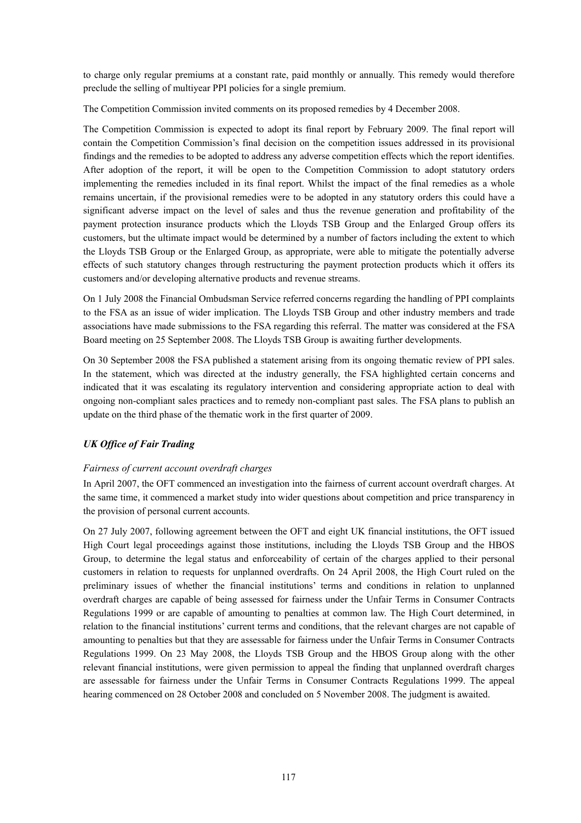to charge only regular premiums at a constant rate, paid monthly or annually. This remedy would therefore preclude the selling of multiyear PPI policies for a single premium.

The Competition Commission invited comments on its proposed remedies by 4 December 2008.

The Competition Commission is expected to adopt its final report by February 2009. The final report will contain the Competition Commission's final decision on the competition issues addressed in its provisional findings and the remedies to be adopted to address any adverse competition effects which the report identifies. After adoption of the report, it will be open to the Competition Commission to adopt statutory orders implementing the remedies included in its final report. Whilst the impact of the final remedies as a whole remains uncertain, if the provisional remedies were to be adopted in any statutory orders this could have a significant adverse impact on the level of sales and thus the revenue generation and profitability of the payment protection insurance products which the Lloyds TSB Group and the Enlarged Group offers its customers, but the ultimate impact would be determined by a number of factors including the extent to which the Lloyds TSB Group or the Enlarged Group, as appropriate, were able to mitigate the potentially adverse effects of such statutory changes through restructuring the payment protection products which it offers its customers and/or developing alternative products and revenue streams.

On 1 July 2008 the Financial Ombudsman Service referred concerns regarding the handling of PPI complaints to the FSA as an issue of wider implication. The Lloyds TSB Group and other industry members and trade associations have made submissions to the FSA regarding this referral. The matter was considered at the FSA Board meeting on 25 September 2008. The Lloyds TSB Group is awaiting further developments.

On 30 September 2008 the FSA published a statement arising from its ongoing thematic review of PPI sales. In the statement, which was directed at the industry generally, the FSA highlighted certain concerns and indicated that it was escalating its regulatory intervention and considering appropriate action to deal with ongoing non-compliant sales practices and to remedy non-compliant past sales. The FSA plans to publish an update on the third phase of the thematic work in the first quarter of 2009.

# *UK Office of Fair Trading*

# *Fairness of current account overdraft charges*

In April 2007, the OFT commenced an investigation into the fairness of current account overdraft charges. At the same time, it commenced a market study into wider questions about competition and price transparency in the provision of personal current accounts.

On 27 July 2007, following agreement between the OFT and eight UK financial institutions, the OFT issued High Court legal proceedings against those institutions, including the Lloyds TSB Group and the HBOS Group, to determine the legal status and enforceability of certain of the charges applied to their personal customers in relation to requests for unplanned overdrafts. On 24 April 2008, the High Court ruled on the preliminary issues of whether the financial institutions' terms and conditions in relation to unplanned overdraft charges are capable of being assessed for fairness under the Unfair Terms in Consumer Contracts Regulations 1999 or are capable of amounting to penalties at common law. The High Court determined, in relation to the financial institutions' current terms and conditions, that the relevant charges are not capable of amounting to penalties but that they are assessable for fairness under the Unfair Terms in Consumer Contracts Regulations 1999. On 23 May 2008, the Lloyds TSB Group and the HBOS Group along with the other relevant financial institutions, were given permission to appeal the finding that unplanned overdraft charges are assessable for fairness under the Unfair Terms in Consumer Contracts Regulations 1999. The appeal hearing commenced on 28 October 2008 and concluded on 5 November 2008. The judgment is awaited.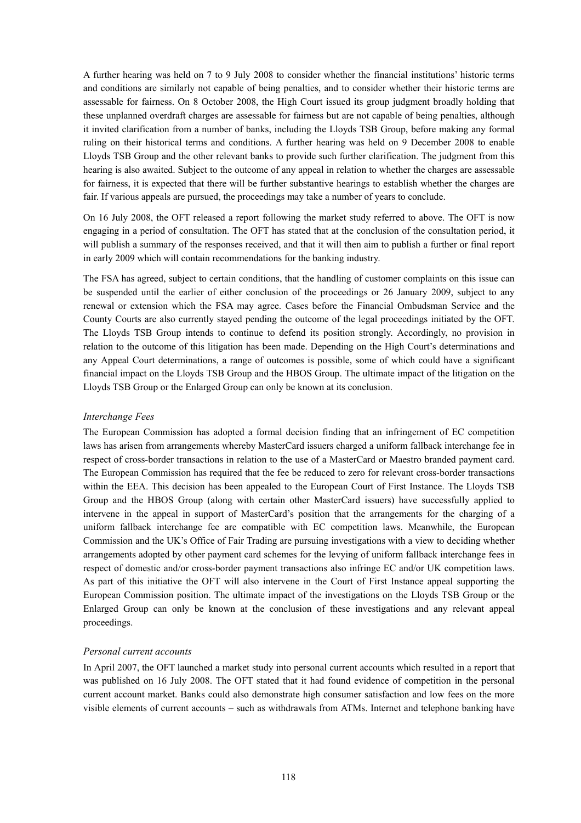A further hearing was held on 7 to 9 July 2008 to consider whether the financial institutions' historic terms and conditions are similarly not capable of being penalties, and to consider whether their historic terms are assessable for fairness. On 8 October 2008, the High Court issued its group judgment broadly holding that these unplanned overdraft charges are assessable for fairness but are not capable of being penalties, although it invited clarification from a number of banks, including the Lloyds TSB Group, before making any formal ruling on their historical terms and conditions. A further hearing was held on 9 December 2008 to enable Lloyds TSB Group and the other relevant banks to provide such further clarification. The judgment from this hearing is also awaited. Subject to the outcome of any appeal in relation to whether the charges are assessable for fairness, it is expected that there will be further substantive hearings to establish whether the charges are fair. If various appeals are pursued, the proceedings may take a number of years to conclude.

On 16 July 2008, the OFT released a report following the market study referred to above. The OFT is now engaging in a period of consultation. The OFT has stated that at the conclusion of the consultation period, it will publish a summary of the responses received, and that it will then aim to publish a further or final report in early 2009 which will contain recommendations for the banking industry.

The FSA has agreed, subject to certain conditions, that the handling of customer complaints on this issue can be suspended until the earlier of either conclusion of the proceedings or 26 January 2009, subject to any renewal or extension which the FSA may agree. Cases before the Financial Ombudsman Service and the County Courts are also currently stayed pending the outcome of the legal proceedings initiated by the OFT. The Lloyds TSB Group intends to continue to defend its position strongly. Accordingly, no provision in relation to the outcome of this litigation has been made. Depending on the High Court's determinations and any Appeal Court determinations, a range of outcomes is possible, some of which could have a significant financial impact on the Lloyds TSB Group and the HBOS Group. The ultimate impact of the litigation on the Lloyds TSB Group or the Enlarged Group can only be known at its conclusion.

# *Interchange Fees*

The European Commission has adopted a formal decision finding that an infringement of EC competition laws has arisen from arrangements whereby MasterCard issuers charged a uniform fallback interchange fee in respect of cross-border transactions in relation to the use of a MasterCard or Maestro branded payment card. The European Commission has required that the fee be reduced to zero for relevant cross-border transactions within the EEA. This decision has been appealed to the European Court of First Instance. The Lloyds TSB Group and the HBOS Group (along with certain other MasterCard issuers) have successfully applied to intervene in the appeal in support of MasterCard's position that the arrangements for the charging of a uniform fallback interchange fee are compatible with EC competition laws. Meanwhile, the European Commission and the UK's Office of Fair Trading are pursuing investigations with a view to deciding whether arrangements adopted by other payment card schemes for the levying of uniform fallback interchange fees in respect of domestic and/or cross-border payment transactions also infringe EC and/or UK competition laws. As part of this initiative the OFT will also intervene in the Court of First Instance appeal supporting the European Commission position. The ultimate impact of the investigations on the Lloyds TSB Group or the Enlarged Group can only be known at the conclusion of these investigations and any relevant appeal proceedings.

# *Personal current accounts*

In April 2007, the OFT launched a market study into personal current accounts which resulted in a report that was published on 16 July 2008. The OFT stated that it had found evidence of competition in the personal current account market. Banks could also demonstrate high consumer satisfaction and low fees on the more visible elements of current accounts – such as withdrawals from ATMs. Internet and telephone banking have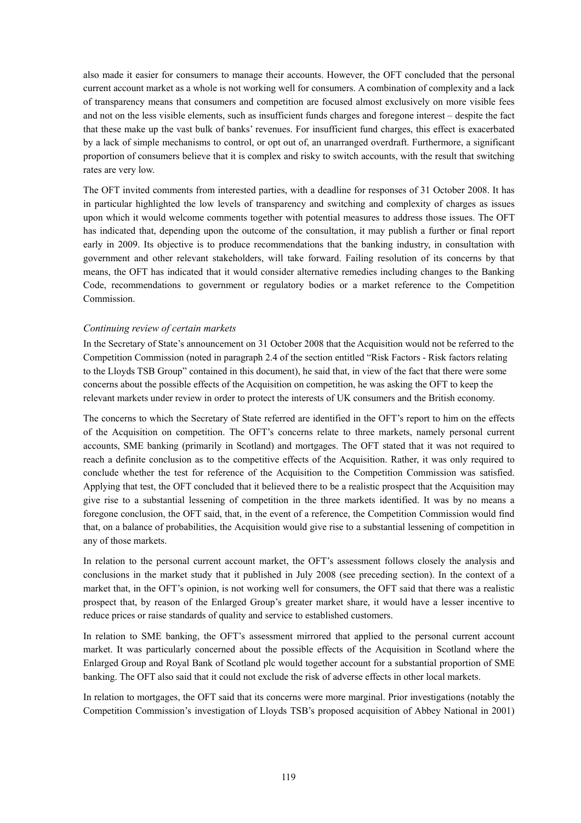also made it easier for consumers to manage their accounts. However, the OFT concluded that the personal current account market as a whole is not working well for consumers. A combination of complexity and a lack of transparency means that consumers and competition are focused almost exclusively on more visible fees and not on the less visible elements, such as insufficient funds charges and foregone interest – despite the fact that these make up the vast bulk of banks' revenues. For insufficient fund charges, this effect is exacerbated by a lack of simple mechanisms to control, or opt out of, an unarranged overdraft. Furthermore, a significant proportion of consumers believe that it is complex and risky to switch accounts, with the result that switching rates are very low.

The OFT invited comments from interested parties, with a deadline for responses of 31 October 2008. It has in particular highlighted the low levels of transparency and switching and complexity of charges as issues upon which it would welcome comments together with potential measures to address those issues. The OFT has indicated that, depending upon the outcome of the consultation, it may publish a further or final report early in 2009. Its objective is to produce recommendations that the banking industry, in consultation with government and other relevant stakeholders, will take forward. Failing resolution of its concerns by that means, the OFT has indicated that it would consider alternative remedies including changes to the Banking Code, recommendations to government or regulatory bodies or a market reference to the Competition **Commission** 

## *Continuing review of certain markets*

In the Secretary of State's announcement on 31 October 2008 that the Acquisition would not be referred to the Competition Commission (noted in paragraph 2.4 of the section entitled "Risk Factors - Risk factors relating to the Lloyds TSB Group" contained in this document), he said that, in view of the fact that there were some concerns about the possible effects of the Acquisition on competition, he was asking the OFT to keep the relevant markets under review in order to protect the interests of UK consumers and the British economy.

The concerns to which the Secretary of State referred are identified in the OFT's report to him on the effects of the Acquisition on competition. The OFT's concerns relate to three markets, namely personal current accounts, SME banking (primarily in Scotland) and mortgages. The OFT stated that it was not required to reach a definite conclusion as to the competitive effects of the Acquisition. Rather, it was only required to conclude whether the test for reference of the Acquisition to the Competition Commission was satisfied. Applying that test, the OFT concluded that it believed there to be a realistic prospect that the Acquisition may give rise to a substantial lessening of competition in the three markets identified. It was by no means a foregone conclusion, the OFT said, that, in the event of a reference, the Competition Commission would find that, on a balance of probabilities, the Acquisition would give rise to a substantial lessening of competition in any of those markets.

In relation to the personal current account market, the OFT's assessment follows closely the analysis and conclusions in the market study that it published in July 2008 (see preceding section). In the context of a market that, in the OFT's opinion, is not working well for consumers, the OFT said that there was a realistic prospect that, by reason of the Enlarged Group's greater market share, it would have a lesser incentive to reduce prices or raise standards of quality and service to established customers.

In relation to SME banking, the OFT's assessment mirrored that applied to the personal current account market. It was particularly concerned about the possible effects of the Acquisition in Scotland where the Enlarged Group and Royal Bank of Scotland plc would together account for a substantial proportion of SME banking. The OFT also said that it could not exclude the risk of adverse effects in other local markets.

In relation to mortgages, the OFT said that its concerns were more marginal. Prior investigations (notably the Competition Commission's investigation of Lloyds TSB's proposed acquisition of Abbey National in 2001)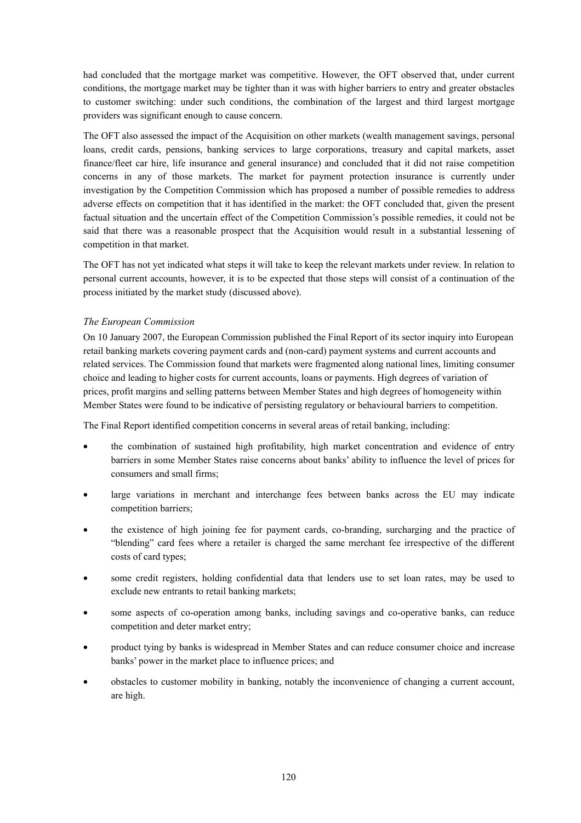had concluded that the mortgage market was competitive. However, the OFT observed that, under current conditions, the mortgage market may be tighter than it was with higher barriers to entry and greater obstacles to customer switching: under such conditions, the combination of the largest and third largest mortgage providers was significant enough to cause concern.

The OFT also assessed the impact of the Acquisition on other markets (wealth management savings, personal loans, credit cards, pensions, banking services to large corporations, treasury and capital markets, asset finance/fleet car hire, life insurance and general insurance) and concluded that it did not raise competition concerns in any of those markets. The market for payment protection insurance is currently under investigation by the Competition Commission which has proposed a number of possible remedies to address adverse effects on competition that it has identified in the market: the OFT concluded that, given the present factual situation and the uncertain effect of the Competition Commission's possible remedies, it could not be said that there was a reasonable prospect that the Acquisition would result in a substantial lessening of competition in that market.

The OFT has not yet indicated what steps it will take to keep the relevant markets under review. In relation to personal current accounts, however, it is to be expected that those steps will consist of a continuation of the process initiated by the market study (discussed above).

# *The European Commission*

On 10 January 2007, the European Commission published the Final Report of its sector inquiry into European retail banking markets covering payment cards and (non-card) payment systems and current accounts and related services. The Commission found that markets were fragmented along national lines, limiting consumer choice and leading to higher costs for current accounts, loans or payments. High degrees of variation of prices, profit margins and selling patterns between Member States and high degrees of homogeneity within Member States were found to be indicative of persisting regulatory or behavioural barriers to competition.

The Final Report identified competition concerns in several areas of retail banking, including:

- the combination of sustained high profitability, high market concentration and evidence of entry barriers in some Member States raise concerns about banks' ability to influence the level of prices for consumers and small firms;
- large variations in merchant and interchange fees between banks across the EU may indicate competition barriers;
- the existence of high joining fee for payment cards, co-branding, surcharging and the practice of "blending" card fees where a retailer is charged the same merchant fee irrespective of the different costs of card types;
- some credit registers, holding confidential data that lenders use to set loan rates, may be used to exclude new entrants to retail banking markets;
- some aspects of co-operation among banks, including savings and co-operative banks, can reduce competition and deter market entry;
- product tying by banks is widespread in Member States and can reduce consumer choice and increase banks' power in the market place to influence prices; and
- obstacles to customer mobility in banking, notably the inconvenience of changing a current account, are high.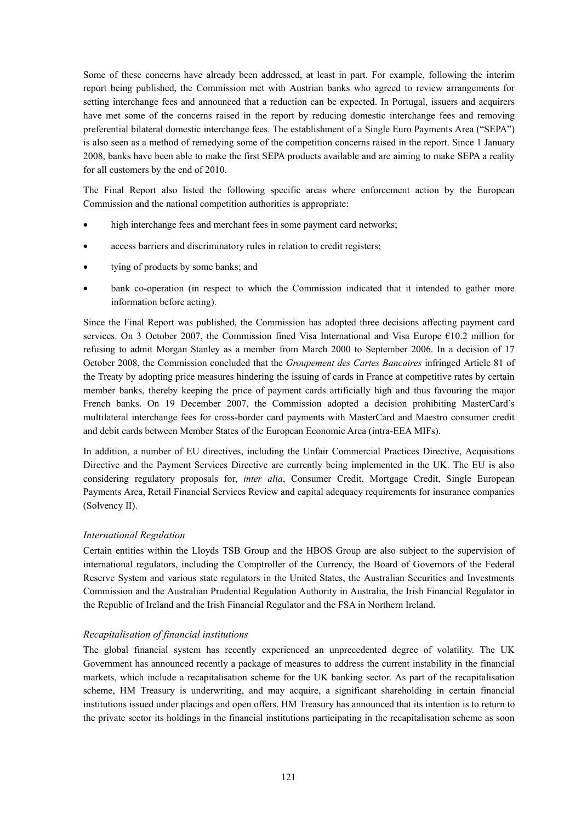Some of these concerns have already been addressed, at least in part. For example, following the interim report being published, the Commission met with Austrian banks who agreed to review arrangements for setting interchange fees and announced that a reduction can be expected. In Portugal, issuers and acquirers have met some of the concerns raised in the report by reducing domestic interchange fees and removing preferential bilateral domestic interchange fees. The establishment of a Single Euro Payments Area ("SEPA") is also seen as a method of remedying some of the competition concerns raised in the report. Since 1 January 2008, banks have been able to make the first SEPA products available and are aiming to make SEPA a reality for all customers by the end of 2010.

The Final Report also listed the following specific areas where enforcement action by the European Commission and the national competition authorities is appropriate:

- high interchange fees and merchant fees in some payment card networks;
- access barriers and discriminatory rules in relation to credit registers;
- tying of products by some banks; and
- bank co-operation (in respect to which the Commission indicated that it intended to gather more information before acting).

Since the Final Report was published, the Commission has adopted three decisions affecting payment card services. On 3 October 2007, the Commission fined Visa International and Visa Europe €10.2 million for refusing to admit Morgan Stanley as a member from March 2000 to September 2006. In a decision of 17 October 2008, the Commission concluded that the *Groupement des Cartes Bancaires* infringed Article 81 of the Treaty by adopting price measures hindering the issuing of cards in France at competitive rates by certain member banks, thereby keeping the price of payment cards artificially high and thus favouring the major French banks. On 19 December 2007, the Commission adopted a decision prohibiting MasterCard's multilateral interchange fees for cross-border card payments with MasterCard and Maestro consumer credit and debit cards between Member States of the European Economic Area (intra-EEA MIFs).

In addition, a number of EU directives, including the Unfair Commercial Practices Directive, Acquisitions Directive and the Payment Services Directive are currently being implemented in the UK. The EU is also considering regulatory proposals for, *inter alia*, Consumer Credit, Mortgage Credit, Single European Payments Area, Retail Financial Services Review and capital adequacy requirements for insurance companies (Solvency II).

#### *International Regulation*

Certain entities within the Lloyds TSB Group and the HBOS Group are also subject to the supervision of international regulators, including the Comptroller of the Currency, the Board of Governors of the Federal Reserve System and various state regulators in the United States, the Australian Securities and Investments Commission and the Australian Prudential Regulation Authority in Australia, the Irish Financial Regulator in the Republic of Ireland and the Irish Financial Regulator and the FSA in Northern Ireland.

# *Recapitalisation of financial institutions*

The global financial system has recently experienced an unprecedented degree of volatility. The UK Government has announced recently a package of measures to address the current instability in the financial markets, which include a recapitalisation scheme for the UK banking sector. As part of the recapitalisation scheme, HM Treasury is underwriting, and may acquire, a significant shareholding in certain financial institutions issued under placings and open offers. HM Treasury has announced that its intention is to return to the private sector its holdings in the financial institutions participating in the recapitalisation scheme as soon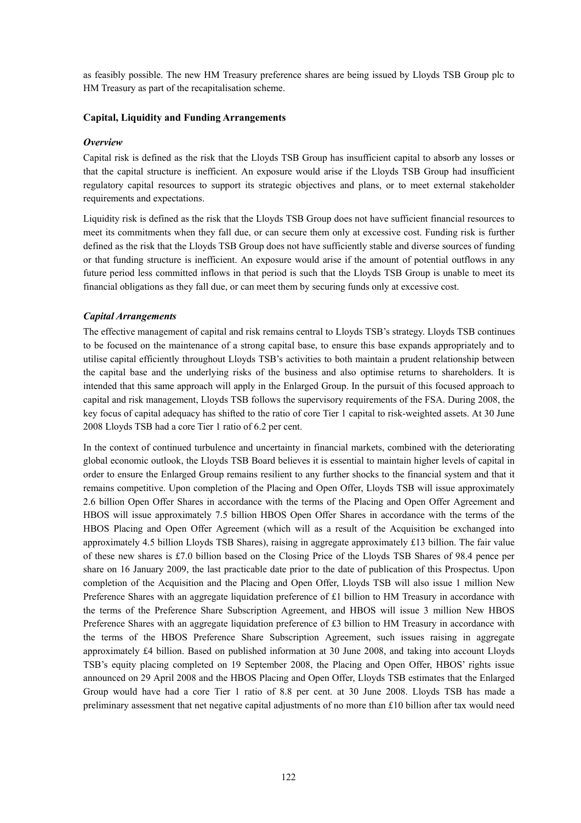as feasibly possible. The new HM Treasury preference shares are being issued by Lloyds TSB Group plc to HM Treasury as part of the recapitalisation scheme.

# **Capital, Liquidity and Funding Arrangements**

## *Overview*

Capital risk is defined as the risk that the Lloyds TSB Group has insufficient capital to absorb any losses or that the capital structure is inefficient. An exposure would arise if the Lloyds TSB Group had insufficient regulatory capital resources to support its strategic objectives and plans, or to meet external stakeholder requirements and expectations.

Liquidity risk is defined as the risk that the Lloyds TSB Group does not have sufficient financial resources to meet its commitments when they fall due, or can secure them only at excessive cost. Funding risk is further defined as the risk that the Lloyds TSB Group does not have sufficiently stable and diverse sources of funding or that funding structure is inefficient. An exposure would arise if the amount of potential outflows in any future period less committed inflows in that period is such that the Lloyds TSB Group is unable to meet its financial obligations as they fall due, or can meet them by securing funds only at excessive cost.

## *Capital Arrangements*

The effective management of capital and risk remains central to Lloyds TSB's strategy. Lloyds TSB continues to be focused on the maintenance of a strong capital base, to ensure this base expands appropriately and to utilise capital efficiently throughout Lloyds TSB's activities to both maintain a prudent relationship between the capital base and the underlying risks of the business and also optimise returns to shareholders. It is intended that this same approach will apply in the Enlarged Group. In the pursuit of this focused approach to capital and risk management, Lloyds TSB follows the supervisory requirements of the FSA. During 2008, the key focus of capital adequacy has shifted to the ratio of core Tier 1 capital to risk-weighted assets. At 30 June 2008 Lloyds TSB had a core Tier 1 ratio of 6.2 per cent.

In the context of continued turbulence and uncertainty in financial markets, combined with the deteriorating global economic outlook, the Lloyds TSB Board believes it is essential to maintain higher levels of capital in order to ensure the Enlarged Group remains resilient to any further shocks to the financial system and that it remains competitive. Upon completion of the Placing and Open Offer, Lloyds TSB will issue approximately 2.6 billion Open Offer Shares in accordance with the terms of the Placing and Open Offer Agreement and HBOS will issue approximately 7.5 billion HBOS Open Offer Shares in accordance with the terms of the HBOS Placing and Open Offer Agreement (which will as a result of the Acquisition be exchanged into approximately 4.5 billion Lloyds TSB Shares), raising in aggregate approximately £13 billion. The fair value of these new shares is £7.0 billion based on the Closing Price of the Lloyds TSB Shares of 98.4 pence per share on 16 January 2009, the last practicable date prior to the date of publication of this Prospectus. Upon completion of the Acquisition and the Placing and Open Offer, Lloyds TSB will also issue 1 million New Preference Shares with an aggregate liquidation preference of £1 billion to HM Treasury in accordance with the terms of the Preference Share Subscription Agreement, and HBOS will issue 3 million New HBOS Preference Shares with an aggregate liquidation preference of £3 billion to HM Treasury in accordance with the terms of the HBOS Preference Share Subscription Agreement, such issues raising in aggregate approximately £4 billion. Based on published information at 30 June 2008, and taking into account Lloyds TSB's equity placing completed on 19 September 2008, the Placing and Open Offer, HBOS' rights issue announced on 29 April 2008 and the HBOS Placing and Open Offer, Lloyds TSB estimates that the Enlarged Group would have had a core Tier 1 ratio of 8.8 per cent. at 30 June 2008. Lloyds TSB has made a preliminary assessment that net negative capital adjustments of no more than £10 billion after tax would need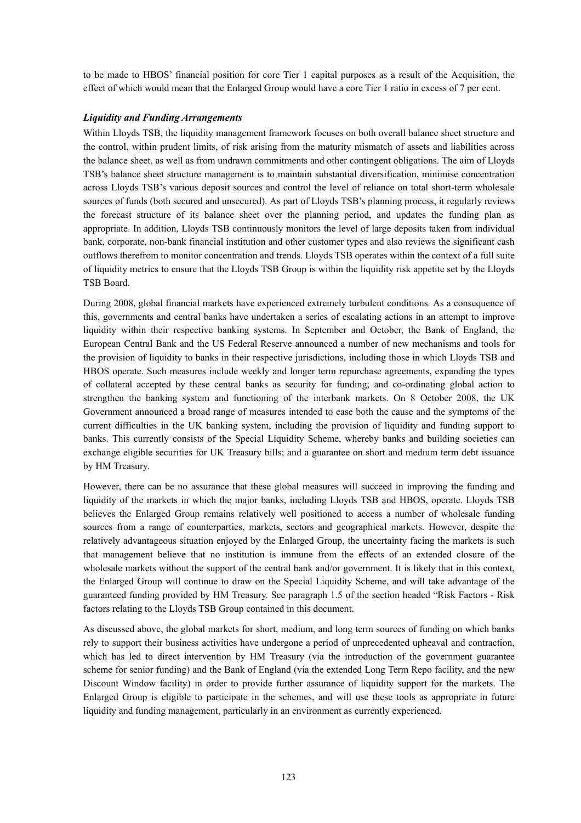to be made to HBOS' financial position for core Tier 1 capital purposes as a result of the Acquisition, the effect of which would mean that the Enlarged Group would have a core Tier 1 ratio in excess of 7 per cent.

# *Liquidity and Funding Arrangements*

Within Lloyds TSB, the liquidity management framework focuses on both overall balance sheet structure and the control, within prudent limits, of risk arising from the maturity mismatch of assets and liabilities across the balance sheet, as well as from undrawn commitments and other contingent obligations. The aim of Lloyds TSB's balance sheet structure management is to maintain substantial diversification, minimise concentration across Lloyds TSB's various deposit sources and control the level of reliance on total short-term wholesale sources of funds (both secured and unsecured). As part of Lloyds TSB's planning process, it regularly reviews the forecast structure of its balance sheet over the planning period, and updates the funding plan as appropriate. In addition, Lloyds TSB continuously monitors the level of large deposits taken from individual bank, corporate, non-bank financial institution and other customer types and also reviews the significant cash outflows therefrom to monitor concentration and trends. Lloyds TSB operates within the context of a full suite of liquidity metrics to ensure that the Lloyds TSB Group is within the liquidity risk appetite set by the Lloyds TSB Board.

During 2008, global financial markets have experienced extremely turbulent conditions. As a consequence of this, governments and central banks have undertaken a series of escalating actions in an attempt to improve liquidity within their respective banking systems. In September and October, the Bank of England, the European Central Bank and the US Federal Reserve announced a number of new mechanisms and tools for the provision of liquidity to banks in their respective jurisdictions, including those in which Lloyds TSB and HBOS operate. Such measures include weekly and longer term repurchase agreements, expanding the types of collateral accepted by these central banks as security for funding; and co-ordinating global action to strengthen the banking system and functioning of the interbank markets. On 8 October 2008, the UK Government announced a broad range of measures intended to ease both the cause and the symptoms of the current difficulties in the UK banking system, including the provision of liquidity and funding support to banks. This currently consists of the Special Liquidity Scheme, whereby banks and building societies can exchange eligible securities for UK Treasury bills; and a guarantee on short and medium term debt issuance by HM Treasury.

However, there can be no assurance that these global measures will succeed in improving the funding and liquidity of the markets in which the major banks, including Lloyds TSB and HBOS, operate. Lloyds TSB believes the Enlarged Group remains relatively well positioned to access a number of wholesale funding sources from a range of counterparties, markets, sectors and geographical markets. However, despite the relatively advantageous situation enjoyed by the Enlarged Group, the uncertainty facing the markets is such that management believe that no institution is immune from the effects of an extended closure of the wholesale markets without the support of the central bank and/or government. It is likely that in this context, the Enlarged Group will continue to draw on the Special Liquidity Scheme, and will take advantage of the guaranteed funding provided by HM Treasury. See paragraph 1.5 of the section headed "Risk Factors - Risk factors relating to the Lloyds TSB Group contained in this document.

As discussed above, the global markets for short, medium, and long term sources of funding on which banks rely to support their business activities have undergone a period of unprecedented upheaval and contraction, which has led to direct intervention by HM Treasury (via the introduction of the government guarantee scheme for senior funding) and the Bank of England (via the extended Long Term Repo facility, and the new Discount Window facility) in order to provide further assurance of liquidity support for the markets. The Enlarged Group is eligible to participate in the schemes, and will use these tools as appropriate in future liquidity and funding management, particularly in an environment as currently experienced.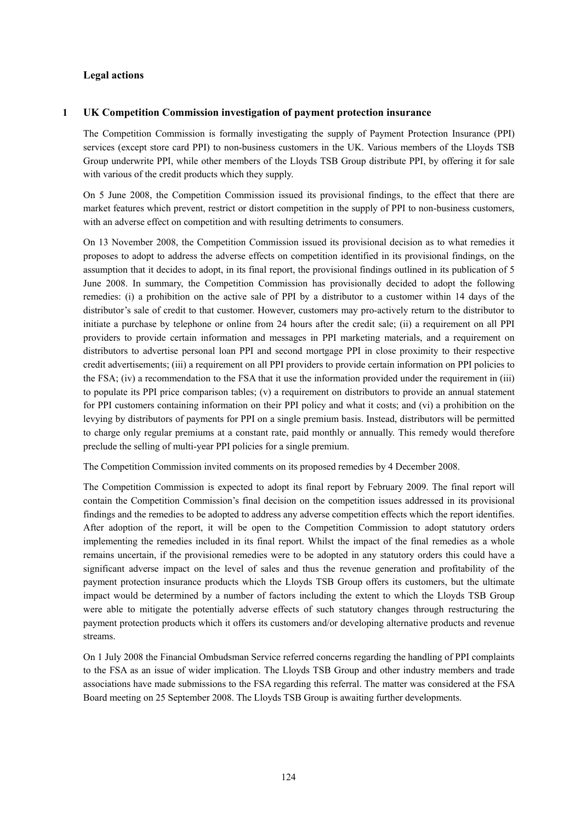# **Legal actions**

## **1 UK Competition Commission investigation of payment protection insurance**

The Competition Commission is formally investigating the supply of Payment Protection Insurance (PPI) services (except store card PPI) to non-business customers in the UK. Various members of the Lloyds TSB Group underwrite PPI, while other members of the Lloyds TSB Group distribute PPI, by offering it for sale with various of the credit products which they supply.

On 5 June 2008, the Competition Commission issued its provisional findings, to the effect that there are market features which prevent, restrict or distort competition in the supply of PPI to non-business customers, with an adverse effect on competition and with resulting detriments to consumers.

On 13 November 2008, the Competition Commission issued its provisional decision as to what remedies it proposes to adopt to address the adverse effects on competition identified in its provisional findings, on the assumption that it decides to adopt, in its final report, the provisional findings outlined in its publication of 5 June 2008. In summary, the Competition Commission has provisionally decided to adopt the following remedies: (i) a prohibition on the active sale of PPI by a distributor to a customer within 14 days of the distributor's sale of credit to that customer. However, customers may pro-actively return to the distributor to initiate a purchase by telephone or online from 24 hours after the credit sale; (ii) a requirement on all PPI providers to provide certain information and messages in PPI marketing materials, and a requirement on distributors to advertise personal loan PPI and second mortgage PPI in close proximity to their respective credit advertisements; (iii) a requirement on all PPI providers to provide certain information on PPI policies to the FSA; (iv) a recommendation to the FSA that it use the information provided under the requirement in (iii) to populate its PPI price comparison tables; (v) a requirement on distributors to provide an annual statement for PPI customers containing information on their PPI policy and what it costs; and (vi) a prohibition on the levying by distributors of payments for PPI on a single premium basis. Instead, distributors will be permitted to charge only regular premiums at a constant rate, paid monthly or annually. This remedy would therefore preclude the selling of multi-year PPI policies for a single premium.

The Competition Commission invited comments on its proposed remedies by 4 December 2008.

The Competition Commission is expected to adopt its final report by February 2009. The final report will contain the Competition Commission's final decision on the competition issues addressed in its provisional findings and the remedies to be adopted to address any adverse competition effects which the report identifies. After adoption of the report, it will be open to the Competition Commission to adopt statutory orders implementing the remedies included in its final report. Whilst the impact of the final remedies as a whole remains uncertain, if the provisional remedies were to be adopted in any statutory orders this could have a significant adverse impact on the level of sales and thus the revenue generation and profitability of the payment protection insurance products which the Lloyds TSB Group offers its customers, but the ultimate impact would be determined by a number of factors including the extent to which the Lloyds TSB Group were able to mitigate the potentially adverse effects of such statutory changes through restructuring the payment protection products which it offers its customers and/or developing alternative products and revenue streams.

On 1 July 2008 the Financial Ombudsman Service referred concerns regarding the handling of PPI complaints to the FSA as an issue of wider implication. The Lloyds TSB Group and other industry members and trade associations have made submissions to the FSA regarding this referral. The matter was considered at the FSA Board meeting on 25 September 2008. The Lloyds TSB Group is awaiting further developments.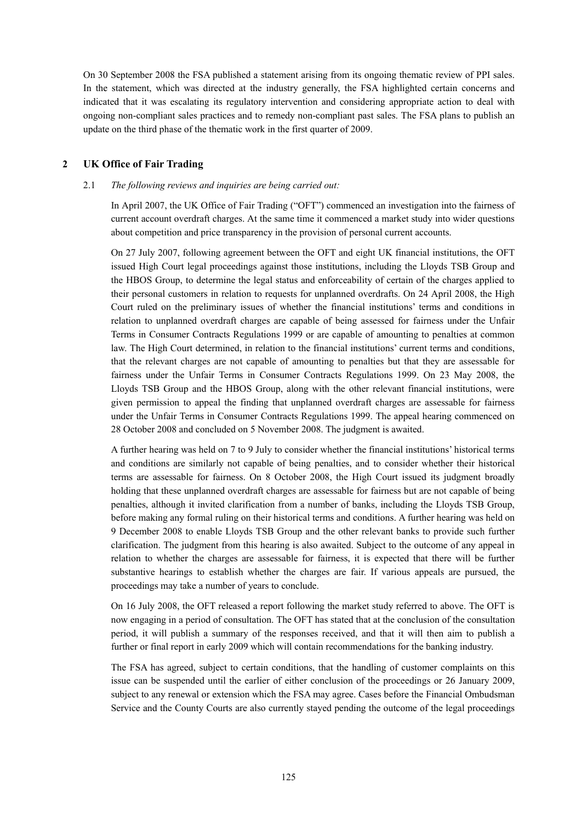On 30 September 2008 the FSA published a statement arising from its ongoing thematic review of PPI sales. In the statement, which was directed at the industry generally, the FSA highlighted certain concerns and indicated that it was escalating its regulatory intervention and considering appropriate action to deal with ongoing non-compliant sales practices and to remedy non-compliant past sales. The FSA plans to publish an update on the third phase of the thematic work in the first quarter of 2009.

# **2 UK Office of Fair Trading**

#### 2.1 *The following reviews and inquiries are being carried out:*

In April 2007, the UK Office of Fair Trading ("OFT") commenced an investigation into the fairness of current account overdraft charges. At the same time it commenced a market study into wider questions about competition and price transparency in the provision of personal current accounts.

On 27 July 2007, following agreement between the OFT and eight UK financial institutions, the OFT issued High Court legal proceedings against those institutions, including the Lloyds TSB Group and the HBOS Group, to determine the legal status and enforceability of certain of the charges applied to their personal customers in relation to requests for unplanned overdrafts. On 24 April 2008, the High Court ruled on the preliminary issues of whether the financial institutions' terms and conditions in relation to unplanned overdraft charges are capable of being assessed for fairness under the Unfair Terms in Consumer Contracts Regulations 1999 or are capable of amounting to penalties at common law. The High Court determined, in relation to the financial institutions' current terms and conditions, that the relevant charges are not capable of amounting to penalties but that they are assessable for fairness under the Unfair Terms in Consumer Contracts Regulations 1999. On 23 May 2008, the Lloyds TSB Group and the HBOS Group, along with the other relevant financial institutions, were given permission to appeal the finding that unplanned overdraft charges are assessable for fairness under the Unfair Terms in Consumer Contracts Regulations 1999. The appeal hearing commenced on 28 October 2008 and concluded on 5 November 2008. The judgment is awaited.

A further hearing was held on 7 to 9 July to consider whether the financial institutions' historical terms and conditions are similarly not capable of being penalties, and to consider whether their historical terms are assessable for fairness. On 8 October 2008, the High Court issued its judgment broadly holding that these unplanned overdraft charges are assessable for fairness but are not capable of being penalties, although it invited clarification from a number of banks, including the Lloyds TSB Group, before making any formal ruling on their historical terms and conditions. A further hearing was held on 9 December 2008 to enable Lloyds TSB Group and the other relevant banks to provide such further clarification. The judgment from this hearing is also awaited. Subject to the outcome of any appeal in relation to whether the charges are assessable for fairness, it is expected that there will be further substantive hearings to establish whether the charges are fair. If various appeals are pursued, the proceedings may take a number of years to conclude.

On 16 July 2008, the OFT released a report following the market study referred to above. The OFT is now engaging in a period of consultation. The OFT has stated that at the conclusion of the consultation period, it will publish a summary of the responses received, and that it will then aim to publish a further or final report in early 2009 which will contain recommendations for the banking industry.

The FSA has agreed, subject to certain conditions, that the handling of customer complaints on this issue can be suspended until the earlier of either conclusion of the proceedings or 26 January 2009, subject to any renewal or extension which the FSA may agree. Cases before the Financial Ombudsman Service and the County Courts are also currently stayed pending the outcome of the legal proceedings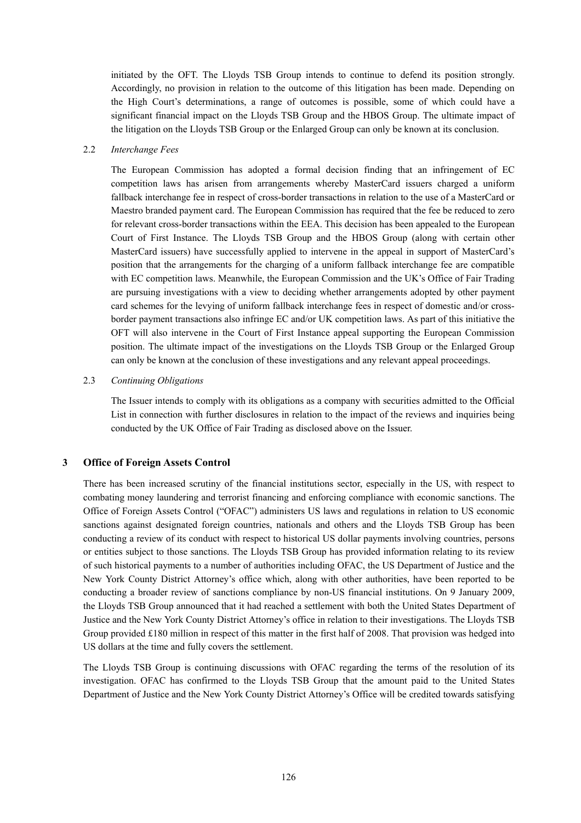initiated by the OFT. The Lloyds TSB Group intends to continue to defend its position strongly. Accordingly, no provision in relation to the outcome of this litigation has been made. Depending on the High Court's determinations, a range of outcomes is possible, some of which could have a significant financial impact on the Lloyds TSB Group and the HBOS Group. The ultimate impact of the litigation on the Lloyds TSB Group or the Enlarged Group can only be known at its conclusion.

#### 2.2 *Interchange Fees*

The European Commission has adopted a formal decision finding that an infringement of EC competition laws has arisen from arrangements whereby MasterCard issuers charged a uniform fallback interchange fee in respect of cross-border transactions in relation to the use of a MasterCard or Maestro branded payment card. The European Commission has required that the fee be reduced to zero for relevant cross-border transactions within the EEA. This decision has been appealed to the European Court of First Instance. The Lloyds TSB Group and the HBOS Group (along with certain other MasterCard issuers) have successfully applied to intervene in the appeal in support of MasterCard's position that the arrangements for the charging of a uniform fallback interchange fee are compatible with EC competition laws. Meanwhile, the European Commission and the UK's Office of Fair Trading are pursuing investigations with a view to deciding whether arrangements adopted by other payment card schemes for the levying of uniform fallback interchange fees in respect of domestic and/or crossborder payment transactions also infringe EC and/or UK competition laws. As part of this initiative the OFT will also intervene in the Court of First Instance appeal supporting the European Commission position. The ultimate impact of the investigations on the Lloyds TSB Group or the Enlarged Group can only be known at the conclusion of these investigations and any relevant appeal proceedings.

## 2.3 *Continuing Obligations*

The Issuer intends to comply with its obligations as a company with securities admitted to the Official List in connection with further disclosures in relation to the impact of the reviews and inquiries being conducted by the UK Office of Fair Trading as disclosed above on the Issuer.

# **3 Office of Foreign Assets Control**

There has been increased scrutiny of the financial institutions sector, especially in the US, with respect to combating money laundering and terrorist financing and enforcing compliance with economic sanctions. The Office of Foreign Assets Control ("OFAC") administers US laws and regulations in relation to US economic sanctions against designated foreign countries, nationals and others and the Lloyds TSB Group has been conducting a review of its conduct with respect to historical US dollar payments involving countries, persons or entities subject to those sanctions. The Lloyds TSB Group has provided information relating to its review of such historical payments to a number of authorities including OFAC, the US Department of Justice and the New York County District Attorney's office which, along with other authorities, have been reported to be conducting a broader review of sanctions compliance by non-US financial institutions. On 9 January 2009, the Lloyds TSB Group announced that it had reached a settlement with both the United States Department of Justice and the New York County District Attorney's office in relation to their investigations. The Lloyds TSB Group provided £180 million in respect of this matter in the first half of 2008. That provision was hedged into US dollars at the time and fully covers the settlement.

The Lloyds TSB Group is continuing discussions with OFAC regarding the terms of the resolution of its investigation. OFAC has confirmed to the Lloyds TSB Group that the amount paid to the United States Department of Justice and the New York County District Attorney's Office will be credited towards satisfying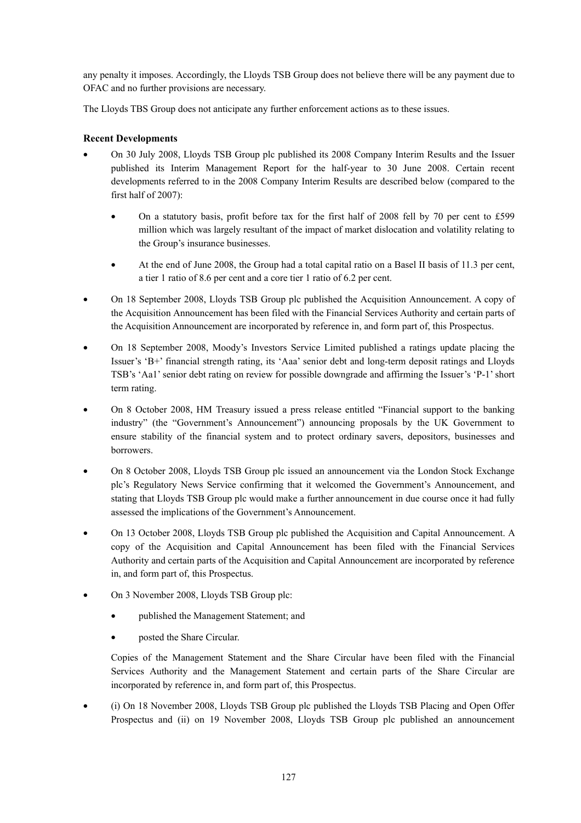any penalty it imposes. Accordingly, the Lloyds TSB Group does not believe there will be any payment due to OFAC and no further provisions are necessary.

The Lloyds TBS Group does not anticipate any further enforcement actions as to these issues.

# **Recent Developments**

- On 30 July 2008, Lloyds TSB Group plc published its 2008 Company Interim Results and the Issuer published its Interim Management Report for the half-year to 30 June 2008. Certain recent developments referred to in the 2008 Company Interim Results are described below (compared to the first half of 2007):
	- On a statutory basis, profit before tax for the first half of 2008 fell by 70 per cent to £599 million which was largely resultant of the impact of market dislocation and volatility relating to the Group's insurance businesses.
	- At the end of June 2008, the Group had a total capital ratio on a Basel II basis of 11.3 per cent, a tier 1 ratio of 8.6 per cent and a core tier 1 ratio of 6.2 per cent.
- On 18 September 2008, Lloyds TSB Group plc published the Acquisition Announcement. A copy of the Acquisition Announcement has been filed with the Financial Services Authority and certain parts of the Acquisition Announcement are incorporated by reference in, and form part of, this Prospectus.
- On 18 September 2008, Moody's Investors Service Limited published a ratings update placing the Issuer's 'B+' financial strength rating, its 'Aaa' senior debt and long-term deposit ratings and Lloyds TSB's 'Aa1' senior debt rating on review for possible downgrade and affirming the Issuer's 'P-1' short term rating.
- On 8 October 2008, HM Treasury issued a press release entitled "Financial support to the banking industry" (the "Government's Announcement") announcing proposals by the UK Government to ensure stability of the financial system and to protect ordinary savers, depositors, businesses and borrowers.
- On 8 October 2008, Lloyds TSB Group plc issued an announcement via the London Stock Exchange plc's Regulatory News Service confirming that it welcomed the Government's Announcement, and stating that Lloyds TSB Group plc would make a further announcement in due course once it had fully assessed the implications of the Government's Announcement.
- On 13 October 2008, Lloyds TSB Group plc published the Acquisition and Capital Announcement. A copy of the Acquisition and Capital Announcement has been filed with the Financial Services Authority and certain parts of the Acquisition and Capital Announcement are incorporated by reference in, and form part of, this Prospectus.
- On 3 November 2008, Lloyds TSB Group plc:
	- published the Management Statement; and
	- posted the Share Circular.

Copies of the Management Statement and the Share Circular have been filed with the Financial Services Authority and the Management Statement and certain parts of the Share Circular are incorporated by reference in, and form part of, this Prospectus.

• (i) On 18 November 2008, Lloyds TSB Group plc published the Lloyds TSB Placing and Open Offer Prospectus and (ii) on 19 November 2008, Lloyds TSB Group plc published an announcement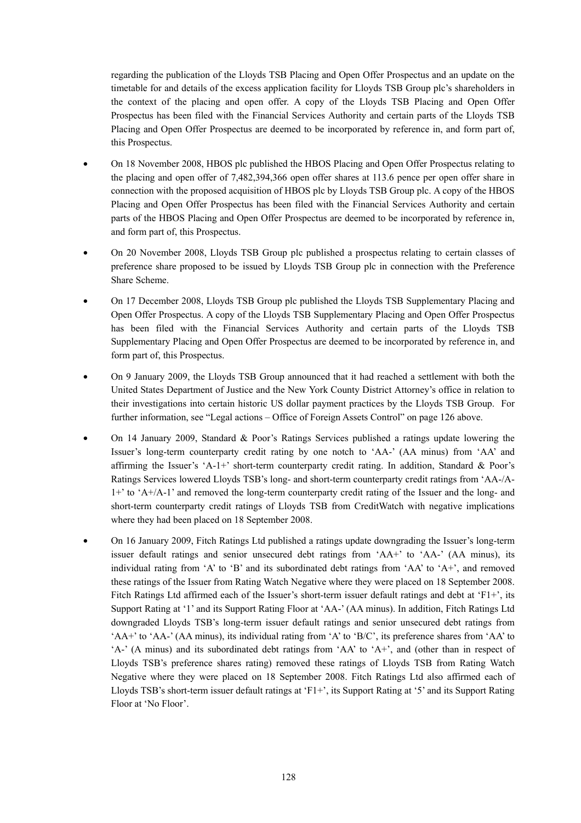regarding the publication of the Lloyds TSB Placing and Open Offer Prospectus and an update on the timetable for and details of the excess application facility for Lloyds TSB Group plc's shareholders in the context of the placing and open offer. A copy of the Lloyds TSB Placing and Open Offer Prospectus has been filed with the Financial Services Authority and certain parts of the Lloyds TSB Placing and Open Offer Prospectus are deemed to be incorporated by reference in, and form part of, this Prospectus.

- On 18 November 2008, HBOS plc published the HBOS Placing and Open Offer Prospectus relating to the placing and open offer of 7,482,394,366 open offer shares at 113.6 pence per open offer share in connection with the proposed acquisition of HBOS plc by Lloyds TSB Group plc. A copy of the HBOS Placing and Open Offer Prospectus has been filed with the Financial Services Authority and certain parts of the HBOS Placing and Open Offer Prospectus are deemed to be incorporated by reference in, and form part of, this Prospectus.
- On 20 November 2008, Lloyds TSB Group plc published a prospectus relating to certain classes of preference share proposed to be issued by Lloyds TSB Group plc in connection with the Preference Share Scheme.
- On 17 December 2008, Lloyds TSB Group plc published the Lloyds TSB Supplementary Placing and Open Offer Prospectus. A copy of the Lloyds TSB Supplementary Placing and Open Offer Prospectus has been filed with the Financial Services Authority and certain parts of the Lloyds TSB Supplementary Placing and Open Offer Prospectus are deemed to be incorporated by reference in, and form part of, this Prospectus.
- On 9 January 2009, the Lloyds TSB Group announced that it had reached a settlement with both the United States Department of Justice and the New York County District Attorney's office in relation to their investigations into certain historic US dollar payment practices by the Lloyds TSB Group. For further information, see "Legal actions – Office of Foreign Assets Control" on page 126 above.
- On 14 January 2009, Standard & Poor's Ratings Services published a ratings update lowering the Issuer's long-term counterparty credit rating by one notch to 'AA-' (AA minus) from 'AA' and affirming the Issuer's 'A-1+' short-term counterparty credit rating. In addition, Standard & Poor's Ratings Services lowered Lloyds TSB's long- and short-term counterparty credit ratings from 'AA-/A-1+' to 'A+/A-1' and removed the long-term counterparty credit rating of the Issuer and the long- and short-term counterparty credit ratings of Lloyds TSB from CreditWatch with negative implications where they had been placed on 18 September 2008.
- On 16 January 2009, Fitch Ratings Ltd published a ratings update downgrading the Issuer's long-term issuer default ratings and senior unsecured debt ratings from 'AA+' to 'AA-' (AA minus), its individual rating from 'A' to 'B' and its subordinated debt ratings from 'AA' to 'A+', and removed these ratings of the Issuer from Rating Watch Negative where they were placed on 18 September 2008. Fitch Ratings Ltd affirmed each of the Issuer's short-term issuer default ratings and debt at 'F1+', its Support Rating at '1' and its Support Rating Floor at 'AA-' (AA minus). In addition, Fitch Ratings Ltd downgraded Lloyds TSB's long-term issuer default ratings and senior unsecured debt ratings from 'AA+' to 'AA-' (AA minus), its individual rating from 'A' to 'B/C', its preference shares from 'AA' to 'A-' (A minus) and its subordinated debt ratings from 'AA' to 'A+', and (other than in respect of Lloyds TSB's preference shares rating) removed these ratings of Lloyds TSB from Rating Watch Negative where they were placed on 18 September 2008. Fitch Ratings Ltd also affirmed each of Lloyds TSB's short-term issuer default ratings at 'F1+', its Support Rating at '5' and its Support Rating Floor at 'No Floor'.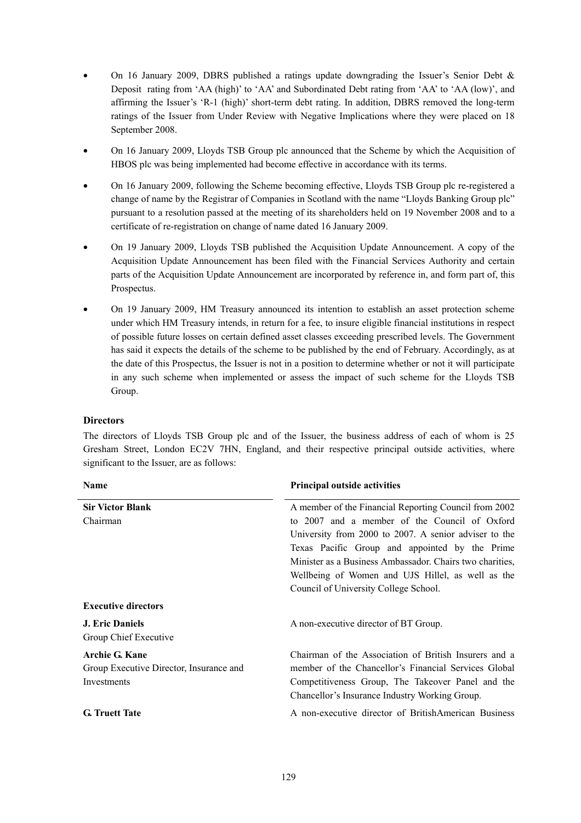- On 16 January 2009, DBRS published a ratings update downgrading the Issuer's Senior Debt  $\&$ Deposit rating from 'AA (high)' to 'AA' and Subordinated Debt rating from 'AA' to 'AA (low)', and affirming the Issuer's 'R-1 (high)' short-term debt rating. In addition, DBRS removed the long-term ratings of the Issuer from Under Review with Negative Implications where they were placed on 18 September 2008.
- On 16 January 2009, Lloyds TSB Group plc announced that the Scheme by which the Acquisition of HBOS plc was being implemented had become effective in accordance with its terms.
- On 16 January 2009, following the Scheme becoming effective, Lloyds TSB Group plc re-registered a change of name by the Registrar of Companies in Scotland with the name "Lloyds Banking Group plc" pursuant to a resolution passed at the meeting of its shareholders held on 19 November 2008 and to a certificate of re-registration on change of name dated 16 January 2009.
- On 19 January 2009, Lloyds TSB published the Acquisition Update Announcement. A copy of the Acquisition Update Announcement has been filed with the Financial Services Authority and certain parts of the Acquisition Update Announcement are incorporated by reference in, and form part of, this Prospectus.
- On 19 January 2009, HM Treasury announced its intention to establish an asset protection scheme under which HM Treasury intends, in return for a fee, to insure eligible financial institutions in respect of possible future losses on certain defined asset classes exceeding prescribed levels. The Government has said it expects the details of the scheme to be published by the end of February. Accordingly, as at the date of this Prospectus, the Issuer is not in a position to determine whether or not it will participate in any such scheme when implemented or assess the impact of such scheme for the Lloyds TSB Group.

# **Directors**

The directors of Lloyds TSB Group plc and of the Issuer, the business address of each of whom is 25 Gresham Street, London EC2V 7HN, England, and their respective principal outside activities, where significant to the Issuer, are as follows:

| <b>Name</b>                             | <b>Principal outside activities</b>                                                                 |
|-----------------------------------------|-----------------------------------------------------------------------------------------------------|
| <b>Sir Victor Blank</b>                 | A member of the Financial Reporting Council from 2002                                               |
| Chairman                                | to 2007 and a member of the Council of Oxford                                                       |
|                                         | University from 2000 to 2007. A senior adviser to the                                               |
|                                         | Texas Pacific Group and appointed by the Prime                                                      |
|                                         | Minister as a Business Ambassador. Chairs two charities,                                            |
|                                         | Wellbeing of Women and UJS Hillel, as well as the                                                   |
|                                         | Council of University College School.                                                               |
| <b>Executive directors</b>              |                                                                                                     |
| <b>J. Eric Daniels</b>                  | A non-executive director of BT Group.                                                               |
| Group Chief Executive                   |                                                                                                     |
| <b>Archie G. Kane</b>                   | Chairman of the Association of British Insurers and a                                               |
| Group Executive Director, Insurance and | member of the Chancellor's Financial Services Global                                                |
| Investments                             | Competitiveness Group, The Takeover Panel and the<br>Chancellor's Insurance Industry Working Group. |
|                                         |                                                                                                     |
| <b>G.</b> Truett Tate                   | A non-executive director of BritishAmerican Business                                                |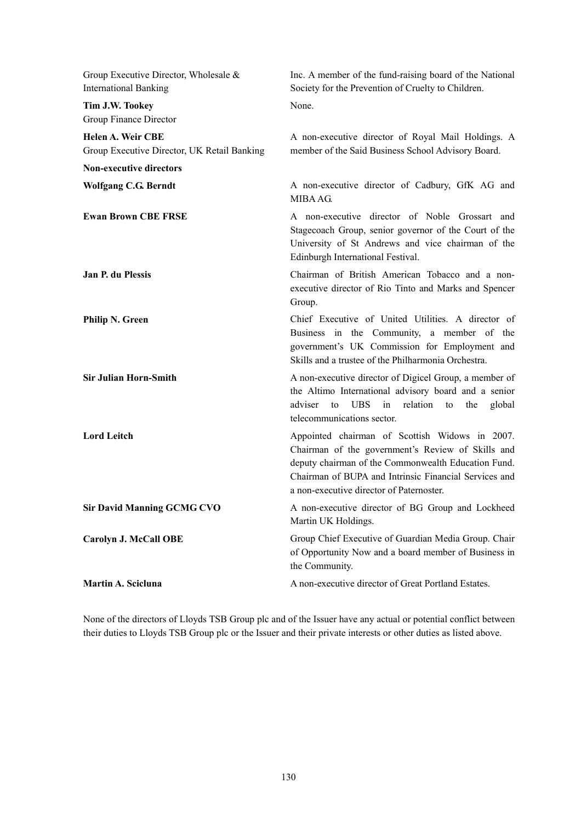| Group Executive Director, Wholesale $\&$<br><b>International Banking</b> | Inc. A member of the fund-raising board of the National<br>Society for the Prevention of Cruelty to Children.                                                                                                                                                   |
|--------------------------------------------------------------------------|-----------------------------------------------------------------------------------------------------------------------------------------------------------------------------------------------------------------------------------------------------------------|
| Tim J.W. Tookey<br>Group Finance Director                                | None.                                                                                                                                                                                                                                                           |
| <b>Helen A. Weir CBE</b><br>Group Executive Director, UK Retail Banking  | A non-executive director of Royal Mail Holdings. A<br>member of the Said Business School Advisory Board.                                                                                                                                                        |
| <b>Non-executive directors</b>                                           |                                                                                                                                                                                                                                                                 |
| <b>Wolfgang C.G. Berndt</b>                                              | A non-executive director of Cadbury, GfK AG and<br>MIBA AG.                                                                                                                                                                                                     |
| <b>Ewan Brown CBE FRSE</b>                                               | A non-executive director of Noble Grossart and<br>Stagecoach Group, senior governor of the Court of the<br>University of St Andrews and vice chairman of the<br>Edinburgh International Festival.                                                               |
| Jan P. du Plessis                                                        | Chairman of British American Tobacco and a non-<br>executive director of Rio Tinto and Marks and Spencer<br>Group.                                                                                                                                              |
| <b>Philip N. Green</b>                                                   | Chief Executive of United Utilities. A director of<br>Business in the Community, a member of the<br>government's UK Commission for Employment and<br>Skills and a trustee of the Philharmonia Orchestra.                                                        |
| <b>Sir Julian Horn-Smith</b>                                             | A non-executive director of Digicel Group, a member of<br>the Altimo International advisory board and a senior<br>UBS.<br>in<br>relation<br>adviser<br>to<br>the<br>to<br>global<br>telecommunications sector.                                                  |
| <b>Lord Leitch</b>                                                       | Appointed chairman of Scottish Widows in 2007.<br>Chairman of the government's Review of Skills and<br>deputy chairman of the Commonwealth Education Fund.<br>Chairman of BUPA and Intrinsic Financial Services and<br>a non-executive director of Paternoster. |
| <b>Sir David Manning GCMG CVO</b>                                        | A non-executive director of BG Group and Lockheed<br>Martin UK Holdings.                                                                                                                                                                                        |
| Carolyn J. McCall OBE                                                    | Group Chief Executive of Guardian Media Group. Chair<br>of Opportunity Now and a board member of Business in<br>the Community.                                                                                                                                  |
| Martin A. Scicluna                                                       | A non-executive director of Great Portland Estates.                                                                                                                                                                                                             |

None of the directors of Lloyds TSB Group plc and of the Issuer have any actual or potential conflict between their duties to Lloyds TSB Group plc or the Issuer and their private interests or other duties as listed above.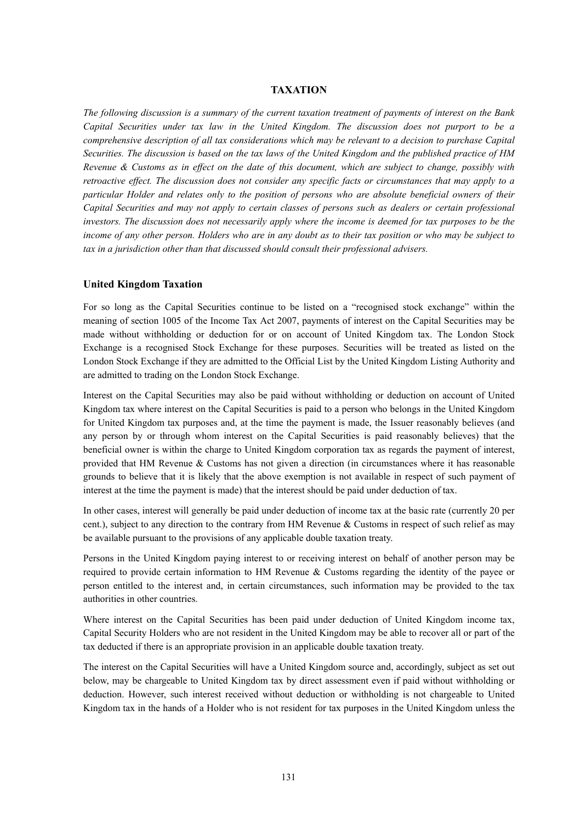#### **TAXATION**

*The following discussion is a summary of the current taxation treatment of payments of interest on the Bank Capital Securities under tax law in the United Kingdom. The discussion does not purport to be a comprehensive description of all tax considerations which may be relevant to a decision to purchase Capital Securities. The discussion is based on the tax laws of the United Kingdom and the published practice of HM Revenue & Customs as in effect on the date of this document, which are subject to change, possibly with retroactive effect. The discussion does not consider any specific facts or circumstances that may apply to a particular Holder and relates only to the position of persons who are absolute beneficial owners of their Capital Securities and may not apply to certain classes of persons such as dealers or certain professional investors. The discussion does not necessarily apply where the income is deemed for tax purposes to be the income of any other person. Holders who are in any doubt as to their tax position or who may be subject to tax in a jurisdiction other than that discussed should consult their professional advisers.* 

#### **United Kingdom Taxation**

For so long as the Capital Securities continue to be listed on a "recognised stock exchange" within the meaning of section 1005 of the Income Tax Act 2007, payments of interest on the Capital Securities may be made without withholding or deduction for or on account of United Kingdom tax. The London Stock Exchange is a recognised Stock Exchange for these purposes. Securities will be treated as listed on the London Stock Exchange if they are admitted to the Official List by the United Kingdom Listing Authority and are admitted to trading on the London Stock Exchange.

Interest on the Capital Securities may also be paid without withholding or deduction on account of United Kingdom tax where interest on the Capital Securities is paid to a person who belongs in the United Kingdom for United Kingdom tax purposes and, at the time the payment is made, the Issuer reasonably believes (and any person by or through whom interest on the Capital Securities is paid reasonably believes) that the beneficial owner is within the charge to United Kingdom corporation tax as regards the payment of interest, provided that HM Revenue & Customs has not given a direction (in circumstances where it has reasonable grounds to believe that it is likely that the above exemption is not available in respect of such payment of interest at the time the payment is made) that the interest should be paid under deduction of tax.

In other cases, interest will generally be paid under deduction of income tax at the basic rate (currently 20 per cent.), subject to any direction to the contrary from HM Revenue & Customs in respect of such relief as may be available pursuant to the provisions of any applicable double taxation treaty.

Persons in the United Kingdom paying interest to or receiving interest on behalf of another person may be required to provide certain information to HM Revenue & Customs regarding the identity of the payee or person entitled to the interest and, in certain circumstances, such information may be provided to the tax authorities in other countries.

Where interest on the Capital Securities has been paid under deduction of United Kingdom income tax, Capital Security Holders who are not resident in the United Kingdom may be able to recover all or part of the tax deducted if there is an appropriate provision in an applicable double taxation treaty.

The interest on the Capital Securities will have a United Kingdom source and, accordingly, subject as set out below, may be chargeable to United Kingdom tax by direct assessment even if paid without withholding or deduction. However, such interest received without deduction or withholding is not chargeable to United Kingdom tax in the hands of a Holder who is not resident for tax purposes in the United Kingdom unless the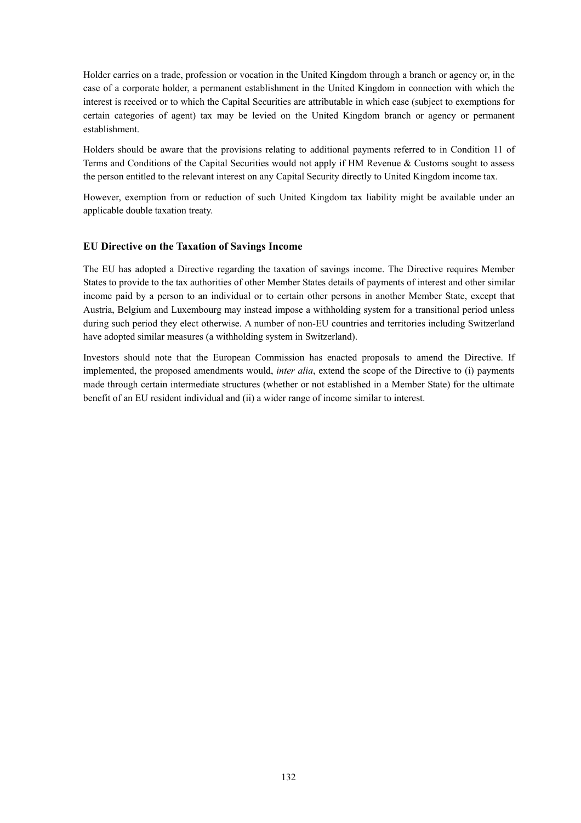Holder carries on a trade, profession or vocation in the United Kingdom through a branch or agency or, in the case of a corporate holder, a permanent establishment in the United Kingdom in connection with which the interest is received or to which the Capital Securities are attributable in which case (subject to exemptions for certain categories of agent) tax may be levied on the United Kingdom branch or agency or permanent establishment.

Holders should be aware that the provisions relating to additional payments referred to in Condition 11 of Terms and Conditions of the Capital Securities would not apply if HM Revenue & Customs sought to assess the person entitled to the relevant interest on any Capital Security directly to United Kingdom income tax.

However, exemption from or reduction of such United Kingdom tax liability might be available under an applicable double taxation treaty.

## **EU Directive on the Taxation of Savings Income**

The EU has adopted a Directive regarding the taxation of savings income. The Directive requires Member States to provide to the tax authorities of other Member States details of payments of interest and other similar income paid by a person to an individual or to certain other persons in another Member State, except that Austria, Belgium and Luxembourg may instead impose a withholding system for a transitional period unless during such period they elect otherwise. A number of non-EU countries and territories including Switzerland have adopted similar measures (a withholding system in Switzerland).

Investors should note that the European Commission has enacted proposals to amend the Directive. If implemented, the proposed amendments would, *inter alia*, extend the scope of the Directive to (i) payments made through certain intermediate structures (whether or not established in a Member State) for the ultimate benefit of an EU resident individual and (ii) a wider range of income similar to interest.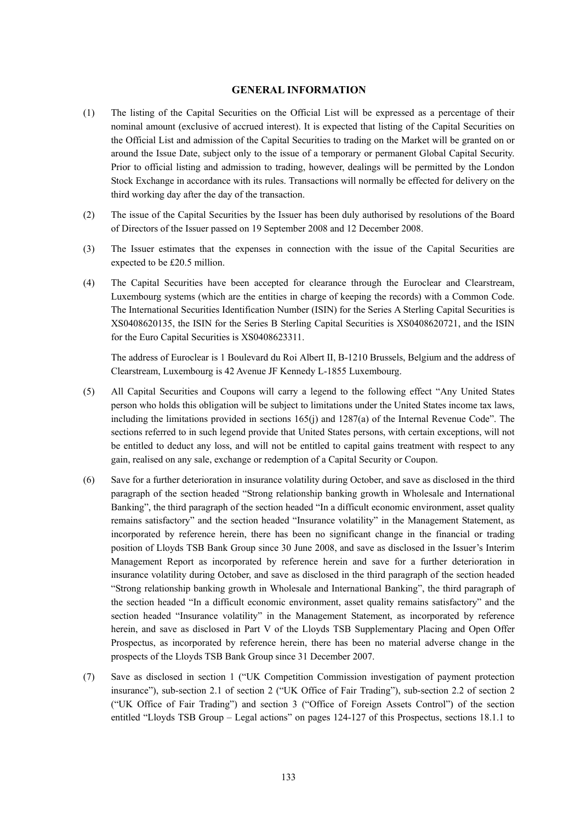#### **GENERAL INFORMATION**

- (1) The listing of the Capital Securities on the Official List will be expressed as a percentage of their nominal amount (exclusive of accrued interest). It is expected that listing of the Capital Securities on the Official List and admission of the Capital Securities to trading on the Market will be granted on or around the Issue Date, subject only to the issue of a temporary or permanent Global Capital Security. Prior to official listing and admission to trading, however, dealings will be permitted by the London Stock Exchange in accordance with its rules. Transactions will normally be effected for delivery on the third working day after the day of the transaction.
- (2) The issue of the Capital Securities by the Issuer has been duly authorised by resolutions of the Board of Directors of the Issuer passed on 19 September 2008 and 12 December 2008.
- (3) The Issuer estimates that the expenses in connection with the issue of the Capital Securities are expected to be £20.5 million.
- (4) The Capital Securities have been accepted for clearance through the Euroclear and Clearstream, Luxembourg systems (which are the entities in charge of keeping the records) with a Common Code. The International Securities Identification Number (ISIN) for the Series A Sterling Capital Securities is XS0408620135, the ISIN for the Series B Sterling Capital Securities is XS0408620721, and the ISIN for the Euro Capital Securities is XS0408623311.

The address of Euroclear is 1 Boulevard du Roi Albert II, B-1210 Brussels, Belgium and the address of Clearstream, Luxembourg is 42 Avenue JF Kennedy L-1855 Luxembourg.

- (5) All Capital Securities and Coupons will carry a legend to the following effect "Any United States person who holds this obligation will be subject to limitations under the United States income tax laws, including the limitations provided in sections 165(j) and 1287(a) of the Internal Revenue Code". The sections referred to in such legend provide that United States persons, with certain exceptions, will not be entitled to deduct any loss, and will not be entitled to capital gains treatment with respect to any gain, realised on any sale, exchange or redemption of a Capital Security or Coupon.
- (6) Save for a further deterioration in insurance volatility during October, and save as disclosed in the third paragraph of the section headed "Strong relationship banking growth in Wholesale and International Banking", the third paragraph of the section headed "In a difficult economic environment, asset quality remains satisfactory" and the section headed "Insurance volatility" in the Management Statement, as incorporated by reference herein, there has been no significant change in the financial or trading position of Lloyds TSB Bank Group since 30 June 2008, and save as disclosed in the Issuer's Interim Management Report as incorporated by reference herein and save for a further deterioration in insurance volatility during October, and save as disclosed in the third paragraph of the section headed "Strong relationship banking growth in Wholesale and International Banking", the third paragraph of the section headed "In a difficult economic environment, asset quality remains satisfactory" and the section headed "Insurance volatility" in the Management Statement, as incorporated by reference herein, and save as disclosed in Part V of the Lloyds TSB Supplementary Placing and Open Offer Prospectus, as incorporated by reference herein, there has been no material adverse change in the prospects of the Lloyds TSB Bank Group since 31 December 2007.
- (7) Save as disclosed in section 1 ("UK Competition Commission investigation of payment protection insurance"), sub-section 2.1 of section 2 ("UK Office of Fair Trading"), sub-section 2.2 of section 2 ("UK Office of Fair Trading") and section 3 ("Office of Foreign Assets Control") of the section entitled "Lloyds TSB Group – Legal actions" on pages 124-127 of this Prospectus, sections 18.1.1 to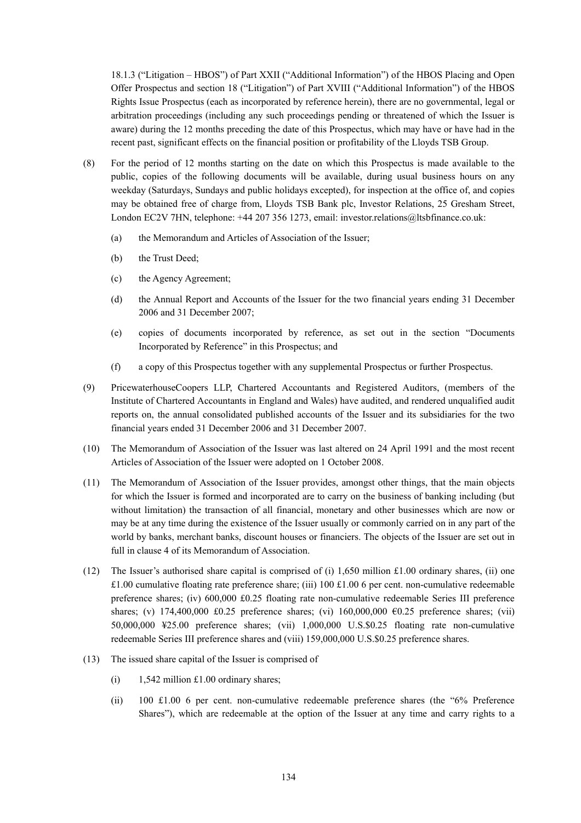18.1.3 ("Litigation – HBOS") of Part XXII ("Additional Information") of the HBOS Placing and Open Offer Prospectus and section 18 ("Litigation") of Part XVIII ("Additional Information") of the HBOS Rights Issue Prospectus (each as incorporated by reference herein), there are no governmental, legal or arbitration proceedings (including any such proceedings pending or threatened of which the Issuer is aware) during the 12 months preceding the date of this Prospectus, which may have or have had in the recent past, significant effects on the financial position or profitability of the Lloyds TSB Group.

- (8) For the period of 12 months starting on the date on which this Prospectus is made available to the public, copies of the following documents will be available, during usual business hours on any weekday (Saturdays, Sundays and public holidays excepted), for inspection at the office of, and copies may be obtained free of charge from, Lloyds TSB Bank plc, Investor Relations, 25 Gresham Street, London EC2V 7HN, telephone: +44 207 356 1273, email: investor.relations@ltsbfinance.co.uk:
	- (a) the Memorandum and Articles of Association of the Issuer;
	- (b) the Trust Deed;
	- (c) the Agency Agreement;
	- (d) the Annual Report and Accounts of the Issuer for the two financial years ending 31 December 2006 and 31 December 2007;
	- (e) copies of documents incorporated by reference, as set out in the section "Documents Incorporated by Reference" in this Prospectus; and
	- (f) a copy of this Prospectus together with any supplemental Prospectus or further Prospectus.
- (9) PricewaterhouseCoopers LLP, Chartered Accountants and Registered Auditors, (members of the Institute of Chartered Accountants in England and Wales) have audited, and rendered unqualified audit reports on, the annual consolidated published accounts of the Issuer and its subsidiaries for the two financial years ended 31 December 2006 and 31 December 2007.
- (10) The Memorandum of Association of the Issuer was last altered on 24 April 1991 and the most recent Articles of Association of the Issuer were adopted on 1 October 2008.
- (11) The Memorandum of Association of the Issuer provides, amongst other things, that the main objects for which the Issuer is formed and incorporated are to carry on the business of banking including (but without limitation) the transaction of all financial, monetary and other businesses which are now or may be at any time during the existence of the Issuer usually or commonly carried on in any part of the world by banks, merchant banks, discount houses or financiers. The objects of the Issuer are set out in full in clause 4 of its Memorandum of Association.
- (12) The Issuer's authorised share capital is comprised of (i) 1,650 million £1.00 ordinary shares, (ii) one £1.00 cumulative floating rate preference share; (iii) 100 £1.00 6 per cent. non-cumulative redeemable preference shares; (iv) 600,000 £0.25 floating rate non-cumulative redeemable Series III preference shares; (v) 174,400,000 £0.25 preference shares; (vi) 160,000,000 €0.25 preference shares; (vii) 50,000,000 ¥25.00 preference shares; (vii) 1,000,000 U.S.\$0.25 floating rate non-cumulative redeemable Series III preference shares and (viii) 159,000,000 U.S.\$0.25 preference shares.
- (13) The issued share capital of the Issuer is comprised of
	- (i)  $1,542$  million £1.00 ordinary shares;
	- (ii) 100 £1.00 6 per cent. non-cumulative redeemable preference shares (the "6% Preference Shares"), which are redeemable at the option of the Issuer at any time and carry rights to a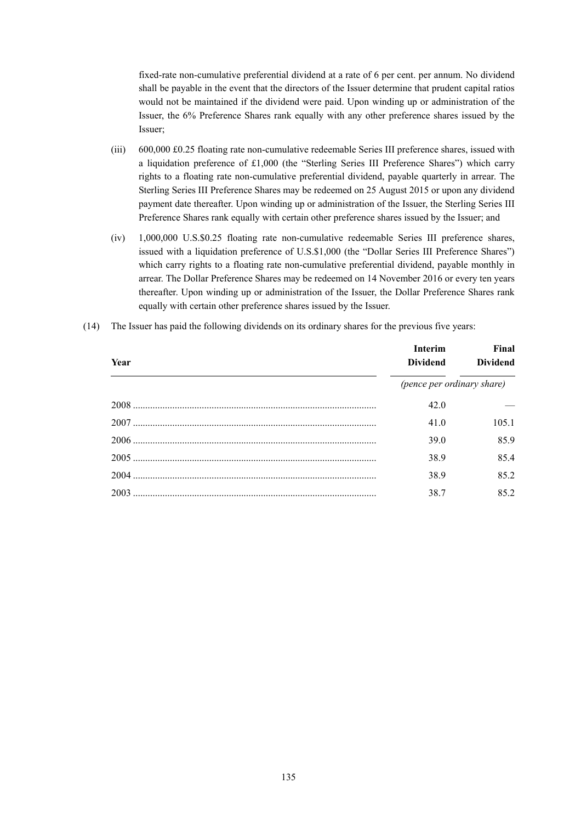fixed-rate non-cumulative preferential dividend at a rate of 6 per cent. per annum. No dividend shall be payable in the event that the directors of the Issuer determine that prudent capital ratios would not be maintained if the dividend were paid. Upon winding up or administration of the Issuer, the 6% Preference Shares rank equally with any other preference shares issued by the Issuer;

- (iii) 600,000 £0.25 floating rate non-cumulative redeemable Series III preference shares, issued with a liquidation preference of £1,000 (the "Sterling Series III Preference Shares") which carry rights to a floating rate non-cumulative preferential dividend, payable quarterly in arrear. The Sterling Series III Preference Shares may be redeemed on 25 August 2015 or upon any dividend payment date thereafter. Upon winding up or administration of the Issuer, the Sterling Series III Preference Shares rank equally with certain other preference shares issued by the Issuer; and
- (iv) 1,000,000 U.S.\$0.25 floating rate non-cumulative redeemable Series III preference shares, issued with a liquidation preference of U.S.\$1,000 (the "Dollar Series III Preference Shares") which carry rights to a floating rate non-cumulative preferential dividend, payable monthly in arrear. The Dollar Preference Shares may be redeemed on 14 November 2016 or every ten years thereafter. Upon winding up or administration of the Issuer, the Dollar Preference Shares rank equally with certain other preference shares issued by the Issuer.
- **Year Interim Dividend Final Dividend** *(pence per ordinary share)*  2008 ................................................................................................... 42.0 — 2007 ................................................................................................... 41.0 105.1 2006 ................................................................................................... 39.0 85.9 2005 ................................................................................................... 38.9 85.4 2004 ................................................................................................... 38.9 85.2 2003 ................................................................................................... 38.7 85.2
- (14) The Issuer has paid the following dividends on its ordinary shares for the previous five years: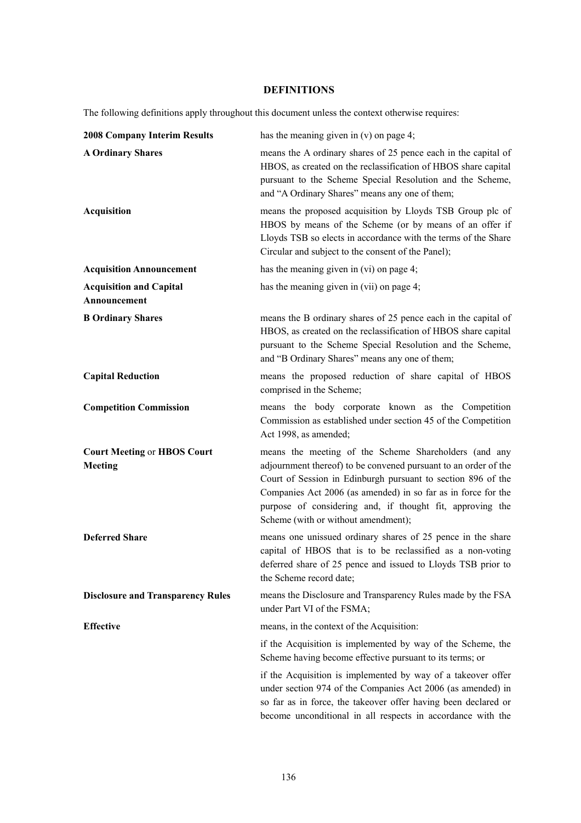# **DEFINITIONS**

The following definitions apply throughout this document unless the context otherwise requires:

| <b>2008 Company Interim Results</b>            | has the meaning given in $(v)$ on page 4;                                                                                                                                                                                                                                                                                                                     |
|------------------------------------------------|---------------------------------------------------------------------------------------------------------------------------------------------------------------------------------------------------------------------------------------------------------------------------------------------------------------------------------------------------------------|
| <b>A Ordinary Shares</b>                       | means the A ordinary shares of 25 pence each in the capital of<br>HBOS, as created on the reclassification of HBOS share capital<br>pursuant to the Scheme Special Resolution and the Scheme,<br>and "A Ordinary Shares" means any one of them;                                                                                                               |
| <b>Acquisition</b>                             | means the proposed acquisition by Lloyds TSB Group plc of<br>HBOS by means of the Scheme (or by means of an offer if<br>Lloyds TSB so elects in accordance with the terms of the Share<br>Circular and subject to the consent of the Panel);                                                                                                                  |
| <b>Acquisition Announcement</b>                | has the meaning given in $(vi)$ on page 4;                                                                                                                                                                                                                                                                                                                    |
| <b>Acquisition and Capital</b><br>Announcement | has the meaning given in $(vii)$ on page 4;                                                                                                                                                                                                                                                                                                                   |
| <b>B Ordinary Shares</b>                       | means the B ordinary shares of 25 pence each in the capital of<br>HBOS, as created on the reclassification of HBOS share capital<br>pursuant to the Scheme Special Resolution and the Scheme,<br>and "B Ordinary Shares" means any one of them;                                                                                                               |
| <b>Capital Reduction</b>                       | means the proposed reduction of share capital of HBOS<br>comprised in the Scheme;                                                                                                                                                                                                                                                                             |
| <b>Competition Commission</b>                  | means the body corporate known as the Competition<br>Commission as established under section 45 of the Competition<br>Act 1998, as amended;                                                                                                                                                                                                                   |
| <b>Court Meeting or HBOS Court</b><br>Meeting  | means the meeting of the Scheme Shareholders (and any<br>adjournment thereof) to be convened pursuant to an order of the<br>Court of Session in Edinburgh pursuant to section 896 of the<br>Companies Act 2006 (as amended) in so far as in force for the<br>purpose of considering and, if thought fit, approving the<br>Scheme (with or without amendment); |
| <b>Deferred Share</b>                          | means one unissued ordinary shares of 25 pence in the share<br>capital of HBOS that is to be reclassified as a non-voting<br>deferred share of 25 pence and issued to Lloyds TSB prior to<br>the Scheme record date;                                                                                                                                          |
| <b>Disclosure and Transparency Rules</b>       | means the Disclosure and Transparency Rules made by the FSA<br>under Part VI of the FSMA;                                                                                                                                                                                                                                                                     |
| <b>Effective</b>                               | means, in the context of the Acquisition:                                                                                                                                                                                                                                                                                                                     |
|                                                | if the Acquisition is implemented by way of the Scheme, the<br>Scheme having become effective pursuant to its terms; or                                                                                                                                                                                                                                       |
|                                                | if the Acquisition is implemented by way of a takeover offer<br>under section 974 of the Companies Act 2006 (as amended) in<br>so far as in force, the takeover offer having been declared or<br>become unconditional in all respects in accordance with the                                                                                                  |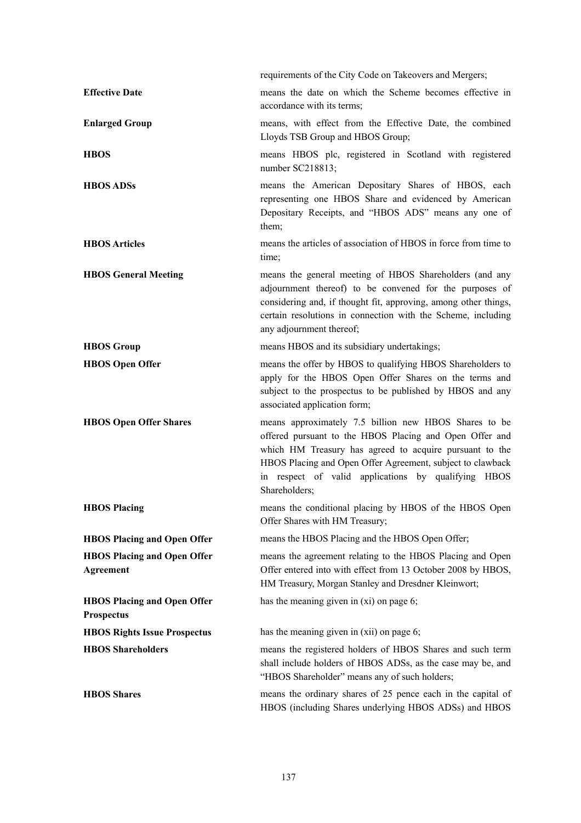|                                                         | requirements of the City Code on Takeovers and Mergers;                                                                                                                                                                                                                                                           |
|---------------------------------------------------------|-------------------------------------------------------------------------------------------------------------------------------------------------------------------------------------------------------------------------------------------------------------------------------------------------------------------|
| <b>Effective Date</b>                                   | means the date on which the Scheme becomes effective in<br>accordance with its terms;                                                                                                                                                                                                                             |
| <b>Enlarged Group</b>                                   | means, with effect from the Effective Date, the combined<br>Lloyds TSB Group and HBOS Group;                                                                                                                                                                                                                      |
| <b>HBOS</b>                                             | means HBOS plc, registered in Scotland with registered<br>number SC218813;                                                                                                                                                                                                                                        |
| <b>HBOS ADSs</b>                                        | means the American Depositary Shares of HBOS, each<br>representing one HBOS Share and evidenced by American<br>Depositary Receipts, and "HBOS ADS" means any one of<br>them;                                                                                                                                      |
| <b>HBOS</b> Articles                                    | means the articles of association of HBOS in force from time to<br>time;                                                                                                                                                                                                                                          |
| <b>HBOS General Meeting</b>                             | means the general meeting of HBOS Shareholders (and any<br>adjournment thereof) to be convened for the purposes of<br>considering and, if thought fit, approving, among other things,<br>certain resolutions in connection with the Scheme, including<br>any adjournment thereof;                                 |
| <b>HBOS</b> Group                                       | means HBOS and its subsidiary undertakings;                                                                                                                                                                                                                                                                       |
| <b>HBOS</b> Open Offer                                  | means the offer by HBOS to qualifying HBOS Shareholders to<br>apply for the HBOS Open Offer Shares on the terms and<br>subject to the prospectus to be published by HBOS and any<br>associated application form;                                                                                                  |
| <b>HBOS Open Offer Shares</b>                           | means approximately 7.5 billion new HBOS Shares to be<br>offered pursuant to the HBOS Placing and Open Offer and<br>which HM Treasury has agreed to acquire pursuant to the<br>HBOS Placing and Open Offer Agreement, subject to clawback<br>in respect of valid applications by qualifying HBOS<br>Shareholders; |
| <b>HBOS Placing</b>                                     | means the conditional placing by HBOS of the HBOS Open<br>Offer Shares with HM Treasury;                                                                                                                                                                                                                          |
| <b>HBOS Placing and Open Offer</b>                      | means the HBOS Placing and the HBOS Open Offer;                                                                                                                                                                                                                                                                   |
| <b>HBOS Placing and Open Offer</b><br>Agreement         | means the agreement relating to the HBOS Placing and Open<br>Offer entered into with effect from 13 October 2008 by HBOS,<br>HM Treasury, Morgan Stanley and Dresdner Kleinwort;                                                                                                                                  |
| <b>HBOS Placing and Open Offer</b><br><b>Prospectus</b> | has the meaning given in $(xi)$ on page 6;                                                                                                                                                                                                                                                                        |
| <b>HBOS Rights Issue Prospectus</b>                     | has the meaning given in $(xii)$ on page 6;                                                                                                                                                                                                                                                                       |
| <b>HBOS Shareholders</b>                                | means the registered holders of HBOS Shares and such term<br>shall include holders of HBOS ADSs, as the case may be, and<br>"HBOS Shareholder" means any of such holders;                                                                                                                                         |
| <b>HBOS</b> Shares                                      | means the ordinary shares of 25 pence each in the capital of<br>HBOS (including Shares underlying HBOS ADSs) and HBOS                                                                                                                                                                                             |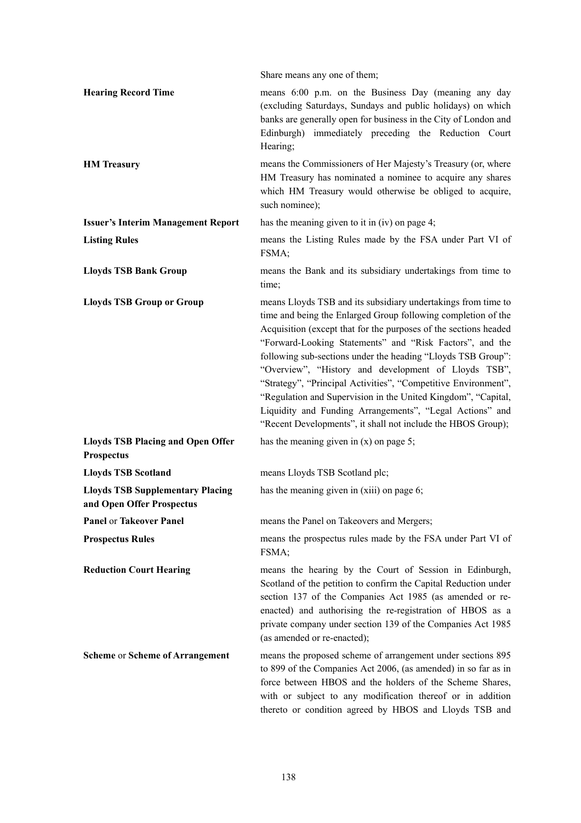|                                                                      | Share means any one of them;                                                                                                                                                                                                                                                                                                                                                                                                                                                                                                                                                                                                                          |
|----------------------------------------------------------------------|-------------------------------------------------------------------------------------------------------------------------------------------------------------------------------------------------------------------------------------------------------------------------------------------------------------------------------------------------------------------------------------------------------------------------------------------------------------------------------------------------------------------------------------------------------------------------------------------------------------------------------------------------------|
| <b>Hearing Record Time</b>                                           | means 6:00 p.m. on the Business Day (meaning any day<br>(excluding Saturdays, Sundays and public holidays) on which<br>banks are generally open for business in the City of London and<br>Edinburgh) immediately preceding the Reduction Court<br>Hearing;                                                                                                                                                                                                                                                                                                                                                                                            |
| <b>HM</b> Treasury                                                   | means the Commissioners of Her Majesty's Treasury (or, where<br>HM Treasury has nominated a nominee to acquire any shares<br>which HM Treasury would otherwise be obliged to acquire,<br>such nominee);                                                                                                                                                                                                                                                                                                                                                                                                                                               |
| <b>Issuer's Interim Management Report</b>                            | has the meaning given to it in $(iv)$ on page 4;                                                                                                                                                                                                                                                                                                                                                                                                                                                                                                                                                                                                      |
| <b>Listing Rules</b>                                                 | means the Listing Rules made by the FSA under Part VI of<br>FSMA;                                                                                                                                                                                                                                                                                                                                                                                                                                                                                                                                                                                     |
| <b>Lloyds TSB Bank Group</b>                                         | means the Bank and its subsidiary undertakings from time to<br>time;                                                                                                                                                                                                                                                                                                                                                                                                                                                                                                                                                                                  |
| <b>Lloyds TSB Group or Group</b>                                     | means Lloyds TSB and its subsidiary undertakings from time to<br>time and being the Enlarged Group following completion of the<br>Acquisition (except that for the purposes of the sections headed<br>"Forward-Looking Statements" and "Risk Factors", and the<br>following sub-sections under the heading "Lloyds TSB Group":<br>"Overview", "History and development of Lloyds TSB",<br>"Strategy", "Principal Activities", "Competitive Environment",<br>"Regulation and Supervision in the United Kingdom", "Capital,<br>Liquidity and Funding Arrangements", "Legal Actions" and<br>"Recent Developments", it shall not include the HBOS Group); |
| <b>Lloyds TSB Placing and Open Offer</b><br><b>Prospectus</b>        | has the meaning given in $(x)$ on page 5;                                                                                                                                                                                                                                                                                                                                                                                                                                                                                                                                                                                                             |
| <b>Lloyds TSB Scotland</b>                                           | means Lloyds TSB Scotland plc;                                                                                                                                                                                                                                                                                                                                                                                                                                                                                                                                                                                                                        |
| <b>Lloyds TSB Supplementary Placing</b><br>and Open Offer Prospectus | has the meaning given in $(xiii)$ on page 6;                                                                                                                                                                                                                                                                                                                                                                                                                                                                                                                                                                                                          |
| Panel or Takeover Panel                                              | means the Panel on Takeovers and Mergers;                                                                                                                                                                                                                                                                                                                                                                                                                                                                                                                                                                                                             |
| <b>Prospectus Rules</b>                                              | means the prospectus rules made by the FSA under Part VI of<br>FSMA;                                                                                                                                                                                                                                                                                                                                                                                                                                                                                                                                                                                  |
| <b>Reduction Court Hearing</b>                                       | means the hearing by the Court of Session in Edinburgh,<br>Scotland of the petition to confirm the Capital Reduction under<br>section 137 of the Companies Act 1985 (as amended or re-<br>enacted) and authorising the re-registration of HBOS as a<br>private company under section 139 of the Companies Act 1985<br>(as amended or re-enacted);                                                                                                                                                                                                                                                                                                     |
| <b>Scheme or Scheme of Arrangement</b>                               | means the proposed scheme of arrangement under sections 895<br>to 899 of the Companies Act 2006, (as amended) in so far as in<br>force between HBOS and the holders of the Scheme Shares,<br>with or subject to any modification thereof or in addition<br>thereto or condition agreed by HBOS and Lloyds TSB and                                                                                                                                                                                                                                                                                                                                     |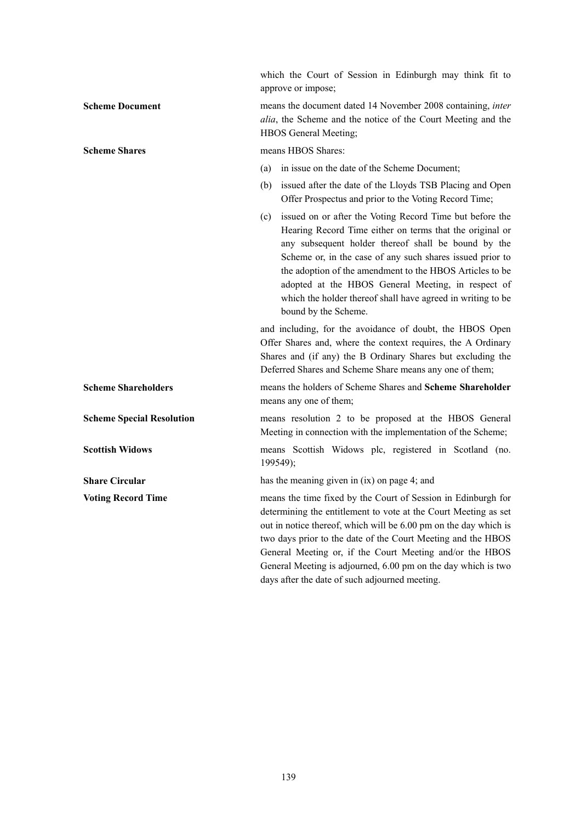which the Court of Session in Edinburgh may think fit to approve or impose; **Scheme Document** means the document dated 14 November 2008 containing, *inter alia*, the Scheme and the notice of the Court Meeting and the HBOS General Meeting; **Scheme Shares means HBOS Shares:** (a) in issue on the date of the Scheme Document; (b) issued after the date of the Lloyds TSB Placing and Open Offer Prospectus and prior to the Voting Record Time; (c) issued on or after the Voting Record Time but before the Hearing Record Time either on terms that the original or any subsequent holder thereof shall be bound by the Scheme or, in the case of any such shares issued prior to the adoption of the amendment to the HBOS Articles to be adopted at the HBOS General Meeting, in respect of which the holder thereof shall have agreed in writing to be bound by the Scheme. and including, for the avoidance of doubt, the HBOS Open Offer Shares and, where the context requires, the A Ordinary Shares and (if any) the B Ordinary Shares but excluding the Deferred Shares and Scheme Share means any one of them; **Scheme Shareholders** means the holders of Scheme Shares and **Scheme Shareholder** means any one of them; **Scheme Special Resolution means** resolution 2 to be proposed at the HBOS General Meeting in connection with the implementation of the Scheme; **Scottish Widows The Scottish Widows Plus Accepts and Scottish Widows Plus Accepts Accepts Accepts Accepts Accepts Accepts Accepts Accepts Accepts Accepts Accepts Accepts Accepts Accepts Accepts Accepts Accepts Accepts Acc** 199549); **Share Circular** has the meaning given in (ix) on page 4; and **Voting Record Time means the time fixed by the Court of Session in Edinburgh for** determining the entitlement to vote at the Court Meeting as set out in notice thereof, which will be 6.00 pm on the day which is two days prior to the date of the Court Meeting and the HBOS General Meeting or, if the Court Meeting and/or the HBOS General Meeting is adjourned, 6.00 pm on the day which is two days after the date of such adjourned meeting.